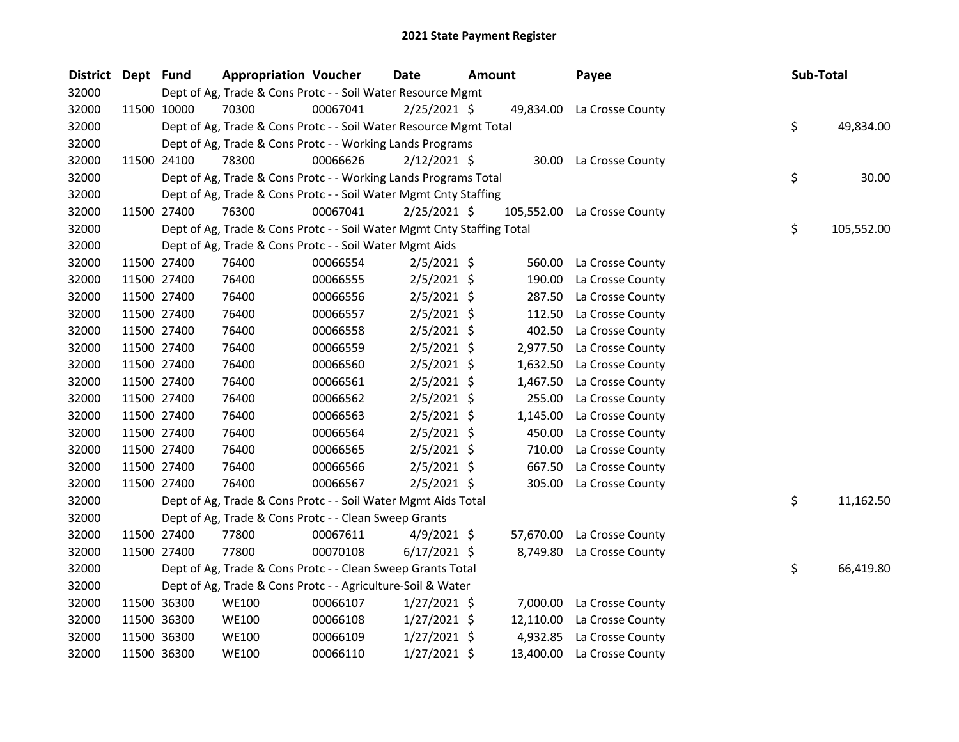| District Dept Fund |             | <b>Appropriation Voucher</b>                                           |          | <b>Date</b>    | <b>Amount</b> |          | Payee                       | Sub-Total |            |
|--------------------|-------------|------------------------------------------------------------------------|----------|----------------|---------------|----------|-----------------------------|-----------|------------|
| 32000              |             | Dept of Ag, Trade & Cons Protc - - Soil Water Resource Mgmt            |          |                |               |          |                             |           |            |
| 32000              | 11500 10000 | 70300                                                                  | 00067041 | $2/25/2021$ \$ |               |          | 49,834.00 La Crosse County  |           |            |
| 32000              |             | Dept of Ag, Trade & Cons Protc - - Soil Water Resource Mgmt Total      |          |                |               |          |                             | \$        | 49,834.00  |
| 32000              |             | Dept of Ag, Trade & Cons Protc - - Working Lands Programs              |          |                |               |          |                             |           |            |
| 32000              | 11500 24100 | 78300                                                                  | 00066626 | $2/12/2021$ \$ |               |          | 30.00 La Crosse County      |           |            |
| 32000              |             | Dept of Ag, Trade & Cons Protc - - Working Lands Programs Total        |          |                |               |          |                             | \$        | 30.00      |
| 32000              |             | Dept of Ag, Trade & Cons Protc - - Soil Water Mgmt Cnty Staffing       |          |                |               |          |                             |           |            |
| 32000              | 11500 27400 | 76300                                                                  | 00067041 | $2/25/2021$ \$ |               |          | 105,552.00 La Crosse County |           |            |
| 32000              |             | Dept of Ag, Trade & Cons Protc - - Soil Water Mgmt Cnty Staffing Total |          |                |               |          |                             | \$        | 105,552.00 |
| 32000              |             | Dept of Ag, Trade & Cons Protc - - Soil Water Mgmt Aids                |          |                |               |          |                             |           |            |
| 32000              | 11500 27400 | 76400                                                                  | 00066554 | $2/5/2021$ \$  |               | 560.00   | La Crosse County            |           |            |
| 32000              | 11500 27400 | 76400                                                                  | 00066555 | $2/5/2021$ \$  |               | 190.00   | La Crosse County            |           |            |
| 32000              | 11500 27400 | 76400                                                                  | 00066556 | $2/5/2021$ \$  |               | 287.50   | La Crosse County            |           |            |
| 32000              | 11500 27400 | 76400                                                                  | 00066557 | $2/5/2021$ \$  |               | 112.50   | La Crosse County            |           |            |
| 32000              | 11500 27400 | 76400                                                                  | 00066558 | 2/5/2021 \$    |               | 402.50   | La Crosse County            |           |            |
| 32000              | 11500 27400 | 76400                                                                  | 00066559 | $2/5/2021$ \$  |               | 2,977.50 | La Crosse County            |           |            |
| 32000              | 11500 27400 | 76400                                                                  | 00066560 | $2/5/2021$ \$  |               |          | 1,632.50 La Crosse County   |           |            |
| 32000              | 11500 27400 | 76400                                                                  | 00066561 | $2/5/2021$ \$  |               | 1,467.50 | La Crosse County            |           |            |
| 32000              | 11500 27400 | 76400                                                                  | 00066562 | $2/5/2021$ \$  |               | 255.00   | La Crosse County            |           |            |
| 32000              | 11500 27400 | 76400                                                                  | 00066563 | $2/5/2021$ \$  |               | 1,145.00 | La Crosse County            |           |            |
| 32000              | 11500 27400 | 76400                                                                  | 00066564 | 2/5/2021 \$    |               | 450.00   | La Crosse County            |           |            |
| 32000              | 11500 27400 | 76400                                                                  | 00066565 | $2/5/2021$ \$  |               | 710.00   | La Crosse County            |           |            |
| 32000              | 11500 27400 | 76400                                                                  | 00066566 | $2/5/2021$ \$  |               | 667.50   | La Crosse County            |           |            |
| 32000              | 11500 27400 | 76400                                                                  | 00066567 | $2/5/2021$ \$  |               | 305.00   | La Crosse County            |           |            |
| 32000              |             | Dept of Ag, Trade & Cons Protc - - Soil Water Mgmt Aids Total          |          |                |               |          |                             | \$        | 11,162.50  |
| 32000              |             | Dept of Ag, Trade & Cons Protc - - Clean Sweep Grants                  |          |                |               |          |                             |           |            |
| 32000              | 11500 27400 | 77800                                                                  | 00067611 | $4/9/2021$ \$  |               |          | 57,670.00 La Crosse County  |           |            |
| 32000              | 11500 27400 | 77800                                                                  | 00070108 | $6/17/2021$ \$ |               |          | 8,749.80 La Crosse County   |           |            |
| 32000              |             | Dept of Ag, Trade & Cons Protc - - Clean Sweep Grants Total            |          |                |               |          |                             | \$        | 66,419.80  |
| 32000              |             | Dept of Ag, Trade & Cons Protc - - Agriculture-Soil & Water            |          |                |               |          |                             |           |            |
| 32000              | 11500 36300 | <b>WE100</b>                                                           | 00066107 | $1/27/2021$ \$ |               |          | 7,000.00 La Crosse County   |           |            |
| 32000              | 11500 36300 | <b>WE100</b>                                                           | 00066108 | $1/27/2021$ \$ |               |          | 12,110.00 La Crosse County  |           |            |
| 32000              | 11500 36300 | <b>WE100</b>                                                           | 00066109 | $1/27/2021$ \$ |               | 4,932.85 | La Crosse County            |           |            |
| 32000              | 11500 36300 | <b>WE100</b>                                                           | 00066110 | 1/27/2021 \$   |               |          | 13,400.00 La Crosse County  |           |            |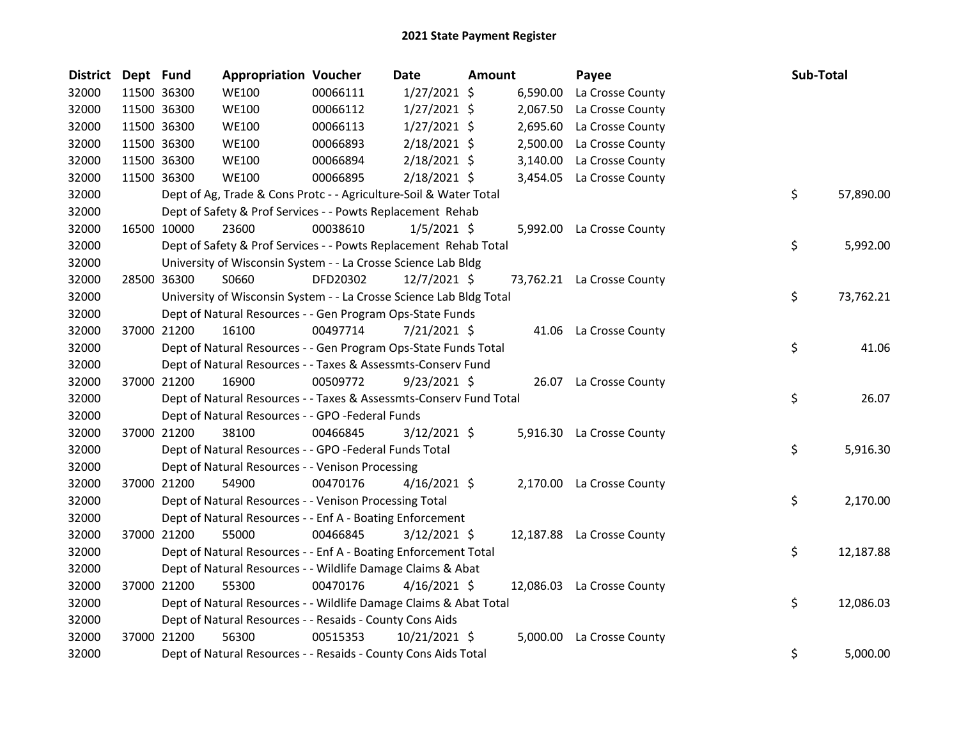| <b>District</b> | Dept Fund |             | <b>Appropriation Voucher</b>                                        |          | <b>Date</b>    | Amount |          | Payee                      | Sub-Total |           |
|-----------------|-----------|-------------|---------------------------------------------------------------------|----------|----------------|--------|----------|----------------------------|-----------|-----------|
| 32000           |           | 11500 36300 | <b>WE100</b>                                                        | 00066111 | $1/27/2021$ \$ |        | 6,590.00 | La Crosse County           |           |           |
| 32000           |           | 11500 36300 | <b>WE100</b>                                                        | 00066112 | $1/27/2021$ \$ |        | 2,067.50 | La Crosse County           |           |           |
| 32000           |           | 11500 36300 | <b>WE100</b>                                                        | 00066113 | $1/27/2021$ \$ |        | 2,695.60 | La Crosse County           |           |           |
| 32000           |           | 11500 36300 | <b>WE100</b>                                                        | 00066893 | 2/18/2021 \$   |        | 2,500.00 | La Crosse County           |           |           |
| 32000           |           | 11500 36300 | <b>WE100</b>                                                        | 00066894 | 2/18/2021 \$   |        | 3,140.00 | La Crosse County           |           |           |
| 32000           |           | 11500 36300 | <b>WE100</b>                                                        | 00066895 | $2/18/2021$ \$ |        | 3,454.05 | La Crosse County           |           |           |
| 32000           |           |             | Dept of Ag, Trade & Cons Protc - - Agriculture-Soil & Water Total   |          |                |        |          |                            | \$        | 57,890.00 |
| 32000           |           |             | Dept of Safety & Prof Services - - Powts Replacement Rehab          |          |                |        |          |                            |           |           |
| 32000           |           | 16500 10000 | 23600                                                               | 00038610 | $1/5/2021$ \$  |        |          | 5,992.00 La Crosse County  |           |           |
| 32000           |           |             | Dept of Safety & Prof Services - - Powts Replacement Rehab Total    |          |                |        |          |                            | \$        | 5,992.00  |
| 32000           |           |             | University of Wisconsin System - - La Crosse Science Lab Bldg       |          |                |        |          |                            |           |           |
| 32000           |           | 28500 36300 | S0660                                                               | DFD20302 | 12/7/2021 \$   |        |          | 73,762.21 La Crosse County |           |           |
| 32000           |           |             | University of Wisconsin System - - La Crosse Science Lab Bldg Total |          |                |        |          |                            | \$        | 73,762.21 |
| 32000           |           |             | Dept of Natural Resources - - Gen Program Ops-State Funds           |          |                |        |          |                            |           |           |
| 32000           |           | 37000 21200 | 16100                                                               | 00497714 | 7/21/2021 \$   |        |          | 41.06 La Crosse County     |           |           |
| 32000           |           |             | Dept of Natural Resources - - Gen Program Ops-State Funds Total     |          |                |        |          |                            | \$        | 41.06     |
| 32000           |           |             | Dept of Natural Resources - - Taxes & Assessmts-Conserv Fund        |          |                |        |          |                            |           |           |
| 32000           |           | 37000 21200 | 16900                                                               | 00509772 | $9/23/2021$ \$ |        |          | 26.07 La Crosse County     |           |           |
| 32000           |           |             | Dept of Natural Resources - - Taxes & Assessmts-Conserv Fund Total  |          |                |        |          |                            | \$        | 26.07     |
| 32000           |           |             | Dept of Natural Resources - - GPO -Federal Funds                    |          |                |        |          |                            |           |           |
| 32000           |           | 37000 21200 | 38100                                                               | 00466845 | $3/12/2021$ \$ |        |          | 5,916.30 La Crosse County  |           |           |
| 32000           |           |             | Dept of Natural Resources - - GPO -Federal Funds Total              |          |                |        |          |                            | \$        | 5,916.30  |
| 32000           |           |             | Dept of Natural Resources - - Venison Processing                    |          |                |        |          |                            |           |           |
| 32000           |           | 37000 21200 | 54900                                                               | 00470176 | $4/16/2021$ \$ |        |          | 2,170.00 La Crosse County  |           |           |
| 32000           |           |             | Dept of Natural Resources - - Venison Processing Total              |          |                |        |          |                            | \$        | 2,170.00  |
| 32000           |           |             | Dept of Natural Resources - - Enf A - Boating Enforcement           |          |                |        |          |                            |           |           |
| 32000           |           | 37000 21200 | 55000                                                               | 00466845 | $3/12/2021$ \$ |        |          | 12,187.88 La Crosse County |           |           |
| 32000           |           |             | Dept of Natural Resources - - Enf A - Boating Enforcement Total     |          |                |        |          |                            | \$        | 12,187.88 |
| 32000           |           |             | Dept of Natural Resources - - Wildlife Damage Claims & Abat         |          |                |        |          |                            |           |           |
| 32000           |           | 37000 21200 | 55300                                                               | 00470176 | $4/16/2021$ \$ |        |          | 12,086.03 La Crosse County |           |           |
| 32000           |           |             | Dept of Natural Resources - - Wildlife Damage Claims & Abat Total   |          |                |        |          |                            | \$        | 12,086.03 |
| 32000           |           |             | Dept of Natural Resources - - Resaids - County Cons Aids            |          |                |        |          |                            |           |           |
| 32000           |           | 37000 21200 | 56300                                                               | 00515353 | 10/21/2021 \$  |        | 5,000.00 | La Crosse County           |           |           |
| 32000           |           |             | Dept of Natural Resources - - Resaids - County Cons Aids Total      |          |                |        |          |                            | \$        | 5,000.00  |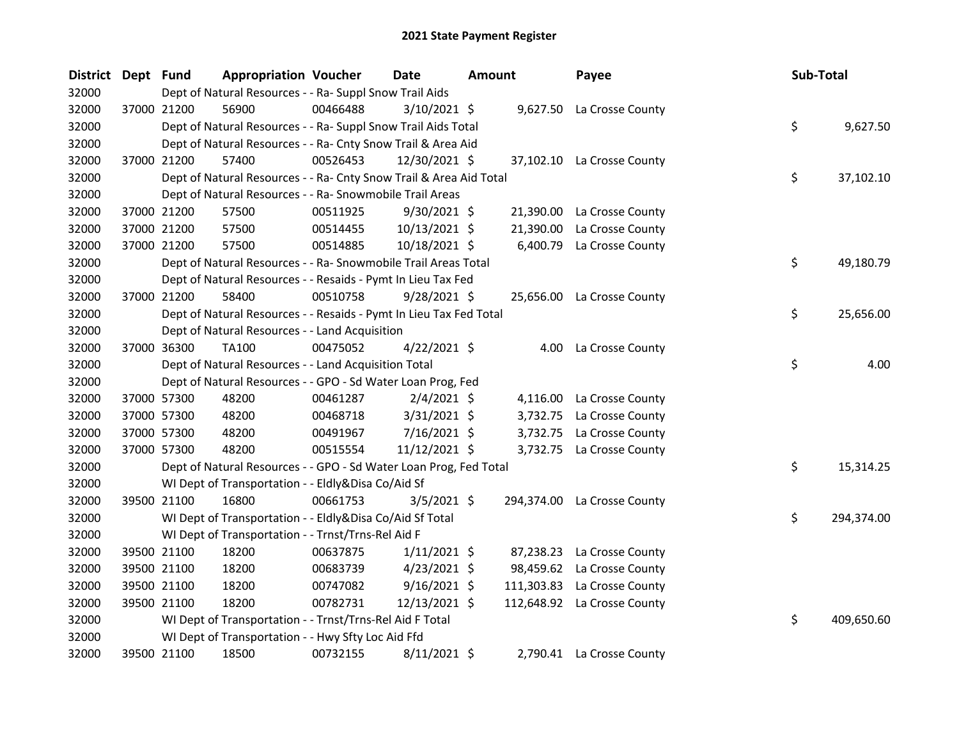| District Dept Fund |             | <b>Appropriation Voucher</b>                                       |          | Date           | Amount | Payee                       | Sub-Total |            |
|--------------------|-------------|--------------------------------------------------------------------|----------|----------------|--------|-----------------------------|-----------|------------|
| 32000              |             | Dept of Natural Resources - - Ra- Suppl Snow Trail Aids            |          |                |        |                             |           |            |
| 32000              | 37000 21200 | 56900                                                              | 00466488 | $3/10/2021$ \$ |        | 9,627.50 La Crosse County   |           |            |
| 32000              |             | Dept of Natural Resources - - Ra- Suppl Snow Trail Aids Total      |          |                |        |                             | \$        | 9,627.50   |
| 32000              |             | Dept of Natural Resources - - Ra- Cnty Snow Trail & Area Aid       |          |                |        |                             |           |            |
| 32000              | 37000 21200 | 57400                                                              | 00526453 | 12/30/2021 \$  |        | 37,102.10 La Crosse County  |           |            |
| 32000              |             | Dept of Natural Resources - - Ra- Cnty Snow Trail & Area Aid Total |          |                |        |                             | \$        | 37,102.10  |
| 32000              |             | Dept of Natural Resources - - Ra- Snowmobile Trail Areas           |          |                |        |                             |           |            |
| 32000              | 37000 21200 | 57500                                                              | 00511925 | $9/30/2021$ \$ |        | 21,390.00 La Crosse County  |           |            |
| 32000              | 37000 21200 | 57500                                                              | 00514455 | 10/13/2021 \$  |        | 21,390.00 La Crosse County  |           |            |
| 32000              | 37000 21200 | 57500                                                              | 00514885 | 10/18/2021 \$  |        | 6,400.79 La Crosse County   |           |            |
| 32000              |             | Dept of Natural Resources - - Ra- Snowmobile Trail Areas Total     |          |                |        |                             | \$        | 49,180.79  |
| 32000              |             | Dept of Natural Resources - - Resaids - Pymt In Lieu Tax Fed       |          |                |        |                             |           |            |
| 32000              | 37000 21200 | 58400                                                              | 00510758 | $9/28/2021$ \$ |        | 25,656.00 La Crosse County  |           |            |
| 32000              |             | Dept of Natural Resources - - Resaids - Pymt In Lieu Tax Fed Total |          |                |        |                             | \$        | 25,656.00  |
| 32000              |             | Dept of Natural Resources - - Land Acquisition                     |          |                |        |                             |           |            |
| 32000              | 37000 36300 | TA100                                                              | 00475052 | $4/22/2021$ \$ |        | 4.00 La Crosse County       |           |            |
| 32000              |             | Dept of Natural Resources - - Land Acquisition Total               |          |                |        |                             | \$        | 4.00       |
| 32000              |             | Dept of Natural Resources - - GPO - Sd Water Loan Prog, Fed        |          |                |        |                             |           |            |
| 32000              | 37000 57300 | 48200                                                              | 00461287 | $2/4/2021$ \$  |        | 4,116.00 La Crosse County   |           |            |
| 32000              | 37000 57300 | 48200                                                              | 00468718 | $3/31/2021$ \$ |        | 3,732.75 La Crosse County   |           |            |
| 32000              | 37000 57300 | 48200                                                              | 00491967 | 7/16/2021 \$   |        | 3,732.75 La Crosse County   |           |            |
| 32000              | 37000 57300 | 48200                                                              | 00515554 | 11/12/2021 \$  |        | 3,732.75 La Crosse County   |           |            |
| 32000              |             | Dept of Natural Resources - - GPO - Sd Water Loan Prog, Fed Total  |          |                |        |                             | \$        | 15,314.25  |
| 32000              |             | WI Dept of Transportation - - Eldly&Disa Co/Aid Sf                 |          |                |        |                             |           |            |
| 32000              | 39500 21100 | 16800                                                              | 00661753 | $3/5/2021$ \$  |        | 294,374.00 La Crosse County |           |            |
| 32000              |             | WI Dept of Transportation - - Eldly&Disa Co/Aid Sf Total           |          |                |        |                             | \$        | 294,374.00 |
| 32000              |             | WI Dept of Transportation - - Trnst/Trns-Rel Aid F                 |          |                |        |                             |           |            |
| 32000              | 39500 21100 | 18200                                                              | 00637875 | $1/11/2021$ \$ |        | 87,238.23 La Crosse County  |           |            |
| 32000              | 39500 21100 | 18200                                                              | 00683739 | $4/23/2021$ \$ |        | 98,459.62 La Crosse County  |           |            |
| 32000              | 39500 21100 | 18200                                                              | 00747082 | $9/16/2021$ \$ |        | 111,303.83 La Crosse County |           |            |
| 32000              | 39500 21100 | 18200                                                              | 00782731 | 12/13/2021 \$  |        | 112,648.92 La Crosse County |           |            |
| 32000              |             | WI Dept of Transportation - - Trnst/Trns-Rel Aid F Total           |          |                |        |                             | \$        | 409,650.60 |
| 32000              |             | WI Dept of Transportation - - Hwy Sfty Loc Aid Ffd                 |          |                |        |                             |           |            |
| 32000              | 39500 21100 | 18500                                                              | 00732155 | $8/11/2021$ \$ |        | 2,790.41 La Crosse County   |           |            |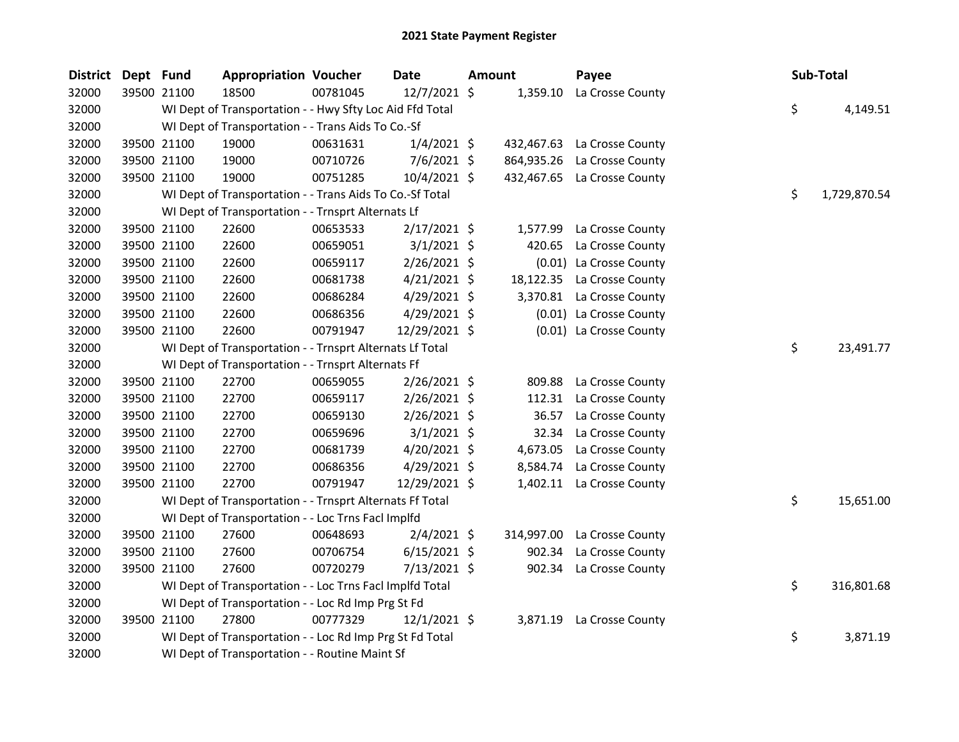| <b>District</b> | Dept Fund |             | <b>Appropriation Voucher</b>                             |          | <b>Date</b>    | <b>Amount</b> |            | Payee                       | Sub-Total          |
|-----------------|-----------|-------------|----------------------------------------------------------|----------|----------------|---------------|------------|-----------------------------|--------------------|
| 32000           |           | 39500 21100 | 18500                                                    | 00781045 | 12/7/2021 \$   |               | 1,359.10   | La Crosse County            |                    |
| 32000           |           |             | WI Dept of Transportation - - Hwy Sfty Loc Aid Ffd Total |          |                |               |            |                             | \$<br>4,149.51     |
| 32000           |           |             | WI Dept of Transportation - - Trans Aids To Co.-Sf       |          |                |               |            |                             |                    |
| 32000           |           | 39500 21100 | 19000                                                    | 00631631 | $1/4/2021$ \$  |               | 432,467.63 | La Crosse County            |                    |
| 32000           |           | 39500 21100 | 19000                                                    | 00710726 | $7/6/2021$ \$  |               | 864,935.26 | La Crosse County            |                    |
| 32000           |           | 39500 21100 | 19000                                                    | 00751285 | 10/4/2021 \$   |               |            | 432,467.65 La Crosse County |                    |
| 32000           |           |             | WI Dept of Transportation - - Trans Aids To Co.-Sf Total |          |                |               |            |                             | \$<br>1,729,870.54 |
| 32000           |           |             | WI Dept of Transportation - - Trnsprt Alternats Lf       |          |                |               |            |                             |                    |
| 32000           |           | 39500 21100 | 22600                                                    | 00653533 | 2/17/2021 \$   |               | 1,577.99   | La Crosse County            |                    |
| 32000           |           | 39500 21100 | 22600                                                    | 00659051 | $3/1/2021$ \$  |               | 420.65     | La Crosse County            |                    |
| 32000           |           | 39500 21100 | 22600                                                    | 00659117 | 2/26/2021 \$   |               |            | (0.01) La Crosse County     |                    |
| 32000           |           | 39500 21100 | 22600                                                    | 00681738 | $4/21/2021$ \$ |               | 18,122.35  | La Crosse County            |                    |
| 32000           |           | 39500 21100 | 22600                                                    | 00686284 | 4/29/2021 \$   |               |            | 3,370.81 La Crosse County   |                    |
| 32000           |           | 39500 21100 | 22600                                                    | 00686356 | 4/29/2021 \$   |               |            | (0.01) La Crosse County     |                    |
| 32000           |           | 39500 21100 | 22600                                                    | 00791947 | 12/29/2021 \$  |               |            | (0.01) La Crosse County     |                    |
| 32000           |           |             | WI Dept of Transportation - - Trnsprt Alternats Lf Total |          |                |               |            |                             | \$<br>23,491.77    |
| 32000           |           |             | WI Dept of Transportation - - Trnsprt Alternats Ff       |          |                |               |            |                             |                    |
| 32000           |           | 39500 21100 | 22700                                                    | 00659055 | $2/26/2021$ \$ |               | 809.88     | La Crosse County            |                    |
| 32000           |           | 39500 21100 | 22700                                                    | 00659117 | 2/26/2021 \$   |               | 112.31     | La Crosse County            |                    |
| 32000           |           | 39500 21100 | 22700                                                    | 00659130 | $2/26/2021$ \$ |               | 36.57      | La Crosse County            |                    |
| 32000           |           | 39500 21100 | 22700                                                    | 00659696 | $3/1/2021$ \$  |               | 32.34      | La Crosse County            |                    |
| 32000           |           | 39500 21100 | 22700                                                    | 00681739 | $4/20/2021$ \$ |               | 4,673.05   | La Crosse County            |                    |
| 32000           |           | 39500 21100 | 22700                                                    | 00686356 | $4/29/2021$ \$ |               | 8,584.74   | La Crosse County            |                    |
| 32000           |           | 39500 21100 | 22700                                                    | 00791947 | 12/29/2021 \$  |               |            | 1,402.11 La Crosse County   |                    |
| 32000           |           |             | WI Dept of Transportation - - Trnsprt Alternats Ff Total |          |                |               |            |                             | \$<br>15,651.00    |
| 32000           |           |             | WI Dept of Transportation - - Loc Trns FacI Implfd       |          |                |               |            |                             |                    |
| 32000           |           | 39500 21100 | 27600                                                    | 00648693 | 2/4/2021 \$    |               | 314,997.00 | La Crosse County            |                    |
| 32000           |           | 39500 21100 | 27600                                                    | 00706754 | $6/15/2021$ \$ |               | 902.34     | La Crosse County            |                    |
| 32000           |           | 39500 21100 | 27600                                                    | 00720279 | 7/13/2021 \$   |               |            | 902.34 La Crosse County     |                    |
| 32000           |           |             | WI Dept of Transportation - - Loc Trns Facl Implfd Total |          |                |               |            |                             | \$<br>316,801.68   |
| 32000           |           |             | WI Dept of Transportation - - Loc Rd Imp Prg St Fd       |          |                |               |            |                             |                    |
| 32000           |           | 39500 21100 | 27800                                                    | 00777329 | $12/1/2021$ \$ |               |            | 3,871.19 La Crosse County   |                    |
| 32000           |           |             | WI Dept of Transportation - - Loc Rd Imp Prg St Fd Total |          |                |               |            |                             | \$<br>3,871.19     |
| 32000           |           |             | WI Dept of Transportation - - Routine Maint Sf           |          |                |               |            |                             |                    |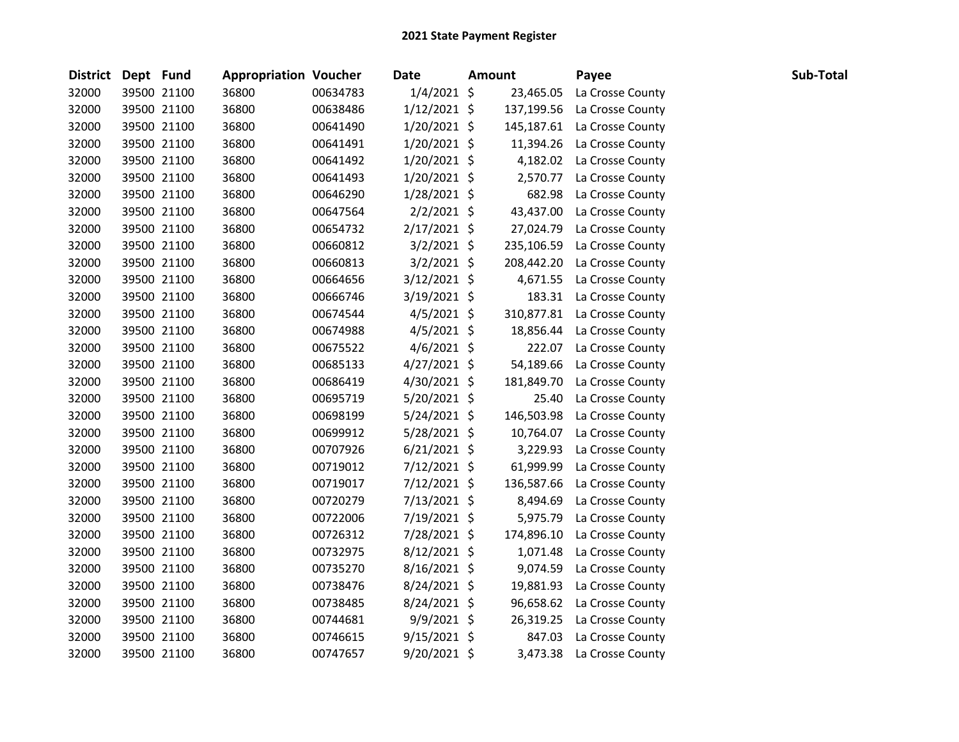| District Dept Fund |             | <b>Appropriation Voucher</b> |          | <b>Date</b>    | <b>Amount</b> | Payee            | Sub-Total |  |
|--------------------|-------------|------------------------------|----------|----------------|---------------|------------------|-----------|--|
| 32000              | 39500 21100 | 36800                        | 00634783 | $1/4/2021$ \$  | 23,465.05     | La Crosse County |           |  |
| 32000              | 39500 21100 | 36800                        | 00638486 | $1/12/2021$ \$ | 137,199.56    | La Crosse County |           |  |
| 32000              | 39500 21100 | 36800                        | 00641490 | $1/20/2021$ \$ | 145,187.61    | La Crosse County |           |  |
| 32000              | 39500 21100 | 36800                        | 00641491 | $1/20/2021$ \$ | 11,394.26     | La Crosse County |           |  |
| 32000              | 39500 21100 | 36800                        | 00641492 | $1/20/2021$ \$ | 4,182.02      | La Crosse County |           |  |
| 32000              | 39500 21100 | 36800                        | 00641493 | $1/20/2021$ \$ | 2,570.77      | La Crosse County |           |  |
| 32000              | 39500 21100 | 36800                        | 00646290 | $1/28/2021$ \$ | 682.98        | La Crosse County |           |  |
| 32000              | 39500 21100 | 36800                        | 00647564 | $2/2/2021$ \$  | 43,437.00     | La Crosse County |           |  |
| 32000              | 39500 21100 | 36800                        | 00654732 | $2/17/2021$ \$ | 27,024.79     | La Crosse County |           |  |
| 32000              | 39500 21100 | 36800                        | 00660812 | $3/2/2021$ \$  | 235,106.59    | La Crosse County |           |  |
| 32000              | 39500 21100 | 36800                        | 00660813 | $3/2/2021$ \$  | 208,442.20    | La Crosse County |           |  |
| 32000              | 39500 21100 | 36800                        | 00664656 | $3/12/2021$ \$ | 4,671.55      | La Crosse County |           |  |
| 32000              | 39500 21100 | 36800                        | 00666746 | $3/19/2021$ \$ | 183.31        | La Crosse County |           |  |
| 32000              | 39500 21100 | 36800                        | 00674544 | $4/5/2021$ \$  | 310,877.81    | La Crosse County |           |  |
| 32000              | 39500 21100 | 36800                        | 00674988 | 4/5/2021 \$    | 18,856.44     | La Crosse County |           |  |
| 32000              | 39500 21100 | 36800                        | 00675522 | $4/6/2021$ \$  | 222.07        | La Crosse County |           |  |
| 32000              | 39500 21100 | 36800                        | 00685133 | $4/27/2021$ \$ | 54,189.66     | La Crosse County |           |  |
| 32000              | 39500 21100 | 36800                        | 00686419 | 4/30/2021 \$   | 181,849.70    | La Crosse County |           |  |
| 32000              | 39500 21100 | 36800                        | 00695719 | 5/20/2021 \$   | 25.40         | La Crosse County |           |  |
| 32000              | 39500 21100 | 36800                        | 00698199 | $5/24/2021$ \$ | 146,503.98    | La Crosse County |           |  |
| 32000              | 39500 21100 | 36800                        | 00699912 | 5/28/2021 \$   | 10,764.07     | La Crosse County |           |  |
| 32000              | 39500 21100 | 36800                        | 00707926 | $6/21/2021$ \$ | 3,229.93      | La Crosse County |           |  |
| 32000              | 39500 21100 | 36800                        | 00719012 | $7/12/2021$ \$ | 61,999.99     | La Crosse County |           |  |
| 32000              | 39500 21100 | 36800                        | 00719017 | $7/12/2021$ \$ | 136,587.66    | La Crosse County |           |  |
| 32000              | 39500 21100 | 36800                        | 00720279 | 7/13/2021 \$   | 8,494.69      | La Crosse County |           |  |
| 32000              | 39500 21100 | 36800                        | 00722006 | 7/19/2021 \$   | 5,975.79      | La Crosse County |           |  |
| 32000              | 39500 21100 | 36800                        | 00726312 | 7/28/2021 \$   | 174,896.10    | La Crosse County |           |  |
| 32000              | 39500 21100 | 36800                        | 00732975 | 8/12/2021 \$   | 1,071.48      | La Crosse County |           |  |
| 32000              | 39500 21100 | 36800                        | 00735270 | $8/16/2021$ \$ | 9,074.59      | La Crosse County |           |  |
| 32000              | 39500 21100 | 36800                        | 00738476 | 8/24/2021 \$   | 19,881.93     | La Crosse County |           |  |
| 32000              | 39500 21100 | 36800                        | 00738485 | 8/24/2021 \$   | 96,658.62     | La Crosse County |           |  |
| 32000              | 39500 21100 | 36800                        | 00744681 | 9/9/2021 \$    | 26,319.25     | La Crosse County |           |  |
| 32000              | 39500 21100 | 36800                        | 00746615 | $9/15/2021$ \$ | 847.03        | La Crosse County |           |  |
| 32000              | 39500 21100 | 36800                        | 00747657 | 9/20/2021 \$   | 3,473.38      | La Crosse County |           |  |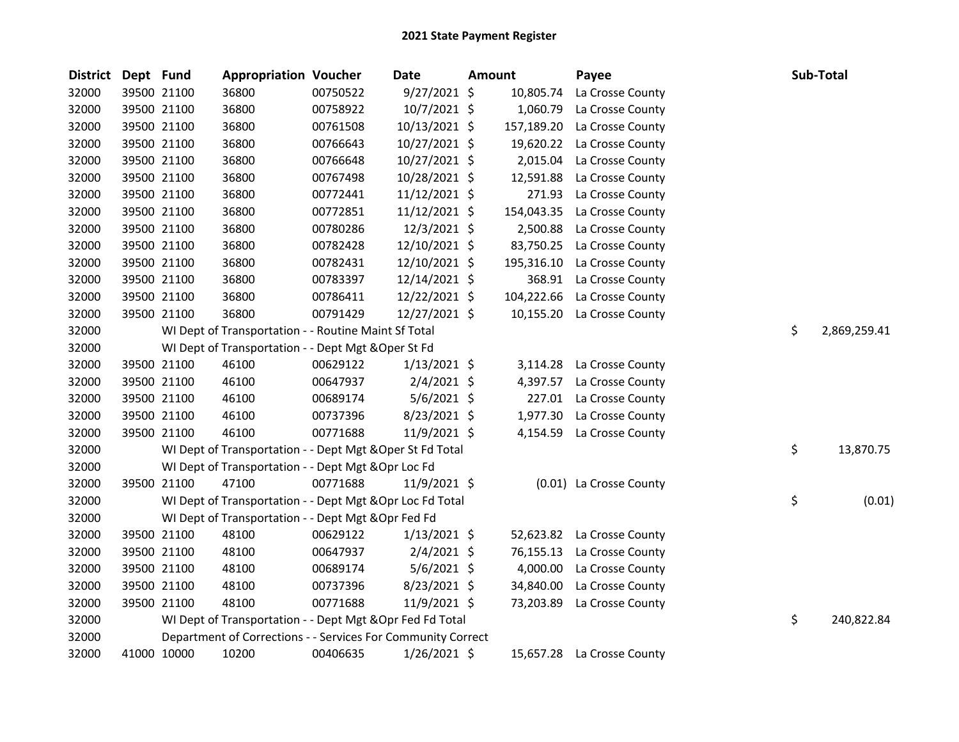| District Dept Fund |             | <b>Appropriation Voucher</b>                                 |          | Date           | Amount |            | Payee                   | Sub-Total          |
|--------------------|-------------|--------------------------------------------------------------|----------|----------------|--------|------------|-------------------------|--------------------|
| 32000              | 39500 21100 | 36800                                                        | 00750522 | $9/27/2021$ \$ |        | 10,805.74  | La Crosse County        |                    |
| 32000              | 39500 21100 | 36800                                                        | 00758922 | 10/7/2021 \$   |        | 1,060.79   | La Crosse County        |                    |
| 32000              | 39500 21100 | 36800                                                        | 00761508 | 10/13/2021 \$  |        | 157,189.20 | La Crosse County        |                    |
| 32000              | 39500 21100 | 36800                                                        | 00766643 | 10/27/2021 \$  |        | 19,620.22  | La Crosse County        |                    |
| 32000              | 39500 21100 | 36800                                                        | 00766648 | 10/27/2021 \$  |        | 2,015.04   | La Crosse County        |                    |
| 32000              | 39500 21100 | 36800                                                        | 00767498 | 10/28/2021 \$  |        | 12,591.88  | La Crosse County        |                    |
| 32000              | 39500 21100 | 36800                                                        | 00772441 | 11/12/2021 \$  |        | 271.93     | La Crosse County        |                    |
| 32000              | 39500 21100 | 36800                                                        | 00772851 | 11/12/2021 \$  |        | 154,043.35 | La Crosse County        |                    |
| 32000              | 39500 21100 | 36800                                                        | 00780286 | 12/3/2021 \$   |        | 2,500.88   | La Crosse County        |                    |
| 32000              | 39500 21100 | 36800                                                        | 00782428 | 12/10/2021 \$  |        | 83,750.25  | La Crosse County        |                    |
| 32000              | 39500 21100 | 36800                                                        | 00782431 | 12/10/2021 \$  |        | 195,316.10 | La Crosse County        |                    |
| 32000              | 39500 21100 | 36800                                                        | 00783397 | 12/14/2021 \$  |        | 368.91     | La Crosse County        |                    |
| 32000              | 39500 21100 | 36800                                                        | 00786411 | 12/22/2021 \$  |        | 104,222.66 | La Crosse County        |                    |
| 32000              | 39500 21100 | 36800                                                        | 00791429 | 12/27/2021 \$  |        | 10,155.20  | La Crosse County        |                    |
| 32000              |             | WI Dept of Transportation - - Routine Maint Sf Total         |          |                |        |            |                         | \$<br>2,869,259.41 |
| 32000              |             | WI Dept of Transportation - - Dept Mgt & Oper St Fd          |          |                |        |            |                         |                    |
| 32000              | 39500 21100 | 46100                                                        | 00629122 | 1/13/2021 \$   |        | 3,114.28   | La Crosse County        |                    |
| 32000              | 39500 21100 | 46100                                                        | 00647937 | $2/4/2021$ \$  |        | 4,397.57   | La Crosse County        |                    |
| 32000              | 39500 21100 | 46100                                                        | 00689174 | 5/6/2021 \$    |        | 227.01     | La Crosse County        |                    |
| 32000              | 39500 21100 | 46100                                                        | 00737396 | 8/23/2021 \$   |        | 1,977.30   | La Crosse County        |                    |
| 32000              | 39500 21100 | 46100                                                        | 00771688 | 11/9/2021 \$   |        | 4,154.59   | La Crosse County        |                    |
| 32000              |             | WI Dept of Transportation - - Dept Mgt & Oper St Fd Total    |          |                |        |            |                         | \$<br>13,870.75    |
| 32000              |             | WI Dept of Transportation - - Dept Mgt & Opr Loc Fd          |          |                |        |            |                         |                    |
| 32000              | 39500 21100 | 47100                                                        | 00771688 | 11/9/2021 \$   |        |            | (0.01) La Crosse County |                    |
| 32000              |             | WI Dept of Transportation - - Dept Mgt &Opr Loc Fd Total     |          |                |        |            |                         | \$<br>(0.01)       |
| 32000              |             | WI Dept of Transportation - - Dept Mgt & Opr Fed Fd          |          |                |        |            |                         |                    |
| 32000              | 39500 21100 | 48100                                                        | 00629122 | $1/13/2021$ \$ |        | 52,623.82  | La Crosse County        |                    |
| 32000              | 39500 21100 | 48100                                                        | 00647937 | $2/4/2021$ \$  |        | 76,155.13  | La Crosse County        |                    |
| 32000              | 39500 21100 | 48100                                                        | 00689174 | 5/6/2021 \$    |        | 4,000.00   | La Crosse County        |                    |
| 32000              | 39500 21100 | 48100                                                        | 00737396 | 8/23/2021 \$   |        | 34,840.00  | La Crosse County        |                    |
| 32000              | 39500 21100 | 48100                                                        | 00771688 | 11/9/2021 \$   |        | 73,203.89  | La Crosse County        |                    |
| 32000              |             | WI Dept of Transportation - - Dept Mgt & Opr Fed Fd Total    |          |                |        |            |                         | \$<br>240,822.84   |
| 32000              |             | Department of Corrections - - Services For Community Correct |          |                |        |            |                         |                    |
| 32000              | 41000 10000 | 10200                                                        | 00406635 | 1/26/2021 \$   |        | 15,657.28  | La Crosse County        |                    |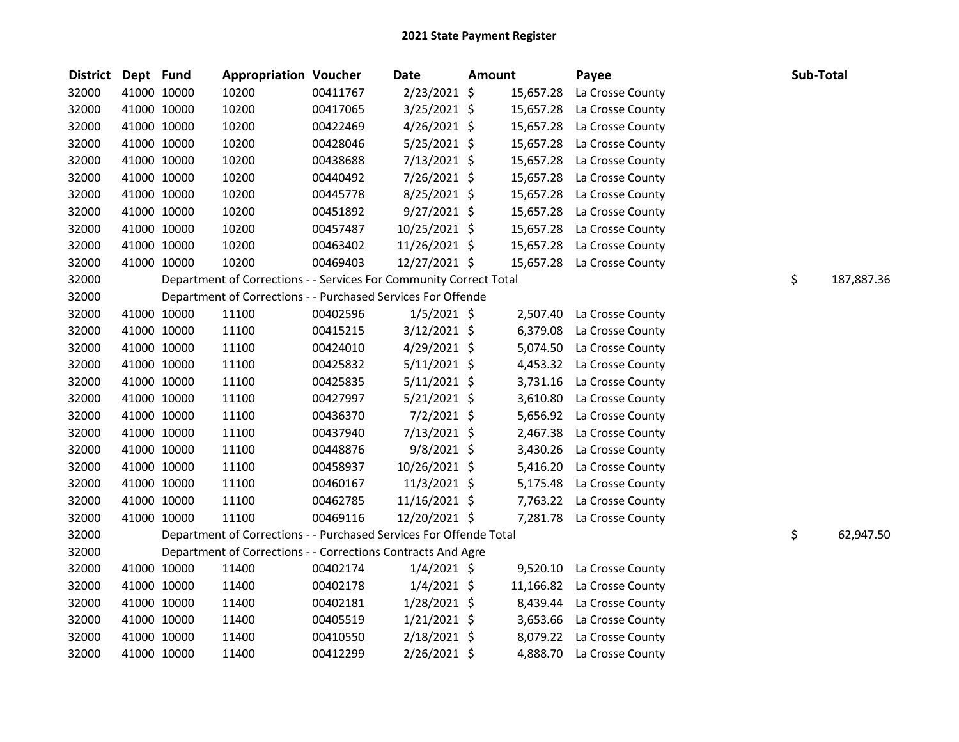| District Dept Fund |             | <b>Appropriation Voucher</b>                                       |          | <b>Date</b>     | <b>Amount</b> |           | Payee            | Sub-Total |            |
|--------------------|-------------|--------------------------------------------------------------------|----------|-----------------|---------------|-----------|------------------|-----------|------------|
| 32000              | 41000 10000 | 10200                                                              | 00411767 | 2/23/2021 \$    |               | 15,657.28 | La Crosse County |           |            |
| 32000              | 41000 10000 | 10200                                                              | 00417065 | 3/25/2021 \$    |               | 15,657.28 | La Crosse County |           |            |
| 32000              | 41000 10000 | 10200                                                              | 00422469 | $4/26/2021$ \$  |               | 15,657.28 | La Crosse County |           |            |
| 32000              | 41000 10000 | 10200                                                              | 00428046 | 5/25/2021 \$    |               | 15,657.28 | La Crosse County |           |            |
| 32000              | 41000 10000 | 10200                                                              | 00438688 | 7/13/2021 \$    |               | 15,657.28 | La Crosse County |           |            |
| 32000              | 41000 10000 | 10200                                                              | 00440492 | 7/26/2021 \$    |               | 15,657.28 | La Crosse County |           |            |
| 32000              | 41000 10000 | 10200                                                              | 00445778 | $8/25/2021$ \$  |               | 15,657.28 | La Crosse County |           |            |
| 32000              | 41000 10000 | 10200                                                              | 00451892 | $9/27/2021$ \$  |               | 15,657.28 | La Crosse County |           |            |
| 32000              | 41000 10000 | 10200                                                              | 00457487 | 10/25/2021 \$   |               | 15,657.28 | La Crosse County |           |            |
| 32000              | 41000 10000 | 10200                                                              | 00463402 | 11/26/2021 \$   |               | 15,657.28 | La Crosse County |           |            |
| 32000              | 41000 10000 | 10200                                                              | 00469403 | 12/27/2021 \$   |               | 15,657.28 | La Crosse County |           |            |
| 32000              |             | Department of Corrections - - Services For Community Correct Total |          |                 |               |           |                  | \$        | 187,887.36 |
| 32000              |             | Department of Corrections - - Purchased Services For Offende       |          |                 |               |           |                  |           |            |
| 32000              | 41000 10000 | 11100                                                              | 00402596 | $1/5/2021$ \$   |               | 2,507.40  | La Crosse County |           |            |
| 32000              | 41000 10000 | 11100                                                              | 00415215 | $3/12/2021$ \$  |               | 6,379.08  | La Crosse County |           |            |
| 32000              | 41000 10000 | 11100                                                              | 00424010 | $4/29/2021$ \$  |               | 5,074.50  | La Crosse County |           |            |
| 32000              | 41000 10000 | 11100                                                              | 00425832 | $5/11/2021$ \$  |               | 4,453.32  | La Crosse County |           |            |
| 32000              | 41000 10000 | 11100                                                              | 00425835 | $5/11/2021$ \$  |               | 3,731.16  | La Crosse County |           |            |
| 32000              | 41000 10000 | 11100                                                              | 00427997 | $5/21/2021$ \$  |               | 3,610.80  | La Crosse County |           |            |
| 32000              | 41000 10000 | 11100                                                              | 00436370 | $7/2/2021$ \$   |               | 5,656.92  | La Crosse County |           |            |
| 32000              | 41000 10000 | 11100                                                              | 00437940 | 7/13/2021 \$    |               | 2,467.38  | La Crosse County |           |            |
| 32000              | 41000 10000 | 11100                                                              | 00448876 | $9/8/2021$ \$   |               | 3,430.26  | La Crosse County |           |            |
| 32000              | 41000 10000 | 11100                                                              | 00458937 | 10/26/2021 \$   |               | 5,416.20  | La Crosse County |           |            |
| 32000              | 41000 10000 | 11100                                                              | 00460167 | 11/3/2021 \$    |               | 5,175.48  | La Crosse County |           |            |
| 32000              | 41000 10000 | 11100                                                              | 00462785 | $11/16/2021$ \$ |               | 7,763.22  | La Crosse County |           |            |
| 32000              | 41000 10000 | 11100                                                              | 00469116 | 12/20/2021 \$   |               | 7,281.78  | La Crosse County |           |            |
| 32000              |             | Department of Corrections - - Purchased Services For Offende Total |          |                 |               |           |                  | \$        | 62,947.50  |
| 32000              |             | Department of Corrections - - Corrections Contracts And Agre       |          |                 |               |           |                  |           |            |
| 32000              | 41000 10000 | 11400                                                              | 00402174 | $1/4/2021$ \$   |               | 9,520.10  | La Crosse County |           |            |
| 32000              | 41000 10000 | 11400                                                              | 00402178 | $1/4/2021$ \$   |               | 11,166.82 | La Crosse County |           |            |
| 32000              | 41000 10000 | 11400                                                              | 00402181 | $1/28/2021$ \$  |               | 8,439.44  | La Crosse County |           |            |
| 32000              | 41000 10000 | 11400                                                              | 00405519 | $1/21/2021$ \$  |               | 3,653.66  | La Crosse County |           |            |
| 32000              | 41000 10000 | 11400                                                              | 00410550 | $2/18/2021$ \$  |               | 8,079.22  | La Crosse County |           |            |
| 32000              | 41000 10000 | 11400                                                              | 00412299 | $2/26/2021$ \$  |               | 4,888.70  | La Crosse County |           |            |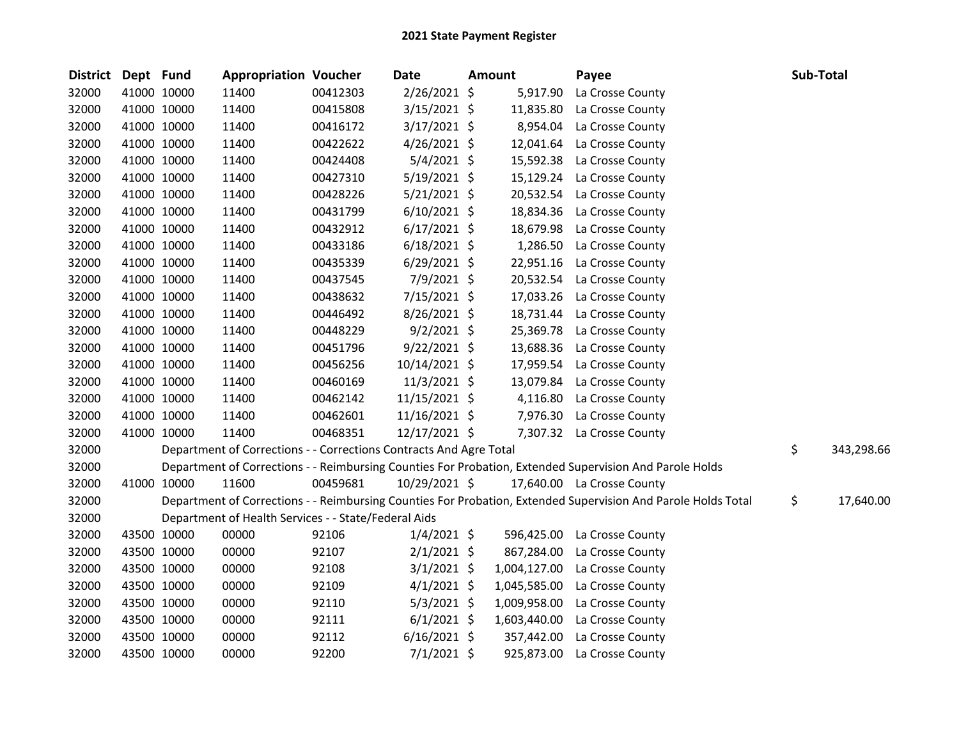| <b>District</b> | Dept Fund   |             | <b>Appropriation Voucher</b>                                       |          | <b>Date</b>    | <b>Amount</b> | Payee                                                                                                         | Sub-Total        |
|-----------------|-------------|-------------|--------------------------------------------------------------------|----------|----------------|---------------|---------------------------------------------------------------------------------------------------------------|------------------|
| 32000           | 41000 10000 |             | 11400                                                              | 00412303 | 2/26/2021 \$   | 5,917.90      | La Crosse County                                                                                              |                  |
| 32000           | 41000 10000 |             | 11400                                                              | 00415808 | 3/15/2021 \$   | 11,835.80     | La Crosse County                                                                                              |                  |
| 32000           | 41000 10000 |             | 11400                                                              | 00416172 | 3/17/2021 \$   | 8,954.04      | La Crosse County                                                                                              |                  |
| 32000           | 41000 10000 |             | 11400                                                              | 00422622 | $4/26/2021$ \$ | 12,041.64     | La Crosse County                                                                                              |                  |
| 32000           | 41000 10000 |             | 11400                                                              | 00424408 | 5/4/2021 \$    | 15,592.38     | La Crosse County                                                                                              |                  |
| 32000           | 41000 10000 |             | 11400                                                              | 00427310 | $5/19/2021$ \$ | 15,129.24     | La Crosse County                                                                                              |                  |
| 32000           | 41000 10000 |             | 11400                                                              | 00428226 | $5/21/2021$ \$ | 20,532.54     | La Crosse County                                                                                              |                  |
| 32000           |             | 41000 10000 | 11400                                                              | 00431799 | $6/10/2021$ \$ | 18,834.36     | La Crosse County                                                                                              |                  |
| 32000           |             | 41000 10000 | 11400                                                              | 00432912 | $6/17/2021$ \$ | 18,679.98     | La Crosse County                                                                                              |                  |
| 32000           | 41000 10000 |             | 11400                                                              | 00433186 | $6/18/2021$ \$ | 1,286.50      | La Crosse County                                                                                              |                  |
| 32000           |             | 41000 10000 | 11400                                                              | 00435339 | $6/29/2021$ \$ | 22,951.16     | La Crosse County                                                                                              |                  |
| 32000           | 41000 10000 |             | 11400                                                              | 00437545 | 7/9/2021 \$    | 20,532.54     | La Crosse County                                                                                              |                  |
| 32000           | 41000 10000 |             | 11400                                                              | 00438632 | 7/15/2021 \$   | 17,033.26     | La Crosse County                                                                                              |                  |
| 32000           | 41000 10000 |             | 11400                                                              | 00446492 | 8/26/2021 \$   | 18,731.44     | La Crosse County                                                                                              |                  |
| 32000           | 41000 10000 |             | 11400                                                              | 00448229 | $9/2/2021$ \$  | 25,369.78     | La Crosse County                                                                                              |                  |
| 32000           |             | 41000 10000 | 11400                                                              | 00451796 | $9/22/2021$ \$ | 13,688.36     | La Crosse County                                                                                              |                  |
| 32000           | 41000 10000 |             | 11400                                                              | 00456256 | 10/14/2021 \$  | 17,959.54     | La Crosse County                                                                                              |                  |
| 32000           | 41000 10000 |             | 11400                                                              | 00460169 | 11/3/2021 \$   | 13,079.84     | La Crosse County                                                                                              |                  |
| 32000           | 41000 10000 |             | 11400                                                              | 00462142 | 11/15/2021 \$  | 4,116.80      | La Crosse County                                                                                              |                  |
| 32000           | 41000 10000 |             | 11400                                                              | 00462601 | 11/16/2021 \$  | 7,976.30      | La Crosse County                                                                                              |                  |
| 32000           |             | 41000 10000 | 11400                                                              | 00468351 | 12/17/2021 \$  |               | 7,307.32 La Crosse County                                                                                     |                  |
| 32000           |             |             | Department of Corrections - - Corrections Contracts And Agre Total |          |                |               |                                                                                                               | \$<br>343,298.66 |
| 32000           |             |             |                                                                    |          |                |               | Department of Corrections - - Reimbursing Counties For Probation, Extended Supervision And Parole Holds       |                  |
| 32000           | 41000 10000 |             | 11600                                                              | 00459681 | 10/29/2021 \$  |               | 17,640.00 La Crosse County                                                                                    |                  |
| 32000           |             |             |                                                                    |          |                |               | Department of Corrections - - Reimbursing Counties For Probation, Extended Supervision And Parole Holds Total | \$<br>17,640.00  |
| 32000           |             |             | Department of Health Services - - State/Federal Aids               |          |                |               |                                                                                                               |                  |
| 32000           | 43500 10000 |             | 00000                                                              | 92106    | $1/4/2021$ \$  | 596,425.00    | La Crosse County                                                                                              |                  |
| 32000           | 43500 10000 |             | 00000                                                              | 92107    | $2/1/2021$ \$  | 867,284.00    | La Crosse County                                                                                              |                  |
| 32000           |             | 43500 10000 | 00000                                                              | 92108    | $3/1/2021$ \$  | 1,004,127.00  | La Crosse County                                                                                              |                  |
| 32000           | 43500 10000 |             | 00000                                                              | 92109    | $4/1/2021$ \$  | 1,045,585.00  | La Crosse County                                                                                              |                  |
| 32000           | 43500 10000 |             | 00000                                                              | 92110    | $5/3/2021$ \$  | 1,009,958.00  | La Crosse County                                                                                              |                  |
| 32000           | 43500 10000 |             | 00000                                                              | 92111    | $6/1/2021$ \$  | 1,603,440.00  | La Crosse County                                                                                              |                  |
| 32000           | 43500 10000 |             | 00000                                                              | 92112    | $6/16/2021$ \$ | 357,442.00    | La Crosse County                                                                                              |                  |
| 32000           |             | 43500 10000 | 00000                                                              | 92200    | 7/1/2021 \$    | 925,873.00    | La Crosse County                                                                                              |                  |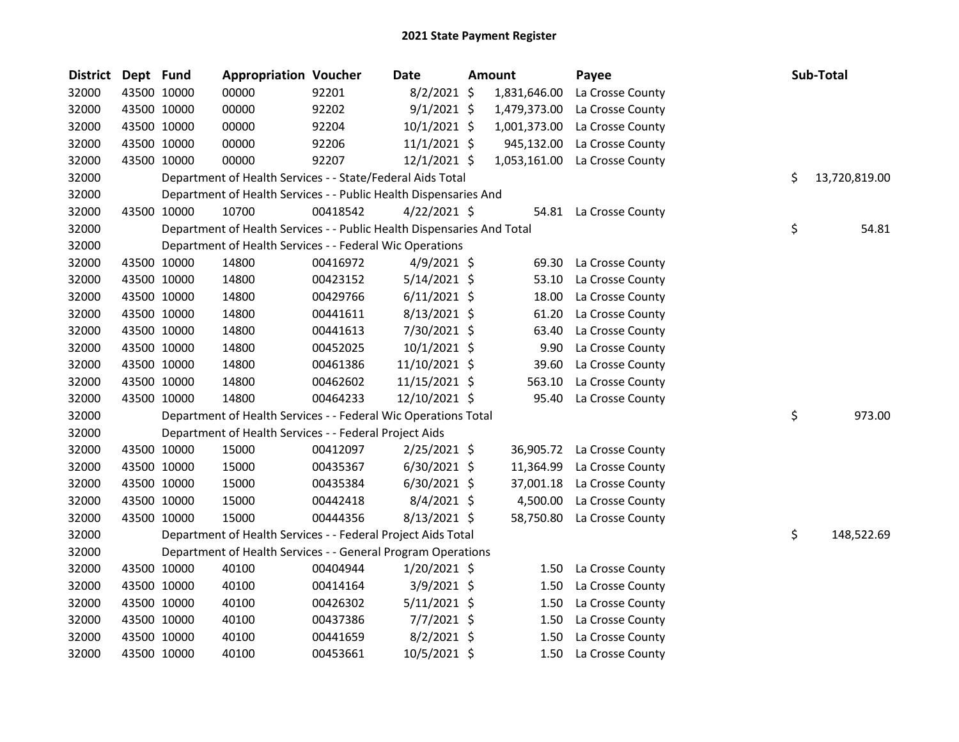| <b>District</b> | Dept Fund   |             | <b>Appropriation Voucher</b>                                           |          | <b>Date</b>    | <b>Amount</b> | Payee                  | Sub-Total           |
|-----------------|-------------|-------------|------------------------------------------------------------------------|----------|----------------|---------------|------------------------|---------------------|
| 32000           |             | 43500 10000 | 00000                                                                  | 92201    | $8/2/2021$ \$  | 1,831,646.00  | La Crosse County       |                     |
| 32000           | 43500 10000 |             | 00000                                                                  | 92202    | $9/1/2021$ \$  | 1,479,373.00  | La Crosse County       |                     |
| 32000           | 43500 10000 |             | 00000                                                                  | 92204    | 10/1/2021 \$   | 1,001,373.00  | La Crosse County       |                     |
| 32000           |             | 43500 10000 | 00000                                                                  | 92206    | $11/1/2021$ \$ | 945,132.00    | La Crosse County       |                     |
| 32000           | 43500 10000 |             | 00000                                                                  | 92207    | 12/1/2021 \$   | 1,053,161.00  | La Crosse County       |                     |
| 32000           |             |             | Department of Health Services - - State/Federal Aids Total             |          |                |               |                        | \$<br>13,720,819.00 |
| 32000           |             |             | Department of Health Services - - Public Health Dispensaries And       |          |                |               |                        |                     |
| 32000           |             | 43500 10000 | 10700                                                                  | 00418542 | $4/22/2021$ \$ |               | 54.81 La Crosse County |                     |
| 32000           |             |             | Department of Health Services - - Public Health Dispensaries And Total |          |                |               |                        | \$<br>54.81         |
| 32000           |             |             | Department of Health Services - - Federal Wic Operations               |          |                |               |                        |                     |
| 32000           | 43500 10000 |             | 14800                                                                  | 00416972 | $4/9/2021$ \$  | 69.30         | La Crosse County       |                     |
| 32000           |             | 43500 10000 | 14800                                                                  | 00423152 | $5/14/2021$ \$ | 53.10         | La Crosse County       |                     |
| 32000           |             | 43500 10000 | 14800                                                                  | 00429766 | $6/11/2021$ \$ | 18.00         | La Crosse County       |                     |
| 32000           | 43500 10000 |             | 14800                                                                  | 00441611 | 8/13/2021 \$   | 61.20         | La Crosse County       |                     |
| 32000           | 43500 10000 |             | 14800                                                                  | 00441613 | 7/30/2021 \$   | 63.40         | La Crosse County       |                     |
| 32000           | 43500 10000 |             | 14800                                                                  | 00452025 | 10/1/2021 \$   | 9.90          | La Crosse County       |                     |
| 32000           | 43500 10000 |             | 14800                                                                  | 00461386 | 11/10/2021 \$  | 39.60         | La Crosse County       |                     |
| 32000           | 43500 10000 |             | 14800                                                                  | 00462602 | 11/15/2021 \$  | 563.10        | La Crosse County       |                     |
| 32000           | 43500 10000 |             | 14800                                                                  | 00464233 | 12/10/2021 \$  | 95.40         | La Crosse County       |                     |
| 32000           |             |             | Department of Health Services - - Federal Wic Operations Total         |          |                |               |                        | \$<br>973.00        |
| 32000           |             |             | Department of Health Services - - Federal Project Aids                 |          |                |               |                        |                     |
| 32000           | 43500 10000 |             | 15000                                                                  | 00412097 | 2/25/2021 \$   | 36,905.72     | La Crosse County       |                     |
| 32000           | 43500 10000 |             | 15000                                                                  | 00435367 | $6/30/2021$ \$ | 11,364.99     | La Crosse County       |                     |
| 32000           | 43500 10000 |             | 15000                                                                  | 00435384 | $6/30/2021$ \$ | 37,001.18     | La Crosse County       |                     |
| 32000           | 43500 10000 |             | 15000                                                                  | 00442418 | $8/4/2021$ \$  | 4,500.00      | La Crosse County       |                     |
| 32000           | 43500 10000 |             | 15000                                                                  | 00444356 | $8/13/2021$ \$ | 58,750.80     | La Crosse County       |                     |
| 32000           |             |             | Department of Health Services - - Federal Project Aids Total           |          |                |               |                        | \$<br>148,522.69    |
| 32000           |             |             | Department of Health Services - - General Program Operations           |          |                |               |                        |                     |
| 32000           | 43500 10000 |             | 40100                                                                  | 00404944 | $1/20/2021$ \$ | 1.50          | La Crosse County       |                     |
| 32000           | 43500 10000 |             | 40100                                                                  | 00414164 | $3/9/2021$ \$  | 1.50          | La Crosse County       |                     |
| 32000           | 43500 10000 |             | 40100                                                                  | 00426302 | $5/11/2021$ \$ | 1.50          | La Crosse County       |                     |
| 32000           | 43500 10000 |             | 40100                                                                  | 00437386 | $7/7/2021$ \$  | 1.50          | La Crosse County       |                     |
| 32000           | 43500 10000 |             | 40100                                                                  | 00441659 | $8/2/2021$ \$  | 1.50          | La Crosse County       |                     |
| 32000           |             | 43500 10000 | 40100                                                                  | 00453661 | $10/5/2021$ \$ | 1.50          | La Crosse County       |                     |
|                 |             |             |                                                                        |          |                |               |                        |                     |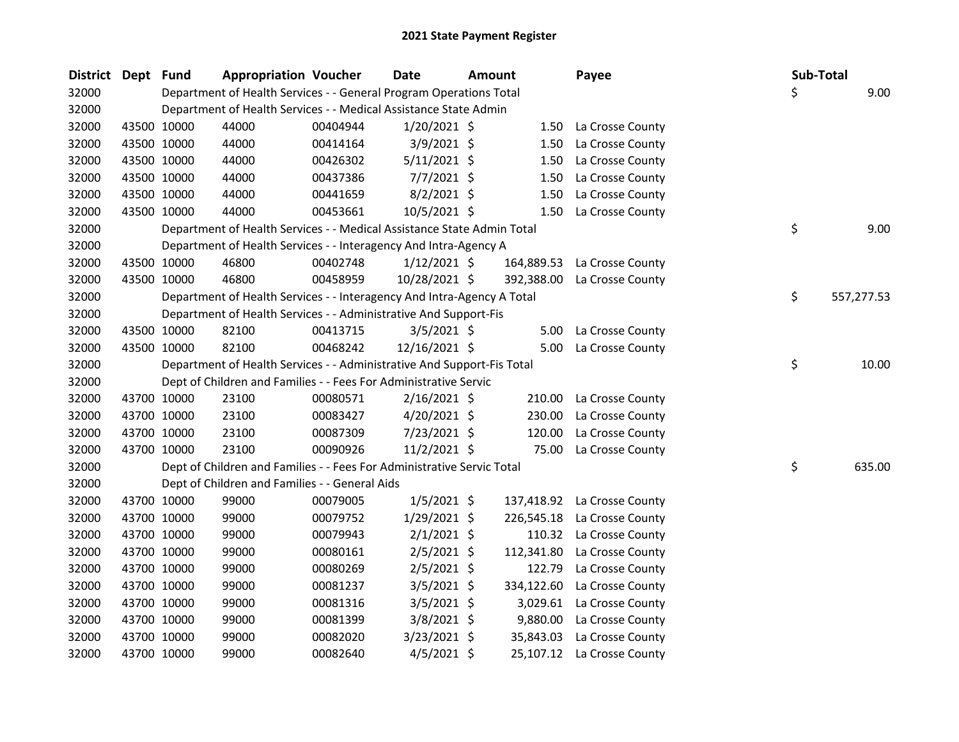| <b>District</b> | Dept Fund |             | <b>Appropriation Voucher</b>                                           |          | <b>Date</b>    | <b>Amount</b> |            | Payee                       |    | Sub-Total  |
|-----------------|-----------|-------------|------------------------------------------------------------------------|----------|----------------|---------------|------------|-----------------------------|----|------------|
| 32000           |           |             | Department of Health Services - - General Program Operations Total     |          |                |               |            |                             | Ś. | 9.00       |
| 32000           |           |             | Department of Health Services - - Medical Assistance State Admin       |          |                |               |            |                             |    |            |
| 32000           |           | 43500 10000 | 44000                                                                  | 00404944 | $1/20/2021$ \$ |               |            | 1.50 La Crosse County       |    |            |
| 32000           |           | 43500 10000 | 44000                                                                  | 00414164 | 3/9/2021 \$    |               | 1.50       | La Crosse County            |    |            |
| 32000           |           | 43500 10000 | 44000                                                                  | 00426302 | $5/11/2021$ \$ |               | 1.50       | La Crosse County            |    |            |
| 32000           |           | 43500 10000 | 44000                                                                  | 00437386 | $7/7/2021$ \$  |               | 1.50       | La Crosse County            |    |            |
| 32000           |           | 43500 10000 | 44000                                                                  | 00441659 | $8/2/2021$ \$  |               | 1.50       | La Crosse County            |    |            |
| 32000           |           | 43500 10000 | 44000                                                                  | 00453661 | 10/5/2021 \$   |               | 1.50       | La Crosse County            |    |            |
| 32000           |           |             | Department of Health Services - - Medical Assistance State Admin Total |          |                |               |            |                             | \$ | 9.00       |
| 32000           |           |             | Department of Health Services - - Interagency And Intra-Agency A       |          |                |               |            |                             |    |            |
| 32000           |           | 43500 10000 | 46800                                                                  | 00402748 | $1/12/2021$ \$ |               | 164,889.53 | La Crosse County            |    |            |
| 32000           |           | 43500 10000 | 46800                                                                  | 00458959 | 10/28/2021 \$  |               | 392,388.00 | La Crosse County            |    |            |
| 32000           |           |             | Department of Health Services - - Interagency And Intra-Agency A Total |          |                |               |            |                             | \$ | 557,277.53 |
| 32000           |           |             | Department of Health Services - - Administrative And Support-Fis       |          |                |               |            |                             |    |            |
| 32000           |           | 43500 10000 | 82100                                                                  | 00413715 | $3/5/2021$ \$  |               | 5.00       | La Crosse County            |    |            |
| 32000           |           | 43500 10000 | 82100                                                                  | 00468242 | 12/16/2021 \$  |               | 5.00       | La Crosse County            |    |            |
| 32000           |           |             | Department of Health Services - - Administrative And Support-Fis Total |          |                |               |            |                             | \$ | 10.00      |
| 32000           |           |             | Dept of Children and Families - - Fees For Administrative Servic       |          |                |               |            |                             |    |            |
| 32000           |           | 43700 10000 | 23100                                                                  | 00080571 | $2/16/2021$ \$ |               | 210.00     | La Crosse County            |    |            |
| 32000           |           | 43700 10000 | 23100                                                                  | 00083427 | $4/20/2021$ \$ |               | 230.00     | La Crosse County            |    |            |
| 32000           |           | 43700 10000 | 23100                                                                  | 00087309 | 7/23/2021 \$   |               | 120.00     | La Crosse County            |    |            |
| 32000           |           | 43700 10000 | 23100                                                                  | 00090926 | $11/2/2021$ \$ |               | 75.00      | La Crosse County            |    |            |
| 32000           |           |             | Dept of Children and Families - - Fees For Administrative Servic Total |          |                |               |            |                             | \$ | 635.00     |
| 32000           |           |             | Dept of Children and Families - - General Aids                         |          |                |               |            |                             |    |            |
| 32000           |           | 43700 10000 | 99000                                                                  | 00079005 | $1/5/2021$ \$  |               |            | 137,418.92 La Crosse County |    |            |
| 32000           |           | 43700 10000 | 99000                                                                  | 00079752 | $1/29/2021$ \$ |               | 226,545.18 | La Crosse County            |    |            |
| 32000           |           | 43700 10000 | 99000                                                                  | 00079943 | $2/1/2021$ \$  |               | 110.32     | La Crosse County            |    |            |
| 32000           |           | 43700 10000 | 99000                                                                  | 00080161 | $2/5/2021$ \$  |               | 112,341.80 | La Crosse County            |    |            |
| 32000           |           | 43700 10000 | 99000                                                                  | 00080269 | $2/5/2021$ \$  |               | 122.79     | La Crosse County            |    |            |
| 32000           |           | 43700 10000 | 99000                                                                  | 00081237 | $3/5/2021$ \$  |               | 334,122.60 | La Crosse County            |    |            |
| 32000           |           | 43700 10000 | 99000                                                                  | 00081316 | $3/5/2021$ \$  |               | 3,029.61   | La Crosse County            |    |            |
| 32000           |           | 43700 10000 | 99000                                                                  | 00081399 | $3/8/2021$ \$  |               | 9,880.00   | La Crosse County            |    |            |
| 32000           |           | 43700 10000 | 99000                                                                  | 00082020 | 3/23/2021 \$   |               | 35,843.03  | La Crosse County            |    |            |
| 32000           |           | 43700 10000 | 99000                                                                  | 00082640 | $4/5/2021$ \$  |               |            | 25,107.12 La Crosse County  |    |            |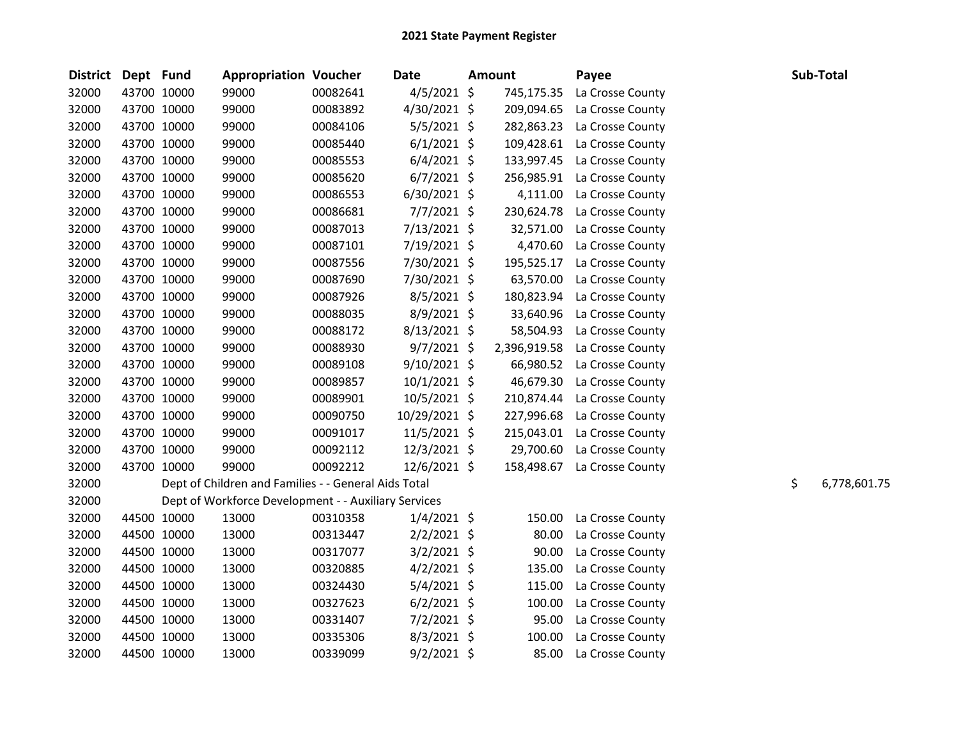| District Dept Fund |             | <b>Appropriation Voucher</b>                         |          | <b>Date</b>    | <b>Amount</b> | Payee            |    | Sub-Total    |
|--------------------|-------------|------------------------------------------------------|----------|----------------|---------------|------------------|----|--------------|
| 32000              | 43700 10000 | 99000                                                | 00082641 | $4/5/2021$ \$  | 745,175.35    | La Crosse County |    |              |
| 32000              | 43700 10000 | 99000                                                | 00083892 | 4/30/2021 \$   | 209,094.65    | La Crosse County |    |              |
| 32000              | 43700 10000 | 99000                                                | 00084106 | 5/5/2021 \$    | 282,863.23    | La Crosse County |    |              |
| 32000              | 43700 10000 | 99000                                                | 00085440 | $6/1/2021$ \$  | 109,428.61    | La Crosse County |    |              |
| 32000              | 43700 10000 | 99000                                                | 00085553 | $6/4/2021$ \$  | 133,997.45    | La Crosse County |    |              |
| 32000              | 43700 10000 | 99000                                                | 00085620 | $6/7/2021$ \$  | 256,985.91    | La Crosse County |    |              |
| 32000              | 43700 10000 | 99000                                                | 00086553 | $6/30/2021$ \$ | 4,111.00      | La Crosse County |    |              |
| 32000              | 43700 10000 | 99000                                                | 00086681 | 7/7/2021 \$    | 230,624.78    | La Crosse County |    |              |
| 32000              | 43700 10000 | 99000                                                | 00087013 | 7/13/2021 \$   | 32,571.00     | La Crosse County |    |              |
| 32000              | 43700 10000 | 99000                                                | 00087101 | 7/19/2021 \$   | 4,470.60      | La Crosse County |    |              |
| 32000              | 43700 10000 | 99000                                                | 00087556 | 7/30/2021 \$   | 195,525.17    | La Crosse County |    |              |
| 32000              | 43700 10000 | 99000                                                | 00087690 | 7/30/2021 \$   | 63,570.00     | La Crosse County |    |              |
| 32000              | 43700 10000 | 99000                                                | 00087926 | $8/5/2021$ \$  | 180,823.94    | La Crosse County |    |              |
| 32000              | 43700 10000 | 99000                                                | 00088035 | 8/9/2021 \$    | 33,640.96     | La Crosse County |    |              |
| 32000              | 43700 10000 | 99000                                                | 00088172 | $8/13/2021$ \$ | 58,504.93     | La Crosse County |    |              |
| 32000              | 43700 10000 | 99000                                                | 00088930 | $9/7/2021$ \$  | 2,396,919.58  | La Crosse County |    |              |
| 32000              | 43700 10000 | 99000                                                | 00089108 | $9/10/2021$ \$ | 66,980.52     | La Crosse County |    |              |
| 32000              | 43700 10000 | 99000                                                | 00089857 | $10/1/2021$ \$ | 46,679.30     | La Crosse County |    |              |
| 32000              | 43700 10000 | 99000                                                | 00089901 | 10/5/2021 \$   | 210,874.44    | La Crosse County |    |              |
| 32000              | 43700 10000 | 99000                                                | 00090750 | 10/29/2021 \$  | 227,996.68    | La Crosse County |    |              |
| 32000              | 43700 10000 | 99000                                                | 00091017 | $11/5/2021$ \$ | 215,043.01    | La Crosse County |    |              |
| 32000              | 43700 10000 | 99000                                                | 00092112 | $12/3/2021$ \$ | 29,700.60     | La Crosse County |    |              |
| 32000              | 43700 10000 | 99000                                                | 00092212 | 12/6/2021 \$   | 158,498.67    | La Crosse County |    |              |
| 32000              |             | Dept of Children and Families - - General Aids Total |          |                |               |                  | \$ | 6,778,601.75 |
| 32000              |             | Dept of Workforce Development - - Auxiliary Services |          |                |               |                  |    |              |
| 32000              | 44500 10000 | 13000                                                | 00310358 | $1/4/2021$ \$  | 150.00        | La Crosse County |    |              |
| 32000              | 44500 10000 | 13000                                                | 00313447 | $2/2/2021$ \$  | 80.00         | La Crosse County |    |              |
| 32000              | 44500 10000 | 13000                                                | 00317077 | $3/2/2021$ \$  | 90.00         | La Crosse County |    |              |
| 32000              | 44500 10000 | 13000                                                | 00320885 | $4/2/2021$ \$  | 135.00        | La Crosse County |    |              |
| 32000              | 44500 10000 | 13000                                                | 00324430 | $5/4/2021$ \$  | 115.00        | La Crosse County |    |              |
| 32000              | 44500 10000 | 13000                                                | 00327623 | $6/2/2021$ \$  | 100.00        | La Crosse County |    |              |
| 32000              | 44500 10000 | 13000                                                | 00331407 | $7/2/2021$ \$  | 95.00         | La Crosse County |    |              |
| 32000              | 44500 10000 | 13000                                                | 00335306 | $8/3/2021$ \$  | 100.00        | La Crosse County |    |              |
| 32000              | 44500 10000 | 13000                                                | 00339099 | $9/2/2021$ \$  | 85.00         | La Crosse County |    |              |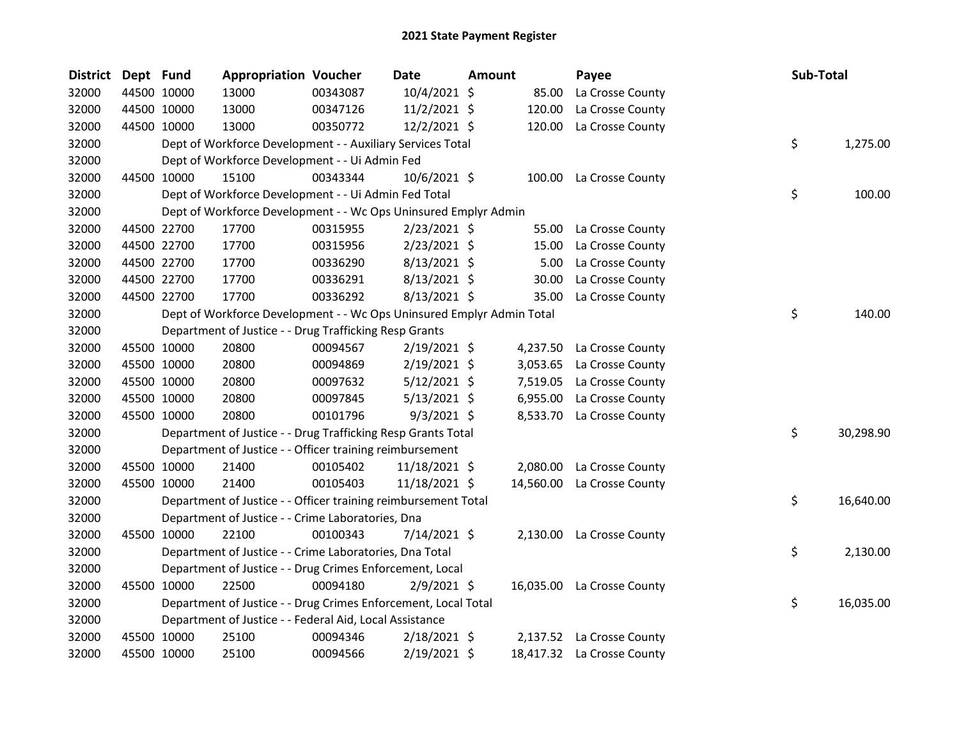| District Dept Fund |             | <b>Appropriation Voucher</b>                                          |          | Date           | Amount |           | Payee                      | Sub-Total       |
|--------------------|-------------|-----------------------------------------------------------------------|----------|----------------|--------|-----------|----------------------------|-----------------|
| 32000              | 44500 10000 | 13000                                                                 | 00343087 | 10/4/2021 \$   |        | 85.00     | La Crosse County           |                 |
| 32000              | 44500 10000 | 13000                                                                 | 00347126 | 11/2/2021 \$   |        | 120.00    | La Crosse County           |                 |
| 32000              | 44500 10000 | 13000                                                                 | 00350772 | 12/2/2021 \$   |        | 120.00    | La Crosse County           |                 |
| 32000              |             | Dept of Workforce Development - - Auxiliary Services Total            |          |                |        |           |                            | \$<br>1,275.00  |
| 32000              |             | Dept of Workforce Development - - Ui Admin Fed                        |          |                |        |           |                            |                 |
| 32000              | 44500 10000 | 15100                                                                 | 00343344 | 10/6/2021 \$   |        | 100.00    | La Crosse County           |                 |
| 32000              |             | Dept of Workforce Development - - Ui Admin Fed Total                  |          |                |        |           |                            | \$<br>100.00    |
| 32000              |             | Dept of Workforce Development - - Wc Ops Uninsured Emplyr Admin       |          |                |        |           |                            |                 |
| 32000              | 44500 22700 | 17700                                                                 | 00315955 | $2/23/2021$ \$ |        | 55.00     | La Crosse County           |                 |
| 32000              | 44500 22700 | 17700                                                                 | 00315956 | $2/23/2021$ \$ |        | 15.00     | La Crosse County           |                 |
| 32000              | 44500 22700 | 17700                                                                 | 00336290 | $8/13/2021$ \$ |        | 5.00      | La Crosse County           |                 |
| 32000              | 44500 22700 | 17700                                                                 | 00336291 | $8/13/2021$ \$ |        | 30.00     | La Crosse County           |                 |
| 32000              | 44500 22700 | 17700                                                                 | 00336292 | 8/13/2021 \$   |        | 35.00     | La Crosse County           |                 |
| 32000              |             | Dept of Workforce Development - - Wc Ops Uninsured Emplyr Admin Total |          |                |        |           |                            | \$<br>140.00    |
| 32000              |             | Department of Justice - - Drug Trafficking Resp Grants                |          |                |        |           |                            |                 |
| 32000              | 45500 10000 | 20800                                                                 | 00094567 | $2/19/2021$ \$ |        | 4,237.50  | La Crosse County           |                 |
| 32000              | 45500 10000 | 20800                                                                 | 00094869 | $2/19/2021$ \$ |        | 3,053.65  | La Crosse County           |                 |
| 32000              | 45500 10000 | 20800                                                                 | 00097632 | $5/12/2021$ \$ |        | 7,519.05  | La Crosse County           |                 |
| 32000              | 45500 10000 | 20800                                                                 | 00097845 | $5/13/2021$ \$ |        | 6,955.00  | La Crosse County           |                 |
| 32000              | 45500 10000 | 20800                                                                 | 00101796 | $9/3/2021$ \$  |        | 8,533.70  | La Crosse County           |                 |
| 32000              |             | Department of Justice - - Drug Trafficking Resp Grants Total          |          |                |        |           |                            | \$<br>30,298.90 |
| 32000              |             | Department of Justice - - Officer training reimbursement              |          |                |        |           |                            |                 |
| 32000              | 45500 10000 | 21400                                                                 | 00105402 | 11/18/2021 \$  |        | 2,080.00  | La Crosse County           |                 |
| 32000              | 45500 10000 | 21400                                                                 | 00105403 | 11/18/2021 \$  |        | 14,560.00 | La Crosse County           |                 |
| 32000              |             | Department of Justice - - Officer training reimbursement Total        |          |                |        |           |                            | \$<br>16,640.00 |
| 32000              |             | Department of Justice - - Crime Laboratories, Dna                     |          |                |        |           |                            |                 |
| 32000              | 45500 10000 | 22100                                                                 | 00100343 | 7/14/2021 \$   |        |           | 2,130.00 La Crosse County  |                 |
| 32000              |             | Department of Justice - - Crime Laboratories, Dna Total               |          |                |        |           |                            | \$<br>2,130.00  |
| 32000              |             | Department of Justice - - Drug Crimes Enforcement, Local              |          |                |        |           |                            |                 |
| 32000              | 45500 10000 | 22500                                                                 | 00094180 | $2/9/2021$ \$  |        | 16,035.00 | La Crosse County           |                 |
| 32000              |             | Department of Justice - - Drug Crimes Enforcement, Local Total        |          |                |        |           |                            | \$<br>16,035.00 |
| 32000              |             | Department of Justice - - Federal Aid, Local Assistance               |          |                |        |           |                            |                 |
| 32000              | 45500 10000 | 25100                                                                 | 00094346 | $2/18/2021$ \$ |        | 2,137.52  | La Crosse County           |                 |
| 32000              | 45500 10000 | 25100                                                                 | 00094566 | 2/19/2021 \$   |        |           | 18,417.32 La Crosse County |                 |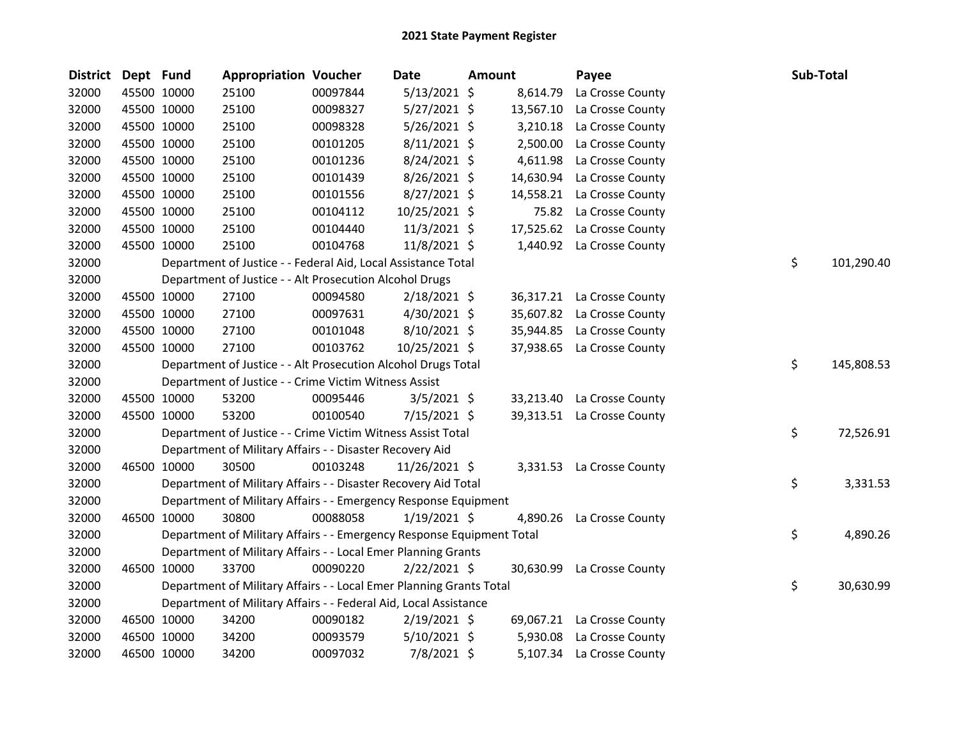| <b>District</b> | Dept Fund |             | <b>Appropriation Voucher</b>                                          |          | Date           | Amount |           | Payee                      | Sub-Total |            |
|-----------------|-----------|-------------|-----------------------------------------------------------------------|----------|----------------|--------|-----------|----------------------------|-----------|------------|
| 32000           |           | 45500 10000 | 25100                                                                 | 00097844 | $5/13/2021$ \$ |        | 8,614.79  | La Crosse County           |           |            |
| 32000           |           | 45500 10000 | 25100                                                                 | 00098327 | 5/27/2021 \$   |        | 13,567.10 | La Crosse County           |           |            |
| 32000           |           | 45500 10000 | 25100                                                                 | 00098328 | 5/26/2021 \$   |        | 3,210.18  | La Crosse County           |           |            |
| 32000           |           | 45500 10000 | 25100                                                                 | 00101205 | 8/11/2021 \$   |        | 2,500.00  | La Crosse County           |           |            |
| 32000           |           | 45500 10000 | 25100                                                                 | 00101236 | 8/24/2021 \$   |        | 4,611.98  | La Crosse County           |           |            |
| 32000           |           | 45500 10000 | 25100                                                                 | 00101439 | 8/26/2021 \$   |        | 14,630.94 | La Crosse County           |           |            |
| 32000           |           | 45500 10000 | 25100                                                                 | 00101556 | 8/27/2021 \$   |        | 14,558.21 | La Crosse County           |           |            |
| 32000           |           | 45500 10000 | 25100                                                                 | 00104112 | 10/25/2021 \$  |        | 75.82     | La Crosse County           |           |            |
| 32000           |           | 45500 10000 | 25100                                                                 | 00104440 | 11/3/2021 \$   |        | 17,525.62 | La Crosse County           |           |            |
| 32000           |           | 45500 10000 | 25100                                                                 | 00104768 | 11/8/2021 \$   |        |           | 1,440.92 La Crosse County  |           |            |
| 32000           |           |             | Department of Justice - - Federal Aid, Local Assistance Total         |          |                |        |           |                            | \$        | 101,290.40 |
| 32000           |           |             | Department of Justice - - Alt Prosecution Alcohol Drugs               |          |                |        |           |                            |           |            |
| 32000           |           | 45500 10000 | 27100                                                                 | 00094580 | $2/18/2021$ \$ |        |           | 36,317.21 La Crosse County |           |            |
| 32000           |           | 45500 10000 | 27100                                                                 | 00097631 | 4/30/2021 \$   |        | 35,607.82 | La Crosse County           |           |            |
| 32000           |           | 45500 10000 | 27100                                                                 | 00101048 | 8/10/2021 \$   |        | 35,944.85 | La Crosse County           |           |            |
| 32000           |           | 45500 10000 | 27100                                                                 | 00103762 | 10/25/2021 \$  |        | 37,938.65 | La Crosse County           |           |            |
| 32000           |           |             | Department of Justice - - Alt Prosecution Alcohol Drugs Total         |          |                |        |           |                            | \$        | 145,808.53 |
| 32000           |           |             | Department of Justice - - Crime Victim Witness Assist                 |          |                |        |           |                            |           |            |
| 32000           |           | 45500 10000 | 53200                                                                 | 00095446 | $3/5/2021$ \$  |        |           | 33,213.40 La Crosse County |           |            |
| 32000           |           | 45500 10000 | 53200                                                                 | 00100540 | 7/15/2021 \$   |        |           | 39,313.51 La Crosse County |           |            |
| 32000           |           |             | Department of Justice - - Crime Victim Witness Assist Total           |          |                |        |           |                            | \$        | 72,526.91  |
| 32000           |           |             | Department of Military Affairs - - Disaster Recovery Aid              |          |                |        |           |                            |           |            |
| 32000           |           | 46500 10000 | 30500                                                                 | 00103248 | 11/26/2021 \$  |        | 3,331.53  | La Crosse County           |           |            |
| 32000           |           |             | Department of Military Affairs - - Disaster Recovery Aid Total        |          |                |        |           |                            | \$        | 3,331.53   |
| 32000           |           |             | Department of Military Affairs - - Emergency Response Equipment       |          |                |        |           |                            |           |            |
| 32000           |           | 46500 10000 | 30800                                                                 | 00088058 | $1/19/2021$ \$ |        | 4,890.26  | La Crosse County           |           |            |
| 32000           |           |             | Department of Military Affairs - - Emergency Response Equipment Total |          |                |        |           |                            | \$        | 4,890.26   |
| 32000           |           |             | Department of Military Affairs - - Local Emer Planning Grants         |          |                |        |           |                            |           |            |
| 32000           |           | 46500 10000 | 33700                                                                 | 00090220 | $2/22/2021$ \$ |        | 30,630.99 | La Crosse County           |           |            |
| 32000           |           |             | Department of Military Affairs - - Local Emer Planning Grants Total   |          |                |        |           |                            | \$        | 30,630.99  |
| 32000           |           |             | Department of Military Affairs - - Federal Aid, Local Assistance      |          |                |        |           |                            |           |            |
| 32000           |           | 46500 10000 | 34200                                                                 | 00090182 | 2/19/2021 \$   |        |           | 69,067.21 La Crosse County |           |            |
| 32000           |           | 46500 10000 | 34200                                                                 | 00093579 | 5/10/2021 \$   |        | 5,930.08  | La Crosse County           |           |            |
| 32000           |           | 46500 10000 | 34200                                                                 | 00097032 | 7/8/2021 \$    |        |           | 5,107.34 La Crosse County  |           |            |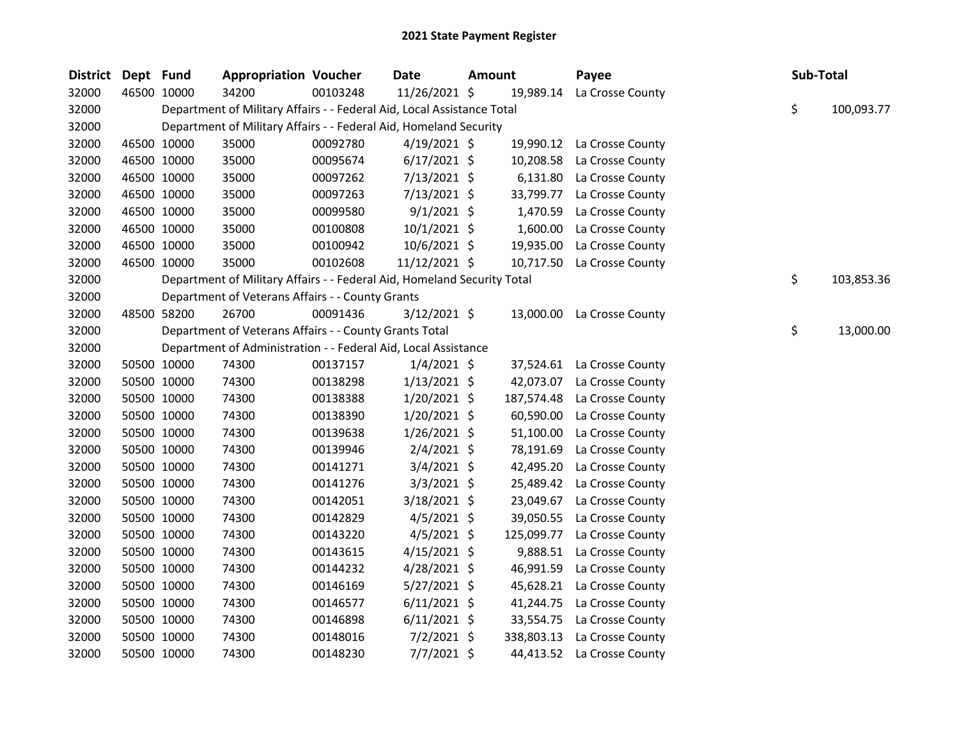| District Dept Fund |             | <b>Appropriation Voucher</b>                                            |          | <b>Date</b>    | <b>Amount</b> |            | Payee                      | Sub-Total |            |
|--------------------|-------------|-------------------------------------------------------------------------|----------|----------------|---------------|------------|----------------------------|-----------|------------|
| 32000              | 46500 10000 | 34200                                                                   | 00103248 | 11/26/2021 \$  |               | 19,989.14  | La Crosse County           |           |            |
| 32000              |             | Department of Military Affairs - - Federal Aid, Local Assistance Total  |          |                |               |            |                            | \$        | 100,093.77 |
| 32000              |             | Department of Military Affairs - - Federal Aid, Homeland Security       |          |                |               |            |                            |           |            |
| 32000              | 46500 10000 | 35000                                                                   | 00092780 | $4/19/2021$ \$ |               |            | 19,990.12 La Crosse County |           |            |
| 32000              | 46500 10000 | 35000                                                                   | 00095674 | $6/17/2021$ \$ |               | 10,208.58  | La Crosse County           |           |            |
| 32000              | 46500 10000 | 35000                                                                   | 00097262 | 7/13/2021 \$   |               | 6,131.80   | La Crosse County           |           |            |
| 32000              | 46500 10000 | 35000                                                                   | 00097263 | $7/13/2021$ \$ |               | 33,799.77  | La Crosse County           |           |            |
| 32000              | 46500 10000 | 35000                                                                   | 00099580 | $9/1/2021$ \$  |               | 1,470.59   | La Crosse County           |           |            |
| 32000              | 46500 10000 | 35000                                                                   | 00100808 | $10/1/2021$ \$ |               | 1,600.00   | La Crosse County           |           |            |
| 32000              | 46500 10000 | 35000                                                                   | 00100942 | 10/6/2021 \$   |               | 19,935.00  | La Crosse County           |           |            |
| 32000              | 46500 10000 | 35000                                                                   | 00102608 | 11/12/2021 \$  |               | 10,717.50  | La Crosse County           |           |            |
| 32000              |             | Department of Military Affairs - - Federal Aid, Homeland Security Total |          |                |               |            |                            | \$        | 103,853.36 |
| 32000              |             | Department of Veterans Affairs - - County Grants                        |          |                |               |            |                            |           |            |
| 32000              | 48500 58200 | 26700                                                                   | 00091436 | $3/12/2021$ \$ |               | 13,000.00  | La Crosse County           |           |            |
| 32000              |             | Department of Veterans Affairs - - County Grants Total                  |          |                |               |            |                            | \$        | 13,000.00  |
| 32000              |             | Department of Administration - - Federal Aid, Local Assistance          |          |                |               |            |                            |           |            |
| 32000              | 50500 10000 | 74300                                                                   | 00137157 | $1/4/2021$ \$  |               |            | 37,524.61 La Crosse County |           |            |
| 32000              | 50500 10000 | 74300                                                                   | 00138298 | $1/13/2021$ \$ |               | 42,073.07  | La Crosse County           |           |            |
| 32000              | 50500 10000 | 74300                                                                   | 00138388 | $1/20/2021$ \$ |               | 187,574.48 | La Crosse County           |           |            |
| 32000              | 50500 10000 | 74300                                                                   | 00138390 | $1/20/2021$ \$ |               | 60,590.00  | La Crosse County           |           |            |
| 32000              | 50500 10000 | 74300                                                                   | 00139638 | $1/26/2021$ \$ |               | 51,100.00  | La Crosse County           |           |            |
| 32000              | 50500 10000 | 74300                                                                   | 00139946 | $2/4/2021$ \$  |               | 78,191.69  | La Crosse County           |           |            |
| 32000              | 50500 10000 | 74300                                                                   | 00141271 | $3/4/2021$ \$  |               | 42,495.20  | La Crosse County           |           |            |
| 32000              | 50500 10000 | 74300                                                                   | 00141276 | $3/3/2021$ \$  |               | 25,489.42  | La Crosse County           |           |            |
| 32000              | 50500 10000 | 74300                                                                   | 00142051 | 3/18/2021 \$   |               | 23,049.67  | La Crosse County           |           |            |
| 32000              | 50500 10000 | 74300                                                                   | 00142829 | $4/5/2021$ \$  |               | 39,050.55  | La Crosse County           |           |            |
| 32000              | 50500 10000 | 74300                                                                   | 00143220 | $4/5/2021$ \$  |               | 125,099.77 | La Crosse County           |           |            |
| 32000              | 50500 10000 | 74300                                                                   | 00143615 | $4/15/2021$ \$ |               | 9,888.51   | La Crosse County           |           |            |
| 32000              | 50500 10000 | 74300                                                                   | 00144232 | $4/28/2021$ \$ |               | 46,991.59  | La Crosse County           |           |            |
| 32000              | 50500 10000 | 74300                                                                   | 00146169 | $5/27/2021$ \$ |               | 45,628.21  | La Crosse County           |           |            |
| 32000              | 50500 10000 | 74300                                                                   | 00146577 | $6/11/2021$ \$ |               | 41,244.75  | La Crosse County           |           |            |
| 32000              | 50500 10000 | 74300                                                                   | 00146898 | $6/11/2021$ \$ |               | 33,554.75  | La Crosse County           |           |            |
| 32000              | 50500 10000 | 74300                                                                   | 00148016 | $7/2/2021$ \$  |               | 338,803.13 | La Crosse County           |           |            |
| 32000              | 50500 10000 | 74300                                                                   | 00148230 | $7/7/2021$ \$  |               |            | 44,413.52 La Crosse County |           |            |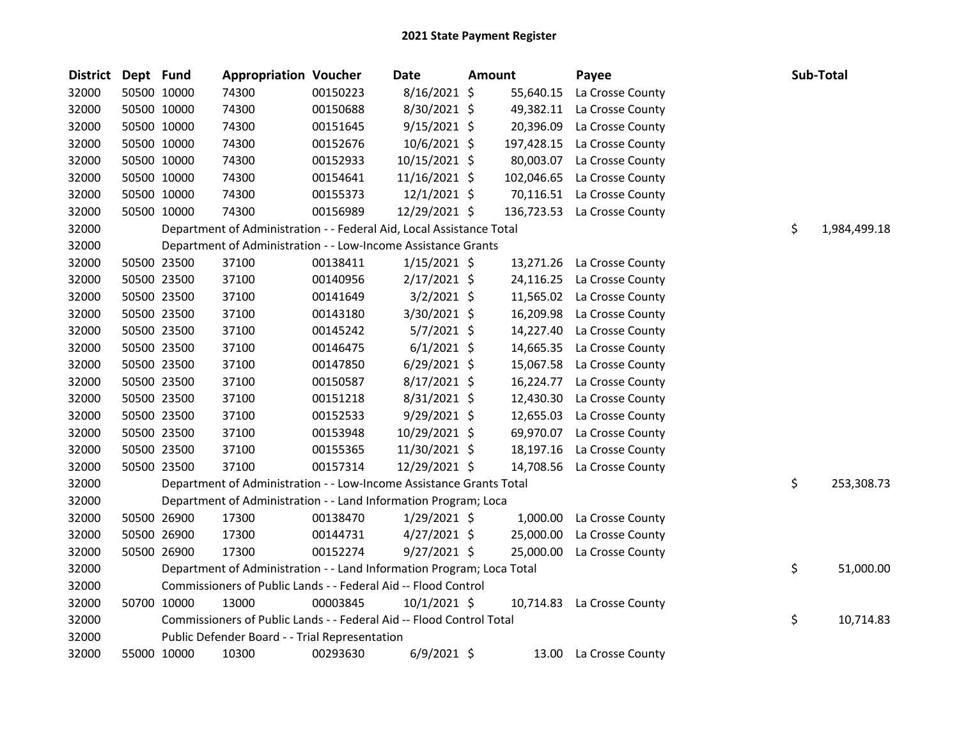| <b>District</b> | Dept Fund |             | <b>Appropriation Voucher</b>                                          |          | <b>Date</b>    | Amount |            | Payee                       | Sub-Total          |
|-----------------|-----------|-------------|-----------------------------------------------------------------------|----------|----------------|--------|------------|-----------------------------|--------------------|
| 32000           |           | 50500 10000 | 74300                                                                 | 00150223 | $8/16/2021$ \$ |        | 55,640.15  | La Crosse County            |                    |
| 32000           |           | 50500 10000 | 74300                                                                 | 00150688 | 8/30/2021 \$   |        | 49,382.11  | La Crosse County            |                    |
| 32000           |           | 50500 10000 | 74300                                                                 | 00151645 | $9/15/2021$ \$ |        | 20,396.09  | La Crosse County            |                    |
| 32000           |           | 50500 10000 | 74300                                                                 | 00152676 | $10/6/2021$ \$ |        |            | 197,428.15 La Crosse County |                    |
| 32000           |           | 50500 10000 | 74300                                                                 | 00152933 | 10/15/2021 \$  |        | 80,003.07  | La Crosse County            |                    |
| 32000           |           | 50500 10000 | 74300                                                                 | 00154641 | 11/16/2021 \$  |        | 102,046.65 | La Crosse County            |                    |
| 32000           |           | 50500 10000 | 74300                                                                 | 00155373 | $12/1/2021$ \$ |        | 70,116.51  | La Crosse County            |                    |
| 32000           |           | 50500 10000 | 74300                                                                 | 00156989 | 12/29/2021 \$  |        |            | 136,723.53 La Crosse County |                    |
| 32000           |           |             | Department of Administration - - Federal Aid, Local Assistance Total  |          |                |        |            |                             | \$<br>1,984,499.18 |
| 32000           |           |             | Department of Administration - - Low-Income Assistance Grants         |          |                |        |            |                             |                    |
| 32000           |           | 50500 23500 | 37100                                                                 | 00138411 | $1/15/2021$ \$ |        | 13,271.26  | La Crosse County            |                    |
| 32000           |           | 50500 23500 | 37100                                                                 | 00140956 | $2/17/2021$ \$ |        | 24,116.25  | La Crosse County            |                    |
| 32000           |           | 50500 23500 | 37100                                                                 | 00141649 | 3/2/2021 \$    |        | 11,565.02  | La Crosse County            |                    |
| 32000           |           | 50500 23500 | 37100                                                                 | 00143180 | 3/30/2021 \$   |        | 16,209.98  | La Crosse County            |                    |
| 32000           |           | 50500 23500 | 37100                                                                 | 00145242 | $5/7/2021$ \$  |        | 14,227.40  | La Crosse County            |                    |
| 32000           |           | 50500 23500 | 37100                                                                 | 00146475 | $6/1/2021$ \$  |        | 14,665.35  | La Crosse County            |                    |
| 32000           |           | 50500 23500 | 37100                                                                 | 00147850 | $6/29/2021$ \$ |        | 15,067.58  | La Crosse County            |                    |
| 32000           |           | 50500 23500 | 37100                                                                 | 00150587 | $8/17/2021$ \$ |        | 16,224.77  | La Crosse County            |                    |
| 32000           |           | 50500 23500 | 37100                                                                 | 00151218 | 8/31/2021 \$   |        | 12,430.30  | La Crosse County            |                    |
| 32000           |           | 50500 23500 | 37100                                                                 | 00152533 | 9/29/2021 \$   |        | 12,655.03  | La Crosse County            |                    |
| 32000           |           | 50500 23500 | 37100                                                                 | 00153948 | 10/29/2021 \$  |        | 69,970.07  | La Crosse County            |                    |
| 32000           |           | 50500 23500 | 37100                                                                 | 00155365 | 11/30/2021 \$  |        | 18,197.16  | La Crosse County            |                    |
| 32000           |           | 50500 23500 | 37100                                                                 | 00157314 | 12/29/2021 \$  |        | 14,708.56  | La Crosse County            |                    |
| 32000           |           |             | Department of Administration - - Low-Income Assistance Grants Total   |          |                |        |            |                             | \$<br>253,308.73   |
| 32000           |           |             | Department of Administration - - Land Information Program; Loca       |          |                |        |            |                             |                    |
| 32000           |           | 50500 26900 | 17300                                                                 | 00138470 | $1/29/2021$ \$ |        | 1,000.00   | La Crosse County            |                    |
| 32000           |           | 50500 26900 | 17300                                                                 | 00144731 | $4/27/2021$ \$ |        | 25,000.00  | La Crosse County            |                    |
| 32000           |           | 50500 26900 | 17300                                                                 | 00152274 | 9/27/2021 \$   |        | 25,000.00  | La Crosse County            |                    |
| 32000           |           |             | Department of Administration - - Land Information Program; Loca Total |          |                |        |            |                             | \$<br>51,000.00    |
| 32000           |           |             | Commissioners of Public Lands - - Federal Aid -- Flood Control        |          |                |        |            |                             |                    |
| 32000           |           | 50700 10000 | 13000                                                                 | 00003845 | $10/1/2021$ \$ |        |            | 10,714.83 La Crosse County  |                    |
| 32000           |           |             | Commissioners of Public Lands - - Federal Aid -- Flood Control Total  |          |                |        |            |                             | \$<br>10,714.83    |
| 32000           |           |             | Public Defender Board - - Trial Representation                        |          |                |        |            |                             |                    |
| 32000           |           | 55000 10000 | 10300                                                                 | 00293630 | $6/9/2021$ \$  |        | 13.00      | La Crosse County            |                    |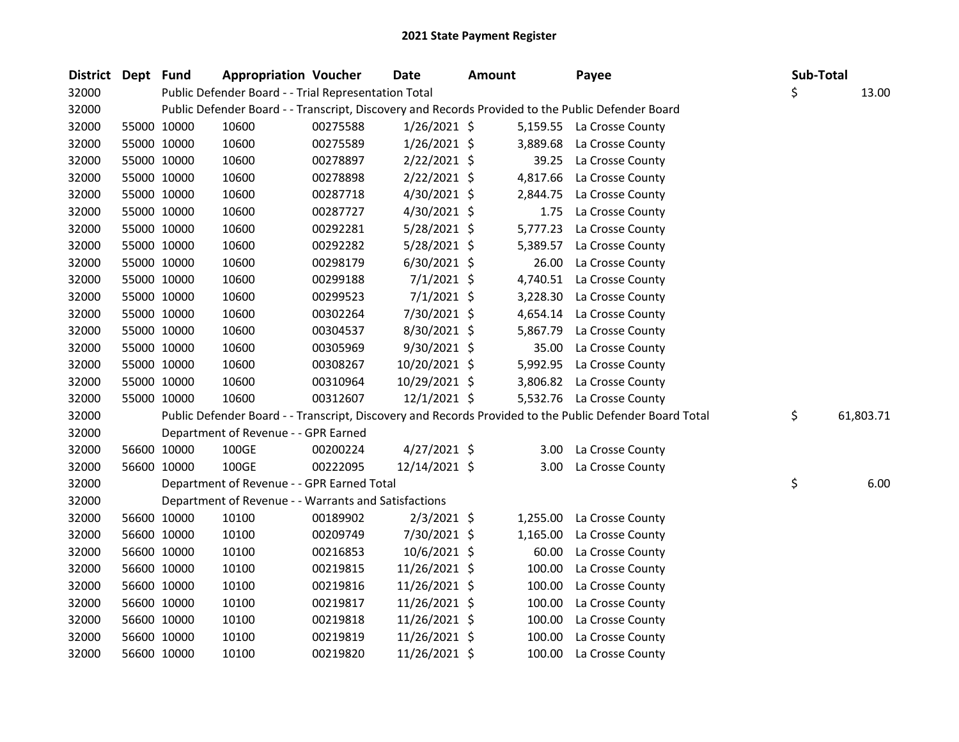| District Dept Fund |             | <b>Appropriation Voucher</b>                         |          | <b>Date</b>    | <b>Amount</b> | Payee                                                                                                   | Sub-Total |           |
|--------------------|-------------|------------------------------------------------------|----------|----------------|---------------|---------------------------------------------------------------------------------------------------------|-----------|-----------|
| 32000              |             | Public Defender Board - - Trial Representation Total |          |                |               |                                                                                                         | \$        | 13.00     |
| 32000              |             |                                                      |          |                |               | Public Defender Board - - Transcript, Discovery and Records Provided to the Public Defender Board       |           |           |
| 32000              | 55000 10000 | 10600                                                | 00275588 | $1/26/2021$ \$ |               | 5,159.55 La Crosse County                                                                               |           |           |
| 32000              | 55000 10000 | 10600                                                | 00275589 | $1/26/2021$ \$ | 3,889.68      | La Crosse County                                                                                        |           |           |
| 32000              | 55000 10000 | 10600                                                | 00278897 | $2/22/2021$ \$ | 39.25         | La Crosse County                                                                                        |           |           |
| 32000              | 55000 10000 | 10600                                                | 00278898 | $2/22/2021$ \$ | 4,817.66      | La Crosse County                                                                                        |           |           |
| 32000              | 55000 10000 | 10600                                                | 00287718 | 4/30/2021 \$   | 2,844.75      | La Crosse County                                                                                        |           |           |
| 32000              | 55000 10000 | 10600                                                | 00287727 | 4/30/2021 \$   | 1.75          | La Crosse County                                                                                        |           |           |
| 32000              | 55000 10000 | 10600                                                | 00292281 | 5/28/2021 \$   | 5,777.23      | La Crosse County                                                                                        |           |           |
| 32000              | 55000 10000 | 10600                                                | 00292282 | 5/28/2021 \$   | 5,389.57      | La Crosse County                                                                                        |           |           |
| 32000              | 55000 10000 | 10600                                                | 00298179 | $6/30/2021$ \$ | 26.00         | La Crosse County                                                                                        |           |           |
| 32000              | 55000 10000 | 10600                                                | 00299188 | $7/1/2021$ \$  | 4,740.51      | La Crosse County                                                                                        |           |           |
| 32000              | 55000 10000 | 10600                                                | 00299523 | $7/1/2021$ \$  | 3,228.30      | La Crosse County                                                                                        |           |           |
| 32000              | 55000 10000 | 10600                                                | 00302264 | 7/30/2021 \$   | 4,654.14      | La Crosse County                                                                                        |           |           |
| 32000              | 55000 10000 | 10600                                                | 00304537 | 8/30/2021 \$   | 5,867.79      | La Crosse County                                                                                        |           |           |
| 32000              | 55000 10000 | 10600                                                | 00305969 | 9/30/2021 \$   | 35.00         | La Crosse County                                                                                        |           |           |
| 32000              | 55000 10000 | 10600                                                | 00308267 | 10/20/2021 \$  | 5,992.95      | La Crosse County                                                                                        |           |           |
| 32000              | 55000 10000 | 10600                                                | 00310964 | 10/29/2021 \$  | 3,806.82      | La Crosse County                                                                                        |           |           |
| 32000              | 55000 10000 | 10600                                                | 00312607 | 12/1/2021 \$   |               | 5,532.76 La Crosse County                                                                               |           |           |
| 32000              |             |                                                      |          |                |               | Public Defender Board - - Transcript, Discovery and Records Provided to the Public Defender Board Total | \$        | 61,803.71 |
| 32000              |             | Department of Revenue - - GPR Earned                 |          |                |               |                                                                                                         |           |           |
| 32000              | 56600 10000 | 100GE                                                | 00200224 | $4/27/2021$ \$ |               | 3.00 La Crosse County                                                                                   |           |           |
| 32000              | 56600 10000 | 100GE                                                | 00222095 | 12/14/2021 \$  | 3.00          | La Crosse County                                                                                        |           |           |
| 32000              |             | Department of Revenue - - GPR Earned Total           |          |                |               |                                                                                                         | \$        | 6.00      |
| 32000              |             | Department of Revenue - - Warrants and Satisfactions |          |                |               |                                                                                                         |           |           |
| 32000              | 56600 10000 | 10100                                                | 00189902 | 2/3/2021 \$    | 1,255.00      | La Crosse County                                                                                        |           |           |
| 32000              | 56600 10000 | 10100                                                | 00209749 | 7/30/2021 \$   | 1,165.00      | La Crosse County                                                                                        |           |           |
| 32000              | 56600 10000 | 10100                                                | 00216853 | 10/6/2021 \$   | 60.00         | La Crosse County                                                                                        |           |           |
| 32000              | 56600 10000 | 10100                                                | 00219815 | 11/26/2021 \$  | 100.00        | La Crosse County                                                                                        |           |           |
| 32000              | 56600 10000 | 10100                                                | 00219816 | 11/26/2021 \$  | 100.00        | La Crosse County                                                                                        |           |           |
| 32000              | 56600 10000 | 10100                                                | 00219817 | 11/26/2021 \$  | 100.00        | La Crosse County                                                                                        |           |           |
| 32000              | 56600 10000 | 10100                                                | 00219818 | 11/26/2021 \$  | 100.00        | La Crosse County                                                                                        |           |           |
| 32000              | 56600 10000 | 10100                                                | 00219819 | 11/26/2021 \$  | 100.00        | La Crosse County                                                                                        |           |           |
| 32000              | 56600 10000 | 10100                                                | 00219820 | 11/26/2021 \$  | 100.00        | La Crosse County                                                                                        |           |           |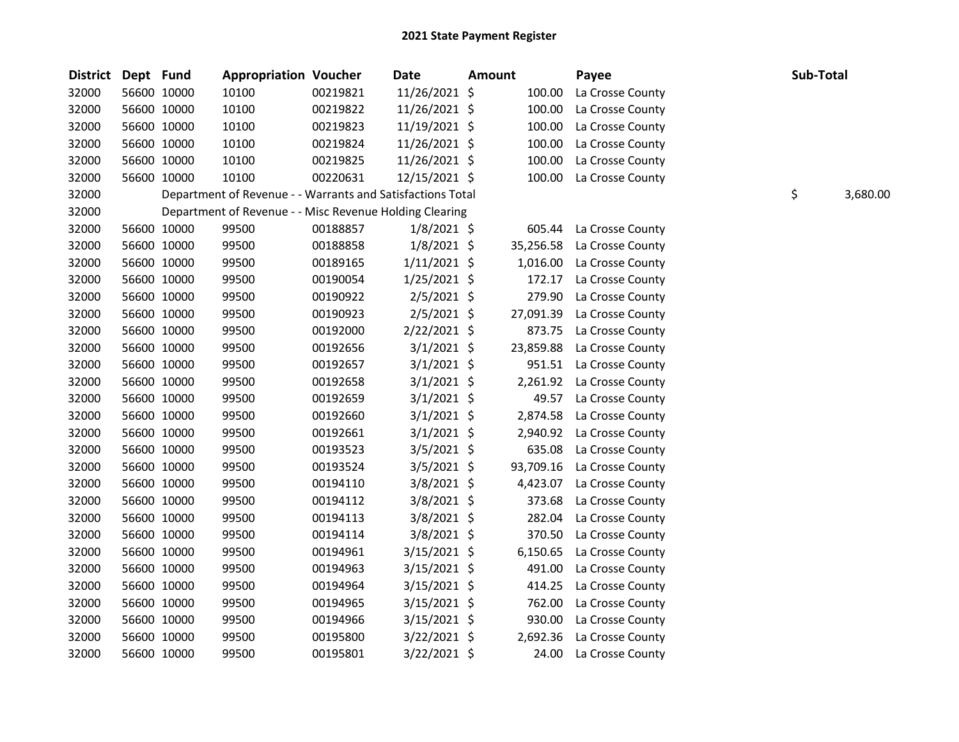| <b>District</b> | Dept Fund   |             | <b>Appropriation Voucher</b>                               |          | <b>Date</b>    | <b>Amount</b> |           | Payee            | Sub-Total      |
|-----------------|-------------|-------------|------------------------------------------------------------|----------|----------------|---------------|-----------|------------------|----------------|
| 32000           |             | 56600 10000 | 10100                                                      | 00219821 | 11/26/2021 \$  |               | 100.00    | La Crosse County |                |
| 32000           |             | 56600 10000 | 10100                                                      | 00219822 | 11/26/2021 \$  |               | 100.00    | La Crosse County |                |
| 32000           |             | 56600 10000 | 10100                                                      | 00219823 | 11/19/2021 \$  |               | 100.00    | La Crosse County |                |
| 32000           |             | 56600 10000 | 10100                                                      | 00219824 | 11/26/2021 \$  |               | 100.00    | La Crosse County |                |
| 32000           |             | 56600 10000 | 10100                                                      | 00219825 | 11/26/2021 \$  |               | 100.00    | La Crosse County |                |
| 32000           |             | 56600 10000 | 10100                                                      | 00220631 | 12/15/2021 \$  |               | 100.00    | La Crosse County |                |
| 32000           |             |             | Department of Revenue - - Warrants and Satisfactions Total |          |                |               |           |                  | \$<br>3,680.00 |
| 32000           |             |             | Department of Revenue - - Misc Revenue Holding Clearing    |          |                |               |           |                  |                |
| 32000           |             | 56600 10000 | 99500                                                      | 00188857 | $1/8/2021$ \$  |               | 605.44    | La Crosse County |                |
| 32000           |             | 56600 10000 | 99500                                                      | 00188858 | $1/8/2021$ \$  |               | 35,256.58 | La Crosse County |                |
| 32000           |             | 56600 10000 | 99500                                                      | 00189165 | $1/11/2021$ \$ |               | 1,016.00  | La Crosse County |                |
| 32000           |             | 56600 10000 | 99500                                                      | 00190054 | $1/25/2021$ \$ |               | 172.17    | La Crosse County |                |
| 32000           | 56600 10000 |             | 99500                                                      | 00190922 | $2/5/2021$ \$  |               | 279.90    | La Crosse County |                |
| 32000           |             | 56600 10000 | 99500                                                      | 00190923 | $2/5/2021$ \$  |               | 27,091.39 | La Crosse County |                |
| 32000           |             | 56600 10000 | 99500                                                      | 00192000 | 2/22/2021 \$   |               | 873.75    | La Crosse County |                |
| 32000           |             | 56600 10000 | 99500                                                      | 00192656 | $3/1/2021$ \$  |               | 23,859.88 | La Crosse County |                |
| 32000           |             | 56600 10000 | 99500                                                      | 00192657 | $3/1/2021$ \$  |               | 951.51    | La Crosse County |                |
| 32000           |             | 56600 10000 | 99500                                                      | 00192658 | $3/1/2021$ \$  |               | 2,261.92  | La Crosse County |                |
| 32000           |             | 56600 10000 | 99500                                                      | 00192659 | $3/1/2021$ \$  |               | 49.57     | La Crosse County |                |
| 32000           |             | 56600 10000 | 99500                                                      | 00192660 | $3/1/2021$ \$  |               | 2,874.58  | La Crosse County |                |
| 32000           |             | 56600 10000 | 99500                                                      | 00192661 | $3/1/2021$ \$  |               | 2,940.92  | La Crosse County |                |
| 32000           |             | 56600 10000 | 99500                                                      | 00193523 | $3/5/2021$ \$  |               | 635.08    | La Crosse County |                |
| 32000           |             | 56600 10000 | 99500                                                      | 00193524 | $3/5/2021$ \$  |               | 93,709.16 | La Crosse County |                |
| 32000           |             | 56600 10000 | 99500                                                      | 00194110 | $3/8/2021$ \$  |               | 4,423.07  | La Crosse County |                |
| 32000           |             | 56600 10000 | 99500                                                      | 00194112 | 3/8/2021 \$    |               | 373.68    | La Crosse County |                |
| 32000           |             | 56600 10000 | 99500                                                      | 00194113 | $3/8/2021$ \$  |               | 282.04    | La Crosse County |                |
| 32000           |             | 56600 10000 | 99500                                                      | 00194114 | $3/8/2021$ \$  |               | 370.50    | La Crosse County |                |
| 32000           |             | 56600 10000 | 99500                                                      | 00194961 | $3/15/2021$ \$ |               | 6,150.65  | La Crosse County |                |
| 32000           |             | 56600 10000 | 99500                                                      | 00194963 | $3/15/2021$ \$ |               | 491.00    | La Crosse County |                |
| 32000           |             | 56600 10000 | 99500                                                      | 00194964 | 3/15/2021 \$   |               | 414.25    | La Crosse County |                |
| 32000           |             | 56600 10000 | 99500                                                      | 00194965 | $3/15/2021$ \$ |               | 762.00    | La Crosse County |                |
| 32000           | 56600 10000 |             | 99500                                                      | 00194966 | 3/15/2021 \$   |               | 930.00    | La Crosse County |                |
| 32000           |             | 56600 10000 | 99500                                                      | 00195800 | $3/22/2021$ \$ |               | 2,692.36  | La Crosse County |                |
| 32000           |             | 56600 10000 | 99500                                                      | 00195801 | 3/22/2021 \$   |               | 24.00     | La Crosse County |                |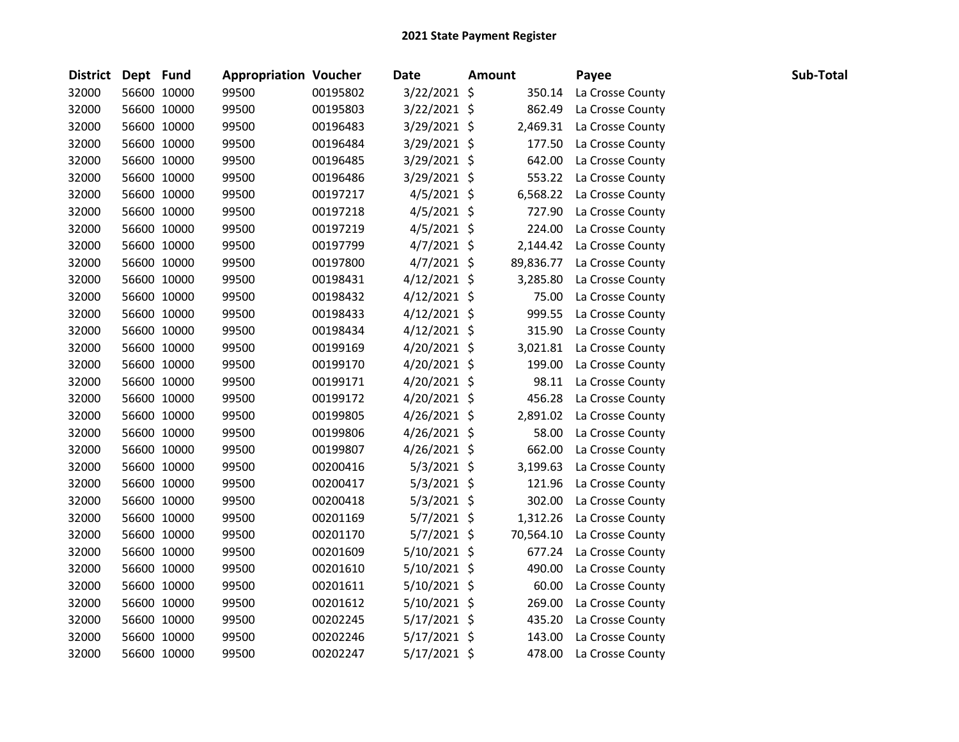| District Dept Fund |             | <b>Appropriation Voucher</b> |          | Date           | <b>Amount</b> | Payee            | Sub-Total |
|--------------------|-------------|------------------------------|----------|----------------|---------------|------------------|-----------|
| 32000              | 56600 10000 | 99500                        | 00195802 | 3/22/2021 \$   | 350.14        | La Crosse County |           |
| 32000              | 56600 10000 | 99500                        | 00195803 | 3/22/2021 \$   | 862.49        | La Crosse County |           |
| 32000              | 56600 10000 | 99500                        | 00196483 | 3/29/2021 \$   | 2,469.31      | La Crosse County |           |
| 32000              | 56600 10000 | 99500                        | 00196484 | 3/29/2021 \$   | 177.50        | La Crosse County |           |
| 32000              | 56600 10000 | 99500                        | 00196485 | 3/29/2021 \$   | 642.00        | La Crosse County |           |
| 32000              | 56600 10000 | 99500                        | 00196486 | $3/29/2021$ \$ | 553.22        | La Crosse County |           |
| 32000              | 56600 10000 | 99500                        | 00197217 | $4/5/2021$ \$  | 6,568.22      | La Crosse County |           |
| 32000              | 56600 10000 | 99500                        | 00197218 | $4/5/2021$ \$  | 727.90        | La Crosse County |           |
| 32000              | 56600 10000 | 99500                        | 00197219 | $4/5/2021$ \$  | 224.00        | La Crosse County |           |
| 32000              | 56600 10000 | 99500                        | 00197799 | $4/7/2021$ \$  | 2,144.42      | La Crosse County |           |
| 32000              | 56600 10000 | 99500                        | 00197800 | $4/7/2021$ \$  | 89,836.77     | La Crosse County |           |
| 32000              | 56600 10000 | 99500                        | 00198431 | $4/12/2021$ \$ | 3,285.80      | La Crosse County |           |
| 32000              | 56600 10000 | 99500                        | 00198432 | $4/12/2021$ \$ | 75.00         | La Crosse County |           |
| 32000              | 56600 10000 | 99500                        | 00198433 | $4/12/2021$ \$ | 999.55        | La Crosse County |           |
| 32000              | 56600 10000 | 99500                        | 00198434 | $4/12/2021$ \$ | 315.90        | La Crosse County |           |
| 32000              | 56600 10000 | 99500                        | 00199169 | $4/20/2021$ \$ | 3,021.81      | La Crosse County |           |
| 32000              | 56600 10000 | 99500                        | 00199170 | 4/20/2021 \$   | 199.00        | La Crosse County |           |
| 32000              | 56600 10000 | 99500                        | 00199171 | $4/20/2021$ \$ | 98.11         | La Crosse County |           |
| 32000              | 56600 10000 | 99500                        | 00199172 | 4/20/2021 \$   | 456.28        | La Crosse County |           |
| 32000              | 56600 10000 | 99500                        | 00199805 | $4/26/2021$ \$ | 2,891.02      | La Crosse County |           |
| 32000              | 56600 10000 | 99500                        | 00199806 | $4/26/2021$ \$ | 58.00         | La Crosse County |           |
| 32000              | 56600 10000 | 99500                        | 00199807 | $4/26/2021$ \$ | 662.00        | La Crosse County |           |
| 32000              | 56600 10000 | 99500                        | 00200416 | $5/3/2021$ \$  | 3,199.63      | La Crosse County |           |
| 32000              | 56600 10000 | 99500                        | 00200417 | $5/3/2021$ \$  | 121.96        | La Crosse County |           |
| 32000              | 56600 10000 | 99500                        | 00200418 | $5/3/2021$ \$  | 302.00        | La Crosse County |           |
| 32000              | 56600 10000 | 99500                        | 00201169 | $5/7/2021$ \$  | 1,312.26      | La Crosse County |           |
| 32000              | 56600 10000 | 99500                        | 00201170 | 5/7/2021 \$    | 70,564.10     | La Crosse County |           |
| 32000              | 56600 10000 | 99500                        | 00201609 | 5/10/2021 \$   | 677.24        | La Crosse County |           |
| 32000              | 56600 10000 | 99500                        | 00201610 | $5/10/2021$ \$ | 490.00        | La Crosse County |           |
| 32000              | 56600 10000 | 99500                        | 00201611 | $5/10/2021$ \$ | 60.00         | La Crosse County |           |
| 32000              | 56600 10000 | 99500                        | 00201612 | $5/10/2021$ \$ | 269.00        | La Crosse County |           |
| 32000              | 56600 10000 | 99500                        | 00202245 | $5/17/2021$ \$ | 435.20        | La Crosse County |           |
| 32000              | 56600 10000 | 99500                        | 00202246 | $5/17/2021$ \$ | 143.00        | La Crosse County |           |
| 32000              | 56600 10000 | 99500                        | 00202247 | 5/17/2021 \$   | 478.00        | La Crosse County |           |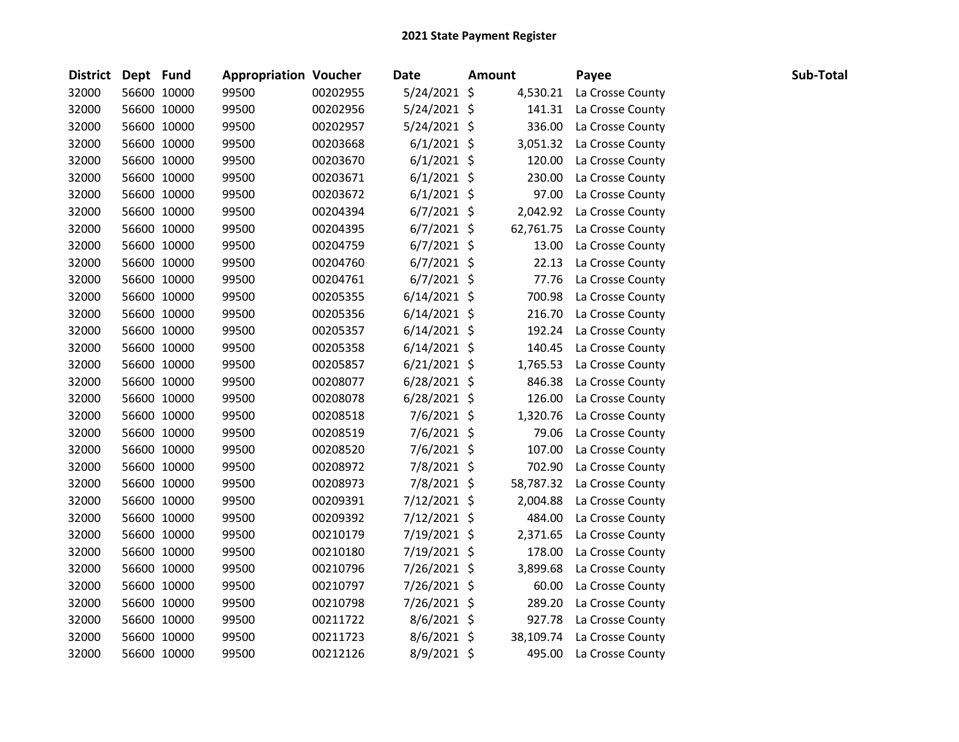| <b>District</b> | Dept Fund |             | <b>Appropriation Voucher</b> |          | Date           | <b>Amount</b> | Payee            | Sub-Total |  |
|-----------------|-----------|-------------|------------------------------|----------|----------------|---------------|------------------|-----------|--|
| 32000           |           | 56600 10000 | 99500                        | 00202955 | $5/24/2021$ \$ | 4,530.21      | La Crosse County |           |  |
| 32000           |           | 56600 10000 | 99500                        | 00202956 | $5/24/2021$ \$ | 141.31        | La Crosse County |           |  |
| 32000           |           | 56600 10000 | 99500                        | 00202957 | 5/24/2021 \$   | 336.00        | La Crosse County |           |  |
| 32000           |           | 56600 10000 | 99500                        | 00203668 | $6/1/2021$ \$  | 3,051.32      | La Crosse County |           |  |
| 32000           |           | 56600 10000 | 99500                        | 00203670 | $6/1/2021$ \$  | 120.00        | La Crosse County |           |  |
| 32000           |           | 56600 10000 | 99500                        | 00203671 | $6/1/2021$ \$  | 230.00        | La Crosse County |           |  |
| 32000           |           | 56600 10000 | 99500                        | 00203672 | $6/1/2021$ \$  | 97.00         | La Crosse County |           |  |
| 32000           |           | 56600 10000 | 99500                        | 00204394 | $6/7/2021$ \$  | 2,042.92      | La Crosse County |           |  |
| 32000           |           | 56600 10000 | 99500                        | 00204395 | $6/7/2021$ \$  | 62,761.75     | La Crosse County |           |  |
| 32000           |           | 56600 10000 | 99500                        | 00204759 | $6/7/2021$ \$  | 13.00         | La Crosse County |           |  |
| 32000           |           | 56600 10000 | 99500                        | 00204760 | $6/7/2021$ \$  | 22.13         | La Crosse County |           |  |
| 32000           |           | 56600 10000 | 99500                        | 00204761 | $6/7/2021$ \$  | 77.76         | La Crosse County |           |  |
| 32000           |           | 56600 10000 | 99500                        | 00205355 | $6/14/2021$ \$ | 700.98        | La Crosse County |           |  |
| 32000           |           | 56600 10000 | 99500                        | 00205356 | $6/14/2021$ \$ | 216.70        | La Crosse County |           |  |
| 32000           |           | 56600 10000 | 99500                        | 00205357 | $6/14/2021$ \$ | 192.24        | La Crosse County |           |  |
| 32000           |           | 56600 10000 | 99500                        | 00205358 | $6/14/2021$ \$ | 140.45        | La Crosse County |           |  |
| 32000           |           | 56600 10000 | 99500                        | 00205857 | $6/21/2021$ \$ | 1,765.53      | La Crosse County |           |  |
| 32000           |           | 56600 10000 | 99500                        | 00208077 | $6/28/2021$ \$ | 846.38        | La Crosse County |           |  |
| 32000           |           | 56600 10000 | 99500                        | 00208078 | $6/28/2021$ \$ | 126.00        | La Crosse County |           |  |
| 32000           |           | 56600 10000 | 99500                        | 00208518 | $7/6/2021$ \$  | 1,320.76      | La Crosse County |           |  |
| 32000           |           | 56600 10000 | 99500                        | 00208519 | 7/6/2021 \$    | 79.06         | La Crosse County |           |  |
| 32000           |           | 56600 10000 | 99500                        | 00208520 | 7/6/2021 \$    | 107.00        | La Crosse County |           |  |
| 32000           |           | 56600 10000 | 99500                        | 00208972 | 7/8/2021 \$    | 702.90        | La Crosse County |           |  |
| 32000           |           | 56600 10000 | 99500                        | 00208973 | 7/8/2021 \$    | 58,787.32     | La Crosse County |           |  |
| 32000           |           | 56600 10000 | 99500                        | 00209391 | 7/12/2021 \$   | 2,004.88      | La Crosse County |           |  |
| 32000           |           | 56600 10000 | 99500                        | 00209392 | 7/12/2021 \$   | 484.00        | La Crosse County |           |  |
| 32000           |           | 56600 10000 | 99500                        | 00210179 | 7/19/2021 \$   | 2,371.65      | La Crosse County |           |  |
| 32000           |           | 56600 10000 | 99500                        | 00210180 | 7/19/2021 \$   | 178.00        | La Crosse County |           |  |
| 32000           |           | 56600 10000 | 99500                        | 00210796 | 7/26/2021 \$   | 3,899.68      | La Crosse County |           |  |
| 32000           |           | 56600 10000 | 99500                        | 00210797 | 7/26/2021 \$   | 60.00         | La Crosse County |           |  |
| 32000           |           | 56600 10000 | 99500                        | 00210798 | 7/26/2021 \$   | 289.20        | La Crosse County |           |  |
| 32000           |           | 56600 10000 | 99500                        | 00211722 | 8/6/2021 \$    | 927.78        | La Crosse County |           |  |
| 32000           |           | 56600 10000 | 99500                        | 00211723 | 8/6/2021 \$    | 38,109.74     | La Crosse County |           |  |
| 32000           |           | 56600 10000 | 99500                        | 00212126 | 8/9/2021 \$    | 495.00        | La Crosse County |           |  |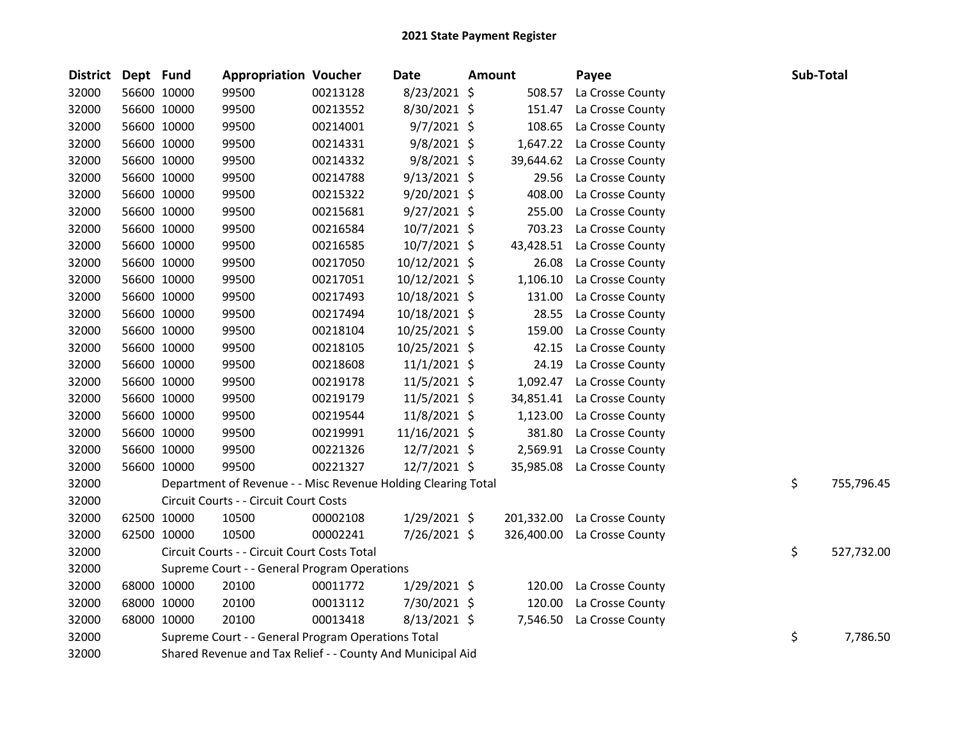| <b>District</b> | Dept Fund |             | <b>Appropriation Voucher</b>                                  |          | Date           | <b>Amount</b> |            | Payee            | Sub-Total |            |
|-----------------|-----------|-------------|---------------------------------------------------------------|----------|----------------|---------------|------------|------------------|-----------|------------|
| 32000           |           | 56600 10000 | 99500                                                         | 00213128 | 8/23/2021 \$   |               | 508.57     | La Crosse County |           |            |
| 32000           |           | 56600 10000 | 99500                                                         | 00213552 | 8/30/2021 \$   |               | 151.47     | La Crosse County |           |            |
| 32000           |           | 56600 10000 | 99500                                                         | 00214001 | $9/7/2021$ \$  |               | 108.65     | La Crosse County |           |            |
| 32000           |           | 56600 10000 | 99500                                                         | 00214331 | $9/8/2021$ \$  |               | 1,647.22   | La Crosse County |           |            |
| 32000           |           | 56600 10000 | 99500                                                         | 00214332 | $9/8/2021$ \$  |               | 39,644.62  | La Crosse County |           |            |
| 32000           |           | 56600 10000 | 99500                                                         | 00214788 | $9/13/2021$ \$ |               | 29.56      | La Crosse County |           |            |
| 32000           |           | 56600 10000 | 99500                                                         | 00215322 | 9/20/2021 \$   |               | 408.00     | La Crosse County |           |            |
| 32000           |           | 56600 10000 | 99500                                                         | 00215681 | $9/27/2021$ \$ |               | 255.00     | La Crosse County |           |            |
| 32000           |           | 56600 10000 | 99500                                                         | 00216584 | 10/7/2021 \$   |               | 703.23     | La Crosse County |           |            |
| 32000           |           | 56600 10000 | 99500                                                         | 00216585 | 10/7/2021 \$   |               | 43,428.51  | La Crosse County |           |            |
| 32000           |           | 56600 10000 | 99500                                                         | 00217050 | 10/12/2021 \$  |               | 26.08      | La Crosse County |           |            |
| 32000           |           | 56600 10000 | 99500                                                         | 00217051 | 10/12/2021 \$  |               | 1,106.10   | La Crosse County |           |            |
| 32000           |           | 56600 10000 | 99500                                                         | 00217493 | 10/18/2021 \$  |               | 131.00     | La Crosse County |           |            |
| 32000           |           | 56600 10000 | 99500                                                         | 00217494 | 10/18/2021 \$  |               | 28.55      | La Crosse County |           |            |
| 32000           |           | 56600 10000 | 99500                                                         | 00218104 | 10/25/2021 \$  |               | 159.00     | La Crosse County |           |            |
| 32000           |           | 56600 10000 | 99500                                                         | 00218105 | 10/25/2021 \$  |               | 42.15      | La Crosse County |           |            |
| 32000           |           | 56600 10000 | 99500                                                         | 00218608 | $11/1/2021$ \$ |               | 24.19      | La Crosse County |           |            |
| 32000           |           | 56600 10000 | 99500                                                         | 00219178 | 11/5/2021 \$   |               | 1,092.47   | La Crosse County |           |            |
| 32000           |           | 56600 10000 | 99500                                                         | 00219179 | 11/5/2021 \$   |               | 34,851.41  | La Crosse County |           |            |
| 32000           |           | 56600 10000 | 99500                                                         | 00219544 | 11/8/2021 \$   |               | 1,123.00   | La Crosse County |           |            |
| 32000           |           | 56600 10000 | 99500                                                         | 00219991 | 11/16/2021 \$  |               | 381.80     | La Crosse County |           |            |
| 32000           |           | 56600 10000 | 99500                                                         | 00221326 | $12/7/2021$ \$ |               | 2,569.91   | La Crosse County |           |            |
| 32000           |           | 56600 10000 | 99500                                                         | 00221327 | 12/7/2021 \$   |               | 35,985.08  | La Crosse County |           |            |
| 32000           |           |             | Department of Revenue - - Misc Revenue Holding Clearing Total |          |                |               |            |                  | \$        | 755,796.45 |
| 32000           |           |             | Circuit Courts - - Circuit Court Costs                        |          |                |               |            |                  |           |            |
| 32000           |           | 62500 10000 | 10500                                                         | 00002108 | $1/29/2021$ \$ |               | 201,332.00 | La Crosse County |           |            |
| 32000           |           | 62500 10000 | 10500                                                         | 00002241 | 7/26/2021 \$   |               | 326,400.00 | La Crosse County |           |            |
| 32000           |           |             | Circuit Courts - - Circuit Court Costs Total                  |          |                |               |            |                  | \$        | 527,732.00 |
| 32000           |           |             | Supreme Court - - General Program Operations                  |          |                |               |            |                  |           |            |
| 32000           |           | 68000 10000 | 20100                                                         | 00011772 | $1/29/2021$ \$ |               | 120.00     | La Crosse County |           |            |
| 32000           |           | 68000 10000 | 20100                                                         | 00013112 | 7/30/2021 \$   |               | 120.00     | La Crosse County |           |            |
| 32000           |           | 68000 10000 | 20100                                                         | 00013418 | 8/13/2021 \$   |               | 7,546.50   | La Crosse County |           |            |
| 32000           |           |             | Supreme Court - - General Program Operations Total            |          |                |               |            |                  | \$        | 7,786.50   |
| 32000           |           |             | Shared Revenue and Tax Relief - - County And Municipal Aid    |          |                |               |            |                  |           |            |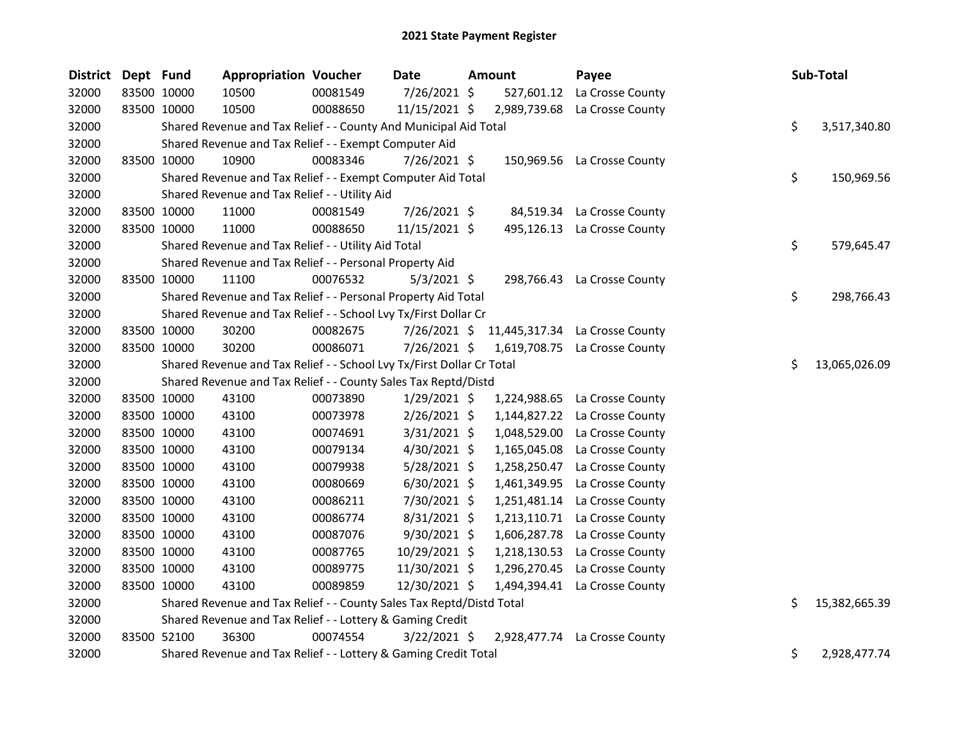| <b>District</b> | Dept Fund   | <b>Appropriation Voucher</b>                                          |          | Date           | Amount       | Payee                          | Sub-Total           |
|-----------------|-------------|-----------------------------------------------------------------------|----------|----------------|--------------|--------------------------------|---------------------|
| 32000           | 83500 10000 | 10500                                                                 | 00081549 | 7/26/2021 \$   | 527,601.12   | La Crosse County               |                     |
| 32000           | 83500 10000 | 10500                                                                 | 00088650 | 11/15/2021 \$  | 2,989,739.68 | La Crosse County               |                     |
| 32000           |             | Shared Revenue and Tax Relief - - County And Municipal Aid Total      |          |                |              |                                | \$<br>3,517,340.80  |
| 32000           |             | Shared Revenue and Tax Relief - - Exempt Computer Aid                 |          |                |              |                                |                     |
| 32000           | 83500 10000 | 10900                                                                 | 00083346 | 7/26/2021 \$   |              | 150,969.56 La Crosse County    |                     |
| 32000           |             | Shared Revenue and Tax Relief - - Exempt Computer Aid Total           |          |                |              |                                | \$<br>150,969.56    |
| 32000           |             | Shared Revenue and Tax Relief - - Utility Aid                         |          |                |              |                                |                     |
| 32000           | 83500 10000 | 11000                                                                 | 00081549 | 7/26/2021 \$   |              | 84,519.34 La Crosse County     |                     |
| 32000           | 83500 10000 | 11000                                                                 | 00088650 | 11/15/2021 \$  | 495,126.13   | La Crosse County               |                     |
| 32000           |             | Shared Revenue and Tax Relief - - Utility Aid Total                   |          |                |              |                                | \$<br>579,645.47    |
| 32000           |             | Shared Revenue and Tax Relief - - Personal Property Aid               |          |                |              |                                |                     |
| 32000           | 83500 10000 | 11100                                                                 | 00076532 | $5/3/2021$ \$  |              | 298,766.43 La Crosse County    |                     |
| 32000           |             | Shared Revenue and Tax Relief - - Personal Property Aid Total         |          |                |              |                                | \$<br>298,766.43    |
| 32000           |             | Shared Revenue and Tax Relief - - School Lvy Tx/First Dollar Cr       |          |                |              |                                |                     |
| 32000           | 83500 10000 | 30200                                                                 | 00082675 | 7/26/2021 \$   |              | 11,445,317.34 La Crosse County |                     |
| 32000           | 83500 10000 | 30200                                                                 | 00086071 | 7/26/2021 \$   |              | 1,619,708.75 La Crosse County  |                     |
| 32000           |             | Shared Revenue and Tax Relief - - School Lvy Tx/First Dollar Cr Total |          |                |              |                                | \$<br>13,065,026.09 |
| 32000           |             | Shared Revenue and Tax Relief - - County Sales Tax Reptd/Distd        |          |                |              |                                |                     |
| 32000           | 83500 10000 | 43100                                                                 | 00073890 | $1/29/2021$ \$ | 1,224,988.65 | La Crosse County               |                     |
| 32000           | 83500 10000 | 43100                                                                 | 00073978 | $2/26/2021$ \$ | 1,144,827.22 | La Crosse County               |                     |
| 32000           | 83500 10000 | 43100                                                                 | 00074691 | $3/31/2021$ \$ | 1,048,529.00 | La Crosse County               |                     |
| 32000           | 83500 10000 | 43100                                                                 | 00079134 | 4/30/2021 \$   | 1,165,045.08 | La Crosse County               |                     |
| 32000           | 83500 10000 | 43100                                                                 | 00079938 | $5/28/2021$ \$ | 1,258,250.47 | La Crosse County               |                     |
| 32000           | 83500 10000 | 43100                                                                 | 00080669 | $6/30/2021$ \$ | 1,461,349.95 | La Crosse County               |                     |
| 32000           | 83500 10000 | 43100                                                                 | 00086211 | 7/30/2021 \$   | 1,251,481.14 | La Crosse County               |                     |
| 32000           | 83500 10000 | 43100                                                                 | 00086774 | 8/31/2021 \$   | 1,213,110.71 | La Crosse County               |                     |
| 32000           | 83500 10000 | 43100                                                                 | 00087076 | 9/30/2021 \$   | 1,606,287.78 | La Crosse County               |                     |
| 32000           | 83500 10000 | 43100                                                                 | 00087765 | 10/29/2021 \$  | 1,218,130.53 | La Crosse County               |                     |
| 32000           | 83500 10000 | 43100                                                                 | 00089775 | 11/30/2021 \$  | 1,296,270.45 | La Crosse County               |                     |
| 32000           | 83500 10000 | 43100                                                                 | 00089859 | 12/30/2021 \$  | 1,494,394.41 | La Crosse County               |                     |
| 32000           |             | Shared Revenue and Tax Relief - - County Sales Tax Reptd/Distd Total  |          |                |              |                                | \$<br>15,382,665.39 |
| 32000           |             | Shared Revenue and Tax Relief - - Lottery & Gaming Credit             |          |                |              |                                |                     |
| 32000           | 83500 52100 | 36300                                                                 | 00074554 | $3/22/2021$ \$ |              | 2,928,477.74 La Crosse County  |                     |
| 32000           |             | Shared Revenue and Tax Relief - - Lottery & Gaming Credit Total       |          |                |              |                                | \$<br>2,928,477.74  |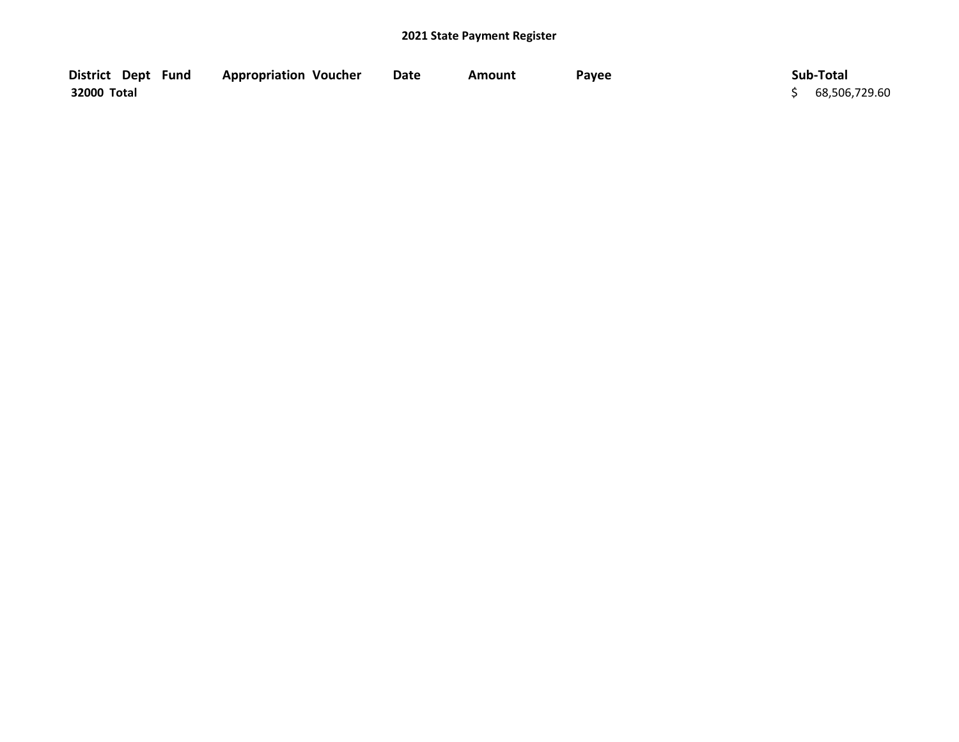| District Dept Fund | <b>Appropriation Voucher</b> | Date | Amount | Payee | Sub-Total       |
|--------------------|------------------------------|------|--------|-------|-----------------|
| 32000 Total        |                              |      |        |       | \$68,506,729.60 |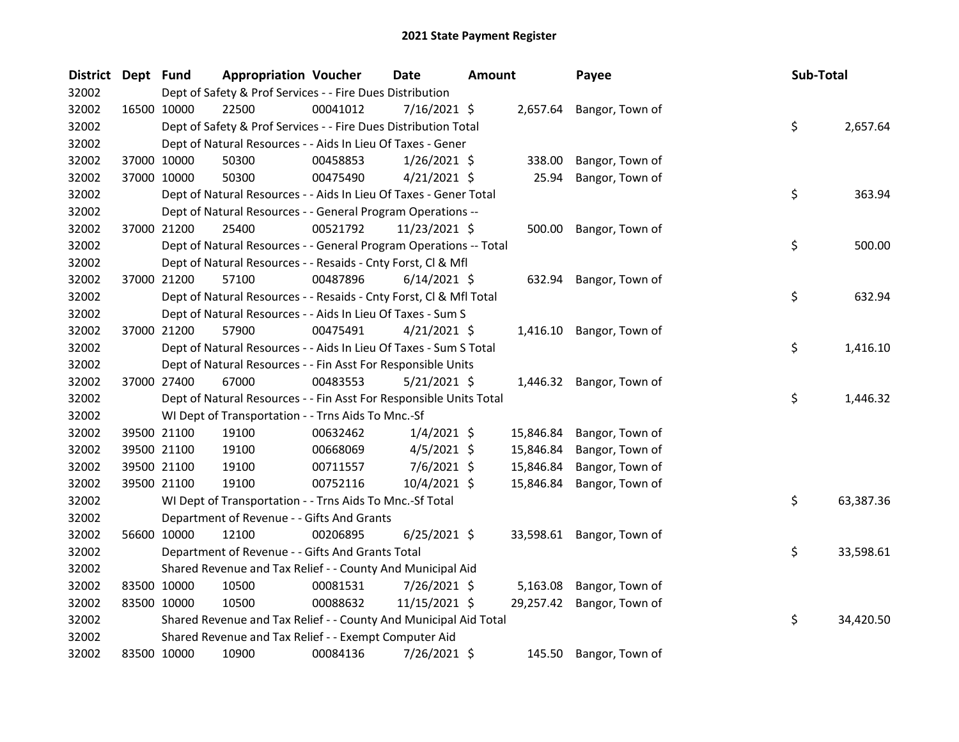| <b>District</b> | Dept Fund |             | <b>Appropriation Voucher</b>                                       |          | Date           | <b>Amount</b> |           | Payee                     | Sub-Total |           |
|-----------------|-----------|-------------|--------------------------------------------------------------------|----------|----------------|---------------|-----------|---------------------------|-----------|-----------|
| 32002           |           |             | Dept of Safety & Prof Services - - Fire Dues Distribution          |          |                |               |           |                           |           |           |
| 32002           |           | 16500 10000 | 22500                                                              | 00041012 | 7/16/2021 \$   |               |           | 2,657.64 Bangor, Town of  |           |           |
| 32002           |           |             | Dept of Safety & Prof Services - - Fire Dues Distribution Total    |          |                |               |           |                           | \$        | 2,657.64  |
| 32002           |           |             | Dept of Natural Resources - - Aids In Lieu Of Taxes - Gener        |          |                |               |           |                           |           |           |
| 32002           |           | 37000 10000 | 50300                                                              | 00458853 | $1/26/2021$ \$ |               | 338.00    | Bangor, Town of           |           |           |
| 32002           |           | 37000 10000 | 50300                                                              | 00475490 | $4/21/2021$ \$ |               | 25.94     | Bangor, Town of           |           |           |
| 32002           |           |             | Dept of Natural Resources - - Aids In Lieu Of Taxes - Gener Total  |          |                |               |           |                           | \$        | 363.94    |
| 32002           |           |             | Dept of Natural Resources - - General Program Operations --        |          |                |               |           |                           |           |           |
| 32002           |           | 37000 21200 | 25400                                                              | 00521792 | 11/23/2021 \$  |               | 500.00    | Bangor, Town of           |           |           |
| 32002           |           |             | Dept of Natural Resources - - General Program Operations -- Total  |          |                |               |           |                           | \$        | 500.00    |
| 32002           |           |             | Dept of Natural Resources - - Resaids - Cnty Forst, Cl & Mfl       |          |                |               |           |                           |           |           |
| 32002           |           | 37000 21200 | 57100                                                              | 00487896 | $6/14/2021$ \$ |               | 632.94    | Bangor, Town of           |           |           |
| 32002           |           |             | Dept of Natural Resources - - Resaids - Cnty Forst, Cl & Mfl Total |          |                |               |           |                           | \$        | 632.94    |
| 32002           |           |             | Dept of Natural Resources - - Aids In Lieu Of Taxes - Sum S        |          |                |               |           |                           |           |           |
| 32002           |           | 37000 21200 | 57900                                                              | 00475491 | $4/21/2021$ \$ |               | 1,416.10  | Bangor, Town of           |           |           |
| 32002           |           |             | Dept of Natural Resources - - Aids In Lieu Of Taxes - Sum S Total  |          |                |               |           |                           | \$        | 1,416.10  |
| 32002           |           |             | Dept of Natural Resources - - Fin Asst For Responsible Units       |          |                |               |           |                           |           |           |
| 32002           |           | 37000 27400 | 67000                                                              | 00483553 | $5/21/2021$ \$ |               |           | 1,446.32 Bangor, Town of  |           |           |
| 32002           |           |             | Dept of Natural Resources - - Fin Asst For Responsible Units Total |          |                |               |           |                           | \$        | 1,446.32  |
| 32002           |           |             | WI Dept of Transportation - - Trns Aids To Mnc.-Sf                 |          |                |               |           |                           |           |           |
| 32002           |           | 39500 21100 | 19100                                                              | 00632462 | $1/4/2021$ \$  |               | 15,846.84 | Bangor, Town of           |           |           |
| 32002           |           | 39500 21100 | 19100                                                              | 00668069 | $4/5/2021$ \$  |               | 15,846.84 | Bangor, Town of           |           |           |
| 32002           |           | 39500 21100 | 19100                                                              | 00711557 | $7/6/2021$ \$  |               | 15,846.84 | Bangor, Town of           |           |           |
| 32002           |           | 39500 21100 | 19100                                                              | 00752116 | 10/4/2021 \$   |               | 15,846.84 | Bangor, Town of           |           |           |
| 32002           |           |             | WI Dept of Transportation - - Trns Aids To Mnc.-Sf Total           |          |                |               |           |                           | \$        | 63,387.36 |
| 32002           |           |             | Department of Revenue - - Gifts And Grants                         |          |                |               |           |                           |           |           |
| 32002           |           | 56600 10000 | 12100                                                              | 00206895 | $6/25/2021$ \$ |               |           | 33,598.61 Bangor, Town of |           |           |
| 32002           |           |             | Department of Revenue - - Gifts And Grants Total                   |          |                |               |           |                           | \$        | 33,598.61 |
| 32002           |           |             | Shared Revenue and Tax Relief - - County And Municipal Aid         |          |                |               |           |                           |           |           |
| 32002           |           | 83500 10000 | 10500                                                              | 00081531 | 7/26/2021 \$   |               | 5,163.08  | Bangor, Town of           |           |           |
| 32002           |           | 83500 10000 | 10500                                                              | 00088632 | 11/15/2021 \$  |               | 29,257.42 | Bangor, Town of           |           |           |
| 32002           |           |             | Shared Revenue and Tax Relief - - County And Municipal Aid Total   |          |                |               |           |                           | \$        | 34,420.50 |
| 32002           |           |             | Shared Revenue and Tax Relief - - Exempt Computer Aid              |          |                |               |           |                           |           |           |
| 32002           |           | 83500 10000 | 10900                                                              | 00084136 | 7/26/2021 \$   |               | 145.50    | Bangor, Town of           |           |           |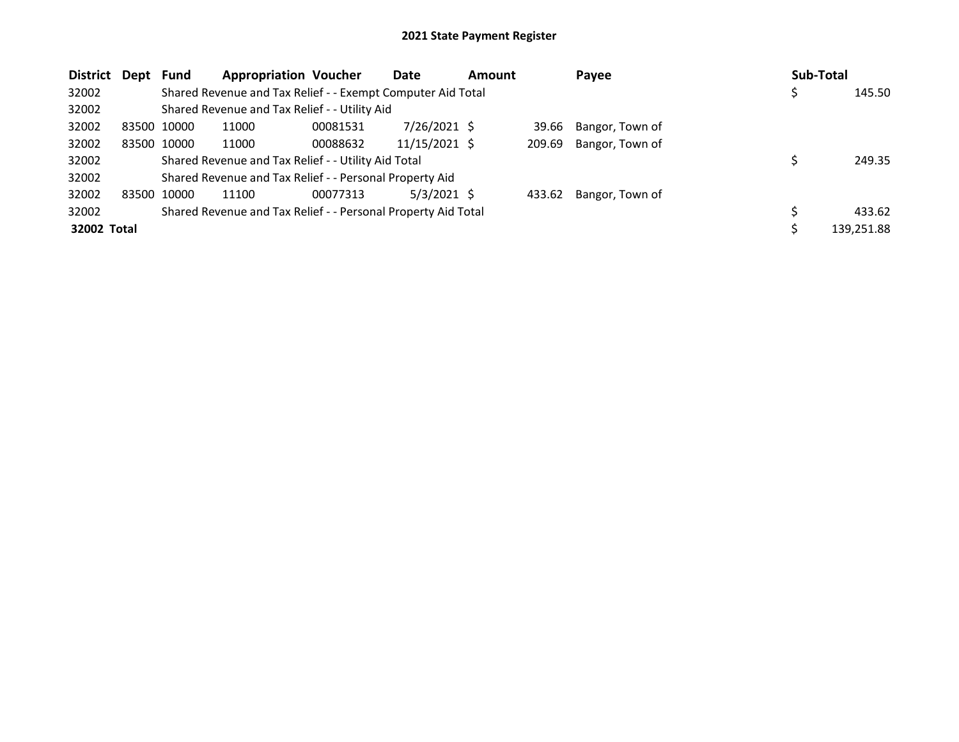| <b>District</b> | Dept Fund |             | <b>Appropriation Voucher</b>                                  |          | Date            | <b>Amount</b> |        | Payee           | <b>Sub-Total</b> |            |
|-----------------|-----------|-------------|---------------------------------------------------------------|----------|-----------------|---------------|--------|-----------------|------------------|------------|
| 32002           |           |             | Shared Revenue and Tax Relief - - Exempt Computer Aid Total   |          |                 |               |        |                 |                  | 145.50     |
| 32002           |           |             | Shared Revenue and Tax Relief - - Utility Aid                 |          |                 |               |        |                 |                  |            |
| 32002           |           | 83500 10000 | 11000                                                         | 00081531 | 7/26/2021 \$    |               | 39.66  | Bangor, Town of |                  |            |
| 32002           |           | 83500 10000 | 11000                                                         | 00088632 | $11/15/2021$ \$ |               | 209.69 | Bangor, Town of |                  |            |
| 32002           |           |             | Shared Revenue and Tax Relief - - Utility Aid Total           |          |                 |               |        |                 |                  | 249.35     |
| 32002           |           |             | Shared Revenue and Tax Relief - - Personal Property Aid       |          |                 |               |        |                 |                  |            |
| 32002           | 83500     | 10000       | 11100                                                         | 00077313 | $5/3/2021$ \$   |               | 433.62 | Bangor, Town of |                  |            |
| 32002           |           |             | Shared Revenue and Tax Relief - - Personal Property Aid Total |          |                 |               |        |                 |                  | 433.62     |
| 32002 Total     |           |             |                                                               |          |                 |               |        |                 |                  | 139,251.88 |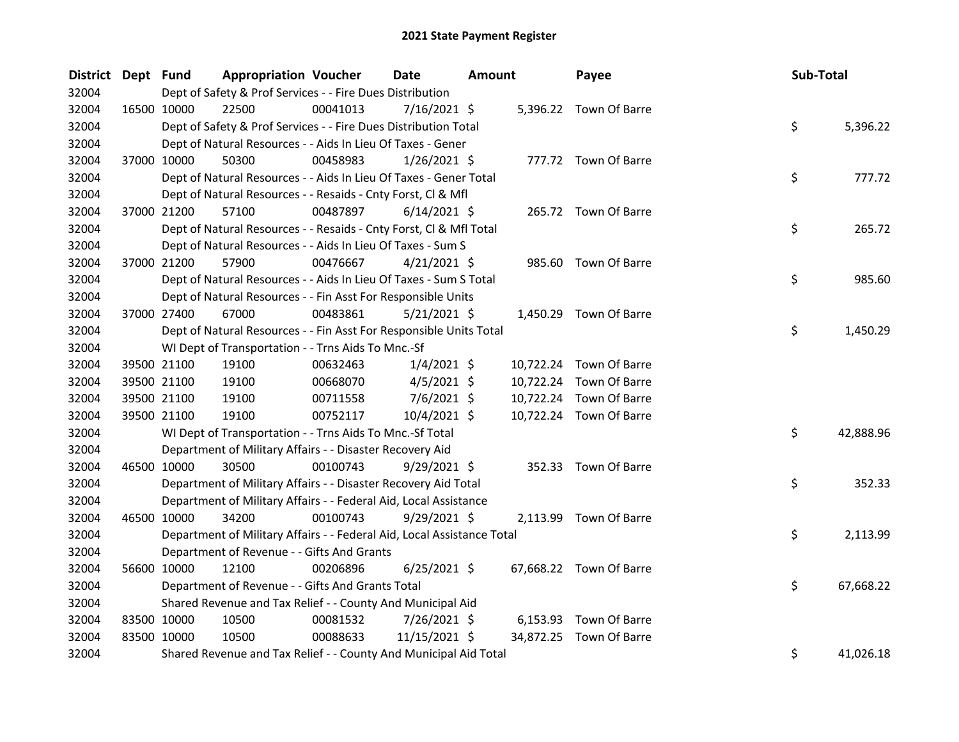| <b>District</b> | Dept Fund |             | <b>Appropriation Voucher</b>                                           |          | <b>Date</b>    | <b>Amount</b> |           | Payee                   | Sub-Total |           |
|-----------------|-----------|-------------|------------------------------------------------------------------------|----------|----------------|---------------|-----------|-------------------------|-----------|-----------|
| 32004           |           |             | Dept of Safety & Prof Services - - Fire Dues Distribution              |          | 7/16/2021 \$   |               |           |                         |           |           |
| 32004           |           | 16500 10000 | 22500                                                                  | 00041013 |                |               |           | 5,396.22 Town Of Barre  |           |           |
| 32004           |           |             | Dept of Safety & Prof Services - - Fire Dues Distribution Total        |          |                |               |           |                         | \$.       | 5,396.22  |
| 32004           |           |             | Dept of Natural Resources - - Aids In Lieu Of Taxes - Gener            |          |                |               |           |                         |           |           |
| 32004           |           | 37000 10000 | 50300                                                                  | 00458983 | $1/26/2021$ \$ |               |           | 777.72 Town Of Barre    |           |           |
| 32004           |           |             | Dept of Natural Resources - - Aids In Lieu Of Taxes - Gener Total      |          |                |               |           |                         | \$        | 777.72    |
| 32004           |           |             | Dept of Natural Resources - - Resaids - Cnty Forst, Cl & Mfl           |          |                |               |           |                         |           |           |
| 32004           |           | 37000 21200 | 57100                                                                  | 00487897 | $6/14/2021$ \$ |               |           | 265.72 Town Of Barre    |           |           |
| 32004           |           |             | Dept of Natural Resources - - Resaids - Cnty Forst, Cl & Mfl Total     |          |                |               |           |                         | \$        | 265.72    |
| 32004           |           |             | Dept of Natural Resources - - Aids In Lieu Of Taxes - Sum S            |          |                |               |           |                         |           |           |
| 32004           |           | 37000 21200 | 57900                                                                  | 00476667 | $4/21/2021$ \$ |               |           | 985.60 Town Of Barre    |           |           |
| 32004           |           |             | Dept of Natural Resources - - Aids In Lieu Of Taxes - Sum S Total      |          |                |               |           |                         | \$        | 985.60    |
| 32004           |           |             | Dept of Natural Resources - - Fin Asst For Responsible Units           |          |                |               |           |                         |           |           |
| 32004           |           | 37000 27400 | 67000                                                                  | 00483861 | $5/21/2021$ \$ |               |           | 1,450.29 Town Of Barre  |           |           |
| 32004           |           |             | Dept of Natural Resources - - Fin Asst For Responsible Units Total     |          |                |               |           |                         | \$        | 1,450.29  |
| 32004           |           |             | WI Dept of Transportation - - Trns Aids To Mnc.-Sf                     |          |                |               |           |                         |           |           |
| 32004           |           | 39500 21100 | 19100                                                                  | 00632463 | $1/4/2021$ \$  |               |           | 10,722.24 Town Of Barre |           |           |
| 32004           |           | 39500 21100 | 19100                                                                  | 00668070 | $4/5/2021$ \$  |               | 10,722.24 | Town Of Barre           |           |           |
| 32004           |           | 39500 21100 | 19100                                                                  | 00711558 | $7/6/2021$ \$  |               | 10,722.24 | Town Of Barre           |           |           |
| 32004           |           | 39500 21100 | 19100                                                                  | 00752117 | $10/4/2021$ \$ |               |           | 10,722.24 Town Of Barre |           |           |
| 32004           |           |             | WI Dept of Transportation - - Trns Aids To Mnc.-Sf Total               |          |                |               |           |                         | \$        | 42,888.96 |
| 32004           |           |             | Department of Military Affairs - - Disaster Recovery Aid               |          |                |               |           |                         |           |           |
| 32004           |           | 46500 10000 | 30500                                                                  | 00100743 | $9/29/2021$ \$ |               |           | 352.33 Town Of Barre    |           |           |
| 32004           |           |             | Department of Military Affairs - - Disaster Recovery Aid Total         |          |                |               |           |                         | \$        | 352.33    |
| 32004           |           |             | Department of Military Affairs - - Federal Aid, Local Assistance       |          |                |               |           |                         |           |           |
| 32004           |           | 46500 10000 | 34200                                                                  | 00100743 | $9/29/2021$ \$ |               |           | 2,113.99 Town Of Barre  |           |           |
| 32004           |           |             | Department of Military Affairs - - Federal Aid, Local Assistance Total |          |                |               |           |                         | \$        | 2,113.99  |
| 32004           |           |             | Department of Revenue - - Gifts And Grants                             |          |                |               |           |                         |           |           |
| 32004           |           | 56600 10000 | 12100                                                                  | 00206896 | $6/25/2021$ \$ |               |           | 67,668.22 Town Of Barre |           |           |
| 32004           |           |             | Department of Revenue - - Gifts And Grants Total                       |          |                |               |           |                         | \$        | 67,668.22 |
| 32004           |           |             | Shared Revenue and Tax Relief - - County And Municipal Aid             |          |                |               |           |                         |           |           |
| 32004           |           | 83500 10000 | 10500                                                                  | 00081532 | 7/26/2021 \$   |               |           | 6,153.93 Town Of Barre  |           |           |
| 32004           |           | 83500 10000 | 10500                                                                  | 00088633 | 11/15/2021 \$  |               |           | 34,872.25 Town Of Barre |           |           |
| 32004           |           |             | Shared Revenue and Tax Relief - - County And Municipal Aid Total       |          |                |               |           |                         | \$        | 41,026.18 |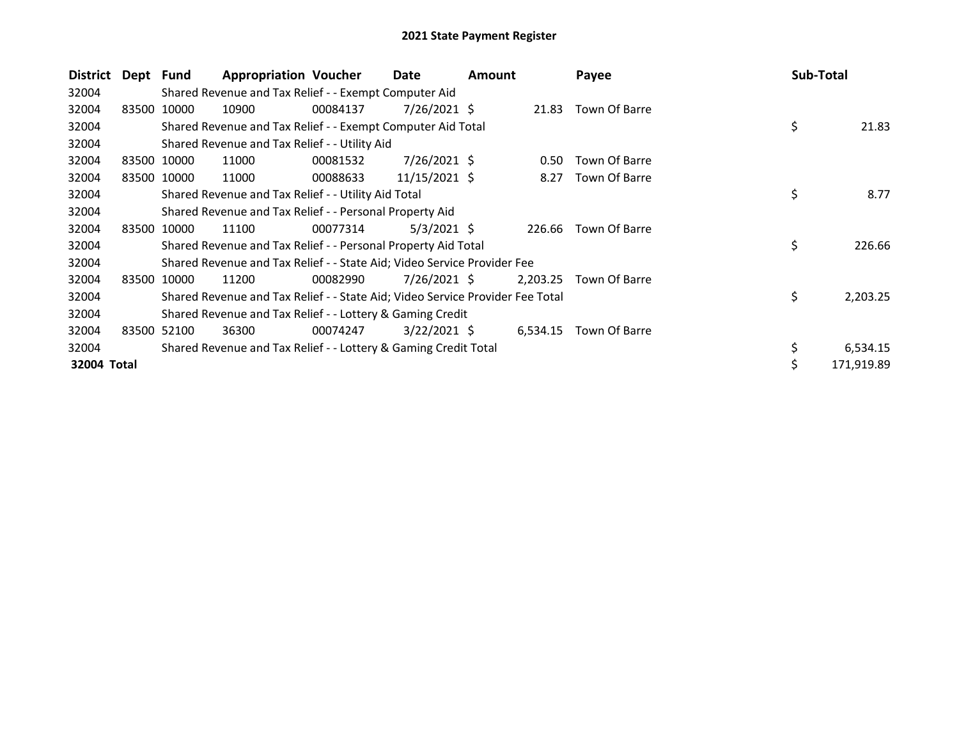| District    | Dept | Fund        | <b>Appropriation Voucher</b>                                                  |          | Date            | <b>Amount</b> |          | Payee         | Sub-Total      |
|-------------|------|-------------|-------------------------------------------------------------------------------|----------|-----------------|---------------|----------|---------------|----------------|
| 32004       |      |             | Shared Revenue and Tax Relief - - Exempt Computer Aid                         |          |                 |               |          |               |                |
| 32004       |      | 83500 10000 | 10900                                                                         | 00084137 | 7/26/2021 \$    |               | 21.83    | Town Of Barre |                |
| 32004       |      |             | Shared Revenue and Tax Relief - - Exempt Computer Aid Total                   |          |                 |               |          |               | \$<br>21.83    |
| 32004       |      |             | Shared Revenue and Tax Relief - - Utility Aid                                 |          |                 |               |          |               |                |
| 32004       |      | 83500 10000 | 11000                                                                         | 00081532 | $7/26/2021$ \$  |               | 0.50     | Town Of Barre |                |
| 32004       |      | 83500 10000 | 11000                                                                         | 00088633 | $11/15/2021$ \$ |               | 8.27     | Town Of Barre |                |
| 32004       |      |             | Shared Revenue and Tax Relief - - Utility Aid Total                           |          |                 |               |          |               | \$<br>8.77     |
| 32004       |      |             | Shared Revenue and Tax Relief - - Personal Property Aid                       |          |                 |               |          |               |                |
| 32004       |      | 83500 10000 | 11100                                                                         | 00077314 | $5/3/2021$ \$   |               | 226.66   | Town Of Barre |                |
| 32004       |      |             | Shared Revenue and Tax Relief - - Personal Property Aid Total                 |          |                 |               |          |               | \$<br>226.66   |
| 32004       |      |             | Shared Revenue and Tax Relief - - State Aid; Video Service Provider Fee       |          |                 |               |          |               |                |
| 32004       |      | 83500 10000 | 11200                                                                         | 00082990 | $7/26/2021$ \$  |               | 2,203.25 | Town Of Barre |                |
| 32004       |      |             | Shared Revenue and Tax Relief - - State Aid; Video Service Provider Fee Total |          |                 |               |          |               | \$<br>2,203.25 |
| 32004       |      |             | Shared Revenue and Tax Relief - - Lottery & Gaming Credit                     |          |                 |               |          |               |                |
| 32004       |      | 83500 52100 | 36300                                                                         | 00074247 | $3/22/2021$ \$  |               | 6,534.15 | Town Of Barre |                |
| 32004       |      |             | Shared Revenue and Tax Relief - - Lottery & Gaming Credit Total               |          |                 |               |          |               | 6,534.15       |
| 32004 Total |      |             |                                                                               |          |                 |               |          |               | 171,919.89     |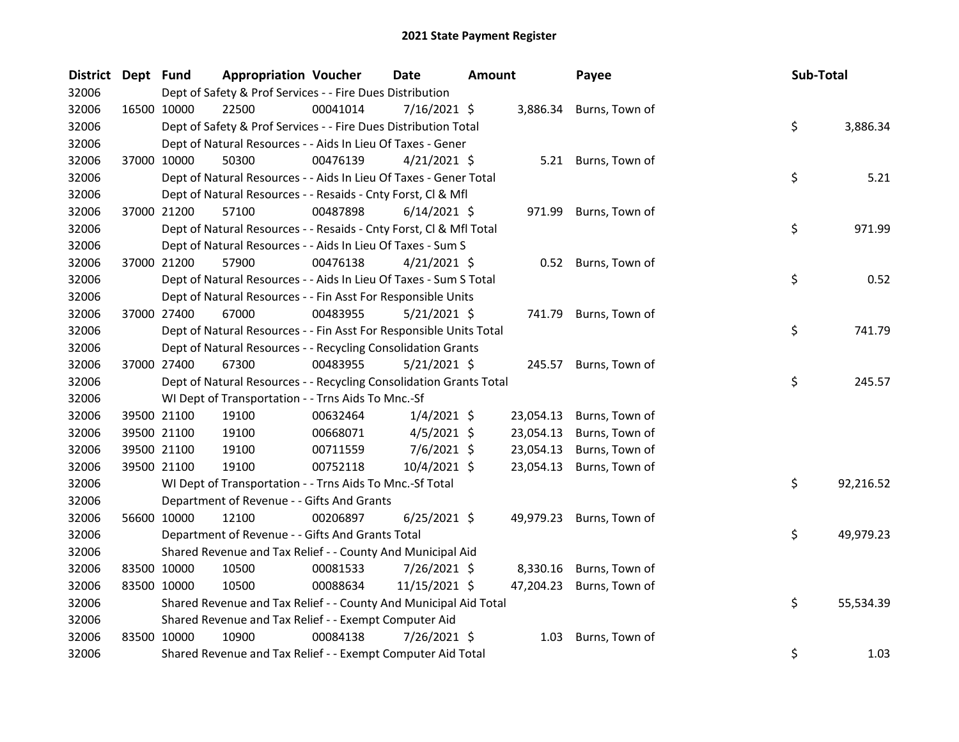| <b>District</b> | Dept Fund | <b>Appropriation Voucher</b>                                       |          | <b>Date</b>    | <b>Amount</b> |           | Payee               | Sub-Total |           |
|-----------------|-----------|--------------------------------------------------------------------|----------|----------------|---------------|-----------|---------------------|-----------|-----------|
| 32006           |           | Dept of Safety & Prof Services - - Fire Dues Distribution          |          |                |               |           |                     |           |           |
| 32006           |           | 22500<br>16500 10000                                               | 00041014 | 7/16/2021 \$   |               | 3,886.34  | Burns, Town of      |           |           |
| 32006           |           | Dept of Safety & Prof Services - - Fire Dues Distribution Total    |          |                |               |           |                     | \$        | 3,886.34  |
| 32006           |           | Dept of Natural Resources - - Aids In Lieu Of Taxes - Gener        |          |                |               |           |                     |           |           |
| 32006           |           | 37000 10000<br>50300                                               | 00476139 | $4/21/2021$ \$ |               |           | 5.21 Burns, Town of |           |           |
| 32006           |           | Dept of Natural Resources - - Aids In Lieu Of Taxes - Gener Total  |          |                |               |           |                     | \$        | 5.21      |
| 32006           |           | Dept of Natural Resources - - Resaids - Cnty Forst, Cl & Mfl       |          |                |               |           |                     |           |           |
| 32006           |           | 57100<br>37000 21200                                               | 00487898 | $6/14/2021$ \$ |               | 971.99    | Burns, Town of      |           |           |
| 32006           |           | Dept of Natural Resources - - Resaids - Cnty Forst, Cl & Mfl Total |          |                |               |           |                     | \$        | 971.99    |
| 32006           |           | Dept of Natural Resources - - Aids In Lieu Of Taxes - Sum S        |          |                |               |           |                     |           |           |
| 32006           |           | 37000 21200<br>57900                                               | 00476138 | $4/21/2021$ \$ |               |           | 0.52 Burns, Town of |           |           |
| 32006           |           | Dept of Natural Resources - - Aids In Lieu Of Taxes - Sum S Total  |          |                |               |           |                     | \$        | 0.52      |
| 32006           |           | Dept of Natural Resources - - Fin Asst For Responsible Units       |          |                |               |           |                     |           |           |
| 32006           |           | 37000 27400<br>67000                                               | 00483955 | $5/21/2021$ \$ |               | 741.79    | Burns, Town of      |           |           |
| 32006           |           | Dept of Natural Resources - - Fin Asst For Responsible Units Total |          |                |               |           |                     | \$        | 741.79    |
| 32006           |           | Dept of Natural Resources - - Recycling Consolidation Grants       |          |                |               |           |                     |           |           |
| 32006           |           | 37000 27400<br>67300                                               | 00483955 | $5/21/2021$ \$ |               | 245.57    | Burns, Town of      |           |           |
| 32006           |           | Dept of Natural Resources - - Recycling Consolidation Grants Total |          |                |               |           |                     | \$        | 245.57    |
| 32006           |           | WI Dept of Transportation - - Trns Aids To Mnc.-Sf                 |          |                |               |           |                     |           |           |
| 32006           |           | 39500 21100<br>19100                                               | 00632464 | $1/4/2021$ \$  |               | 23,054.13 | Burns, Town of      |           |           |
| 32006           |           | 39500 21100<br>19100                                               | 00668071 | $4/5/2021$ \$  |               | 23,054.13 | Burns, Town of      |           |           |
| 32006           |           | 39500 21100<br>19100                                               | 00711559 | $7/6/2021$ \$  |               | 23,054.13 | Burns, Town of      |           |           |
| 32006           |           | 39500 21100<br>19100                                               | 00752118 | 10/4/2021 \$   |               | 23,054.13 | Burns, Town of      |           |           |
| 32006           |           | WI Dept of Transportation - - Trns Aids To Mnc.-Sf Total           |          |                |               |           |                     | \$        | 92,216.52 |
| 32006           |           | Department of Revenue - - Gifts And Grants                         |          |                |               |           |                     |           |           |
| 32006           |           | 56600 10000<br>12100                                               | 00206897 | $6/25/2021$ \$ |               | 49,979.23 | Burns, Town of      |           |           |
| 32006           |           | Department of Revenue - - Gifts And Grants Total                   |          |                |               |           |                     | \$        | 49,979.23 |
| 32006           |           | Shared Revenue and Tax Relief - - County And Municipal Aid         |          |                |               |           |                     |           |           |
| 32006           |           | 83500 10000<br>10500                                               | 00081533 | 7/26/2021 \$   |               | 8,330.16  | Burns, Town of      |           |           |
| 32006           |           | 83500 10000<br>10500                                               | 00088634 | 11/15/2021 \$  |               | 47,204.23 | Burns, Town of      |           |           |
| 32006           |           | Shared Revenue and Tax Relief - - County And Municipal Aid Total   |          |                |               |           |                     | \$        | 55,534.39 |
| 32006           |           | Shared Revenue and Tax Relief - - Exempt Computer Aid              |          |                |               |           |                     |           |           |
| 32006           |           | 83500 10000<br>10900                                               | 00084138 | 7/26/2021 \$   |               | 1.03      | Burns, Town of      |           |           |
| 32006           |           | Shared Revenue and Tax Relief - - Exempt Computer Aid Total        |          |                |               |           |                     | \$        | 1.03      |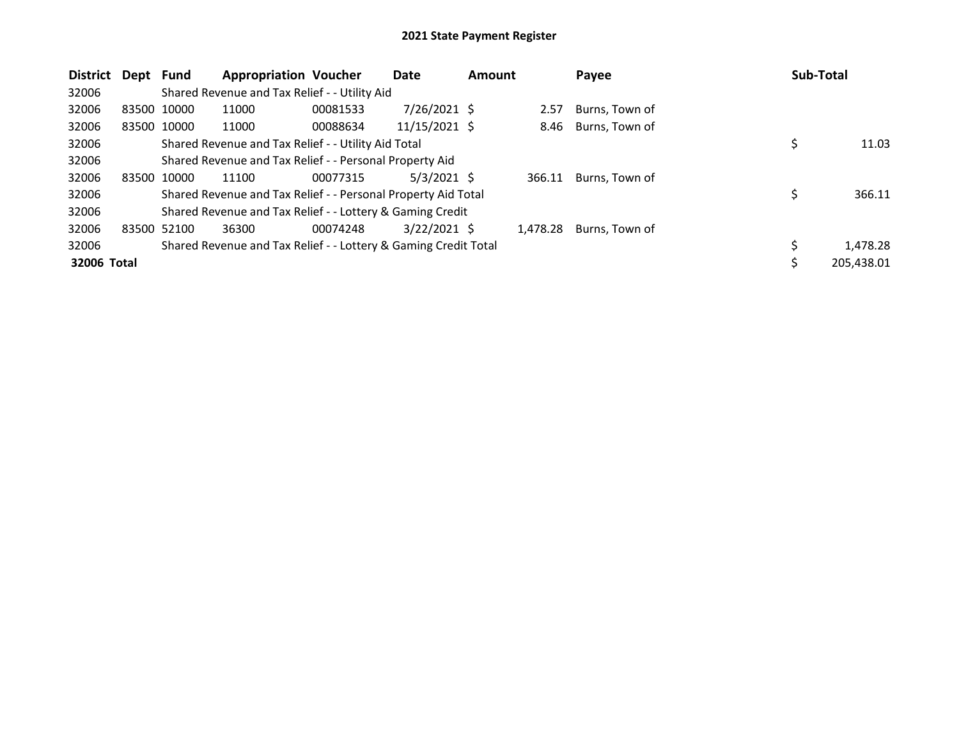| <b>District</b> | Dept        | Fund        | <b>Appropriation Voucher</b>                                    |          | Date           | <b>Amount</b> |          | Payee          | Sub-Total |            |
|-----------------|-------------|-------------|-----------------------------------------------------------------|----------|----------------|---------------|----------|----------------|-----------|------------|
| 32006           |             |             | Shared Revenue and Tax Relief - - Utility Aid                   |          |                |               |          |                |           |            |
| 32006           | 83500 10000 |             | 11000                                                           | 00081533 | $7/26/2021$ \$ |               | 2.57     | Burns, Town of |           |            |
| 32006           | 83500 10000 |             | 11000                                                           | 00088634 | 11/15/2021 \$  |               | 8.46     | Burns, Town of |           |            |
| 32006           |             |             | Shared Revenue and Tax Relief - - Utility Aid Total             |          |                |               |          |                |           | 11.03      |
| 32006           |             |             | Shared Revenue and Tax Relief - - Personal Property Aid         |          |                |               |          |                |           |            |
| 32006           | 83500       | 10000       | 11100                                                           | 00077315 | $5/3/2021$ \$  |               | 366.11   | Burns, Town of |           |            |
| 32006           |             |             | Shared Revenue and Tax Relief - - Personal Property Aid Total   |          |                |               |          |                |           | 366.11     |
| 32006           |             |             | Shared Revenue and Tax Relief - - Lottery & Gaming Credit       |          |                |               |          |                |           |            |
| 32006           |             | 83500 52100 | 36300                                                           | 00074248 | $3/22/2021$ \$ |               | 1,478.28 | Burns, Town of |           |            |
| 32006           |             |             | Shared Revenue and Tax Relief - - Lottery & Gaming Credit Total |          |                |               |          |                | Ś         | 1,478.28   |
| 32006 Total     |             |             |                                                                 |          |                |               |          |                |           | 205,438.01 |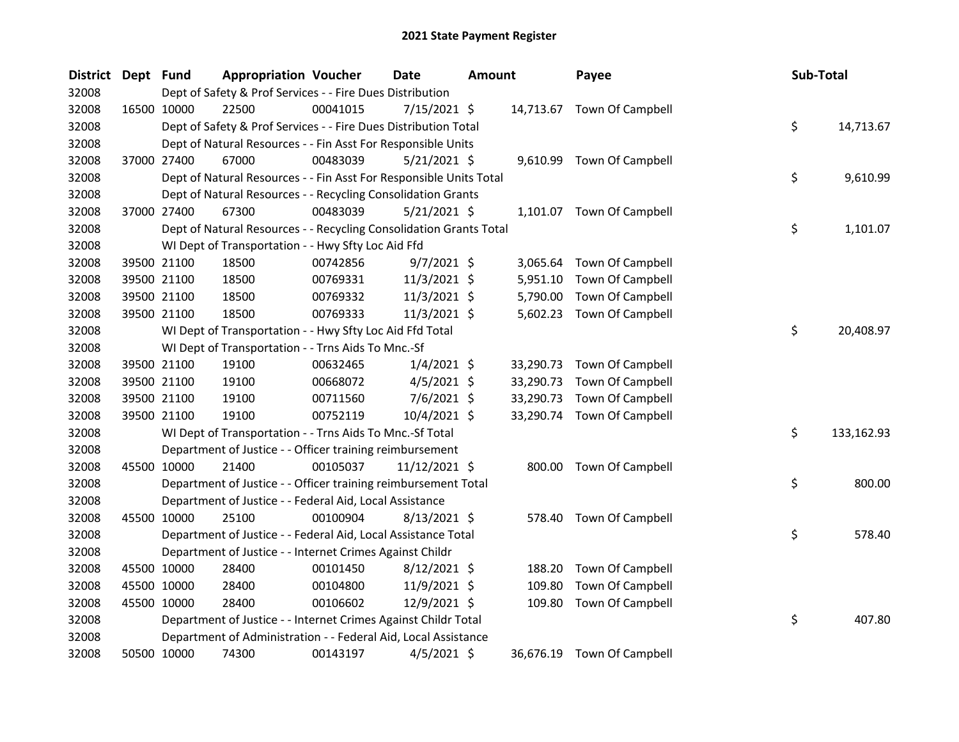| <b>District</b> | Dept Fund |                                                                    | <b>Appropriation Voucher</b> | <b>Date</b>    | <b>Amount</b> |           | Payee                      | Sub-Total |            |
|-----------------|-----------|--------------------------------------------------------------------|------------------------------|----------------|---------------|-----------|----------------------------|-----------|------------|
| 32008           |           | Dept of Safety & Prof Services - - Fire Dues Distribution          |                              |                |               |           |                            |           |            |
| 32008           |           | 22500<br>16500 10000                                               | 00041015                     | 7/15/2021 \$   |               |           | 14,713.67 Town Of Campbell |           |            |
| 32008           |           | Dept of Safety & Prof Services - - Fire Dues Distribution Total    |                              |                |               |           |                            | \$        | 14,713.67  |
| 32008           |           | Dept of Natural Resources - - Fin Asst For Responsible Units       |                              |                |               |           |                            |           |            |
| 32008           |           | 37000 27400<br>67000                                               | 00483039                     | $5/21/2021$ \$ |               |           | 9,610.99 Town Of Campbell  |           |            |
| 32008           |           | Dept of Natural Resources - - Fin Asst For Responsible Units Total |                              |                |               |           |                            | \$        | 9,610.99   |
| 32008           |           | Dept of Natural Resources - - Recycling Consolidation Grants       |                              |                |               |           |                            |           |            |
| 32008           |           | 37000 27400<br>67300                                               | 00483039                     | $5/21/2021$ \$ |               |           | 1,101.07 Town Of Campbell  |           |            |
| 32008           |           | Dept of Natural Resources - - Recycling Consolidation Grants Total |                              |                |               |           |                            | \$        | 1,101.07   |
| 32008           |           | WI Dept of Transportation - - Hwy Sfty Loc Aid Ffd                 |                              |                |               |           |                            |           |            |
| 32008           |           | 39500 21100<br>18500                                               | 00742856                     | $9/7/2021$ \$  |               | 3,065.64  | <b>Town Of Campbell</b>    |           |            |
| 32008           |           | 39500 21100<br>18500                                               | 00769331                     | 11/3/2021 \$   |               | 5,951.10  | Town Of Campbell           |           |            |
| 32008           |           | 39500 21100<br>18500                                               | 00769332                     | $11/3/2021$ \$ |               | 5,790.00  | Town Of Campbell           |           |            |
| 32008           |           | 39500 21100<br>18500                                               | 00769333                     | $11/3/2021$ \$ |               | 5,602.23  | Town Of Campbell           |           |            |
| 32008           |           | WI Dept of Transportation - - Hwy Sfty Loc Aid Ffd Total           |                              |                |               |           |                            | \$        | 20,408.97  |
| 32008           |           | WI Dept of Transportation - - Trns Aids To Mnc.-Sf                 |                              |                |               |           |                            |           |            |
| 32008           |           | 39500 21100<br>19100                                               | 00632465                     | $1/4/2021$ \$  |               | 33,290.73 | Town Of Campbell           |           |            |
| 32008           |           | 39500 21100<br>19100                                               | 00668072                     | $4/5/2021$ \$  |               | 33,290.73 | Town Of Campbell           |           |            |
| 32008           |           | 39500 21100<br>19100                                               | 00711560                     | $7/6/2021$ \$  |               | 33,290.73 | Town Of Campbell           |           |            |
| 32008           |           | 39500 21100<br>19100                                               | 00752119                     | 10/4/2021 \$   |               | 33,290.74 | <b>Town Of Campbell</b>    |           |            |
| 32008           |           | WI Dept of Transportation - - Trns Aids To Mnc.-Sf Total           |                              |                |               |           |                            | \$        | 133,162.93 |
| 32008           |           | Department of Justice - - Officer training reimbursement           |                              |                |               |           |                            |           |            |
| 32008           |           | 45500 10000<br>21400                                               | 00105037                     | 11/12/2021 \$  |               |           | 800.00 Town Of Campbell    |           |            |
| 32008           |           | Department of Justice - - Officer training reimbursement Total     |                              |                |               |           |                            | \$        | 800.00     |
| 32008           |           | Department of Justice - - Federal Aid, Local Assistance            |                              |                |               |           |                            |           |            |
| 32008           |           | 45500 10000<br>25100                                               | 00100904                     | $8/13/2021$ \$ |               |           | 578.40 Town Of Campbell    |           |            |
| 32008           |           | Department of Justice - - Federal Aid, Local Assistance Total      |                              |                |               |           |                            | \$        | 578.40     |
| 32008           |           | Department of Justice - - Internet Crimes Against Childr           |                              |                |               |           |                            |           |            |
| 32008           |           | 45500 10000<br>28400                                               | 00101450                     | $8/12/2021$ \$ |               | 188.20    | <b>Town Of Campbell</b>    |           |            |
| 32008           |           | 45500 10000<br>28400                                               | 00104800                     | 11/9/2021 \$   |               | 109.80    | Town Of Campbell           |           |            |
| 32008           |           | 45500 10000<br>28400                                               | 00106602                     | 12/9/2021 \$   |               | 109.80    | Town Of Campbell           |           |            |
| 32008           |           | Department of Justice - - Internet Crimes Against Childr Total     |                              |                |               |           |                            | \$        | 407.80     |
| 32008           |           | Department of Administration - - Federal Aid, Local Assistance     |                              |                |               |           |                            |           |            |
| 32008           |           | 50500 10000<br>74300                                               | 00143197                     | $4/5/2021$ \$  |               | 36,676.19 | <b>Town Of Campbell</b>    |           |            |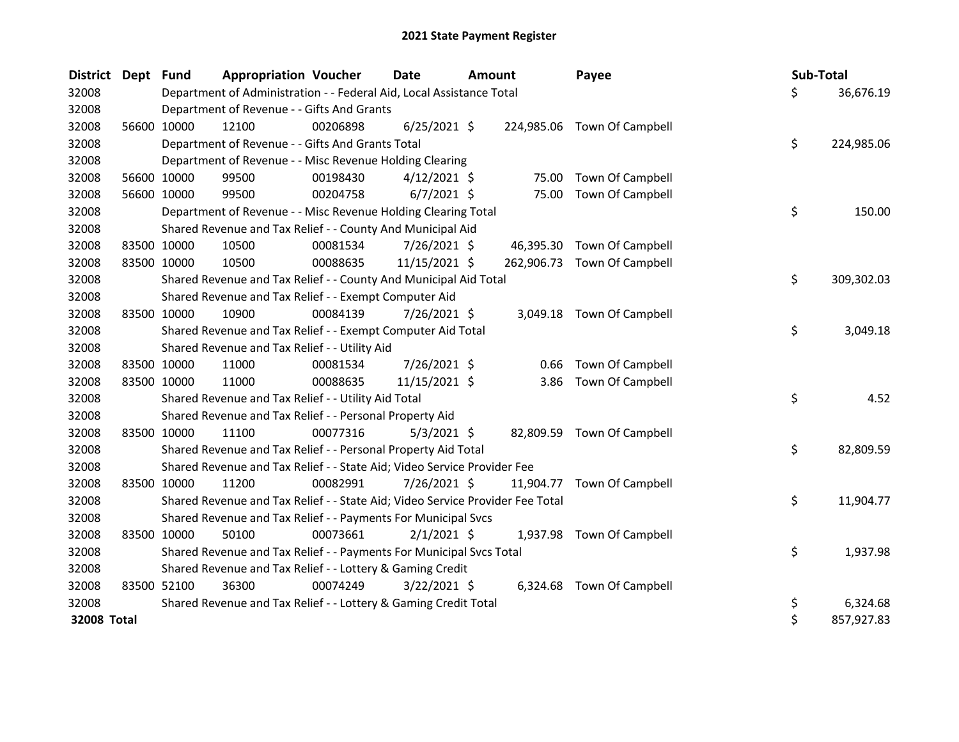| <b>District</b> | Dept Fund   |             | <b>Appropriation Voucher</b>                                                  |          | <b>Date</b>    | <b>Amount</b> |            | Payee                       | Sub-Total |            |
|-----------------|-------------|-------------|-------------------------------------------------------------------------------|----------|----------------|---------------|------------|-----------------------------|-----------|------------|
| 32008           |             |             | Department of Administration - - Federal Aid, Local Assistance Total          |          |                |               |            |                             | \$        | 36,676.19  |
| 32008           |             |             | Department of Revenue - - Gifts And Grants                                    |          |                |               |            |                             |           |            |
| 32008           |             | 56600 10000 | 12100                                                                         | 00206898 | $6/25/2021$ \$ |               |            | 224,985.06 Town Of Campbell |           |            |
| 32008           |             |             | Department of Revenue - - Gifts And Grants Total                              |          |                |               |            |                             | \$        | 224,985.06 |
| 32008           |             |             | Department of Revenue - - Misc Revenue Holding Clearing                       |          |                |               |            |                             |           |            |
| 32008           |             | 56600 10000 | 99500                                                                         | 00198430 | $4/12/2021$ \$ |               | 75.00      | <b>Town Of Campbell</b>     |           |            |
| 32008           |             | 56600 10000 | 99500                                                                         | 00204758 | $6/7/2021$ \$  |               | 75.00      | <b>Town Of Campbell</b>     |           |            |
| 32008           |             |             | Department of Revenue - - Misc Revenue Holding Clearing Total                 |          |                |               |            |                             | \$        | 150.00     |
| 32008           |             |             | Shared Revenue and Tax Relief - - County And Municipal Aid                    |          |                |               |            |                             |           |            |
| 32008           |             | 83500 10000 | 10500                                                                         | 00081534 | 7/26/2021 \$   |               |            | 46,395.30 Town Of Campbell  |           |            |
| 32008           |             | 83500 10000 | 10500                                                                         | 00088635 | 11/15/2021 \$  |               | 262,906.73 | <b>Town Of Campbell</b>     |           |            |
| 32008           |             |             | Shared Revenue and Tax Relief - - County And Municipal Aid Total              |          |                |               |            |                             | \$        | 309,302.03 |
| 32008           |             |             | Shared Revenue and Tax Relief - - Exempt Computer Aid                         |          |                |               |            |                             |           |            |
| 32008           | 83500 10000 |             | 10900                                                                         | 00084139 | 7/26/2021 \$   |               |            | 3,049.18 Town Of Campbell   |           |            |
| 32008           |             |             | Shared Revenue and Tax Relief - - Exempt Computer Aid Total                   |          |                |               |            |                             | \$        | 3,049.18   |
| 32008           |             |             | Shared Revenue and Tax Relief - - Utility Aid                                 |          |                |               |            |                             |           |            |
| 32008           |             | 83500 10000 | 11000                                                                         | 00081534 | 7/26/2021 \$   |               | 0.66       | Town Of Campbell            |           |            |
| 32008           | 83500 10000 |             | 11000                                                                         | 00088635 | 11/15/2021 \$  |               | 3.86       | Town Of Campbell            |           |            |
| 32008           |             |             | Shared Revenue and Tax Relief - - Utility Aid Total                           |          |                |               |            |                             | \$        | 4.52       |
| 32008           |             |             | Shared Revenue and Tax Relief - - Personal Property Aid                       |          |                |               |            |                             |           |            |
| 32008           |             | 83500 10000 | 11100                                                                         | 00077316 | $5/3/2021$ \$  |               |            | 82,809.59 Town Of Campbell  |           |            |
| 32008           |             |             | Shared Revenue and Tax Relief - - Personal Property Aid Total                 |          |                |               |            |                             | \$        | 82,809.59  |
| 32008           |             |             | Shared Revenue and Tax Relief - - State Aid; Video Service Provider Fee       |          |                |               |            |                             |           |            |
| 32008           |             | 83500 10000 | 11200                                                                         | 00082991 | $7/26/2021$ \$ |               | 11,904.77  | Town Of Campbell            |           |            |
| 32008           |             |             | Shared Revenue and Tax Relief - - State Aid; Video Service Provider Fee Total |          |                |               |            |                             | \$        | 11,904.77  |
| 32008           |             |             | Shared Revenue and Tax Relief - - Payments For Municipal Svcs                 |          |                |               |            |                             |           |            |
| 32008           |             | 83500 10000 | 50100                                                                         | 00073661 | $2/1/2021$ \$  |               |            | 1,937.98 Town Of Campbell   |           |            |
| 32008           |             |             | Shared Revenue and Tax Relief - - Payments For Municipal Svcs Total           |          |                |               |            |                             | \$        | 1,937.98   |
| 32008           |             |             | Shared Revenue and Tax Relief - - Lottery & Gaming Credit                     |          |                |               |            |                             |           |            |
| 32008           |             | 83500 52100 | 36300                                                                         | 00074249 | $3/22/2021$ \$ |               | 6,324.68   | <b>Town Of Campbell</b>     |           |            |
| 32008           |             |             | Shared Revenue and Tax Relief - - Lottery & Gaming Credit Total               |          |                |               |            |                             | \$        | 6,324.68   |
| 32008 Total     |             |             |                                                                               |          |                |               |            |                             | \$        | 857,927.83 |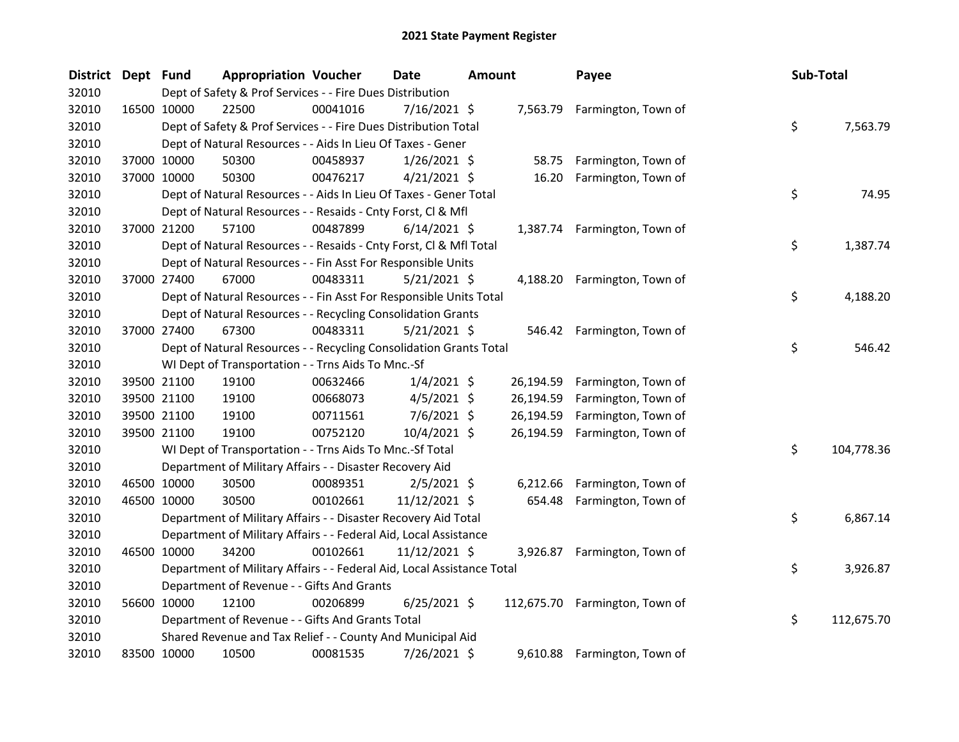| <b>District</b> | Dept Fund   |                                                                        | <b>Appropriation Voucher</b> | <b>Date</b>    | Amount   | Payee                          | Sub-Total        |          |
|-----------------|-------------|------------------------------------------------------------------------|------------------------------|----------------|----------|--------------------------------|------------------|----------|
| 32010           |             | Dept of Safety & Prof Services - - Fire Dues Distribution              |                              |                |          |                                |                  |          |
| 32010           |             | 16500 10000<br>22500                                                   | 00041016                     | 7/16/2021 \$   |          | 7,563.79 Farmington, Town of   |                  |          |
| 32010           |             | Dept of Safety & Prof Services - - Fire Dues Distribution Total        |                              |                |          |                                | \$               | 7,563.79 |
| 32010           |             | Dept of Natural Resources - - Aids In Lieu Of Taxes - Gener            |                              |                |          |                                |                  |          |
| 32010           |             | 37000 10000<br>50300                                                   | 00458937                     | $1/26/2021$ \$ |          | 58.75 Farmington, Town of      |                  |          |
| 32010           |             | 37000 10000<br>50300                                                   | 00476217                     | $4/21/2021$ \$ | 16.20    | Farmington, Town of            |                  |          |
| 32010           |             | Dept of Natural Resources - - Aids In Lieu Of Taxes - Gener Total      |                              |                |          |                                | \$               | 74.95    |
| 32010           |             | Dept of Natural Resources - - Resaids - Cnty Forst, Cl & Mfl           |                              |                |          |                                |                  |          |
| 32010           |             | 37000 21200<br>57100                                                   | 00487899                     | $6/14/2021$ \$ |          | 1,387.74 Farmington, Town of   |                  |          |
| 32010           |             | Dept of Natural Resources - - Resaids - Cnty Forst, Cl & Mfl Total     |                              |                |          |                                | \$               | 1,387.74 |
| 32010           |             | Dept of Natural Resources - - Fin Asst For Responsible Units           |                              |                |          |                                |                  |          |
| 32010           |             | 37000 27400<br>67000                                                   | 00483311                     | 5/21/2021 \$   |          | 4,188.20 Farmington, Town of   |                  |          |
| 32010           |             | Dept of Natural Resources - - Fin Asst For Responsible Units Total     |                              |                |          |                                | \$               | 4,188.20 |
| 32010           |             | Dept of Natural Resources - - Recycling Consolidation Grants           |                              |                |          |                                |                  |          |
| 32010           |             | 37000 27400<br>67300                                                   | 00483311                     | $5/21/2021$ \$ |          | 546.42 Farmington, Town of     |                  |          |
| 32010           |             | Dept of Natural Resources - - Recycling Consolidation Grants Total     |                              |                |          |                                | \$               | 546.42   |
| 32010           |             | WI Dept of Transportation - - Trns Aids To Mnc.-Sf                     |                              |                |          |                                |                  |          |
| 32010           |             | 39500 21100<br>19100                                                   | 00632466                     | $1/4/2021$ \$  |          | 26,194.59 Farmington, Town of  |                  |          |
| 32010           |             | 39500 21100<br>19100                                                   | 00668073                     | $4/5/2021$ \$  |          | 26,194.59 Farmington, Town of  |                  |          |
| 32010           |             | 39500 21100<br>19100                                                   | 00711561                     | $7/6/2021$ \$  |          | 26,194.59 Farmington, Town of  |                  |          |
| 32010           |             | 39500 21100<br>19100                                                   | 00752120                     | 10/4/2021 \$   |          | 26,194.59 Farmington, Town of  |                  |          |
| 32010           |             | WI Dept of Transportation - - Trns Aids To Mnc.-Sf Total               |                              |                |          |                                | \$<br>104,778.36 |          |
| 32010           |             | Department of Military Affairs - - Disaster Recovery Aid               |                              |                |          |                                |                  |          |
| 32010           |             | 46500 10000<br>30500                                                   | 00089351                     | $2/5/2021$ \$  | 6,212.66 | Farmington, Town of            |                  |          |
| 32010           |             | 46500 10000<br>30500                                                   | 00102661                     | 11/12/2021 \$  | 654.48   | Farmington, Town of            |                  |          |
| 32010           |             | Department of Military Affairs - - Disaster Recovery Aid Total         |                              |                |          |                                | \$.              | 6,867.14 |
| 32010           |             | Department of Military Affairs - - Federal Aid, Local Assistance       |                              |                |          |                                |                  |          |
| 32010           | 46500 10000 | 34200                                                                  | 00102661                     | 11/12/2021 \$  |          | 3,926.87 Farmington, Town of   |                  |          |
| 32010           |             | Department of Military Affairs - - Federal Aid, Local Assistance Total |                              |                |          |                                | \$               | 3,926.87 |
| 32010           |             | Department of Revenue - - Gifts And Grants                             |                              |                |          |                                |                  |          |
| 32010           |             | 56600 10000<br>12100                                                   | 00206899                     | $6/25/2021$ \$ |          | 112,675.70 Farmington, Town of |                  |          |
| 32010           |             | Department of Revenue - - Gifts And Grants Total                       |                              |                |          |                                | \$<br>112,675.70 |          |
| 32010           |             | Shared Revenue and Tax Relief - - County And Municipal Aid             |                              |                |          |                                |                  |          |
| 32010           |             | 83500 10000<br>10500                                                   | 00081535                     | 7/26/2021 \$   |          | 9,610.88 Farmington, Town of   |                  |          |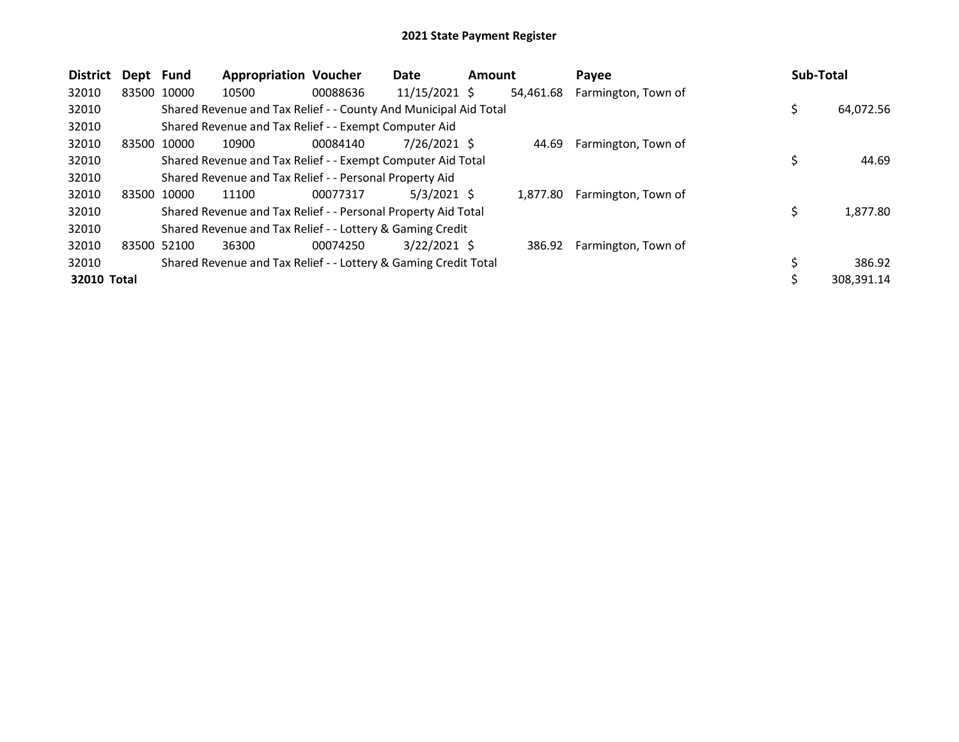| <b>District</b> | Dept Fund |             | <b>Appropriation Voucher</b>                                     |          | Date           | <b>Amount</b> |           | Payee               | Sub-Total |            |
|-----------------|-----------|-------------|------------------------------------------------------------------|----------|----------------|---------------|-----------|---------------------|-----------|------------|
| 32010           |           | 83500 10000 | 10500                                                            | 00088636 | 11/15/2021 \$  |               | 54,461.68 | Farmington, Town of |           |            |
| 32010           |           |             | Shared Revenue and Tax Relief - - County And Municipal Aid Total |          |                |               |           |                     | \$        | 64,072.56  |
| 32010           |           |             | Shared Revenue and Tax Relief - - Exempt Computer Aid            |          |                |               |           |                     |           |            |
| 32010           |           | 83500 10000 | 10900                                                            | 00084140 | $7/26/2021$ \$ |               | 44.69     | Farmington, Town of |           |            |
| 32010           |           |             | Shared Revenue and Tax Relief - - Exempt Computer Aid Total      |          |                |               |           |                     | \$        | 44.69      |
| 32010           |           |             | Shared Revenue and Tax Relief - - Personal Property Aid          |          |                |               |           |                     |           |            |
| 32010           |           | 83500 10000 | 11100                                                            | 00077317 | $5/3/2021$ \$  |               | 1.877.80  | Farmington, Town of |           |            |
| 32010           |           |             | Shared Revenue and Tax Relief - - Personal Property Aid Total    |          |                |               |           |                     | \$        | 1,877.80   |
| 32010           |           |             | Shared Revenue and Tax Relief - - Lottery & Gaming Credit        |          |                |               |           |                     |           |            |
| 32010           |           | 83500 52100 | 36300                                                            | 00074250 | $3/22/2021$ \$ |               | 386.92    | Farmington, Town of |           |            |
| 32010           |           |             | Shared Revenue and Tax Relief - - Lottery & Gaming Credit Total  |          |                |               |           |                     |           | 386.92     |
| 32010 Total     |           |             |                                                                  |          |                |               |           |                     |           | 308.391.14 |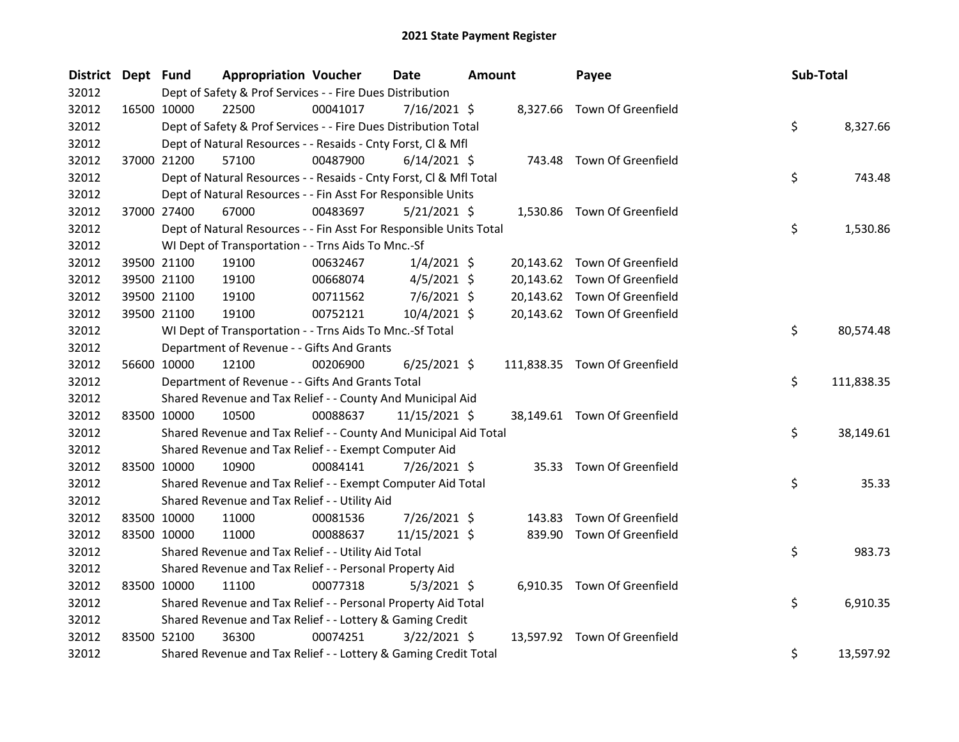| District Dept Fund |             | <b>Appropriation Voucher</b>                                       |          | <b>Date</b>     | <b>Amount</b> |        | Payee                         | Sub-Total |            |
|--------------------|-------------|--------------------------------------------------------------------|----------|-----------------|---------------|--------|-------------------------------|-----------|------------|
| 32012              |             | Dept of Safety & Prof Services - - Fire Dues Distribution          |          |                 |               |        |                               |           |            |
| 32012              | 16500 10000 | 22500                                                              | 00041017 | $7/16/2021$ \$  |               |        | 8,327.66 Town Of Greenfield   |           |            |
| 32012              |             | Dept of Safety & Prof Services - - Fire Dues Distribution Total    |          |                 |               |        |                               | \$        | 8,327.66   |
| 32012              |             | Dept of Natural Resources - - Resaids - Cnty Forst, Cl & Mfl       |          |                 |               |        |                               |           |            |
| 32012              | 37000 21200 | 57100                                                              | 00487900 | $6/14/2021$ \$  |               |        | 743.48 Town Of Greenfield     |           |            |
| 32012              |             | Dept of Natural Resources - - Resaids - Cnty Forst, Cl & Mfl Total |          |                 |               |        |                               | \$        | 743.48     |
| 32012              |             | Dept of Natural Resources - - Fin Asst For Responsible Units       |          |                 |               |        |                               |           |            |
| 32012              | 37000 27400 | 67000                                                              | 00483697 | $5/21/2021$ \$  |               |        | 1,530.86 Town Of Greenfield   |           |            |
| 32012              |             | Dept of Natural Resources - - Fin Asst For Responsible Units Total |          |                 |               |        |                               | \$        | 1,530.86   |
| 32012              |             | WI Dept of Transportation - - Trns Aids To Mnc.-Sf                 |          |                 |               |        |                               |           |            |
| 32012              | 39500 21100 | 19100                                                              | 00632467 | $1/4/2021$ \$   |               |        | 20,143.62 Town Of Greenfield  |           |            |
| 32012              | 39500 21100 | 19100                                                              | 00668074 | $4/5/2021$ \$   |               |        | 20,143.62 Town Of Greenfield  |           |            |
| 32012              | 39500 21100 | 19100                                                              | 00711562 | $7/6/2021$ \$   |               |        | 20,143.62 Town Of Greenfield  |           |            |
| 32012              | 39500 21100 | 19100                                                              | 00752121 | 10/4/2021 \$    |               |        | 20,143.62 Town Of Greenfield  |           |            |
| 32012              |             | WI Dept of Transportation - - Trns Aids To Mnc.-Sf Total           |          |                 |               |        |                               | \$        | 80,574.48  |
| 32012              |             | Department of Revenue - - Gifts And Grants                         |          |                 |               |        |                               |           |            |
| 32012              | 56600 10000 | 12100                                                              | 00206900 | $6/25/2021$ \$  |               |        | 111,838.35 Town Of Greenfield |           |            |
| 32012              |             | Department of Revenue - - Gifts And Grants Total                   |          |                 |               |        |                               | \$        | 111,838.35 |
| 32012              |             | Shared Revenue and Tax Relief - - County And Municipal Aid         |          |                 |               |        |                               |           |            |
| 32012              | 83500 10000 | 10500                                                              | 00088637 | $11/15/2021$ \$ |               |        | 38,149.61 Town Of Greenfield  |           |            |
| 32012              |             | Shared Revenue and Tax Relief - - County And Municipal Aid Total   |          |                 |               |        |                               | \$        | 38,149.61  |
| 32012              |             | Shared Revenue and Tax Relief - - Exempt Computer Aid              |          |                 |               |        |                               |           |            |
| 32012              | 83500 10000 | 10900                                                              | 00084141 | 7/26/2021 \$    |               |        | 35.33 Town Of Greenfield      |           |            |
| 32012              |             | Shared Revenue and Tax Relief - - Exempt Computer Aid Total        |          |                 |               |        |                               | \$        | 35.33      |
| 32012              |             | Shared Revenue and Tax Relief - - Utility Aid                      |          |                 |               |        |                               |           |            |
| 32012              | 83500 10000 | 11000                                                              | 00081536 | 7/26/2021 \$    |               | 143.83 | Town Of Greenfield            |           |            |
| 32012              | 83500 10000 | 11000                                                              | 00088637 | 11/15/2021 \$   |               |        | 839.90 Town Of Greenfield     |           |            |
| 32012              |             | Shared Revenue and Tax Relief - - Utility Aid Total                |          |                 |               |        |                               | \$        | 983.73     |
| 32012              |             | Shared Revenue and Tax Relief - - Personal Property Aid            |          |                 |               |        |                               |           |            |
| 32012              | 83500 10000 | 11100                                                              | 00077318 | $5/3/2021$ \$   |               |        | 6,910.35 Town Of Greenfield   |           |            |
| 32012              |             | Shared Revenue and Tax Relief - - Personal Property Aid Total      |          |                 |               |        |                               | \$        | 6,910.35   |
| 32012              |             | Shared Revenue and Tax Relief - - Lottery & Gaming Credit          |          |                 |               |        |                               |           |            |
| 32012              | 83500 52100 | 36300                                                              | 00074251 | $3/22/2021$ \$  |               |        | 13,597.92 Town Of Greenfield  |           |            |
| 32012              |             | Shared Revenue and Tax Relief - - Lottery & Gaming Credit Total    |          |                 |               |        |                               | \$        | 13,597.92  |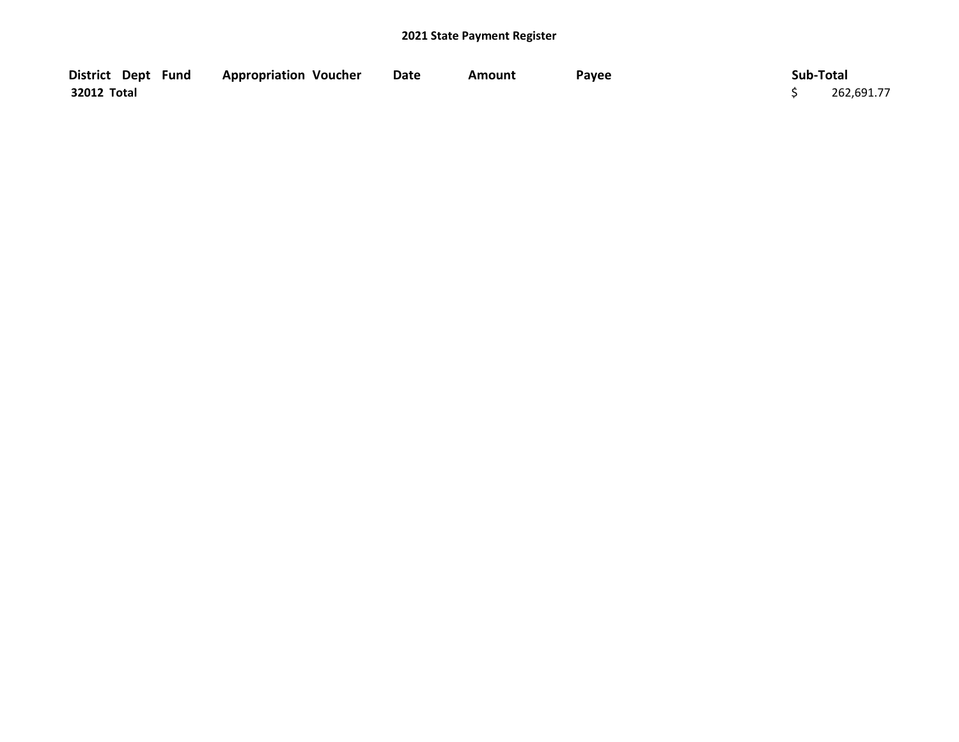| District Dept Fund | <b>Appropriation Voucher</b> | Date | Amount | Payee | Sub-Total  |
|--------------------|------------------------------|------|--------|-------|------------|
| 32012 Total        |                              |      |        |       | 262,691.77 |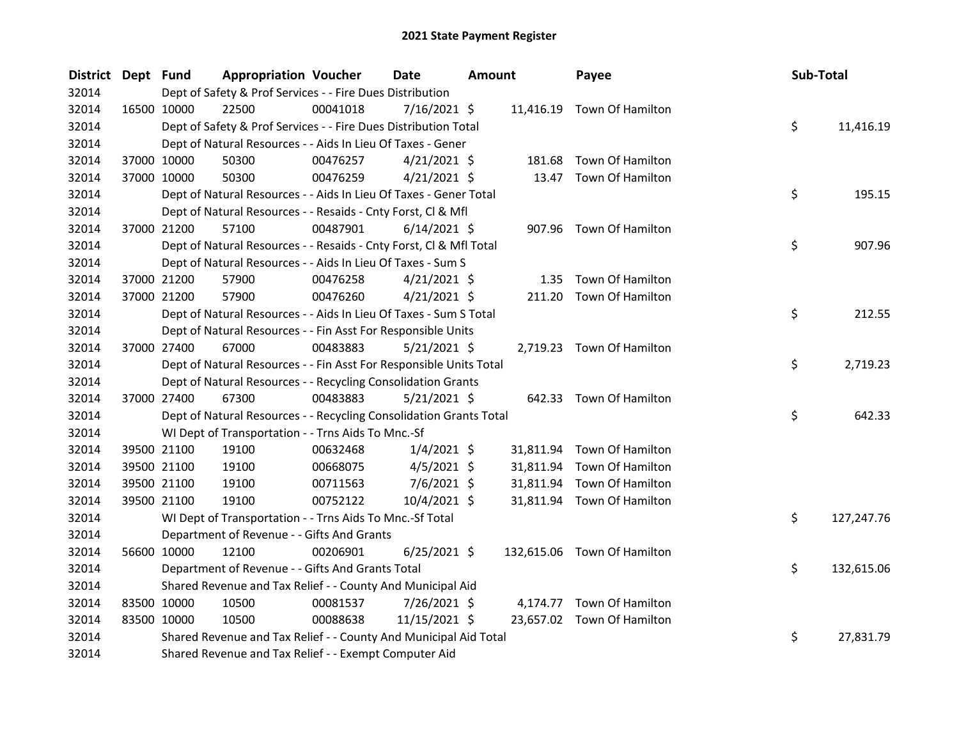| <b>District</b> | Dept Fund |             | <b>Appropriation Voucher</b>                                       |          | <b>Date</b>    | <b>Amount</b> |           | Payee                       | Sub-Total |            |
|-----------------|-----------|-------------|--------------------------------------------------------------------|----------|----------------|---------------|-----------|-----------------------------|-----------|------------|
| 32014           |           |             | Dept of Safety & Prof Services - - Fire Dues Distribution          |          |                |               |           |                             |           |            |
| 32014           |           | 16500 10000 | 22500                                                              | 00041018 | $7/16/2021$ \$ |               |           | 11,416.19 Town Of Hamilton  |           |            |
| 32014           |           |             | Dept of Safety & Prof Services - - Fire Dues Distribution Total    |          |                |               |           |                             | \$        | 11,416.19  |
| 32014           |           |             | Dept of Natural Resources - - Aids In Lieu Of Taxes - Gener        |          |                |               |           |                             |           |            |
| 32014           |           | 37000 10000 | 50300                                                              | 00476257 | $4/21/2021$ \$ |               | 181.68    | Town Of Hamilton            |           |            |
| 32014           |           | 37000 10000 | 50300                                                              | 00476259 | $4/21/2021$ \$ |               | 13.47     | Town Of Hamilton            |           |            |
| 32014           |           |             | Dept of Natural Resources - - Aids In Lieu Of Taxes - Gener Total  |          |                |               |           |                             | \$        | 195.15     |
| 32014           |           |             | Dept of Natural Resources - - Resaids - Cnty Forst, Cl & Mfl       |          |                |               |           |                             |           |            |
| 32014           |           | 37000 21200 | 57100                                                              | 00487901 | $6/14/2021$ \$ |               |           | 907.96 Town Of Hamilton     |           |            |
| 32014           |           |             | Dept of Natural Resources - - Resaids - Cnty Forst, Cl & Mfl Total |          |                |               |           |                             | \$        | 907.96     |
| 32014           |           |             | Dept of Natural Resources - - Aids In Lieu Of Taxes - Sum S        |          |                |               |           |                             |           |            |
| 32014           |           | 37000 21200 | 57900                                                              | 00476258 | $4/21/2021$ \$ |               | 1.35      | Town Of Hamilton            |           |            |
| 32014           |           | 37000 21200 | 57900                                                              | 00476260 | $4/21/2021$ \$ |               |           | 211.20 Town Of Hamilton     |           |            |
| 32014           |           |             | Dept of Natural Resources - - Aids In Lieu Of Taxes - Sum S Total  |          |                |               |           |                             | \$        | 212.55     |
| 32014           |           |             | Dept of Natural Resources - - Fin Asst For Responsible Units       |          |                |               |           |                             |           |            |
| 32014           |           | 37000 27400 | 67000                                                              | 00483883 | $5/21/2021$ \$ |               |           | 2,719.23 Town Of Hamilton   |           |            |
| 32014           |           |             | Dept of Natural Resources - - Fin Asst For Responsible Units Total |          |                |               |           |                             | \$        | 2,719.23   |
| 32014           |           |             | Dept of Natural Resources - - Recycling Consolidation Grants       |          |                |               |           |                             |           |            |
| 32014           |           | 37000 27400 | 67300                                                              | 00483883 | $5/21/2021$ \$ |               |           | 642.33 Town Of Hamilton     |           |            |
| 32014           |           |             | Dept of Natural Resources - - Recycling Consolidation Grants Total |          |                |               |           |                             | \$        | 642.33     |
| 32014           |           |             | WI Dept of Transportation - - Trns Aids To Mnc.-Sf                 |          |                |               |           |                             |           |            |
| 32014           |           | 39500 21100 | 19100                                                              | 00632468 | $1/4/2021$ \$  |               | 31,811.94 | Town Of Hamilton            |           |            |
| 32014           |           | 39500 21100 | 19100                                                              | 00668075 | $4/5/2021$ \$  |               | 31,811.94 | Town Of Hamilton            |           |            |
| 32014           |           | 39500 21100 | 19100                                                              | 00711563 | 7/6/2021 \$    |               | 31,811.94 | Town Of Hamilton            |           |            |
| 32014           |           | 39500 21100 | 19100                                                              | 00752122 | 10/4/2021 \$   |               |           | 31,811.94 Town Of Hamilton  |           |            |
| 32014           |           |             | WI Dept of Transportation - - Trns Aids To Mnc.-Sf Total           |          |                |               |           |                             | \$        | 127,247.76 |
| 32014           |           |             | Department of Revenue - - Gifts And Grants                         |          |                |               |           |                             |           |            |
| 32014           |           | 56600 10000 | 12100                                                              | 00206901 | $6/25/2021$ \$ |               |           | 132,615.06 Town Of Hamilton |           |            |
| 32014           |           |             | Department of Revenue - - Gifts And Grants Total                   |          |                |               |           |                             | \$        | 132,615.06 |
| 32014           |           |             | Shared Revenue and Tax Relief - - County And Municipal Aid         |          |                |               |           |                             |           |            |
| 32014           |           | 83500 10000 | 10500                                                              | 00081537 | 7/26/2021 \$   |               |           | 4,174.77 Town Of Hamilton   |           |            |
| 32014           |           | 83500 10000 | 10500                                                              | 00088638 | 11/15/2021 \$  |               |           | 23,657.02 Town Of Hamilton  |           |            |
| 32014           |           |             | Shared Revenue and Tax Relief - - County And Municipal Aid Total   |          |                |               |           |                             | \$        | 27,831.79  |
| 32014           |           |             | Shared Revenue and Tax Relief - - Exempt Computer Aid              |          |                |               |           |                             |           |            |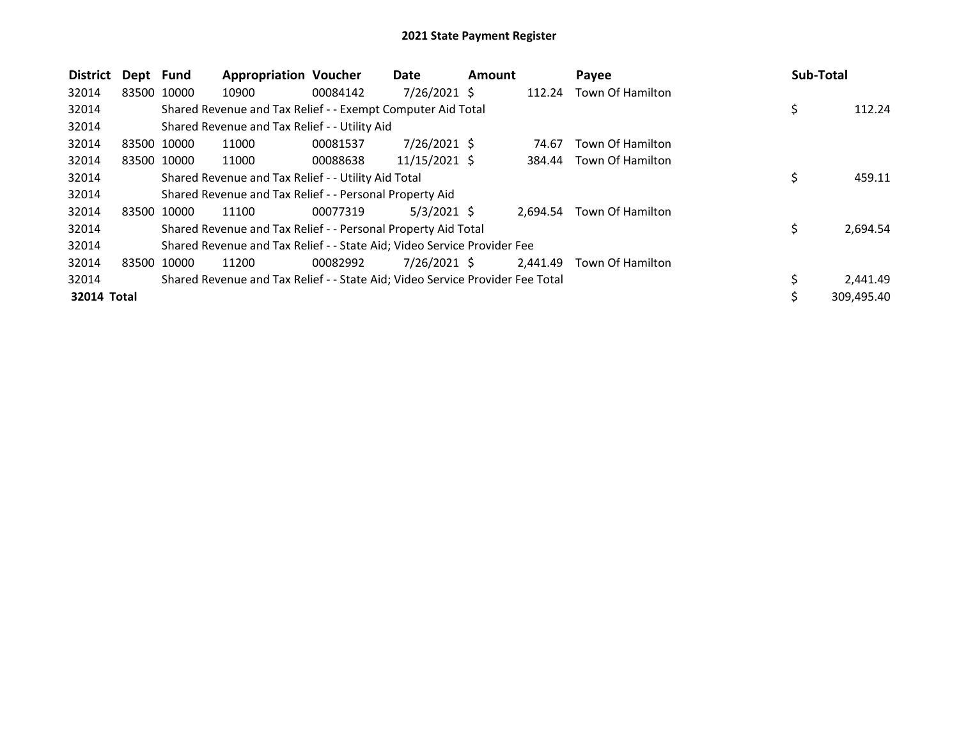| <b>District</b> | Dept Fund   |             | <b>Appropriation Voucher</b>                                                  |          | Date           | <b>Amount</b> |          | Payee            | Sub-Total |            |
|-----------------|-------------|-------------|-------------------------------------------------------------------------------|----------|----------------|---------------|----------|------------------|-----------|------------|
| 32014           |             | 83500 10000 | 10900                                                                         | 00084142 | 7/26/2021 \$   |               | 112.24   | Town Of Hamilton |           |            |
| 32014           |             |             | Shared Revenue and Tax Relief - - Exempt Computer Aid Total                   |          |                |               |          |                  | \$        | 112.24     |
| 32014           |             |             | Shared Revenue and Tax Relief - - Utility Aid                                 |          |                |               |          |                  |           |            |
| 32014           |             | 83500 10000 | 11000                                                                         | 00081537 | $7/26/2021$ \$ |               | 74.67    | Town Of Hamilton |           |            |
| 32014           |             | 83500 10000 | 11000                                                                         | 00088638 | 11/15/2021 \$  |               | 384.44   | Town Of Hamilton |           |            |
| 32014           |             |             | Shared Revenue and Tax Relief - - Utility Aid Total                           |          |                |               |          |                  | \$        | 459.11     |
| 32014           |             |             | Shared Revenue and Tax Relief - - Personal Property Aid                       |          |                |               |          |                  |           |            |
| 32014           |             | 83500 10000 | 11100                                                                         | 00077319 | $5/3/2021$ \$  |               | 2,694.54 | Town Of Hamilton |           |            |
| 32014           |             |             | Shared Revenue and Tax Relief - - Personal Property Aid Total                 |          |                |               |          |                  | \$        | 2,694.54   |
| 32014           |             |             | Shared Revenue and Tax Relief - - State Aid; Video Service Provider Fee       |          |                |               |          |                  |           |            |
| 32014           | 83500 10000 |             | 11200                                                                         | 00082992 | $7/26/2021$ \$ |               | 2,441.49 | Town Of Hamilton |           |            |
| 32014           |             |             | Shared Revenue and Tax Relief - - State Aid; Video Service Provider Fee Total |          |                |               |          |                  |           | 2,441.49   |
| 32014 Total     |             |             |                                                                               |          |                |               |          |                  | \$        | 309,495.40 |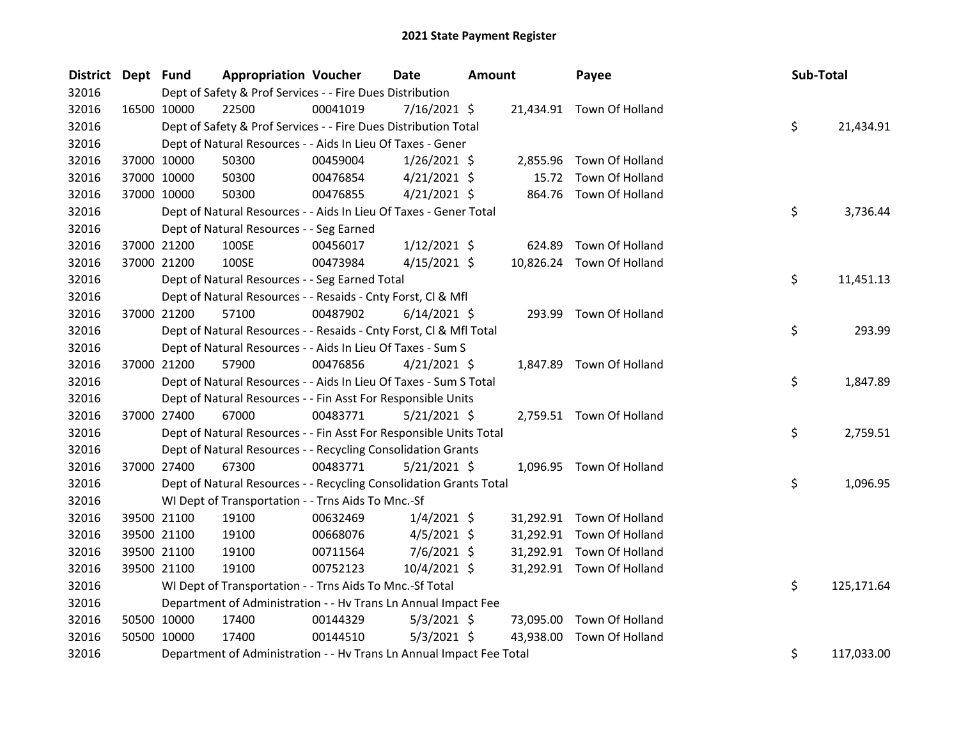| District Dept Fund |             | <b>Appropriation Voucher</b>                                         |          | Date           | <b>Amount</b> |           | Payee                     | Sub-Total |            |
|--------------------|-------------|----------------------------------------------------------------------|----------|----------------|---------------|-----------|---------------------------|-----------|------------|
| 32016              |             | Dept of Safety & Prof Services - - Fire Dues Distribution            |          |                |               |           |                           |           |            |
| 32016              | 16500 10000 | 22500                                                                | 00041019 | $7/16/2021$ \$ |               |           | 21,434.91 Town Of Holland |           |            |
| 32016              |             | Dept of Safety & Prof Services - - Fire Dues Distribution Total      |          |                |               |           |                           | \$        | 21,434.91  |
| 32016              |             | Dept of Natural Resources - - Aids In Lieu Of Taxes - Gener          |          |                |               |           |                           |           |            |
| 32016              | 37000 10000 | 50300                                                                | 00459004 | $1/26/2021$ \$ |               | 2,855.96  | Town Of Holland           |           |            |
| 32016              | 37000 10000 | 50300                                                                | 00476854 | $4/21/2021$ \$ |               | 15.72     | Town Of Holland           |           |            |
| 32016              | 37000 10000 | 50300                                                                | 00476855 | $4/21/2021$ \$ |               |           | 864.76 Town Of Holland    |           |            |
| 32016              |             | Dept of Natural Resources - - Aids In Lieu Of Taxes - Gener Total    |          |                |               |           |                           | \$        | 3,736.44   |
| 32016              |             | Dept of Natural Resources - - Seg Earned                             |          |                |               |           |                           |           |            |
| 32016              | 37000 21200 | 100SE                                                                | 00456017 | $1/12/2021$ \$ |               | 624.89    | Town Of Holland           |           |            |
| 32016              | 37000 21200 | 100SE                                                                | 00473984 | $4/15/2021$ \$ |               |           | 10,826.24 Town Of Holland |           |            |
| 32016              |             | Dept of Natural Resources - - Seg Earned Total                       |          |                |               |           |                           | \$        | 11,451.13  |
| 32016              |             | Dept of Natural Resources - - Resaids - Cnty Forst, Cl & Mfl         |          |                |               |           |                           |           |            |
| 32016              | 37000 21200 | 57100                                                                | 00487902 | $6/14/2021$ \$ |               |           | 293.99 Town Of Holland    |           |            |
| 32016              |             | Dept of Natural Resources - - Resaids - Cnty Forst, CI & Mfl Total   |          |                |               |           |                           | \$        | 293.99     |
| 32016              |             | Dept of Natural Resources - - Aids In Lieu Of Taxes - Sum S          |          |                |               |           |                           |           |            |
| 32016              | 37000 21200 | 57900                                                                | 00476856 | $4/21/2021$ \$ |               |           | 1,847.89 Town Of Holland  |           |            |
| 32016              |             | Dept of Natural Resources - - Aids In Lieu Of Taxes - Sum S Total    |          |                |               |           |                           | \$        | 1,847.89   |
| 32016              |             | Dept of Natural Resources - - Fin Asst For Responsible Units         |          |                |               |           |                           |           |            |
| 32016              | 37000 27400 | 67000                                                                | 00483771 | $5/21/2021$ \$ |               |           | 2,759.51 Town Of Holland  |           |            |
| 32016              |             | Dept of Natural Resources - - Fin Asst For Responsible Units Total   |          |                |               |           |                           | \$        | 2,759.51   |
| 32016              |             | Dept of Natural Resources - - Recycling Consolidation Grants         |          |                |               |           |                           |           |            |
| 32016              | 37000 27400 | 67300                                                                | 00483771 | $5/21/2021$ \$ |               |           | 1,096.95 Town Of Holland  |           |            |
| 32016              |             | Dept of Natural Resources - - Recycling Consolidation Grants Total   |          |                |               |           |                           | \$        | 1,096.95   |
| 32016              |             | WI Dept of Transportation - - Trns Aids To Mnc.-Sf                   |          |                |               |           |                           |           |            |
| 32016              | 39500 21100 | 19100                                                                | 00632469 | $1/4/2021$ \$  |               |           | 31,292.91 Town Of Holland |           |            |
| 32016              | 39500 21100 | 19100                                                                | 00668076 | $4/5/2021$ \$  |               | 31,292.91 | Town Of Holland           |           |            |
| 32016              | 39500 21100 | 19100                                                                | 00711564 | 7/6/2021 \$    |               | 31,292.91 | Town Of Holland           |           |            |
| 32016              | 39500 21100 | 19100                                                                | 00752123 | $10/4/2021$ \$ |               |           | 31,292.91 Town Of Holland |           |            |
| 32016              |             | WI Dept of Transportation - - Trns Aids To Mnc.-Sf Total             |          |                |               |           |                           | \$        | 125,171.64 |
| 32016              |             | Department of Administration - - Hv Trans Ln Annual Impact Fee       |          |                |               |           |                           |           |            |
| 32016              | 50500 10000 | 17400                                                                | 00144329 | $5/3/2021$ \$  |               | 73,095.00 | Town Of Holland           |           |            |
| 32016              | 50500 10000 | 17400                                                                | 00144510 | $5/3/2021$ \$  |               | 43,938.00 | Town Of Holland           |           |            |
| 32016              |             | Department of Administration - - Hv Trans Ln Annual Impact Fee Total |          |                |               |           |                           | \$        | 117,033.00 |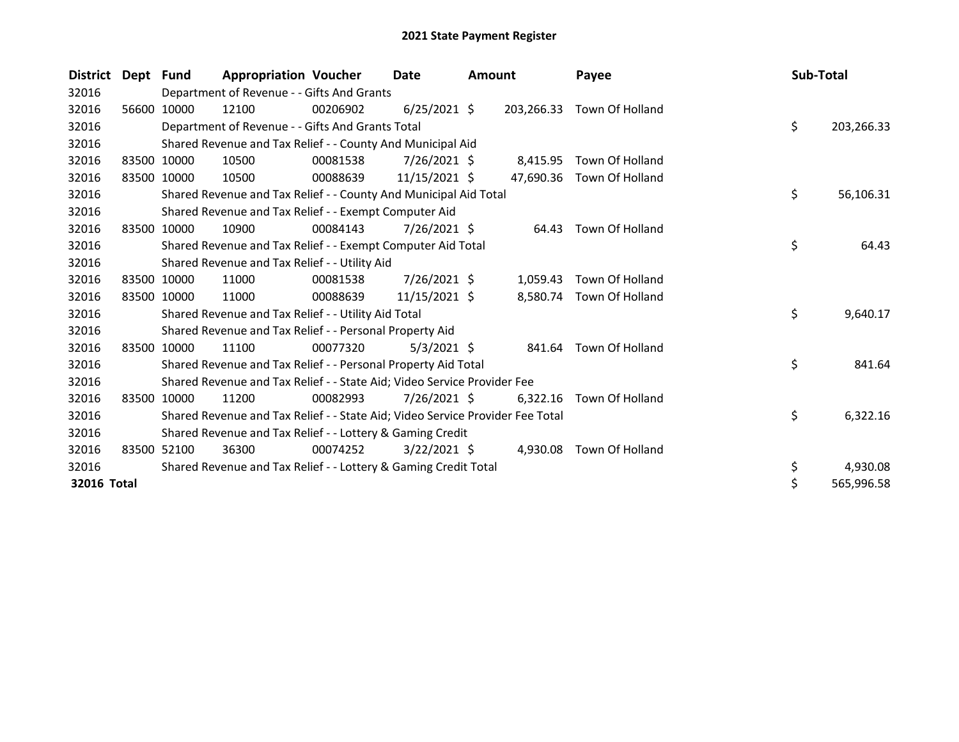| <b>District</b> | Dept Fund |             | <b>Appropriation Voucher</b>                                                  |          | Date           | <b>Amount</b> |           | Payee                      | Sub-Total |            |
|-----------------|-----------|-------------|-------------------------------------------------------------------------------|----------|----------------|---------------|-----------|----------------------------|-----------|------------|
| 32016           |           |             | Department of Revenue - - Gifts And Grants                                    |          |                |               |           |                            |           |            |
| 32016           |           | 56600 10000 | 12100                                                                         | 00206902 | $6/25/2021$ \$ |               |           | 203,266.33 Town Of Holland |           |            |
| 32016           |           |             | Department of Revenue - - Gifts And Grants Total                              |          |                |               |           |                            | \$        | 203,266.33 |
| 32016           |           |             | Shared Revenue and Tax Relief - - County And Municipal Aid                    |          |                |               |           |                            |           |            |
| 32016           |           | 83500 10000 | 10500                                                                         | 00081538 | $7/26/2021$ \$ |               | 8,415.95  | Town Of Holland            |           |            |
| 32016           |           | 83500 10000 | 10500                                                                         | 00088639 | 11/15/2021 \$  |               | 47,690.36 | Town Of Holland            |           |            |
| 32016           |           |             | Shared Revenue and Tax Relief - - County And Municipal Aid Total              |          |                |               |           |                            | \$        | 56,106.31  |
| 32016           |           |             | Shared Revenue and Tax Relief - - Exempt Computer Aid                         |          |                |               |           |                            |           |            |
| 32016           | 83500     | 10000       | 10900                                                                         | 00084143 | $7/26/2021$ \$ |               | 64.43     | Town Of Holland            |           |            |
| 32016           |           |             | Shared Revenue and Tax Relief - - Exempt Computer Aid Total                   |          |                |               |           |                            | \$        | 64.43      |
| 32016           |           |             | Shared Revenue and Tax Relief - - Utility Aid                                 |          |                |               |           |                            |           |            |
| 32016           |           | 83500 10000 | 11000                                                                         | 00081538 | 7/26/2021 \$   |               | 1,059.43  | <b>Town Of Holland</b>     |           |            |
| 32016           |           | 83500 10000 | 11000                                                                         | 00088639 | 11/15/2021 \$  |               | 8,580.74  | Town Of Holland            |           |            |
| 32016           |           |             | Shared Revenue and Tax Relief - - Utility Aid Total                           |          |                |               |           |                            | \$        | 9,640.17   |
| 32016           |           |             | Shared Revenue and Tax Relief - - Personal Property Aid                       |          |                |               |           |                            |           |            |
| 32016           |           | 83500 10000 | 11100                                                                         | 00077320 | $5/3/2021$ \$  |               | 841.64    | Town Of Holland            |           |            |
| 32016           |           |             | Shared Revenue and Tax Relief - - Personal Property Aid Total                 |          |                |               |           |                            | \$        | 841.64     |
| 32016           |           |             | Shared Revenue and Tax Relief - - State Aid; Video Service Provider Fee       |          |                |               |           |                            |           |            |
| 32016           | 83500     | 10000       | 11200                                                                         | 00082993 | $7/26/2021$ \$ |               | 6,322.16  | Town Of Holland            |           |            |
| 32016           |           |             | Shared Revenue and Tax Relief - - State Aid; Video Service Provider Fee Total |          |                |               |           |                            | \$        | 6,322.16   |
| 32016           |           |             | Shared Revenue and Tax Relief - - Lottery & Gaming Credit                     |          |                |               |           |                            |           |            |
| 32016           |           | 83500 52100 | 36300                                                                         | 00074252 | $3/22/2021$ \$ |               | 4,930.08  | Town Of Holland            |           |            |
| 32016           |           |             | Shared Revenue and Tax Relief - - Lottery & Gaming Credit Total               |          |                |               |           |                            | \$        | 4,930.08   |
| 32016 Total     |           |             |                                                                               |          |                |               |           |                            | \$        | 565,996.58 |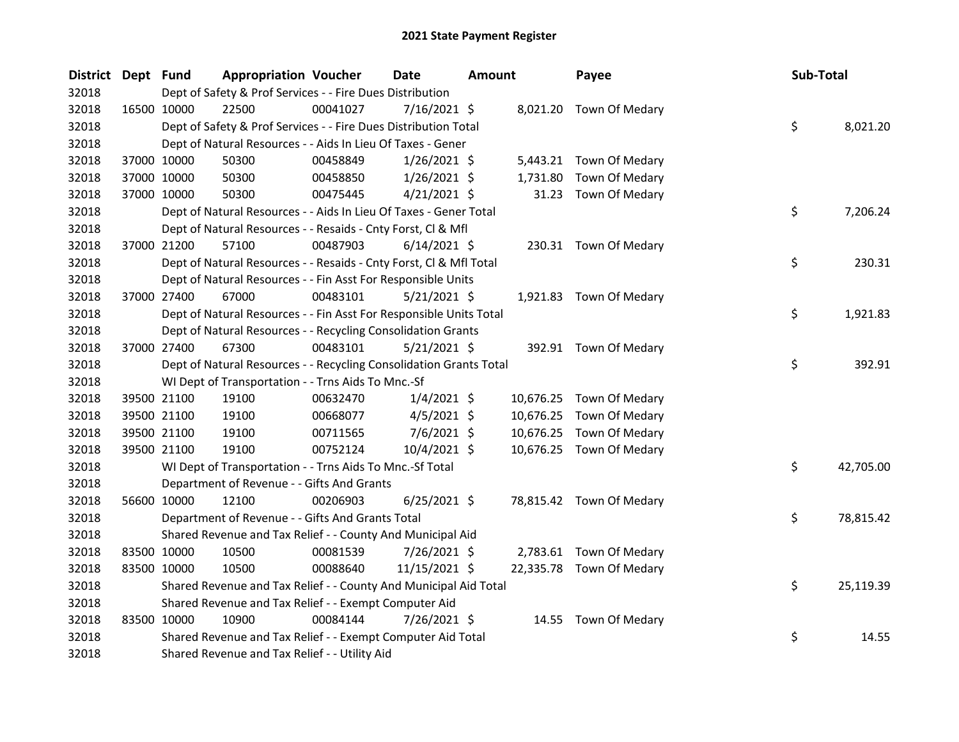| District Dept Fund |             | <b>Appropriation Voucher</b>                                       |          | <b>Date</b>    | <b>Amount</b> |           | Payee                    | Sub-Total |           |
|--------------------|-------------|--------------------------------------------------------------------|----------|----------------|---------------|-----------|--------------------------|-----------|-----------|
| 32018              |             | Dept of Safety & Prof Services - - Fire Dues Distribution          |          |                |               |           |                          |           |           |
| 32018              | 16500 10000 | 22500                                                              | 00041027 | $7/16/2021$ \$ |               |           | 8,021.20 Town Of Medary  |           |           |
| 32018              |             | Dept of Safety & Prof Services - - Fire Dues Distribution Total    |          |                |               |           |                          | \$        | 8,021.20  |
| 32018              |             | Dept of Natural Resources - - Aids In Lieu Of Taxes - Gener        |          |                |               |           |                          |           |           |
| 32018              | 37000 10000 | 50300                                                              | 00458849 | $1/26/2021$ \$ |               |           | 5,443.21 Town Of Medary  |           |           |
| 32018              | 37000 10000 | 50300                                                              | 00458850 | $1/26/2021$ \$ |               | 1,731.80  | Town Of Medary           |           |           |
| 32018              | 37000 10000 | 50300                                                              | 00475445 | $4/21/2021$ \$ |               | 31.23     | Town Of Medary           |           |           |
| 32018              |             | Dept of Natural Resources - - Aids In Lieu Of Taxes - Gener Total  |          |                |               |           |                          | \$        | 7,206.24  |
| 32018              |             | Dept of Natural Resources - - Resaids - Cnty Forst, Cl & Mfl       |          |                |               |           |                          |           |           |
| 32018              | 37000 21200 | 57100                                                              | 00487903 | $6/14/2021$ \$ |               |           | 230.31 Town Of Medary    |           |           |
| 32018              |             | Dept of Natural Resources - - Resaids - Cnty Forst, CI & Mfl Total |          |                |               |           |                          | \$        | 230.31    |
| 32018              |             | Dept of Natural Resources - - Fin Asst For Responsible Units       |          |                |               |           |                          |           |           |
| 32018              | 37000 27400 | 67000                                                              | 00483101 | $5/21/2021$ \$ |               |           | 1,921.83 Town Of Medary  |           |           |
| 32018              |             | Dept of Natural Resources - - Fin Asst For Responsible Units Total |          |                |               |           |                          | \$        | 1,921.83  |
| 32018              |             | Dept of Natural Resources - - Recycling Consolidation Grants       |          |                |               |           |                          |           |           |
| 32018              | 37000 27400 | 67300                                                              | 00483101 | $5/21/2021$ \$ |               |           | 392.91 Town Of Medary    |           |           |
| 32018              |             | Dept of Natural Resources - - Recycling Consolidation Grants Total |          |                |               |           |                          | \$        | 392.91    |
| 32018              |             | WI Dept of Transportation - - Trns Aids To Mnc.-Sf                 |          |                |               |           |                          |           |           |
| 32018              | 39500 21100 | 19100                                                              | 00632470 | $1/4/2021$ \$  |               |           | 10,676.25 Town Of Medary |           |           |
| 32018              | 39500 21100 | 19100                                                              | 00668077 | $4/5/2021$ \$  |               | 10,676.25 | Town Of Medary           |           |           |
| 32018              | 39500 21100 | 19100                                                              | 00711565 | $7/6/2021$ \$  |               | 10,676.25 | Town Of Medary           |           |           |
| 32018              | 39500 21100 | 19100                                                              | 00752124 | 10/4/2021 \$   |               |           | 10,676.25 Town Of Medary |           |           |
| 32018              |             | WI Dept of Transportation - - Trns Aids To Mnc.-Sf Total           |          |                |               |           |                          | \$        | 42,705.00 |
| 32018              |             | Department of Revenue - - Gifts And Grants                         |          |                |               |           |                          |           |           |
| 32018              | 56600 10000 | 12100                                                              | 00206903 | $6/25/2021$ \$ |               |           | 78,815.42 Town Of Medary |           |           |
| 32018              |             | Department of Revenue - - Gifts And Grants Total                   |          |                |               |           |                          | \$        | 78,815.42 |
| 32018              |             | Shared Revenue and Tax Relief - - County And Municipal Aid         |          |                |               |           |                          |           |           |
| 32018              | 83500 10000 | 10500                                                              | 00081539 | 7/26/2021 \$   |               |           | 2,783.61 Town Of Medary  |           |           |
| 32018              | 83500 10000 | 10500                                                              | 00088640 | 11/15/2021 \$  |               |           | 22,335.78 Town Of Medary |           |           |
| 32018              |             | Shared Revenue and Tax Relief - - County And Municipal Aid Total   |          |                |               |           |                          | \$        | 25,119.39 |
| 32018              |             | Shared Revenue and Tax Relief - - Exempt Computer Aid              |          |                |               |           |                          |           |           |
| 32018              | 83500 10000 | 10900                                                              | 00084144 | 7/26/2021 \$   |               | 14.55     | Town Of Medary           |           |           |
| 32018              |             | Shared Revenue and Tax Relief - - Exempt Computer Aid Total        |          |                |               |           |                          | \$        | 14.55     |
| 32018              |             | Shared Revenue and Tax Relief - - Utility Aid                      |          |                |               |           |                          |           |           |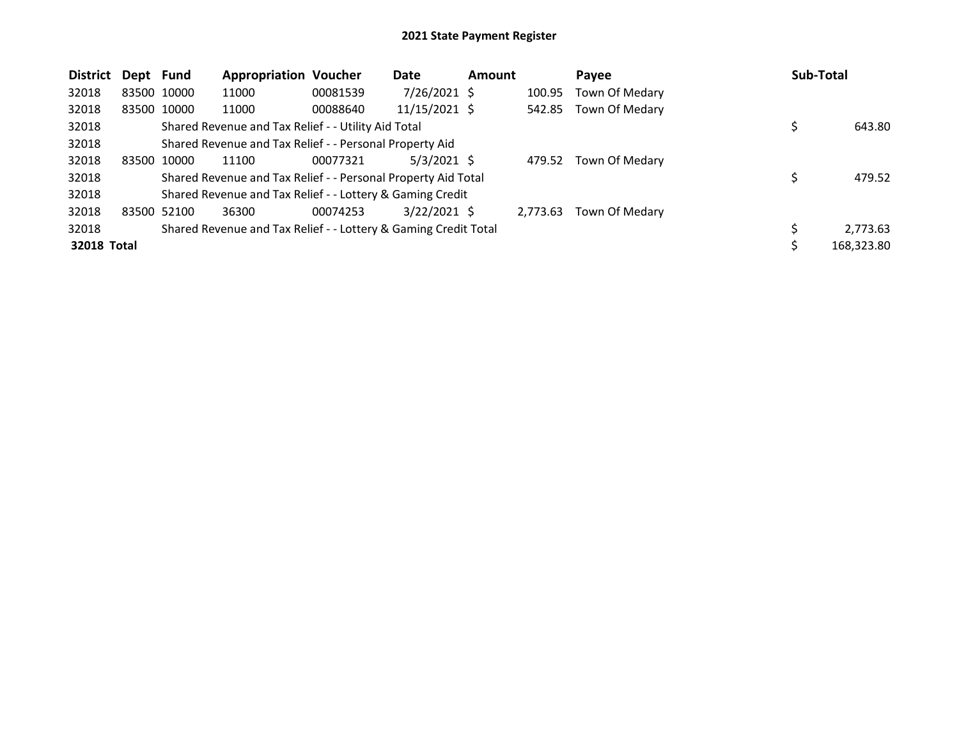| <b>District</b> | Dept Fund |             | <b>Appropriation Voucher</b>                                    |          | Date           | <b>Amount</b> |          | Payee          | <b>Sub-Total</b> |
|-----------------|-----------|-------------|-----------------------------------------------------------------|----------|----------------|---------------|----------|----------------|------------------|
| 32018           |           | 83500 10000 | 11000                                                           | 00081539 | $7/26/2021$ \$ |               | 100.95   | Town Of Medary |                  |
| 32018           |           | 83500 10000 | 11000                                                           | 00088640 | 11/15/2021 \$  |               | 542.85   | Town Of Medary |                  |
| 32018           |           |             | Shared Revenue and Tax Relief - - Utility Aid Total             |          |                |               |          |                | 643.80           |
| 32018           |           |             | Shared Revenue and Tax Relief - - Personal Property Aid         |          |                |               |          |                |                  |
| 32018           |           | 83500 10000 | 11100                                                           | 00077321 | $5/3/2021$ \$  |               | 479.52   | Town Of Medary |                  |
| 32018           |           |             | Shared Revenue and Tax Relief - - Personal Property Aid Total   |          |                |               |          |                | 479.52           |
| 32018           |           |             | Shared Revenue and Tax Relief - - Lottery & Gaming Credit       |          |                |               |          |                |                  |
| 32018           |           | 83500 52100 | 36300                                                           | 00074253 | $3/22/2021$ \$ |               | 2,773.63 | Town Of Medary |                  |
| 32018           |           |             | Shared Revenue and Tax Relief - - Lottery & Gaming Credit Total |          |                |               |          |                | 2,773.63         |
| 32018 Total     |           |             |                                                                 |          |                |               |          |                | 168,323.80       |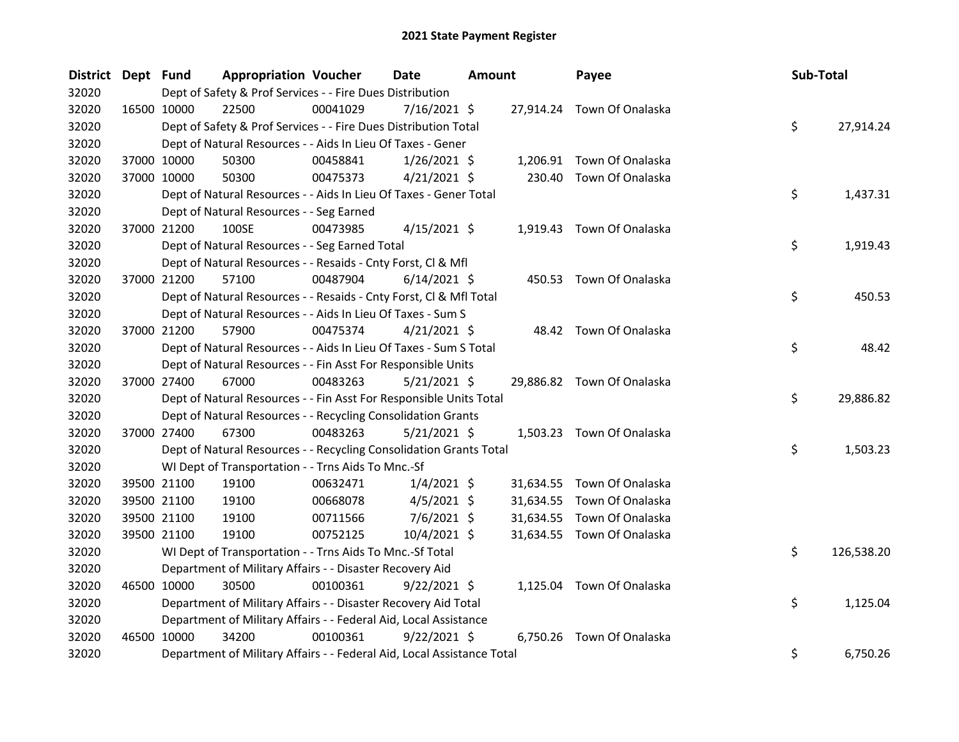| District Dept Fund |             |                                                                        | <b>Appropriation Voucher</b> | Date           | <b>Amount</b> |           | Payee                      | Sub-Total |            |
|--------------------|-------------|------------------------------------------------------------------------|------------------------------|----------------|---------------|-----------|----------------------------|-----------|------------|
| 32020              |             | Dept of Safety & Prof Services - - Fire Dues Distribution              |                              |                |               |           |                            |           |            |
| 32020              |             | 22500<br>16500 10000                                                   | 00041029                     | 7/16/2021 \$   |               |           | 27,914.24 Town Of Onalaska |           |            |
| 32020              |             | Dept of Safety & Prof Services - - Fire Dues Distribution Total        |                              |                |               |           |                            | \$        | 27,914.24  |
| 32020              |             | Dept of Natural Resources - - Aids In Lieu Of Taxes - Gener            |                              |                |               |           |                            |           |            |
| 32020              |             | 37000 10000<br>50300                                                   | 00458841                     | $1/26/2021$ \$ |               |           | 1,206.91 Town Of Onalaska  |           |            |
| 32020              | 37000 10000 | 50300                                                                  | 00475373                     | $4/21/2021$ \$ |               | 230.40    | Town Of Onalaska           |           |            |
| 32020              |             | Dept of Natural Resources - - Aids In Lieu Of Taxes - Gener Total      |                              |                |               |           |                            | \$        | 1,437.31   |
| 32020              |             | Dept of Natural Resources - - Seg Earned                               |                              |                |               |           |                            |           |            |
| 32020              | 37000 21200 | 100SE                                                                  | 00473985                     | $4/15/2021$ \$ |               |           | 1,919.43 Town Of Onalaska  |           |            |
| 32020              |             | Dept of Natural Resources - - Seg Earned Total                         |                              |                |               |           |                            | \$        | 1,919.43   |
| 32020              |             | Dept of Natural Resources - - Resaids - Cnty Forst, Cl & Mfl           |                              |                |               |           |                            |           |            |
| 32020              |             | 37000 21200<br>57100                                                   | 00487904                     | $6/14/2021$ \$ |               |           | 450.53 Town Of Onalaska    |           |            |
| 32020              |             | Dept of Natural Resources - - Resaids - Cnty Forst, Cl & Mfl Total     |                              |                |               |           |                            | \$        | 450.53     |
| 32020              |             | Dept of Natural Resources - - Aids In Lieu Of Taxes - Sum S            |                              |                |               |           |                            |           |            |
| 32020              | 37000 21200 | 57900                                                                  | 00475374                     | $4/21/2021$ \$ |               |           | 48.42 Town Of Onalaska     |           |            |
| 32020              |             | Dept of Natural Resources - - Aids In Lieu Of Taxes - Sum S Total      |                              |                |               |           |                            | \$        | 48.42      |
| 32020              |             | Dept of Natural Resources - - Fin Asst For Responsible Units           |                              |                |               |           |                            |           |            |
| 32020              | 37000 27400 | 67000                                                                  | 00483263                     | $5/21/2021$ \$ |               |           | 29,886.82 Town Of Onalaska |           |            |
| 32020              |             | Dept of Natural Resources - - Fin Asst For Responsible Units Total     |                              |                |               |           |                            | \$        | 29,886.82  |
| 32020              |             | Dept of Natural Resources - - Recycling Consolidation Grants           |                              |                |               |           |                            |           |            |
| 32020              | 37000 27400 | 67300                                                                  | 00483263                     | $5/21/2021$ \$ |               |           | 1,503.23 Town Of Onalaska  |           |            |
| 32020              |             | Dept of Natural Resources - - Recycling Consolidation Grants Total     |                              |                |               |           |                            | \$        | 1,503.23   |
| 32020              |             | WI Dept of Transportation - - Trns Aids To Mnc.-Sf                     |                              |                |               |           |                            |           |            |
| 32020              |             | 39500 21100<br>19100                                                   | 00632471                     | $1/4/2021$ \$  |               | 31,634.55 | Town Of Onalaska           |           |            |
| 32020              |             | 39500 21100<br>19100                                                   | 00668078                     | $4/5/2021$ \$  |               | 31,634.55 | Town Of Onalaska           |           |            |
| 32020              | 39500 21100 | 19100                                                                  | 00711566                     | $7/6/2021$ \$  |               | 31,634.55 | Town Of Onalaska           |           |            |
| 32020              | 39500 21100 | 19100                                                                  | 00752125                     | 10/4/2021 \$   |               |           | 31,634.55 Town Of Onalaska |           |            |
| 32020              |             | WI Dept of Transportation - - Trns Aids To Mnc.-Sf Total               |                              |                |               |           |                            | \$        | 126,538.20 |
| 32020              |             | Department of Military Affairs - - Disaster Recovery Aid               |                              |                |               |           |                            |           |            |
| 32020              | 46500 10000 | 30500                                                                  | 00100361                     | $9/22/2021$ \$ |               |           | 1,125.04 Town Of Onalaska  |           |            |
| 32020              |             | Department of Military Affairs - - Disaster Recovery Aid Total         |                              |                |               |           |                            | \$        | 1,125.04   |
| 32020              |             | Department of Military Affairs - - Federal Aid, Local Assistance       |                              |                |               |           |                            |           |            |
| 32020              | 46500 10000 | 34200                                                                  | 00100361                     | $9/22/2021$ \$ |               |           | 6,750.26 Town Of Onalaska  |           |            |
| 32020              |             | Department of Military Affairs - - Federal Aid, Local Assistance Total |                              |                |               |           |                            | \$        | 6,750.26   |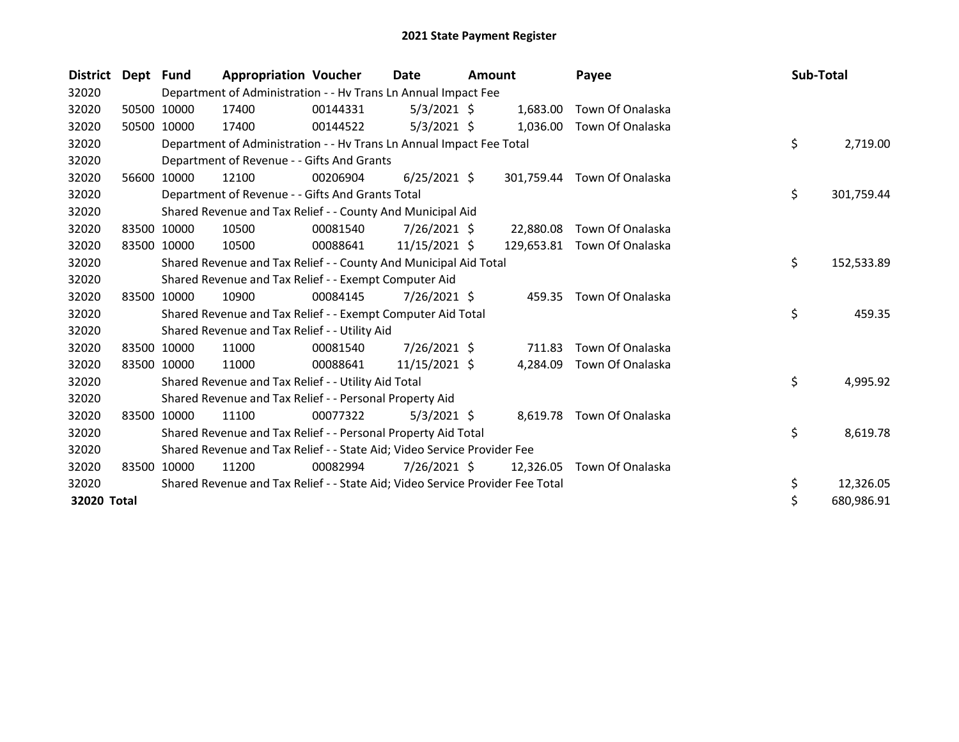| <b>District</b> | Dept Fund |             | <b>Appropriation Voucher</b>                                                  |          | Date           | <b>Amount</b> |            | Payee                       | Sub-Total |            |
|-----------------|-----------|-------------|-------------------------------------------------------------------------------|----------|----------------|---------------|------------|-----------------------------|-----------|------------|
| 32020           |           |             | Department of Administration - - Hv Trans Ln Annual Impact Fee                |          |                |               |            |                             |           |            |
| 32020           |           | 50500 10000 | 17400                                                                         | 00144331 | $5/3/2021$ \$  |               | 1,683.00   | Town Of Onalaska            |           |            |
| 32020           |           | 50500 10000 | 17400                                                                         | 00144522 | $5/3/2021$ \$  |               | 1,036.00   | Town Of Onalaska            |           |            |
| 32020           |           |             | Department of Administration - - Hv Trans Ln Annual Impact Fee Total          |          |                |               |            |                             | \$        | 2,719.00   |
| 32020           |           |             | Department of Revenue - - Gifts And Grants                                    |          |                |               |            |                             |           |            |
| 32020           |           | 56600 10000 | 12100                                                                         | 00206904 | $6/25/2021$ \$ |               |            | 301,759.44 Town Of Onalaska |           |            |
| 32020           |           |             | Department of Revenue - - Gifts And Grants Total                              |          |                |               |            |                             | \$        | 301,759.44 |
| 32020           |           |             | Shared Revenue and Tax Relief - - County And Municipal Aid                    |          |                |               |            |                             |           |            |
| 32020           |           | 83500 10000 | 10500                                                                         | 00081540 | $7/26/2021$ \$ |               | 22,880.08  | Town Of Onalaska            |           |            |
| 32020           |           | 83500 10000 | 10500                                                                         | 00088641 | 11/15/2021 \$  |               | 129,653.81 | Town Of Onalaska            |           |            |
| 32020           |           |             | Shared Revenue and Tax Relief - - County And Municipal Aid Total              |          |                |               |            |                             | \$        | 152,533.89 |
| 32020           |           |             | Shared Revenue and Tax Relief - - Exempt Computer Aid                         |          |                |               |            |                             |           |            |
| 32020           |           | 83500 10000 | 10900                                                                         | 00084145 | 7/26/2021 \$   |               |            | 459.35 Town Of Onalaska     |           |            |
| 32020           |           |             | Shared Revenue and Tax Relief - - Exempt Computer Aid Total                   |          |                |               |            |                             | \$        | 459.35     |
| 32020           |           |             | Shared Revenue and Tax Relief - - Utility Aid                                 |          |                |               |            |                             |           |            |
| 32020           |           | 83500 10000 | 11000                                                                         | 00081540 | 7/26/2021 \$   |               | 711.83     | Town Of Onalaska            |           |            |
| 32020           |           | 83500 10000 | 11000                                                                         | 00088641 | 11/15/2021 \$  |               | 4.284.09   | Town Of Onalaska            |           |            |
| 32020           |           |             | Shared Revenue and Tax Relief - - Utility Aid Total                           |          |                |               |            |                             | \$        | 4,995.92   |
| 32020           |           |             | Shared Revenue and Tax Relief - - Personal Property Aid                       |          |                |               |            |                             |           |            |
| 32020           |           | 83500 10000 | 11100                                                                         | 00077322 | $5/3/2021$ \$  |               |            | 8,619.78 Town Of Onalaska   |           |            |
| 32020           |           |             | Shared Revenue and Tax Relief - - Personal Property Aid Total                 |          |                |               |            |                             | \$        | 8,619.78   |
| 32020           |           |             | Shared Revenue and Tax Relief - - State Aid; Video Service Provider Fee       |          |                |               |            |                             |           |            |
| 32020           | 83500     | 10000       | 11200                                                                         | 00082994 | 7/26/2021 \$   |               | 12,326.05  | Town Of Onalaska            |           |            |
| 32020           |           |             | Shared Revenue and Tax Relief - - State Aid; Video Service Provider Fee Total |          |                |               |            |                             | \$        | 12,326.05  |
| 32020 Total     |           |             |                                                                               |          |                |               |            |                             | \$        | 680,986.91 |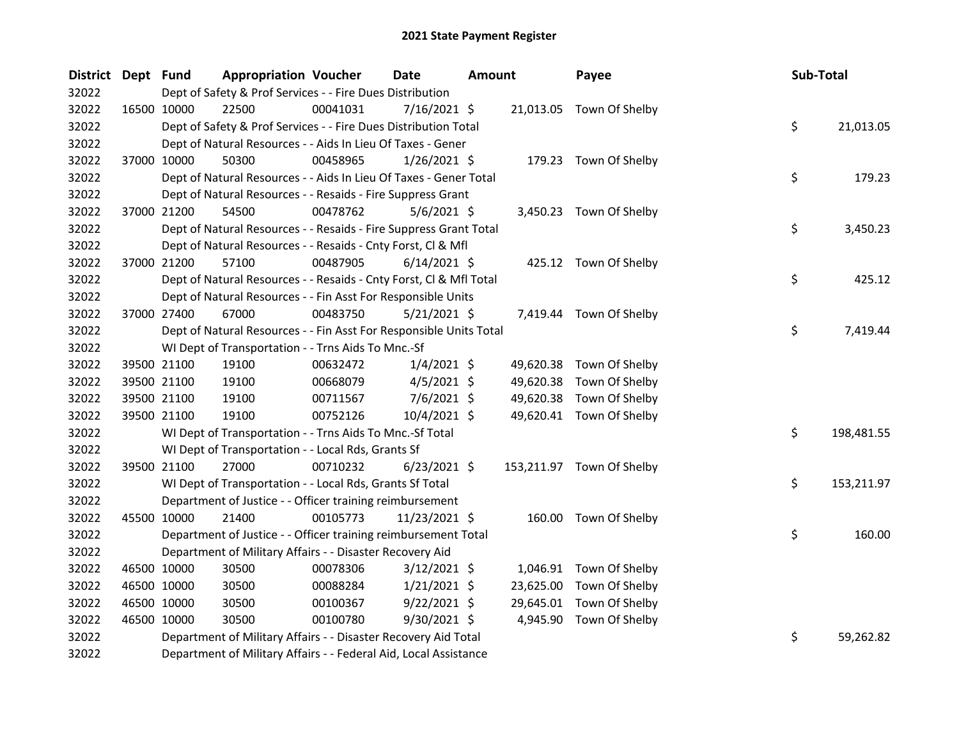| <b>District</b> | Dept Fund |             | <b>Appropriation Voucher</b>                                       |          | <b>Date</b>    | <b>Amount</b> |           | Payee                     | Sub-Total |            |
|-----------------|-----------|-------------|--------------------------------------------------------------------|----------|----------------|---------------|-----------|---------------------------|-----------|------------|
| 32022           |           |             | Dept of Safety & Prof Services - - Fire Dues Distribution          |          |                |               |           |                           |           |            |
| 32022           |           | 16500 10000 | 22500                                                              | 00041031 | $7/16/2021$ \$ |               |           | 21,013.05 Town Of Shelby  |           |            |
| 32022           |           |             | Dept of Safety & Prof Services - - Fire Dues Distribution Total    |          |                |               |           |                           | \$.       | 21,013.05  |
| 32022           |           |             | Dept of Natural Resources - - Aids In Lieu Of Taxes - Gener        |          |                |               |           |                           |           |            |
| 32022           |           | 37000 10000 | 50300                                                              | 00458965 | $1/26/2021$ \$ |               |           | 179.23 Town Of Shelby     |           |            |
| 32022           |           |             | Dept of Natural Resources - - Aids In Lieu Of Taxes - Gener Total  |          |                |               |           |                           | \$        | 179.23     |
| 32022           |           |             | Dept of Natural Resources - - Resaids - Fire Suppress Grant        |          |                |               |           |                           |           |            |
| 32022           |           | 37000 21200 | 54500                                                              | 00478762 | $5/6/2021$ \$  |               |           | 3,450.23 Town Of Shelby   |           |            |
| 32022           |           |             | Dept of Natural Resources - - Resaids - Fire Suppress Grant Total  |          |                |               |           |                           | \$        | 3,450.23   |
| 32022           |           |             | Dept of Natural Resources - - Resaids - Cnty Forst, Cl & Mfl       |          |                |               |           |                           |           |            |
| 32022           |           | 37000 21200 | 57100                                                              | 00487905 | $6/14/2021$ \$ |               |           | 425.12 Town Of Shelby     |           |            |
| 32022           |           |             | Dept of Natural Resources - - Resaids - Cnty Forst, Cl & Mfl Total |          |                |               |           |                           | \$.       | 425.12     |
| 32022           |           |             | Dept of Natural Resources - - Fin Asst For Responsible Units       |          |                |               |           |                           |           |            |
| 32022           |           | 37000 27400 | 67000                                                              | 00483750 | $5/21/2021$ \$ |               |           | 7,419.44 Town Of Shelby   |           |            |
| 32022           |           |             | Dept of Natural Resources - - Fin Asst For Responsible Units Total |          |                |               |           |                           | \$.       | 7,419.44   |
| 32022           |           |             | WI Dept of Transportation - - Trns Aids To Mnc.-Sf                 |          |                |               |           |                           |           |            |
| 32022           |           | 39500 21100 | 19100                                                              | 00632472 | $1/4/2021$ \$  |               | 49,620.38 | Town Of Shelby            |           |            |
| 32022           |           | 39500 21100 | 19100                                                              | 00668079 | $4/5/2021$ \$  |               | 49,620.38 | Town Of Shelby            |           |            |
| 32022           |           | 39500 21100 | 19100                                                              | 00711567 | $7/6/2021$ \$  |               | 49,620.38 | Town Of Shelby            |           |            |
| 32022           |           | 39500 21100 | 19100                                                              | 00752126 | 10/4/2021 \$   |               |           | 49,620.41 Town Of Shelby  |           |            |
| 32022           |           |             | WI Dept of Transportation - - Trns Aids To Mnc.-Sf Total           |          |                |               |           |                           | \$        | 198,481.55 |
| 32022           |           |             | WI Dept of Transportation - - Local Rds, Grants Sf                 |          |                |               |           |                           |           |            |
| 32022           |           | 39500 21100 | 27000                                                              | 00710232 | $6/23/2021$ \$ |               |           | 153,211.97 Town Of Shelby |           |            |
| 32022           |           |             | WI Dept of Transportation - - Local Rds, Grants Sf Total           |          |                |               |           |                           | \$.       | 153,211.97 |
| 32022           |           |             | Department of Justice - - Officer training reimbursement           |          |                |               |           |                           |           |            |
| 32022           |           | 45500 10000 | 21400                                                              | 00105773 | 11/23/2021 \$  |               |           | 160.00 Town Of Shelby     |           |            |
| 32022           |           |             | Department of Justice - - Officer training reimbursement Total     |          |                |               |           |                           | \$.       | 160.00     |
| 32022           |           |             | Department of Military Affairs - - Disaster Recovery Aid           |          |                |               |           |                           |           |            |
| 32022           |           | 46500 10000 | 30500                                                              | 00078306 | $3/12/2021$ \$ |               |           | 1,046.91 Town Of Shelby   |           |            |
| 32022           |           | 46500 10000 | 30500                                                              | 00088284 | $1/21/2021$ \$ |               | 23,625.00 | Town Of Shelby            |           |            |
| 32022           |           | 46500 10000 | 30500                                                              | 00100367 | $9/22/2021$ \$ |               | 29,645.01 | Town Of Shelby            |           |            |
| 32022           |           | 46500 10000 | 30500                                                              | 00100780 | 9/30/2021 \$   |               |           | 4,945.90 Town Of Shelby   |           |            |
| 32022           |           |             | Department of Military Affairs - - Disaster Recovery Aid Total     |          |                |               |           |                           | \$        | 59,262.82  |
| 32022           |           |             | Department of Military Affairs - - Federal Aid, Local Assistance   |          |                |               |           |                           |           |            |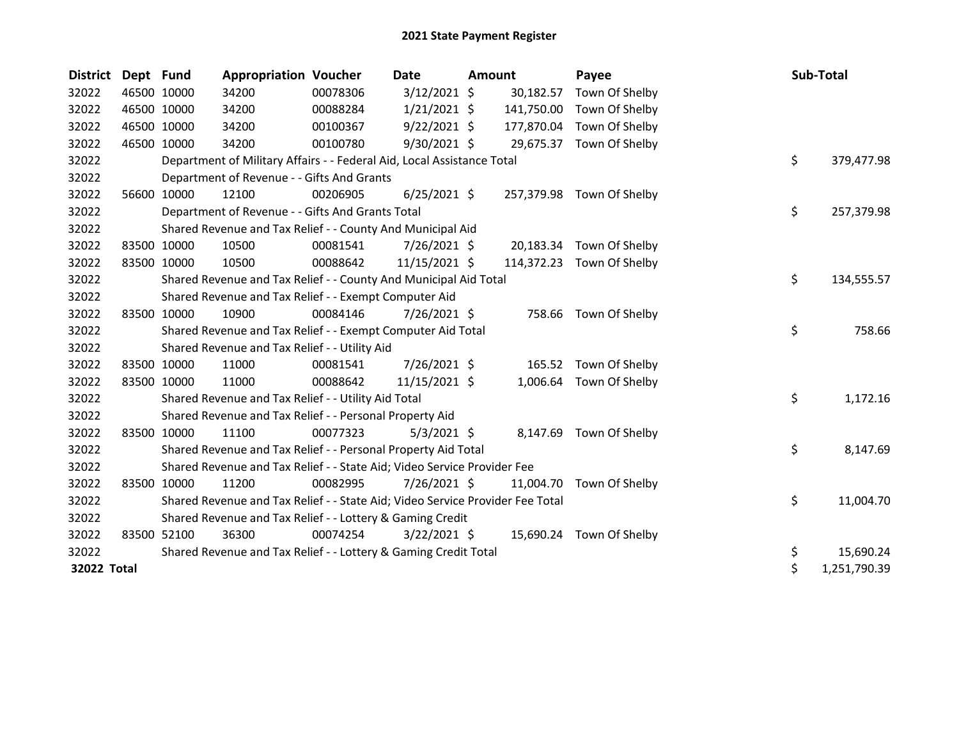| <b>District</b> | Dept Fund |             | <b>Appropriation Voucher</b>                                                  |          | Date           | Amount |            | Payee                     |    | Sub-Total    |
|-----------------|-----------|-------------|-------------------------------------------------------------------------------|----------|----------------|--------|------------|---------------------------|----|--------------|
| 32022           |           | 46500 10000 | 34200                                                                         | 00078306 | $3/12/2021$ \$ |        | 30,182.57  | Town Of Shelby            |    |              |
| 32022           |           | 46500 10000 | 34200                                                                         | 00088284 | $1/21/2021$ \$ |        | 141,750.00 | Town Of Shelby            |    |              |
| 32022           |           | 46500 10000 | 34200                                                                         | 00100367 | $9/22/2021$ \$ |        | 177,870.04 | Town Of Shelby            |    |              |
| 32022           |           | 46500 10000 | 34200                                                                         | 00100780 | 9/30/2021 \$   |        |            | 29,675.37 Town Of Shelby  |    |              |
| 32022           |           |             | Department of Military Affairs - - Federal Aid, Local Assistance Total        |          |                |        |            |                           | \$ | 379,477.98   |
| 32022           |           |             | Department of Revenue - - Gifts And Grants                                    |          |                |        |            |                           |    |              |
| 32022           |           | 56600 10000 | 12100                                                                         | 00206905 | $6/25/2021$ \$ |        |            | 257,379.98 Town Of Shelby |    |              |
| 32022           |           |             | Department of Revenue - - Gifts And Grants Total                              |          |                |        |            |                           | \$ | 257,379.98   |
| 32022           |           |             | Shared Revenue and Tax Relief - - County And Municipal Aid                    |          |                |        |            |                           |    |              |
| 32022           |           | 83500 10000 | 10500                                                                         | 00081541 | 7/26/2021 \$   |        | 20,183.34  | Town Of Shelby            |    |              |
| 32022           |           | 83500 10000 | 10500                                                                         | 00088642 | 11/15/2021 \$  |        |            | 114,372.23 Town Of Shelby |    |              |
| 32022           |           |             | Shared Revenue and Tax Relief - - County And Municipal Aid Total              |          |                |        |            |                           | \$ | 134,555.57   |
| 32022           |           |             | Shared Revenue and Tax Relief - - Exempt Computer Aid                         |          |                |        |            |                           |    |              |
| 32022           |           | 83500 10000 | 10900                                                                         | 00084146 | 7/26/2021 \$   |        | 758.66     | Town Of Shelby            |    |              |
| 32022           |           |             | Shared Revenue and Tax Relief - - Exempt Computer Aid Total                   |          |                |        |            |                           | \$ | 758.66       |
| 32022           |           |             | Shared Revenue and Tax Relief - - Utility Aid                                 |          |                |        |            |                           |    |              |
| 32022           |           | 83500 10000 | 11000                                                                         | 00081541 | $7/26/2021$ \$ |        | 165.52     | Town Of Shelby            |    |              |
| 32022           |           | 83500 10000 | 11000                                                                         | 00088642 | 11/15/2021 \$  |        | 1,006.64   | Town Of Shelby            |    |              |
| 32022           |           |             | Shared Revenue and Tax Relief - - Utility Aid Total                           |          |                |        |            |                           | \$ | 1,172.16     |
| 32022           |           |             | Shared Revenue and Tax Relief - - Personal Property Aid                       |          |                |        |            |                           |    |              |
| 32022           |           | 83500 10000 | 11100                                                                         | 00077323 | $5/3/2021$ \$  |        |            | 8,147.69 Town Of Shelby   |    |              |
| 32022           |           |             | Shared Revenue and Tax Relief - - Personal Property Aid Total                 |          |                |        |            |                           | \$ | 8,147.69     |
| 32022           |           |             | Shared Revenue and Tax Relief - - State Aid; Video Service Provider Fee       |          |                |        |            |                           |    |              |
| 32022           |           | 83500 10000 | 11200                                                                         | 00082995 | $7/26/2021$ \$ |        | 11,004.70  | Town Of Shelby            |    |              |
| 32022           |           |             | Shared Revenue and Tax Relief - - State Aid; Video Service Provider Fee Total |          |                |        |            |                           | \$ | 11,004.70    |
| 32022           |           |             | Shared Revenue and Tax Relief - - Lottery & Gaming Credit                     |          |                |        |            |                           |    |              |
| 32022           |           | 83500 52100 | 36300                                                                         | 00074254 | $3/22/2021$ \$ |        |            | 15,690.24 Town Of Shelby  |    |              |
| 32022           |           |             | Shared Revenue and Tax Relief - - Lottery & Gaming Credit Total               |          |                |        |            |                           | \$ | 15,690.24    |
| 32022 Total     |           |             |                                                                               |          |                |        |            |                           | \$ | 1,251,790.39 |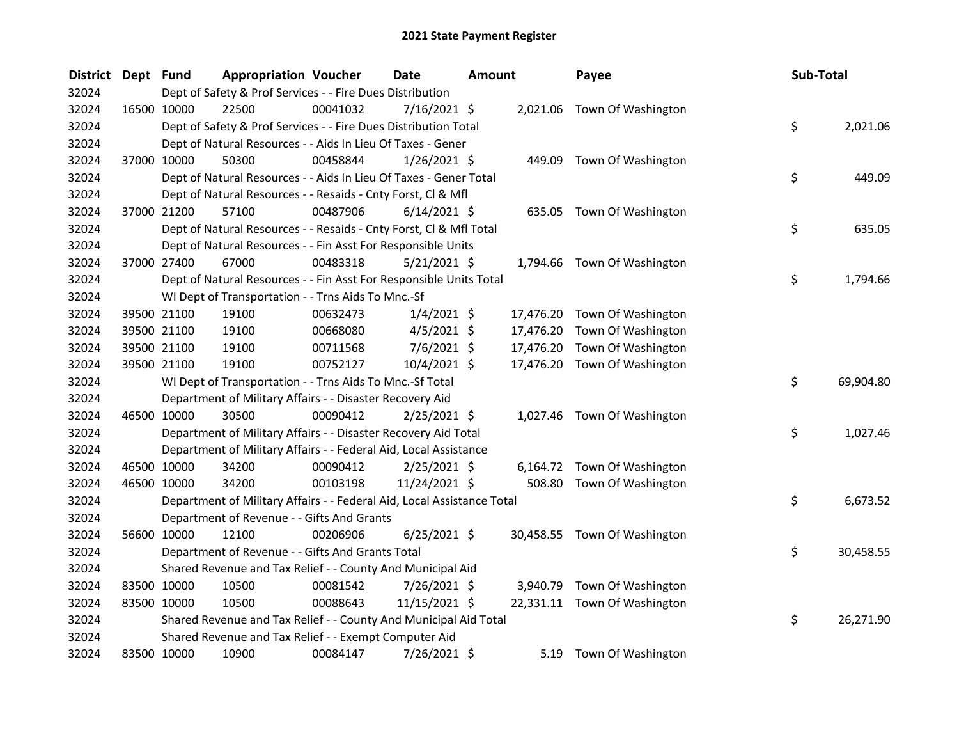| <b>District</b> | Dept Fund |             | <b>Appropriation Voucher</b>                                           |          | <b>Date</b>    | <b>Amount</b> |           | Payee                        | Sub-Total |           |
|-----------------|-----------|-------------|------------------------------------------------------------------------|----------|----------------|---------------|-----------|------------------------------|-----------|-----------|
| 32024           |           |             | Dept of Safety & Prof Services - - Fire Dues Distribution              |          |                |               |           |                              |           |           |
| 32024           |           | 16500 10000 | 22500                                                                  | 00041032 | 7/16/2021 \$   |               |           | 2,021.06 Town Of Washington  |           |           |
| 32024           |           |             | Dept of Safety & Prof Services - - Fire Dues Distribution Total        |          |                |               |           |                              | \$        | 2,021.06  |
| 32024           |           |             | Dept of Natural Resources - - Aids In Lieu Of Taxes - Gener            |          |                |               |           |                              |           |           |
| 32024           |           | 37000 10000 | 50300                                                                  | 00458844 | $1/26/2021$ \$ |               |           | 449.09 Town Of Washington    |           |           |
| 32024           |           |             | Dept of Natural Resources - - Aids In Lieu Of Taxes - Gener Total      |          |                |               |           |                              | \$        | 449.09    |
| 32024           |           |             | Dept of Natural Resources - - Resaids - Cnty Forst, Cl & Mfl           |          |                |               |           |                              |           |           |
| 32024           |           | 37000 21200 | 57100                                                                  | 00487906 | $6/14/2021$ \$ |               |           | 635.05 Town Of Washington    |           |           |
| 32024           |           |             | Dept of Natural Resources - - Resaids - Cnty Forst, Cl & Mfl Total     |          |                |               |           |                              | \$        | 635.05    |
| 32024           |           |             | Dept of Natural Resources - - Fin Asst For Responsible Units           |          |                |               |           |                              |           |           |
| 32024           |           | 37000 27400 | 67000                                                                  | 00483318 | 5/21/2021 \$   |               |           | 1,794.66 Town Of Washington  |           |           |
| 32024           |           |             | Dept of Natural Resources - - Fin Asst For Responsible Units Total     |          |                |               |           |                              | \$        | 1,794.66  |
| 32024           |           |             | WI Dept of Transportation - - Trns Aids To Mnc.-Sf                     |          |                |               |           |                              |           |           |
| 32024           |           | 39500 21100 | 19100                                                                  | 00632473 | $1/4/2021$ \$  |               | 17,476.20 | Town Of Washington           |           |           |
| 32024           |           | 39500 21100 | 19100                                                                  | 00668080 | $4/5/2021$ \$  |               | 17,476.20 | Town Of Washington           |           |           |
| 32024           |           | 39500 21100 | 19100                                                                  | 00711568 | $7/6/2021$ \$  |               | 17,476.20 | Town Of Washington           |           |           |
| 32024           |           | 39500 21100 | 19100                                                                  | 00752127 | 10/4/2021 \$   |               | 17,476.20 | Town Of Washington           |           |           |
| 32024           |           |             | WI Dept of Transportation - - Trns Aids To Mnc.-Sf Total               |          |                |               |           |                              | \$        | 69,904.80 |
| 32024           |           |             | Department of Military Affairs - - Disaster Recovery Aid               |          |                |               |           |                              |           |           |
| 32024           |           | 46500 10000 | 30500                                                                  | 00090412 | $2/25/2021$ \$ |               |           | 1,027.46 Town Of Washington  |           |           |
| 32024           |           |             | Department of Military Affairs - - Disaster Recovery Aid Total         |          |                |               |           |                              | \$        | 1,027.46  |
| 32024           |           |             | Department of Military Affairs - - Federal Aid, Local Assistance       |          |                |               |           |                              |           |           |
| 32024           |           | 46500 10000 | 34200                                                                  | 00090412 | $2/25/2021$ \$ |               |           | 6,164.72 Town Of Washington  |           |           |
| 32024           |           | 46500 10000 | 34200                                                                  | 00103198 | 11/24/2021 \$  |               | 508.80    | Town Of Washington           |           |           |
| 32024           |           |             | Department of Military Affairs - - Federal Aid, Local Assistance Total |          |                |               |           |                              | \$        | 6,673.52  |
| 32024           |           |             | Department of Revenue - - Gifts And Grants                             |          |                |               |           |                              |           |           |
| 32024           |           | 56600 10000 | 12100                                                                  | 00206906 | $6/25/2021$ \$ |               |           | 30,458.55 Town Of Washington |           |           |
| 32024           |           |             | Department of Revenue - - Gifts And Grants Total                       |          |                |               |           |                              | \$        | 30,458.55 |
| 32024           |           |             | Shared Revenue and Tax Relief - - County And Municipal Aid             |          |                |               |           |                              |           |           |
| 32024           |           | 83500 10000 | 10500                                                                  | 00081542 | 7/26/2021 \$   |               |           | 3,940.79 Town Of Washington  |           |           |
| 32024           |           | 83500 10000 | 10500                                                                  | 00088643 | 11/15/2021 \$  |               |           | 22,331.11 Town Of Washington |           |           |
| 32024           |           |             | Shared Revenue and Tax Relief - - County And Municipal Aid Total       |          |                |               |           |                              | \$        | 26,271.90 |
| 32024           |           |             | Shared Revenue and Tax Relief - - Exempt Computer Aid                  |          |                |               |           |                              |           |           |
| 32024           |           | 83500 10000 | 10900                                                                  | 00084147 | 7/26/2021 \$   |               | 5.19      | Town Of Washington           |           |           |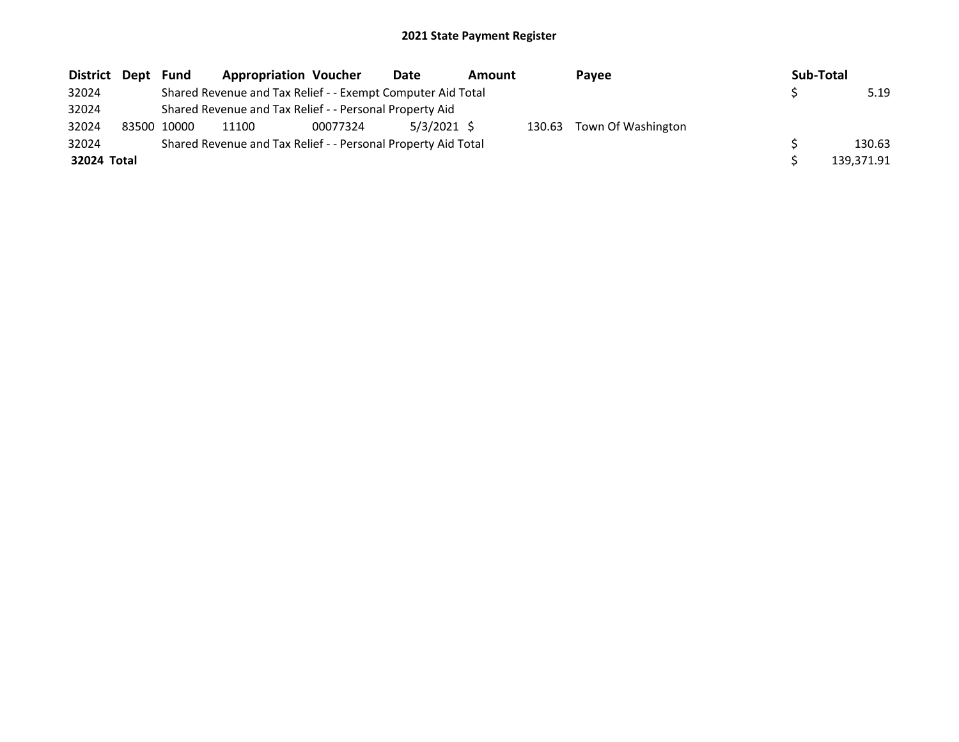| District Dept |       | Fund  | <b>Appropriation Voucher</b>                                  |          | Date          | <b>Amount</b> |        | Pavee              | Sub-Total |            |
|---------------|-------|-------|---------------------------------------------------------------|----------|---------------|---------------|--------|--------------------|-----------|------------|
| 32024         |       |       | Shared Revenue and Tax Relief - - Exempt Computer Aid Total   |          |               |               |        |                    |           | 5.19       |
| 32024         |       |       | Shared Revenue and Tax Relief - - Personal Property Aid       |          |               |               |        |                    |           |            |
| 32024         | 83500 | 10000 | 11100                                                         | 00077324 | $5/3/2021$ \$ |               | 130.63 | Town Of Washington |           |            |
| 32024         |       |       | Shared Revenue and Tax Relief - - Personal Property Aid Total |          |               |               |        |                    |           | 130.63     |
| 32024 Total   |       |       |                                                               |          |               |               |        |                    |           | 139.371.91 |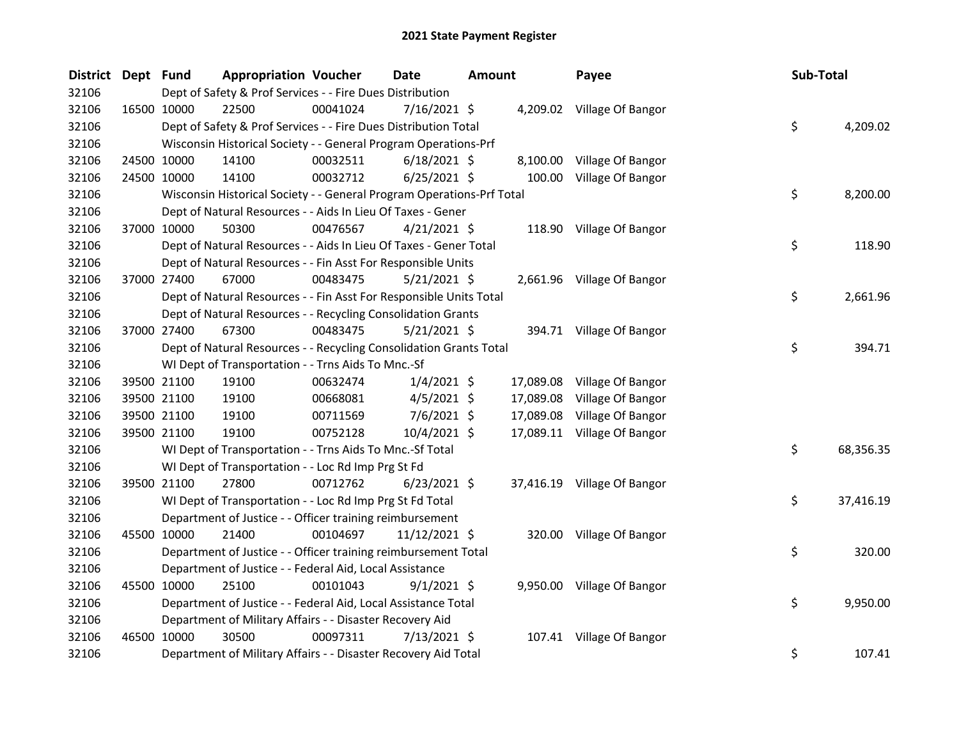| District Dept Fund |             |                      | <b>Appropriation Voucher</b>                                          | Date           | <b>Amount</b> | Payee                       | Sub-Total       |
|--------------------|-------------|----------------------|-----------------------------------------------------------------------|----------------|---------------|-----------------------------|-----------------|
| 32106              |             |                      | Dept of Safety & Prof Services - - Fire Dues Distribution             |                |               |                             |                 |
| 32106              | 16500 10000 | 22500                | 00041024                                                              | 7/16/2021 \$   |               | 4,209.02 Village Of Bangor  |                 |
| 32106              |             |                      | Dept of Safety & Prof Services - - Fire Dues Distribution Total       |                |               |                             | \$<br>4,209.02  |
| 32106              |             |                      | Wisconsin Historical Society - - General Program Operations-Prf       |                |               |                             |                 |
| 32106              | 24500 10000 | 14100                | 00032511                                                              | $6/18/2021$ \$ |               | 8,100.00 Village Of Bangor  |                 |
| 32106              | 24500 10000 | 14100                | 00032712                                                              | $6/25/2021$ \$ | 100.00        | Village Of Bangor           |                 |
| 32106              |             |                      | Wisconsin Historical Society - - General Program Operations-Prf Total |                |               |                             | \$<br>8,200.00  |
| 32106              |             |                      | Dept of Natural Resources - - Aids In Lieu Of Taxes - Gener           |                |               |                             |                 |
| 32106              | 37000 10000 | 50300                | 00476567                                                              | $4/21/2021$ \$ |               | 118.90 Village Of Bangor    |                 |
| 32106              |             |                      | Dept of Natural Resources - - Aids In Lieu Of Taxes - Gener Total     |                |               |                             | \$<br>118.90    |
| 32106              |             |                      | Dept of Natural Resources - - Fin Asst For Responsible Units          |                |               |                             |                 |
| 32106              | 37000 27400 | 67000                | 00483475                                                              | $5/21/2021$ \$ |               | 2,661.96 Village Of Bangor  |                 |
| 32106              |             |                      | Dept of Natural Resources - - Fin Asst For Responsible Units Total    |                |               |                             | \$<br>2,661.96  |
| 32106              |             |                      | Dept of Natural Resources - - Recycling Consolidation Grants          |                |               |                             |                 |
| 32106              |             | 37000 27400<br>67300 | 00483475                                                              | $5/21/2021$ \$ |               | 394.71 Village Of Bangor    |                 |
| 32106              |             |                      | Dept of Natural Resources - - Recycling Consolidation Grants Total    |                |               |                             | \$<br>394.71    |
| 32106              |             |                      | WI Dept of Transportation - - Trns Aids To Mnc.-Sf                    |                |               |                             |                 |
| 32106              |             | 39500 21100<br>19100 | 00632474                                                              | $1/4/2021$ \$  | 17,089.08     | Village Of Bangor           |                 |
| 32106              | 39500 21100 | 19100                | 00668081                                                              | $4/5/2021$ \$  | 17,089.08     | Village Of Bangor           |                 |
| 32106              | 39500 21100 | 19100                | 00711569                                                              | $7/6/2021$ \$  | 17,089.08     | Village Of Bangor           |                 |
| 32106              | 39500 21100 | 19100                | 00752128                                                              | 10/4/2021 \$   |               | 17,089.11 Village Of Bangor |                 |
| 32106              |             |                      | WI Dept of Transportation - - Trns Aids To Mnc.-Sf Total              |                |               |                             | \$<br>68,356.35 |
| 32106              |             |                      | WI Dept of Transportation - - Loc Rd Imp Prg St Fd                    |                |               |                             |                 |
| 32106              | 39500 21100 | 27800                | 00712762                                                              | $6/23/2021$ \$ |               | 37,416.19 Village Of Bangor |                 |
| 32106              |             |                      | WI Dept of Transportation - - Loc Rd Imp Prg St Fd Total              |                |               |                             | \$<br>37,416.19 |
| 32106              |             |                      | Department of Justice - - Officer training reimbursement              |                |               |                             |                 |
| 32106              | 45500 10000 | 21400                | 00104697                                                              | 11/12/2021 \$  |               | 320.00 Village Of Bangor    |                 |
| 32106              |             |                      | Department of Justice - - Officer training reimbursement Total        |                |               |                             | \$<br>320.00    |
| 32106              |             |                      | Department of Justice - - Federal Aid, Local Assistance               |                |               |                             |                 |
| 32106              | 45500 10000 | 25100                | 00101043                                                              | $9/1/2021$ \$  |               | 9,950.00 Village Of Bangor  |                 |
| 32106              |             |                      | Department of Justice - - Federal Aid, Local Assistance Total         |                |               |                             | \$<br>9,950.00  |
| 32106              |             |                      | Department of Military Affairs - - Disaster Recovery Aid              |                |               |                             |                 |
| 32106              | 46500 10000 | 30500                | 00097311                                                              | 7/13/2021 \$   |               | 107.41 Village Of Bangor    |                 |
| 32106              |             |                      | Department of Military Affairs - - Disaster Recovery Aid Total        |                |               |                             | \$<br>107.41    |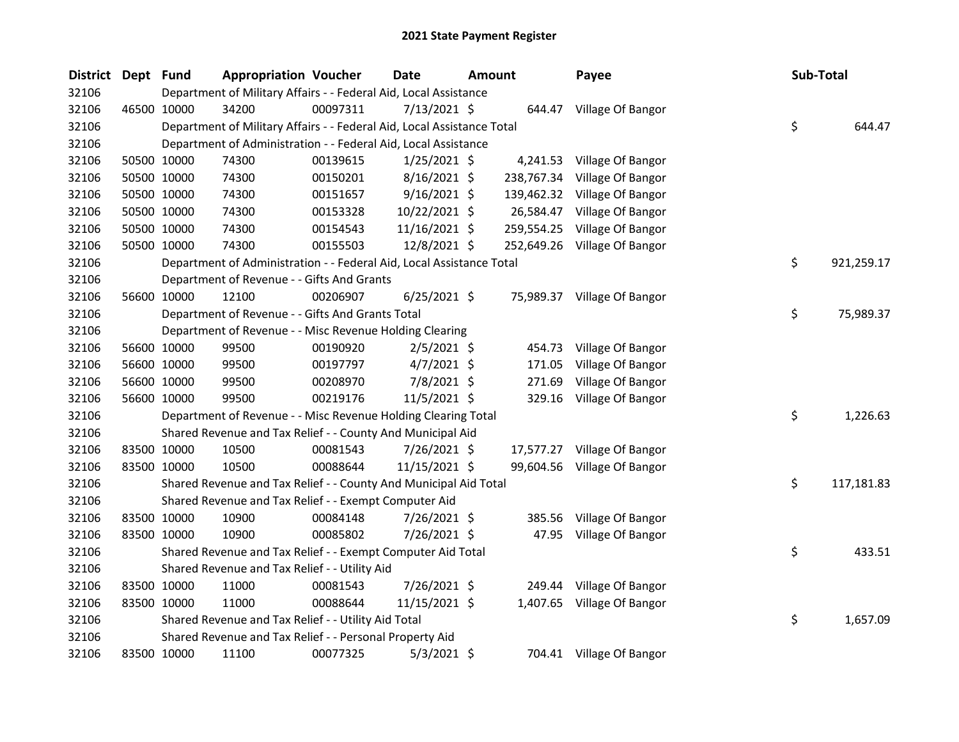| <b>District</b> | Dept Fund |             | <b>Appropriation Voucher</b>                                           |          | <b>Date</b>    | Amount |            | Payee                        | Sub-Total |            |
|-----------------|-----------|-------------|------------------------------------------------------------------------|----------|----------------|--------|------------|------------------------------|-----------|------------|
| 32106           |           |             | Department of Military Affairs - - Federal Aid, Local Assistance       |          |                |        |            |                              |           |            |
| 32106           |           | 46500 10000 | 34200                                                                  | 00097311 | 7/13/2021 \$   |        |            | 644.47 Village Of Bangor     |           |            |
| 32106           |           |             | Department of Military Affairs - - Federal Aid, Local Assistance Total |          |                |        |            |                              | \$        | 644.47     |
| 32106           |           |             | Department of Administration - - Federal Aid, Local Assistance         |          |                |        |            |                              |           |            |
| 32106           |           | 50500 10000 | 74300                                                                  | 00139615 | $1/25/2021$ \$ |        |            | 4,241.53 Village Of Bangor   |           |            |
| 32106           |           | 50500 10000 | 74300                                                                  | 00150201 | 8/16/2021 \$   |        |            | 238,767.34 Village Of Bangor |           |            |
| 32106           |           | 50500 10000 | 74300                                                                  | 00151657 | $9/16/2021$ \$ |        |            | 139,462.32 Village Of Bangor |           |            |
| 32106           |           | 50500 10000 | 74300                                                                  | 00153328 | 10/22/2021 \$  |        | 26,584.47  | Village Of Bangor            |           |            |
| 32106           |           | 50500 10000 | 74300                                                                  | 00154543 | 11/16/2021 \$  |        | 259,554.25 | Village Of Bangor            |           |            |
| 32106           |           | 50500 10000 | 74300                                                                  | 00155503 | 12/8/2021 \$   |        |            | 252,649.26 Village Of Bangor |           |            |
| 32106           |           |             | Department of Administration - - Federal Aid, Local Assistance Total   |          |                |        |            |                              | \$        | 921,259.17 |
| 32106           |           |             | Department of Revenue - - Gifts And Grants                             |          |                |        |            |                              |           |            |
| 32106           |           | 56600 10000 | 12100                                                                  | 00206907 | $6/25/2021$ \$ |        |            | 75,989.37 Village Of Bangor  |           |            |
| 32106           |           |             | Department of Revenue - - Gifts And Grants Total                       |          |                |        |            |                              | \$        | 75,989.37  |
| 32106           |           |             | Department of Revenue - - Misc Revenue Holding Clearing                |          |                |        |            |                              |           |            |
| 32106           |           | 56600 10000 | 99500                                                                  | 00190920 | $2/5/2021$ \$  |        | 454.73     | Village Of Bangor            |           |            |
| 32106           |           | 56600 10000 | 99500                                                                  | 00197797 | $4/7/2021$ \$  |        | 171.05     | Village Of Bangor            |           |            |
| 32106           |           | 56600 10000 | 99500                                                                  | 00208970 | 7/8/2021 \$    |        | 271.69     | Village Of Bangor            |           |            |
| 32106           |           | 56600 10000 | 99500                                                                  | 00219176 | 11/5/2021 \$   |        | 329.16     | Village Of Bangor            |           |            |
| 32106           |           |             | Department of Revenue - - Misc Revenue Holding Clearing Total          |          |                |        |            |                              | \$        | 1,226.63   |
| 32106           |           |             | Shared Revenue and Tax Relief - - County And Municipal Aid             |          |                |        |            |                              |           |            |
| 32106           |           | 83500 10000 | 10500                                                                  | 00081543 | $7/26/2021$ \$ |        |            | 17,577.27 Village Of Bangor  |           |            |
| 32106           |           | 83500 10000 | 10500                                                                  | 00088644 | 11/15/2021 \$  |        |            | 99,604.56 Village Of Bangor  |           |            |
| 32106           |           |             | Shared Revenue and Tax Relief - - County And Municipal Aid Total       |          |                |        |            |                              | \$        | 117,181.83 |
| 32106           |           |             | Shared Revenue and Tax Relief - - Exempt Computer Aid                  |          |                |        |            |                              |           |            |
| 32106           |           | 83500 10000 | 10900                                                                  | 00084148 | 7/26/2021 \$   |        | 385.56     | Village Of Bangor            |           |            |
| 32106           |           | 83500 10000 | 10900                                                                  | 00085802 | 7/26/2021 \$   |        |            | 47.95 Village Of Bangor      |           |            |
| 32106           |           |             | Shared Revenue and Tax Relief - - Exempt Computer Aid Total            |          |                |        |            |                              | \$        | 433.51     |
| 32106           |           |             | Shared Revenue and Tax Relief - - Utility Aid                          |          |                |        |            |                              |           |            |
| 32106           |           | 83500 10000 | 11000                                                                  | 00081543 | 7/26/2021 \$   |        |            | 249.44 Village Of Bangor     |           |            |
| 32106           |           | 83500 10000 | 11000                                                                  | 00088644 | 11/15/2021 \$  |        |            | 1,407.65 Village Of Bangor   |           |            |
| 32106           |           |             | Shared Revenue and Tax Relief - - Utility Aid Total                    |          |                |        |            |                              | \$        | 1,657.09   |
| 32106           |           |             | Shared Revenue and Tax Relief - - Personal Property Aid                |          |                |        |            |                              |           |            |
| 32106           |           | 83500 10000 | 11100                                                                  | 00077325 | $5/3/2021$ \$  |        |            | 704.41 Village Of Bangor     |           |            |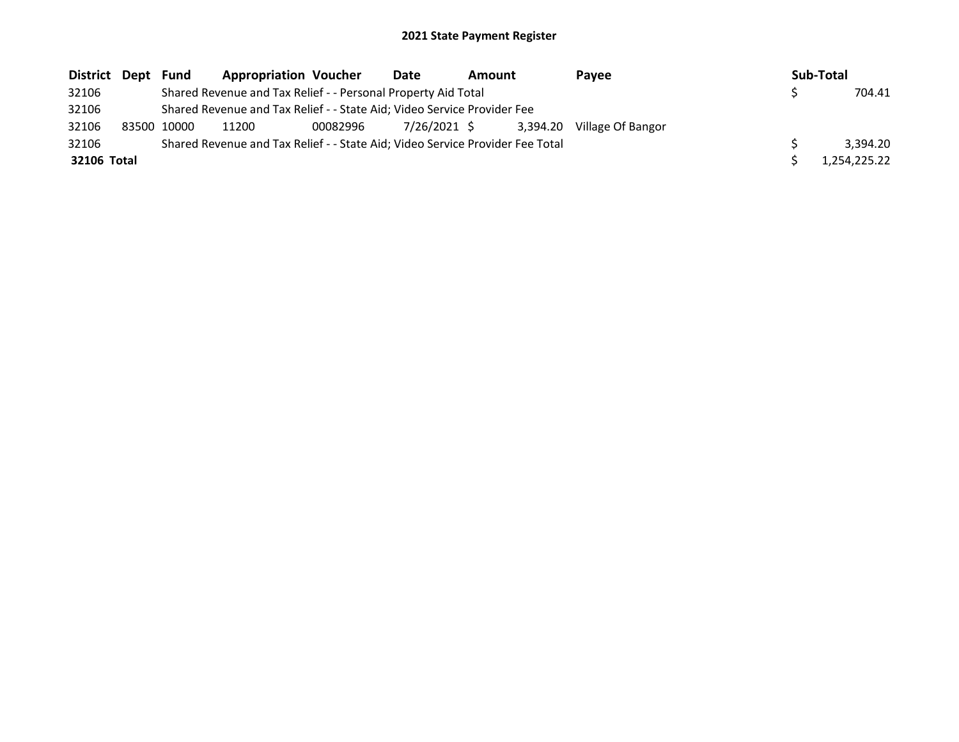| District Dept | Fund        | <b>Appropriation Voucher</b>                                                  |          | <b>Date</b>  | <b>Amount</b> | Pavee                      | Sub-Total    |
|---------------|-------------|-------------------------------------------------------------------------------|----------|--------------|---------------|----------------------------|--------------|
| 32106         |             | Shared Revenue and Tax Relief - - Personal Property Aid Total                 |          |              |               |                            | 704.41       |
| 32106         |             | Shared Revenue and Tax Relief - - State Aid; Video Service Provider Fee       |          |              |               |                            |              |
| 32106         | 83500 10000 | 11200                                                                         | 00082996 | 7/26/2021 \$ |               | 3,394.20 Village Of Bangor |              |
| 32106         |             | Shared Revenue and Tax Relief - - State Aid; Video Service Provider Fee Total |          |              |               |                            | 3.394.20     |
| 32106 Total   |             |                                                                               |          |              |               |                            | 1.254.225.22 |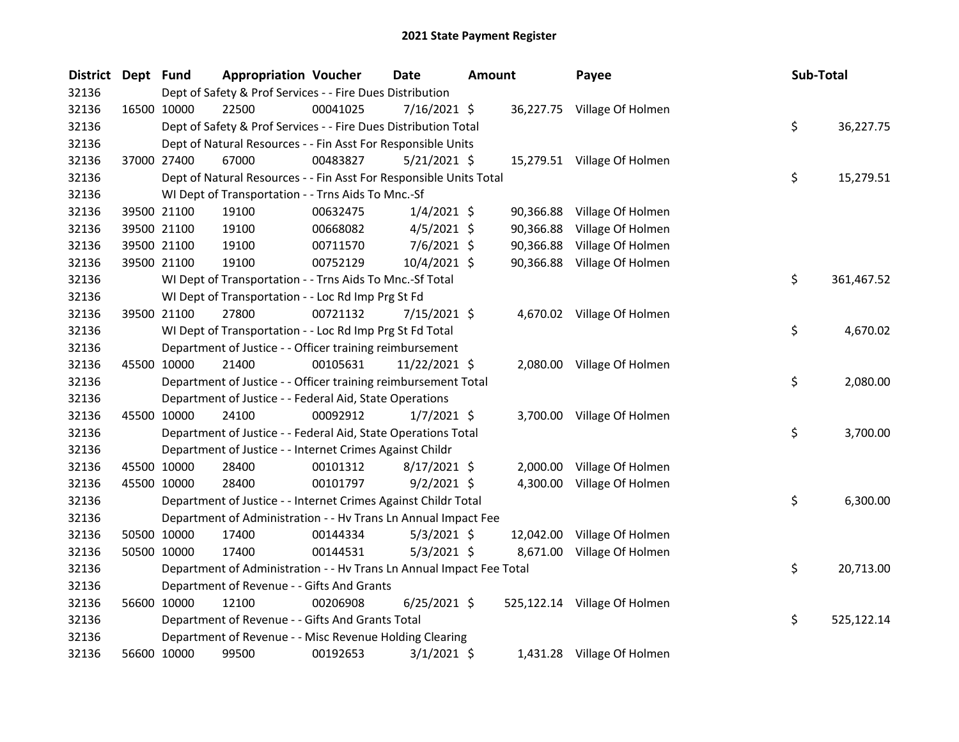| <b>District</b> | Dept Fund | <b>Appropriation Voucher</b>                                         |          | <b>Date</b>    | Amount |           | Payee                        | Sub-Total |            |
|-----------------|-----------|----------------------------------------------------------------------|----------|----------------|--------|-----------|------------------------------|-----------|------------|
| 32136           |           | Dept of Safety & Prof Services - - Fire Dues Distribution            |          |                |        |           |                              |           |            |
| 32136           |           | 16500 10000<br>22500                                                 | 00041025 | $7/16/2021$ \$ |        |           | 36,227.75 Village Of Holmen  |           |            |
| 32136           |           | Dept of Safety & Prof Services - - Fire Dues Distribution Total      |          |                |        |           |                              | \$        | 36,227.75  |
| 32136           |           | Dept of Natural Resources - - Fin Asst For Responsible Units         |          |                |        |           |                              |           |            |
| 32136           |           | 37000 27400<br>67000                                                 | 00483827 | $5/21/2021$ \$ |        |           | 15,279.51 Village Of Holmen  |           |            |
| 32136           |           | Dept of Natural Resources - - Fin Asst For Responsible Units Total   |          |                |        |           |                              | \$        | 15,279.51  |
| 32136           |           | WI Dept of Transportation - - Trns Aids To Mnc.-Sf                   |          |                |        |           |                              |           |            |
| 32136           |           | 19100<br>39500 21100                                                 | 00632475 | $1/4/2021$ \$  |        | 90,366.88 | Village Of Holmen            |           |            |
| 32136           |           | 39500 21100<br>19100                                                 | 00668082 | $4/5/2021$ \$  |        | 90,366.88 | Village Of Holmen            |           |            |
| 32136           |           | 39500 21100<br>19100                                                 | 00711570 | 7/6/2021 \$    |        | 90,366.88 | Village Of Holmen            |           |            |
| 32136           |           | 19100<br>39500 21100                                                 | 00752129 | 10/4/2021 \$   |        |           | 90,366.88 Village Of Holmen  |           |            |
| 32136           |           | WI Dept of Transportation - - Trns Aids To Mnc.-Sf Total             |          |                |        |           |                              | \$        | 361,467.52 |
| 32136           |           | WI Dept of Transportation - - Loc Rd Imp Prg St Fd                   |          |                |        |           |                              |           |            |
| 32136           |           | 27800<br>39500 21100                                                 | 00721132 | 7/15/2021 \$   |        |           | 4,670.02 Village Of Holmen   |           |            |
| 32136           |           | WI Dept of Transportation - - Loc Rd Imp Prg St Fd Total             |          |                |        |           |                              | \$        | 4,670.02   |
| 32136           |           | Department of Justice - - Officer training reimbursement             |          |                |        |           |                              |           |            |
| 32136           |           | 45500 10000<br>21400                                                 | 00105631 | 11/22/2021 \$  |        |           | 2,080.00 Village Of Holmen   |           |            |
| 32136           |           | Department of Justice - - Officer training reimbursement Total       |          |                |        |           |                              | \$        | 2,080.00   |
| 32136           |           | Department of Justice - - Federal Aid, State Operations              |          |                |        |           |                              |           |            |
| 32136           |           | 45500 10000<br>24100                                                 | 00092912 | $1/7/2021$ \$  |        |           | 3,700.00 Village Of Holmen   |           |            |
| 32136           |           | Department of Justice - - Federal Aid, State Operations Total        |          |                |        |           |                              | \$        | 3,700.00   |
| 32136           |           | Department of Justice - - Internet Crimes Against Childr             |          |                |        |           |                              |           |            |
| 32136           |           | 45500 10000<br>28400                                                 | 00101312 | $8/17/2021$ \$ |        | 2,000.00  | Village Of Holmen            |           |            |
| 32136           |           | 45500 10000<br>28400                                                 | 00101797 | $9/2/2021$ \$  |        | 4,300.00  | Village Of Holmen            |           |            |
| 32136           |           | Department of Justice - - Internet Crimes Against Childr Total       |          |                |        |           |                              | \$        | 6,300.00   |
| 32136           |           | Department of Administration - - Hv Trans Ln Annual Impact Fee       |          |                |        |           |                              |           |            |
| 32136           |           | 50500 10000<br>17400                                                 | 00144334 | $5/3/2021$ \$  |        | 12,042.00 | Village Of Holmen            |           |            |
| 32136           |           | 50500 10000<br>17400                                                 | 00144531 | $5/3/2021$ \$  |        | 8,671.00  | Village Of Holmen            |           |            |
| 32136           |           | Department of Administration - - Hv Trans Ln Annual Impact Fee Total |          |                |        |           |                              | \$        | 20,713.00  |
| 32136           |           | Department of Revenue - - Gifts And Grants                           |          |                |        |           |                              |           |            |
| 32136           |           | 56600 10000<br>12100                                                 | 00206908 | $6/25/2021$ \$ |        |           | 525,122.14 Village Of Holmen |           |            |
| 32136           |           | Department of Revenue - - Gifts And Grants Total                     |          |                |        |           |                              | \$        | 525,122.14 |
| 32136           |           | Department of Revenue - - Misc Revenue Holding Clearing              |          |                |        |           |                              |           |            |
| 32136           |           | 56600 10000<br>99500                                                 | 00192653 | $3/1/2021$ \$  |        |           | 1,431.28 Village Of Holmen   |           |            |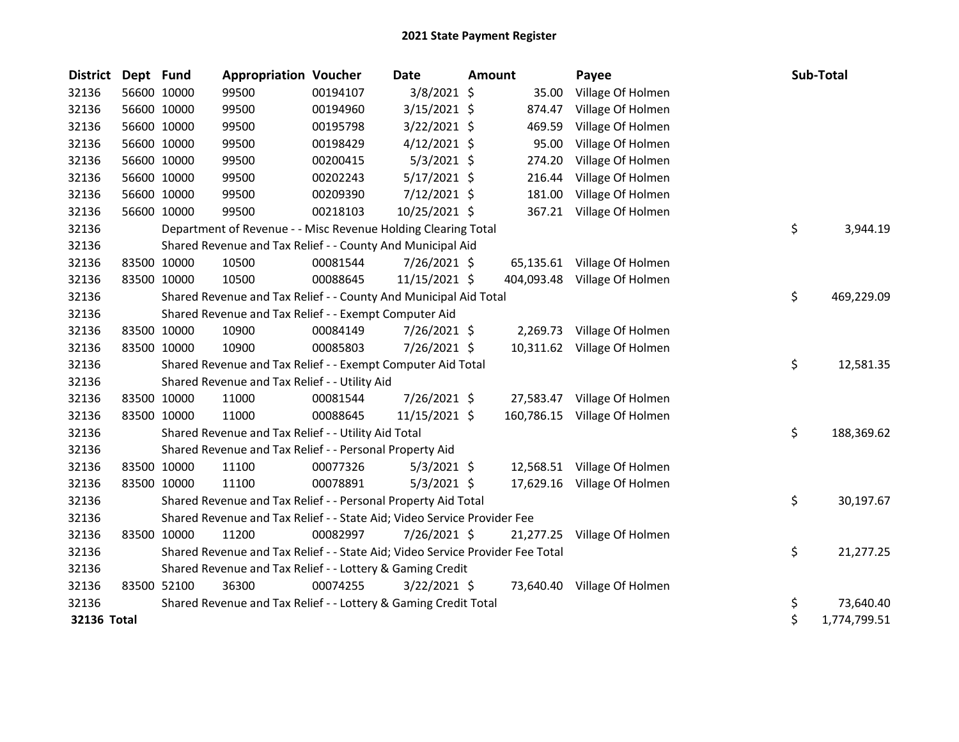| <b>District</b> | Dept Fund   |             | <b>Appropriation Voucher</b>                                                  |          | Date           | Amount |           | Payee                        | Sub-Total          |
|-----------------|-------------|-------------|-------------------------------------------------------------------------------|----------|----------------|--------|-----------|------------------------------|--------------------|
| 32136           |             | 56600 10000 | 99500                                                                         | 00194107 | $3/8/2021$ \$  |        | 35.00     | Village Of Holmen            |                    |
| 32136           |             | 56600 10000 | 99500                                                                         | 00194960 | 3/15/2021 \$   |        | 874.47    | Village Of Holmen            |                    |
| 32136           |             | 56600 10000 | 99500                                                                         | 00195798 | $3/22/2021$ \$ |        | 469.59    | Village Of Holmen            |                    |
| 32136           |             | 56600 10000 | 99500                                                                         | 00198429 | $4/12/2021$ \$ |        | 95.00     | Village Of Holmen            |                    |
| 32136           |             | 56600 10000 | 99500                                                                         | 00200415 | $5/3/2021$ \$  |        | 274.20    | Village Of Holmen            |                    |
| 32136           |             | 56600 10000 | 99500                                                                         | 00202243 | $5/17/2021$ \$ |        | 216.44    | Village Of Holmen            |                    |
| 32136           |             | 56600 10000 | 99500                                                                         | 00209390 | $7/12/2021$ \$ |        | 181.00    | Village Of Holmen            |                    |
| 32136           | 56600 10000 |             | 99500                                                                         | 00218103 | 10/25/2021 \$  |        |           | 367.21 Village Of Holmen     |                    |
| 32136           |             |             | Department of Revenue - - Misc Revenue Holding Clearing Total                 |          |                |        |           |                              | \$<br>3,944.19     |
| 32136           |             |             | Shared Revenue and Tax Relief - - County And Municipal Aid                    |          |                |        |           |                              |                    |
| 32136           |             | 83500 10000 | 10500                                                                         | 00081544 | 7/26/2021 \$   |        |           | 65,135.61 Village Of Holmen  |                    |
| 32136           |             | 83500 10000 | 10500                                                                         | 00088645 | 11/15/2021 \$  |        |           | 404,093.48 Village Of Holmen |                    |
| 32136           |             |             | Shared Revenue and Tax Relief - - County And Municipal Aid Total              |          |                |        |           |                              | \$<br>469,229.09   |
| 32136           |             |             | Shared Revenue and Tax Relief - - Exempt Computer Aid                         |          |                |        |           |                              |                    |
| 32136           |             | 83500 10000 | 10900                                                                         | 00084149 | 7/26/2021 \$   |        | 2,269.73  | Village Of Holmen            |                    |
| 32136           |             | 83500 10000 | 10900                                                                         | 00085803 | 7/26/2021 \$   |        |           | 10,311.62 Village Of Holmen  |                    |
| 32136           |             |             | Shared Revenue and Tax Relief - - Exempt Computer Aid Total                   |          |                |        |           |                              | \$<br>12,581.35    |
| 32136           |             |             | Shared Revenue and Tax Relief - - Utility Aid                                 |          |                |        |           |                              |                    |
| 32136           |             | 83500 10000 | 11000                                                                         | 00081544 | 7/26/2021 \$   |        |           | 27,583.47 Village Of Holmen  |                    |
| 32136           |             | 83500 10000 | 11000                                                                         | 00088645 | 11/15/2021 \$  |        |           | 160,786.15 Village Of Holmen |                    |
| 32136           |             |             | Shared Revenue and Tax Relief - - Utility Aid Total                           |          |                |        |           |                              | \$<br>188,369.62   |
| 32136           |             |             | Shared Revenue and Tax Relief - - Personal Property Aid                       |          |                |        |           |                              |                    |
| 32136           |             | 83500 10000 | 11100                                                                         | 00077326 | $5/3/2021$ \$  |        |           | 12,568.51 Village Of Holmen  |                    |
| 32136           |             | 83500 10000 | 11100                                                                         | 00078891 | $5/3/2021$ \$  |        |           | 17,629.16 Village Of Holmen  |                    |
| 32136           |             |             | Shared Revenue and Tax Relief - - Personal Property Aid Total                 |          |                |        |           |                              | \$<br>30,197.67    |
| 32136           |             |             | Shared Revenue and Tax Relief - - State Aid; Video Service Provider Fee       |          |                |        |           |                              |                    |
| 32136           |             | 83500 10000 | 11200                                                                         | 00082997 | 7/26/2021 \$   |        | 21,277.25 | Village Of Holmen            |                    |
| 32136           |             |             | Shared Revenue and Tax Relief - - State Aid; Video Service Provider Fee Total |          |                |        |           |                              | \$<br>21,277.25    |
| 32136           |             |             | Shared Revenue and Tax Relief - - Lottery & Gaming Credit                     |          |                |        |           |                              |                    |
| 32136           |             | 83500 52100 | 36300                                                                         | 00074255 | $3/22/2021$ \$ |        |           | 73,640.40 Village Of Holmen  |                    |
| 32136           |             |             | Shared Revenue and Tax Relief - - Lottery & Gaming Credit Total               |          |                |        |           |                              | \$<br>73,640.40    |
| 32136 Total     |             |             |                                                                               |          |                |        |           |                              | \$<br>1,774,799.51 |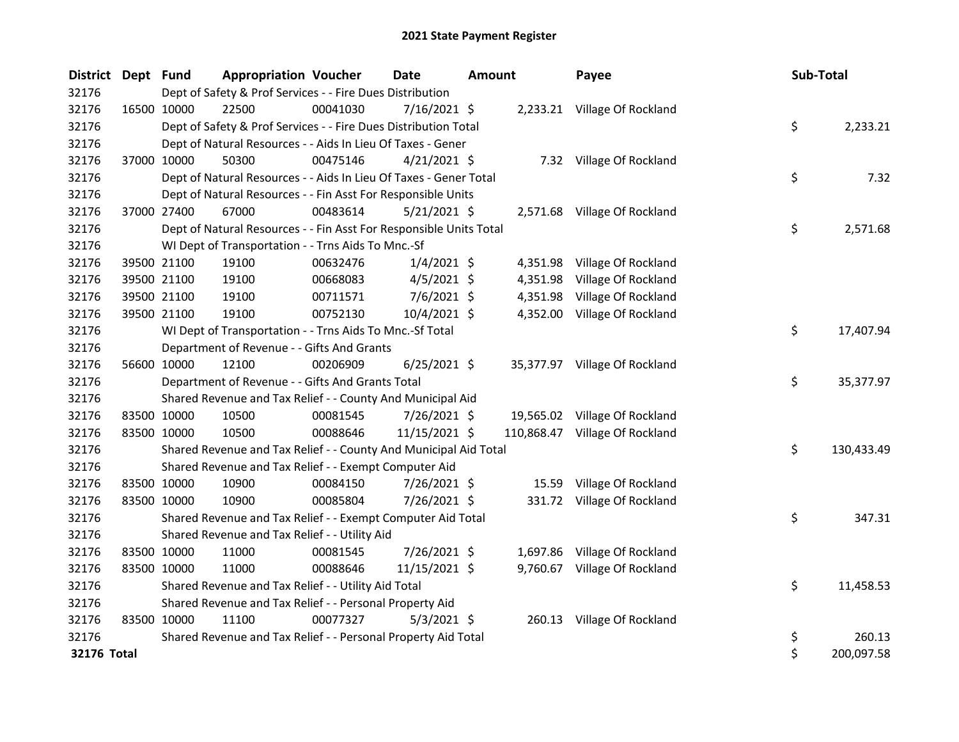| <b>District</b> | Dept Fund   |                                                                    | <b>Appropriation Voucher</b> | <b>Date</b>    | <b>Amount</b> | Payee                          | Sub-Total        |
|-----------------|-------------|--------------------------------------------------------------------|------------------------------|----------------|---------------|--------------------------------|------------------|
| 32176           |             | Dept of Safety & Prof Services - - Fire Dues Distribution          |                              |                |               |                                |                  |
| 32176           | 16500 10000 | 22500                                                              | 00041030                     | 7/16/2021 \$   |               | 2,233.21 Village Of Rockland   |                  |
| 32176           |             | Dept of Safety & Prof Services - - Fire Dues Distribution Total    |                              |                |               |                                | \$<br>2,233.21   |
| 32176           |             | Dept of Natural Resources - - Aids In Lieu Of Taxes - Gener        |                              |                |               |                                |                  |
| 32176           |             | 37000 10000<br>50300                                               | 00475146                     | $4/21/2021$ \$ |               | 7.32 Village Of Rockland       |                  |
| 32176           |             | Dept of Natural Resources - - Aids In Lieu Of Taxes - Gener Total  |                              |                |               |                                | \$<br>7.32       |
| 32176           |             | Dept of Natural Resources - - Fin Asst For Responsible Units       |                              |                |               |                                |                  |
| 32176           |             | 37000 27400<br>67000                                               | 00483614                     | $5/21/2021$ \$ |               | 2,571.68 Village Of Rockland   |                  |
| 32176           |             | Dept of Natural Resources - - Fin Asst For Responsible Units Total |                              |                |               |                                | \$<br>2,571.68   |
| 32176           |             | WI Dept of Transportation - - Trns Aids To Mnc.-Sf                 |                              |                |               |                                |                  |
| 32176           |             | 19100<br>39500 21100                                               | 00632476                     | $1/4/2021$ \$  | 4,351.98      | Village Of Rockland            |                  |
| 32176           |             | 39500 21100<br>19100                                               | 00668083                     | 4/5/2021 \$    | 4,351.98      | Village Of Rockland            |                  |
| 32176           | 39500 21100 | 19100                                                              | 00711571                     | $7/6/2021$ \$  | 4,351.98      | Village Of Rockland            |                  |
| 32176           | 39500 21100 | 19100                                                              | 00752130                     | 10/4/2021 \$   |               | 4,352.00 Village Of Rockland   |                  |
| 32176           |             | WI Dept of Transportation - - Trns Aids To Mnc.-Sf Total           |                              |                |               |                                | \$<br>17,407.94  |
| 32176           |             | Department of Revenue - - Gifts And Grants                         |                              |                |               |                                |                  |
| 32176           |             | 56600 10000<br>12100                                               | 00206909                     | $6/25/2021$ \$ |               | 35,377.97 Village Of Rockland  |                  |
| 32176           |             | Department of Revenue - - Gifts And Grants Total                   |                              |                |               |                                | \$<br>35,377.97  |
| 32176           |             | Shared Revenue and Tax Relief - - County And Municipal Aid         |                              |                |               |                                |                  |
| 32176           |             | 83500 10000<br>10500                                               | 00081545                     | 7/26/2021 \$   |               | 19,565.02 Village Of Rockland  |                  |
| 32176           | 83500 10000 | 10500                                                              | 00088646                     | 11/15/2021 \$  |               | 110,868.47 Village Of Rockland |                  |
| 32176           |             | Shared Revenue and Tax Relief - - County And Municipal Aid Total   |                              |                |               |                                | \$<br>130,433.49 |
| 32176           |             | Shared Revenue and Tax Relief - - Exempt Computer Aid              |                              |                |               |                                |                  |
| 32176           | 83500 10000 | 10900                                                              | 00084150                     | 7/26/2021 \$   | 15.59         | Village Of Rockland            |                  |
| 32176           | 83500 10000 | 10900                                                              | 00085804                     | 7/26/2021 \$   |               | 331.72 Village Of Rockland     |                  |
| 32176           |             | Shared Revenue and Tax Relief - - Exempt Computer Aid Total        |                              |                |               |                                | \$<br>347.31     |
| 32176           |             | Shared Revenue and Tax Relief - - Utility Aid                      |                              |                |               |                                |                  |
| 32176           |             | 83500 10000<br>11000                                               | 00081545                     | 7/26/2021 \$   |               | 1,697.86 Village Of Rockland   |                  |
| 32176           | 83500 10000 | 11000                                                              | 00088646                     | 11/15/2021 \$  |               | 9,760.67 Village Of Rockland   |                  |
| 32176           |             | Shared Revenue and Tax Relief - - Utility Aid Total                |                              |                |               |                                | \$<br>11,458.53  |
| 32176           |             | Shared Revenue and Tax Relief - - Personal Property Aid            |                              |                |               |                                |                  |
| 32176           | 83500 10000 | 11100                                                              | 00077327                     | $5/3/2021$ \$  |               | 260.13 Village Of Rockland     |                  |
| 32176           |             | Shared Revenue and Tax Relief - - Personal Property Aid Total      |                              |                |               |                                | \$<br>260.13     |
| 32176 Total     |             |                                                                    |                              |                |               |                                | \$<br>200,097.58 |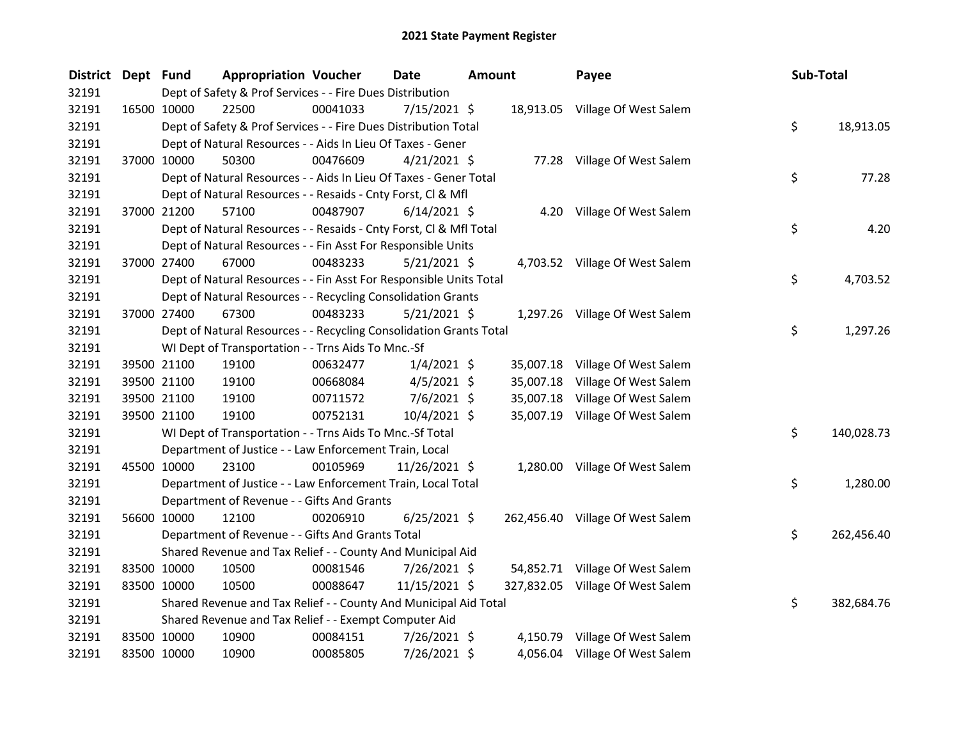| <b>District</b> | Dept Fund   |             | <b>Appropriation Voucher</b>                                       |          | Date           | Amount |           | Payee                            | Sub-Total |            |
|-----------------|-------------|-------------|--------------------------------------------------------------------|----------|----------------|--------|-----------|----------------------------------|-----------|------------|
| 32191           |             |             | Dept of Safety & Prof Services - - Fire Dues Distribution          |          |                |        |           |                                  |           |            |
| 32191           |             | 16500 10000 | 22500                                                              | 00041033 | 7/15/2021 \$   |        |           | 18,913.05 Village Of West Salem  |           |            |
| 32191           |             |             | Dept of Safety & Prof Services - - Fire Dues Distribution Total    |          |                |        |           |                                  | \$        | 18,913.05  |
| 32191           |             |             | Dept of Natural Resources - - Aids In Lieu Of Taxes - Gener        |          |                |        |           |                                  |           |            |
| 32191           |             | 37000 10000 | 50300                                                              | 00476609 | $4/21/2021$ \$ |        |           | 77.28 Village Of West Salem      |           |            |
| 32191           |             |             | Dept of Natural Resources - - Aids In Lieu Of Taxes - Gener Total  |          |                |        |           |                                  | \$        | 77.28      |
| 32191           |             |             | Dept of Natural Resources - - Resaids - Cnty Forst, Cl & Mfl       |          |                |        |           |                                  |           |            |
| 32191           |             | 37000 21200 | 57100                                                              | 00487907 | $6/14/2021$ \$ |        |           | 4.20 Village Of West Salem       |           |            |
| 32191           |             |             | Dept of Natural Resources - - Resaids - Cnty Forst, CI & Mfl Total |          |                |        |           |                                  | \$        | 4.20       |
| 32191           |             |             | Dept of Natural Resources - - Fin Asst For Responsible Units       |          |                |        |           |                                  |           |            |
| 32191           |             | 37000 27400 | 67000                                                              | 00483233 | 5/21/2021 \$   |        |           | 4,703.52 Village Of West Salem   |           |            |
| 32191           |             |             | Dept of Natural Resources - - Fin Asst For Responsible Units Total |          |                |        |           |                                  | \$.       | 4,703.52   |
| 32191           |             |             | Dept of Natural Resources - - Recycling Consolidation Grants       |          |                |        |           |                                  |           |            |
| 32191           |             | 37000 27400 | 67300                                                              | 00483233 | $5/21/2021$ \$ |        |           | 1,297.26 Village Of West Salem   |           |            |
| 32191           |             |             | Dept of Natural Resources - - Recycling Consolidation Grants Total |          |                |        |           |                                  | \$        | 1,297.26   |
| 32191           |             |             | WI Dept of Transportation - - Trns Aids To Mnc.-Sf                 |          |                |        |           |                                  |           |            |
| 32191           |             | 39500 21100 | 19100                                                              | 00632477 | $1/4/2021$ \$  |        |           | 35,007.18 Village Of West Salem  |           |            |
| 32191           |             | 39500 21100 | 19100                                                              | 00668084 | $4/5/2021$ \$  |        | 35,007.18 | Village Of West Salem            |           |            |
| 32191           |             | 39500 21100 | 19100                                                              | 00711572 | $7/6/2021$ \$  |        | 35,007.18 | Village Of West Salem            |           |            |
| 32191           |             | 39500 21100 | 19100                                                              | 00752131 | 10/4/2021 \$   |        |           | 35,007.19 Village Of West Salem  |           |            |
| 32191           |             |             | WI Dept of Transportation - - Trns Aids To Mnc.-Sf Total           |          |                |        |           |                                  | \$        | 140,028.73 |
| 32191           |             |             | Department of Justice - - Law Enforcement Train, Local             |          |                |        |           |                                  |           |            |
| 32191           |             | 45500 10000 | 23100                                                              | 00105969 | 11/26/2021 \$  |        |           | 1,280.00 Village Of West Salem   |           |            |
| 32191           |             |             | Department of Justice - - Law Enforcement Train, Local Total       |          |                |        |           |                                  | \$.       | 1,280.00   |
| 32191           |             |             | Department of Revenue - - Gifts And Grants                         |          |                |        |           |                                  |           |            |
| 32191           |             | 56600 10000 | 12100                                                              | 00206910 | $6/25/2021$ \$ |        |           | 262,456.40 Village Of West Salem |           |            |
| 32191           |             |             | Department of Revenue - - Gifts And Grants Total                   |          |                |        |           |                                  | \$.       | 262,456.40 |
| 32191           |             |             | Shared Revenue and Tax Relief - - County And Municipal Aid         |          |                |        |           |                                  |           |            |
| 32191           |             | 83500 10000 | 10500                                                              | 00081546 | 7/26/2021 \$   |        |           | 54,852.71 Village Of West Salem  |           |            |
| 32191           |             | 83500 10000 | 10500                                                              | 00088647 | 11/15/2021 \$  |        |           | 327,832.05 Village Of West Salem |           |            |
| 32191           |             |             | Shared Revenue and Tax Relief - - County And Municipal Aid Total   |          |                |        |           |                                  | \$.       | 382,684.76 |
| 32191           |             |             | Shared Revenue and Tax Relief - - Exempt Computer Aid              |          |                |        |           |                                  |           |            |
| 32191           |             | 83500 10000 | 10900                                                              | 00084151 | 7/26/2021 \$   |        |           | 4,150.79 Village Of West Salem   |           |            |
| 32191           | 83500 10000 |             | 10900                                                              | 00085805 | 7/26/2021 \$   |        |           | 4,056.04 Village Of West Salem   |           |            |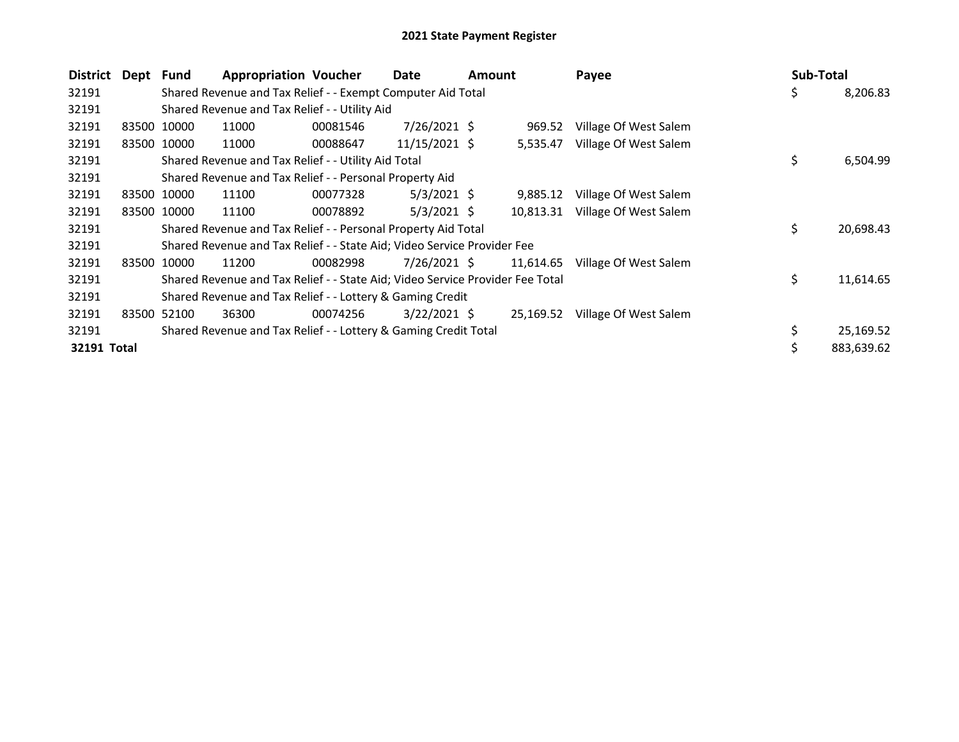| District    | Dept  | Fund        | <b>Appropriation Voucher</b>                                                  |          | Date           | Amount |           | Payee                 | <b>Sub-Total</b> |            |
|-------------|-------|-------------|-------------------------------------------------------------------------------|----------|----------------|--------|-----------|-----------------------|------------------|------------|
| 32191       |       |             | Shared Revenue and Tax Relief - - Exempt Computer Aid Total                   |          |                |        |           |                       | \$               | 8,206.83   |
| 32191       |       |             | Shared Revenue and Tax Relief - - Utility Aid                                 |          |                |        |           |                       |                  |            |
| 32191       |       | 83500 10000 | 11000                                                                         | 00081546 | 7/26/2021 \$   |        | 969.52    | Village Of West Salem |                  |            |
| 32191       |       | 83500 10000 | 11000                                                                         | 00088647 | 11/15/2021 \$  |        | 5,535.47  | Village Of West Salem |                  |            |
| 32191       |       |             | Shared Revenue and Tax Relief - - Utility Aid Total                           |          |                |        |           |                       | \$               | 6,504.99   |
| 32191       |       |             | Shared Revenue and Tax Relief - - Personal Property Aid                       |          |                |        |           |                       |                  |            |
| 32191       |       | 83500 10000 | 11100                                                                         | 00077328 | $5/3/2021$ \$  |        | 9,885.12  | Village Of West Salem |                  |            |
| 32191       |       | 83500 10000 | 11100                                                                         | 00078892 | $5/3/2021$ \$  |        | 10,813.31 | Village Of West Salem |                  |            |
| 32191       |       |             | Shared Revenue and Tax Relief - - Personal Property Aid Total                 |          |                |        |           |                       | \$               | 20,698.43  |
| 32191       |       |             | Shared Revenue and Tax Relief - - State Aid; Video Service Provider Fee       |          |                |        |           |                       |                  |            |
| 32191       |       | 83500 10000 | 11200                                                                         | 00082998 | $7/26/2021$ \$ |        | 11,614.65 | Village Of West Salem |                  |            |
| 32191       |       |             | Shared Revenue and Tax Relief - - State Aid; Video Service Provider Fee Total |          |                |        |           |                       | \$               | 11,614.65  |
| 32191       |       |             | Shared Revenue and Tax Relief - - Lottery & Gaming Credit                     |          |                |        |           |                       |                  |            |
| 32191       | 83500 | 52100       | 36300                                                                         | 00074256 | $3/22/2021$ \$ |        | 25,169.52 | Village Of West Salem |                  |            |
| 32191       |       |             | Shared Revenue and Tax Relief - - Lottery & Gaming Credit Total               |          |                |        |           |                       |                  | 25,169.52  |
| 32191 Total |       |             |                                                                               |          |                |        |           |                       |                  | 883,639.62 |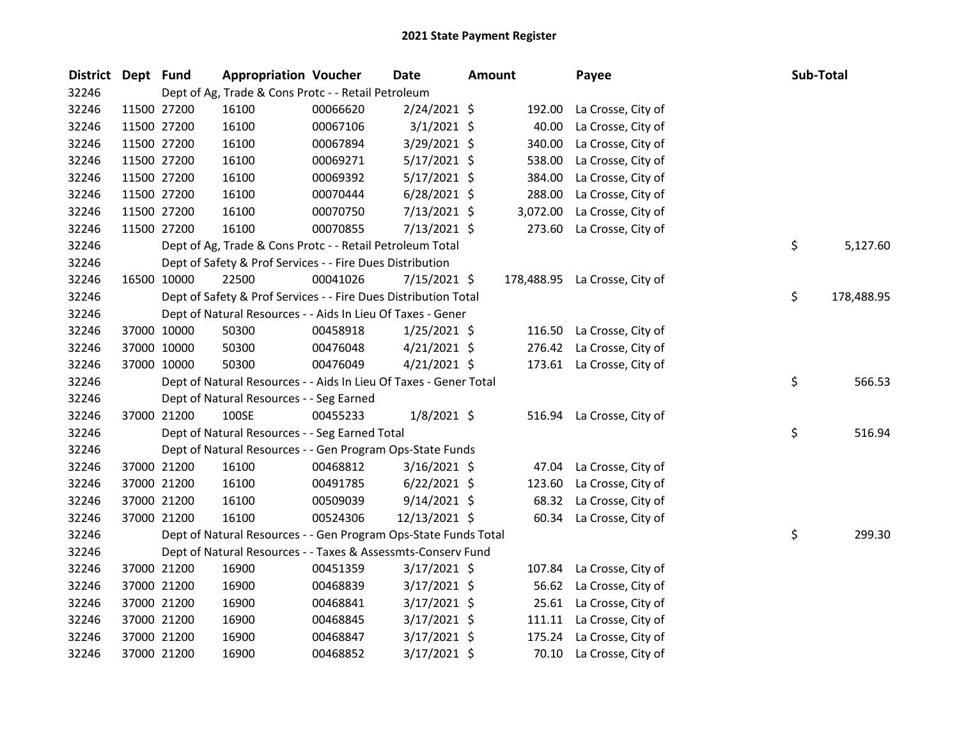| <b>District</b> | Dept Fund   |             | <b>Appropriation Voucher</b>                                      |          | <b>Date</b>    | <b>Amount</b> |          | Payee                         | Sub-Total |            |
|-----------------|-------------|-------------|-------------------------------------------------------------------|----------|----------------|---------------|----------|-------------------------------|-----------|------------|
| 32246           |             |             | Dept of Ag, Trade & Cons Protc - - Retail Petroleum               |          |                |               |          |                               |           |            |
| 32246           |             | 11500 27200 | 16100                                                             | 00066620 | 2/24/2021 \$   |               | 192.00   | La Crosse, City of            |           |            |
| 32246           | 11500 27200 |             | 16100                                                             | 00067106 | $3/1/2021$ \$  |               | 40.00    | La Crosse, City of            |           |            |
| 32246           |             | 11500 27200 | 16100                                                             | 00067894 | 3/29/2021 \$   |               | 340.00   | La Crosse, City of            |           |            |
| 32246           | 11500 27200 |             | 16100                                                             | 00069271 | $5/17/2021$ \$ |               | 538.00   | La Crosse, City of            |           |            |
| 32246           | 11500 27200 |             | 16100                                                             | 00069392 | $5/17/2021$ \$ |               | 384.00   | La Crosse, City of            |           |            |
| 32246           |             | 11500 27200 | 16100                                                             | 00070444 | $6/28/2021$ \$ |               | 288.00   | La Crosse, City of            |           |            |
| 32246           |             | 11500 27200 | 16100                                                             | 00070750 | 7/13/2021 \$   |               | 3,072.00 | La Crosse, City of            |           |            |
| 32246           | 11500 27200 |             | 16100                                                             | 00070855 | 7/13/2021 \$   |               | 273.60   | La Crosse, City of            |           |            |
| 32246           |             |             | Dept of Ag, Trade & Cons Protc - - Retail Petroleum Total         |          |                |               |          |                               | \$        | 5,127.60   |
| 32246           |             |             | Dept of Safety & Prof Services - - Fire Dues Distribution         |          |                |               |          |                               |           |            |
| 32246           |             | 16500 10000 | 22500                                                             | 00041026 | 7/15/2021 \$   |               |          | 178,488.95 La Crosse, City of |           |            |
| 32246           |             |             | Dept of Safety & Prof Services - - Fire Dues Distribution Total   |          |                |               |          |                               | \$        | 178,488.95 |
| 32246           |             |             | Dept of Natural Resources - - Aids In Lieu Of Taxes - Gener       |          |                |               |          |                               |           |            |
| 32246           |             | 37000 10000 | 50300                                                             | 00458918 | $1/25/2021$ \$ |               | 116.50   | La Crosse, City of            |           |            |
| 32246           |             | 37000 10000 | 50300                                                             | 00476048 | $4/21/2021$ \$ |               | 276.42   | La Crosse, City of            |           |            |
| 32246           |             | 37000 10000 | 50300                                                             | 00476049 | $4/21/2021$ \$ |               |          | 173.61 La Crosse, City of     |           |            |
| 32246           |             |             | Dept of Natural Resources - - Aids In Lieu Of Taxes - Gener Total |          |                |               |          |                               | \$        | 566.53     |
| 32246           |             |             | Dept of Natural Resources - - Seg Earned                          |          |                |               |          |                               |           |            |
| 32246           |             | 37000 21200 | 100SE                                                             | 00455233 | $1/8/2021$ \$  |               |          | 516.94 La Crosse, City of     |           |            |
| 32246           |             |             | Dept of Natural Resources - - Seg Earned Total                    |          |                |               |          |                               | \$        | 516.94     |
| 32246           |             |             | Dept of Natural Resources - - Gen Program Ops-State Funds         |          |                |               |          |                               |           |            |
| 32246           |             | 37000 21200 | 16100                                                             | 00468812 | $3/16/2021$ \$ |               | 47.04    | La Crosse, City of            |           |            |
| 32246           |             | 37000 21200 | 16100                                                             | 00491785 | $6/22/2021$ \$ |               | 123.60   | La Crosse, City of            |           |            |
| 32246           |             | 37000 21200 | 16100                                                             | 00509039 | $9/14/2021$ \$ |               | 68.32    | La Crosse, City of            |           |            |
| 32246           |             | 37000 21200 | 16100                                                             | 00524306 | 12/13/2021 \$  |               | 60.34    | La Crosse, City of            |           |            |
| 32246           |             |             | Dept of Natural Resources - - Gen Program Ops-State Funds Total   |          |                |               |          |                               | \$        | 299.30     |
| 32246           |             |             | Dept of Natural Resources - - Taxes & Assessmts-Conserv Fund      |          |                |               |          |                               |           |            |
| 32246           |             | 37000 21200 | 16900                                                             | 00451359 | $3/17/2021$ \$ |               | 107.84   | La Crosse, City of            |           |            |
| 32246           |             | 37000 21200 | 16900                                                             | 00468839 | $3/17/2021$ \$ |               | 56.62    | La Crosse, City of            |           |            |
| 32246           |             | 37000 21200 | 16900                                                             | 00468841 | 3/17/2021 \$   |               | 25.61    | La Crosse, City of            |           |            |
| 32246           |             | 37000 21200 | 16900                                                             | 00468845 | $3/17/2021$ \$ |               | 111.11   | La Crosse, City of            |           |            |
| 32246           |             | 37000 21200 | 16900                                                             | 00468847 | $3/17/2021$ \$ |               | 175.24   | La Crosse, City of            |           |            |
| 32246           |             | 37000 21200 | 16900                                                             | 00468852 | 3/17/2021 \$   |               | 70.10    | La Crosse, City of            |           |            |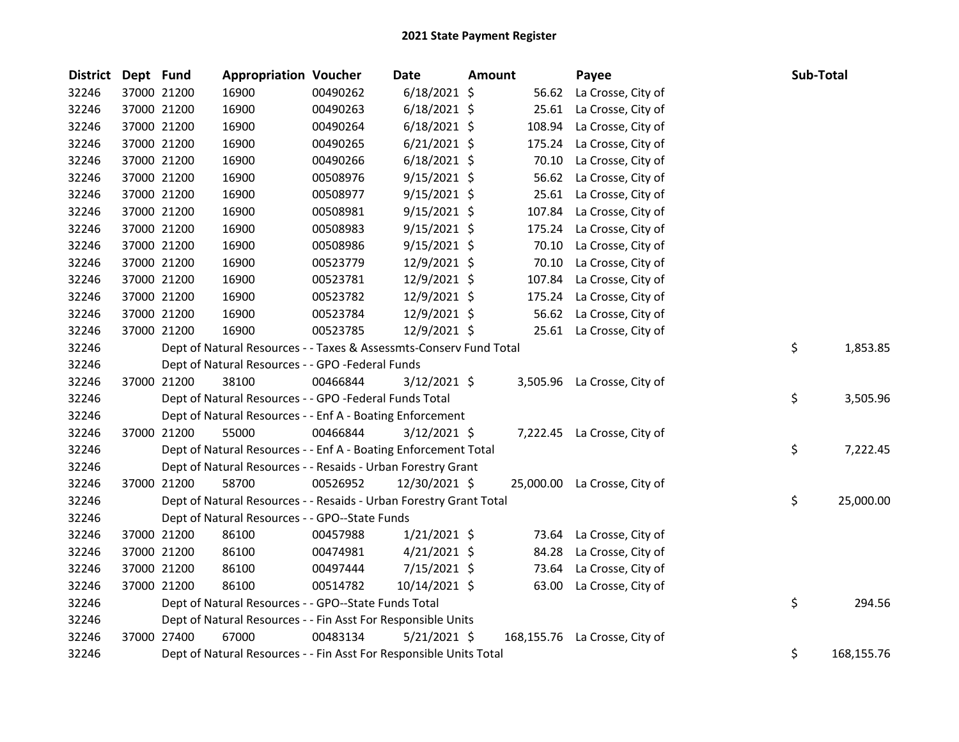| District Dept Fund |             | <b>Appropriation Voucher</b>                                       |          | <b>Date</b>    | Amount |            | Payee                        | Sub-Total        |
|--------------------|-------------|--------------------------------------------------------------------|----------|----------------|--------|------------|------------------------------|------------------|
| 32246              | 37000 21200 | 16900                                                              | 00490262 | $6/18/2021$ \$ |        | 56.62      | La Crosse, City of           |                  |
| 32246              | 37000 21200 | 16900                                                              | 00490263 | $6/18/2021$ \$ |        | 25.61      | La Crosse, City of           |                  |
| 32246              | 37000 21200 | 16900                                                              | 00490264 | $6/18/2021$ \$ |        | 108.94     | La Crosse, City of           |                  |
| 32246              | 37000 21200 | 16900                                                              | 00490265 | $6/21/2021$ \$ |        | 175.24     | La Crosse, City of           |                  |
| 32246              | 37000 21200 | 16900                                                              | 00490266 | $6/18/2021$ \$ |        | 70.10      | La Crosse, City of           |                  |
| 32246              | 37000 21200 | 16900                                                              | 00508976 | $9/15/2021$ \$ |        | 56.62      | La Crosse, City of           |                  |
| 32246              | 37000 21200 | 16900                                                              | 00508977 | $9/15/2021$ \$ |        | 25.61      | La Crosse, City of           |                  |
| 32246              | 37000 21200 | 16900                                                              | 00508981 | $9/15/2021$ \$ |        | 107.84     | La Crosse, City of           |                  |
| 32246              | 37000 21200 | 16900                                                              | 00508983 | $9/15/2021$ \$ |        | 175.24     | La Crosse, City of           |                  |
| 32246              | 37000 21200 | 16900                                                              | 00508986 | $9/15/2021$ \$ |        | 70.10      | La Crosse, City of           |                  |
| 32246              | 37000 21200 | 16900                                                              | 00523779 | 12/9/2021 \$   |        | 70.10      | La Crosse, City of           |                  |
| 32246              | 37000 21200 | 16900                                                              | 00523781 | 12/9/2021 \$   |        | 107.84     | La Crosse, City of           |                  |
| 32246              | 37000 21200 | 16900                                                              | 00523782 | 12/9/2021 \$   |        | 175.24     | La Crosse, City of           |                  |
| 32246              | 37000 21200 | 16900                                                              | 00523784 | 12/9/2021 \$   |        | 56.62      | La Crosse, City of           |                  |
| 32246              | 37000 21200 | 16900                                                              | 00523785 | 12/9/2021 \$   |        | 25.61      | La Crosse, City of           |                  |
| 32246              |             | Dept of Natural Resources - - Taxes & Assessmts-Conserv Fund Total |          |                |        |            |                              | \$<br>1,853.85   |
| 32246              |             | Dept of Natural Resources - - GPO -Federal Funds                   |          |                |        |            |                              |                  |
| 32246              | 37000 21200 | 38100                                                              | 00466844 | 3/12/2021 \$   |        |            | 3,505.96 La Crosse, City of  |                  |
| 32246              |             | Dept of Natural Resources - - GPO -Federal Funds Total             |          |                |        |            |                              | \$<br>3,505.96   |
| 32246              |             | Dept of Natural Resources - - Enf A - Boating Enforcement          |          |                |        |            |                              |                  |
| 32246              | 37000 21200 | 55000                                                              | 00466844 | $3/12/2021$ \$ |        |            | 7,222.45 La Crosse, City of  |                  |
| 32246              |             | Dept of Natural Resources - - Enf A - Boating Enforcement Total    |          |                |        |            |                              | \$<br>7,222.45   |
| 32246              |             | Dept of Natural Resources - - Resaids - Urban Forestry Grant       |          |                |        |            |                              |                  |
| 32246              | 37000 21200 | 58700                                                              | 00526952 | 12/30/2021 \$  |        |            | 25,000.00 La Crosse, City of |                  |
| 32246              |             | Dept of Natural Resources - - Resaids - Urban Forestry Grant Total |          |                |        |            |                              | \$<br>25,000.00  |
| 32246              |             | Dept of Natural Resources - - GPO--State Funds                     |          |                |        |            |                              |                  |
| 32246              | 37000 21200 | 86100                                                              | 00457988 | $1/21/2021$ \$ |        |            | 73.64 La Crosse, City of     |                  |
| 32246              | 37000 21200 | 86100                                                              | 00474981 | $4/21/2021$ \$ |        | 84.28      | La Crosse, City of           |                  |
| 32246              | 37000 21200 | 86100                                                              | 00497444 | 7/15/2021 \$   |        | 73.64      | La Crosse, City of           |                  |
| 32246              | 37000 21200 | 86100                                                              | 00514782 | 10/14/2021 \$  |        | 63.00      | La Crosse, City of           |                  |
| 32246              |             | Dept of Natural Resources - - GPO--State Funds Total               |          |                |        |            |                              | \$<br>294.56     |
| 32246              |             | Dept of Natural Resources - - Fin Asst For Responsible Units       |          |                |        |            |                              |                  |
| 32246              | 37000 27400 | 67000                                                              | 00483134 | $5/21/2021$ \$ |        | 168,155.76 | La Crosse, City of           |                  |
| 32246              |             | Dept of Natural Resources - - Fin Asst For Responsible Units Total |          |                |        |            |                              | \$<br>168,155.76 |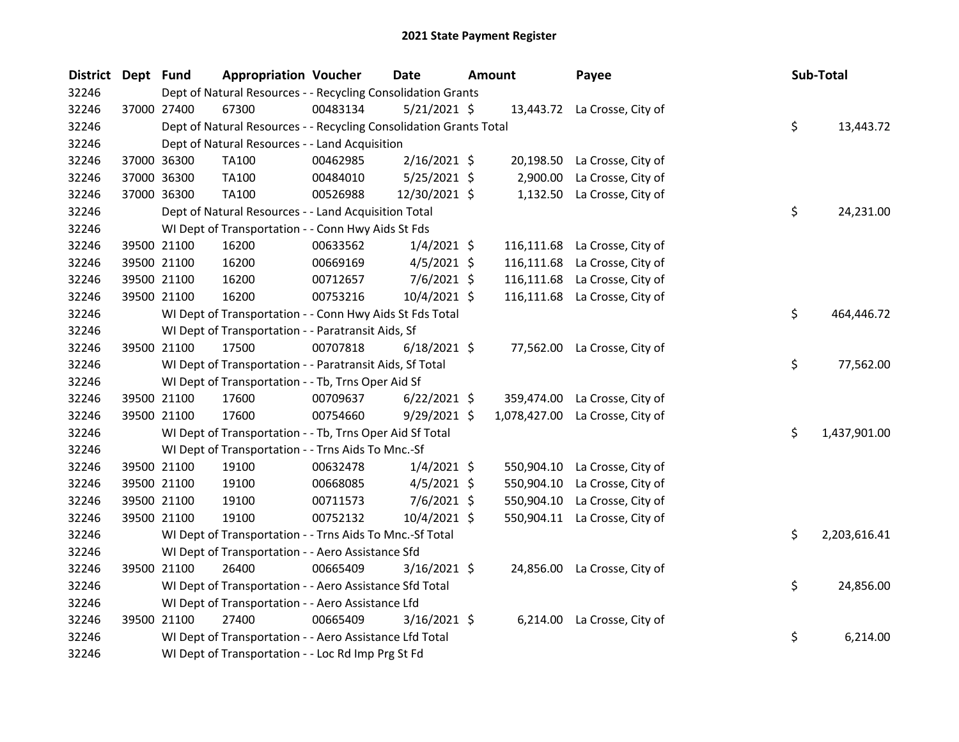| <b>District</b> | Dept Fund |             | <b>Appropriation Voucher</b>                                       |          | <b>Date</b>    | <b>Amount</b> | Payee                         |    | Sub-Total    |
|-----------------|-----------|-------------|--------------------------------------------------------------------|----------|----------------|---------------|-------------------------------|----|--------------|
| 32246           |           |             | Dept of Natural Resources - - Recycling Consolidation Grants       |          |                |               |                               |    |              |
| 32246           |           | 37000 27400 | 67300                                                              | 00483134 | $5/21/2021$ \$ |               | 13,443.72 La Crosse, City of  |    |              |
| 32246           |           |             | Dept of Natural Resources - - Recycling Consolidation Grants Total |          |                |               |                               | \$ | 13,443.72    |
| 32246           |           |             | Dept of Natural Resources - - Land Acquisition                     |          |                |               |                               |    |              |
| 32246           |           | 37000 36300 | TA100                                                              | 00462985 | $2/16/2021$ \$ |               | 20,198.50 La Crosse, City of  |    |              |
| 32246           |           | 37000 36300 | TA100                                                              | 00484010 | $5/25/2021$ \$ | 2,900.00      | La Crosse, City of            |    |              |
| 32246           |           | 37000 36300 | TA100                                                              | 00526988 | 12/30/2021 \$  |               | 1,132.50 La Crosse, City of   |    |              |
| 32246           |           |             | Dept of Natural Resources - - Land Acquisition Total               |          |                |               |                               | \$ | 24,231.00    |
| 32246           |           |             | WI Dept of Transportation - - Conn Hwy Aids St Fds                 |          |                |               |                               |    |              |
| 32246           |           | 39500 21100 | 16200                                                              | 00633562 | $1/4/2021$ \$  | 116,111.68    | La Crosse, City of            |    |              |
| 32246           |           | 39500 21100 | 16200                                                              | 00669169 | $4/5/2021$ \$  | 116,111.68    | La Crosse, City of            |    |              |
| 32246           |           | 39500 21100 | 16200                                                              | 00712657 | $7/6/2021$ \$  |               | 116,111.68 La Crosse, City of |    |              |
| 32246           |           | 39500 21100 | 16200                                                              | 00753216 | 10/4/2021 \$   |               | 116,111.68 La Crosse, City of |    |              |
| 32246           |           |             | WI Dept of Transportation - - Conn Hwy Aids St Fds Total           |          |                |               |                               | \$ | 464,446.72   |
| 32246           |           |             | WI Dept of Transportation - - Paratransit Aids, Sf                 |          |                |               |                               |    |              |
| 32246           |           | 39500 21100 | 17500                                                              | 00707818 | $6/18/2021$ \$ |               | 77,562.00 La Crosse, City of  |    |              |
| 32246           |           |             | WI Dept of Transportation - - Paratransit Aids, Sf Total           |          |                |               |                               | \$ | 77,562.00    |
| 32246           |           |             | WI Dept of Transportation - - Tb, Trns Oper Aid Sf                 |          |                |               |                               |    |              |
| 32246           |           | 39500 21100 | 17600                                                              | 00709637 | $6/22/2021$ \$ | 359,474.00    | La Crosse, City of            |    |              |
| 32246           |           | 39500 21100 | 17600                                                              | 00754660 | $9/29/2021$ \$ | 1,078,427.00  | La Crosse, City of            |    |              |
| 32246           |           |             | WI Dept of Transportation - - Tb, Trns Oper Aid Sf Total           |          |                |               |                               | \$ | 1,437,901.00 |
| 32246           |           |             | WI Dept of Transportation - - Trns Aids To Mnc.-Sf                 |          |                |               |                               |    |              |
| 32246           |           | 39500 21100 | 19100                                                              | 00632478 | $1/4/2021$ \$  |               | 550,904.10 La Crosse, City of |    |              |
| 32246           |           | 39500 21100 | 19100                                                              | 00668085 | $4/5/2021$ \$  | 550,904.10    | La Crosse, City of            |    |              |
| 32246           |           | 39500 21100 | 19100                                                              | 00711573 | 7/6/2021 \$    | 550,904.10    | La Crosse, City of            |    |              |
| 32246           |           | 39500 21100 | 19100                                                              | 00752132 | 10/4/2021 \$   |               | 550,904.11 La Crosse, City of |    |              |
| 32246           |           |             | WI Dept of Transportation - - Trns Aids To Mnc.-Sf Total           |          |                |               |                               | \$ | 2,203,616.41 |
| 32246           |           |             | WI Dept of Transportation - - Aero Assistance Sfd                  |          |                |               |                               |    |              |
| 32246           |           | 39500 21100 | 26400                                                              | 00665409 | $3/16/2021$ \$ |               | 24,856.00 La Crosse, City of  |    |              |
| 32246           |           |             | WI Dept of Transportation - - Aero Assistance Sfd Total            |          |                |               |                               | \$ | 24,856.00    |
| 32246           |           |             | WI Dept of Transportation - - Aero Assistance Lfd                  |          |                |               |                               |    |              |
| 32246           |           | 39500 21100 | 27400                                                              | 00665409 | $3/16/2021$ \$ |               | 6,214.00 La Crosse, City of   |    |              |
| 32246           |           |             | WI Dept of Transportation - - Aero Assistance Lfd Total            |          |                |               |                               | \$ | 6,214.00     |
| 32246           |           |             | WI Dept of Transportation - - Loc Rd Imp Prg St Fd                 |          |                |               |                               |    |              |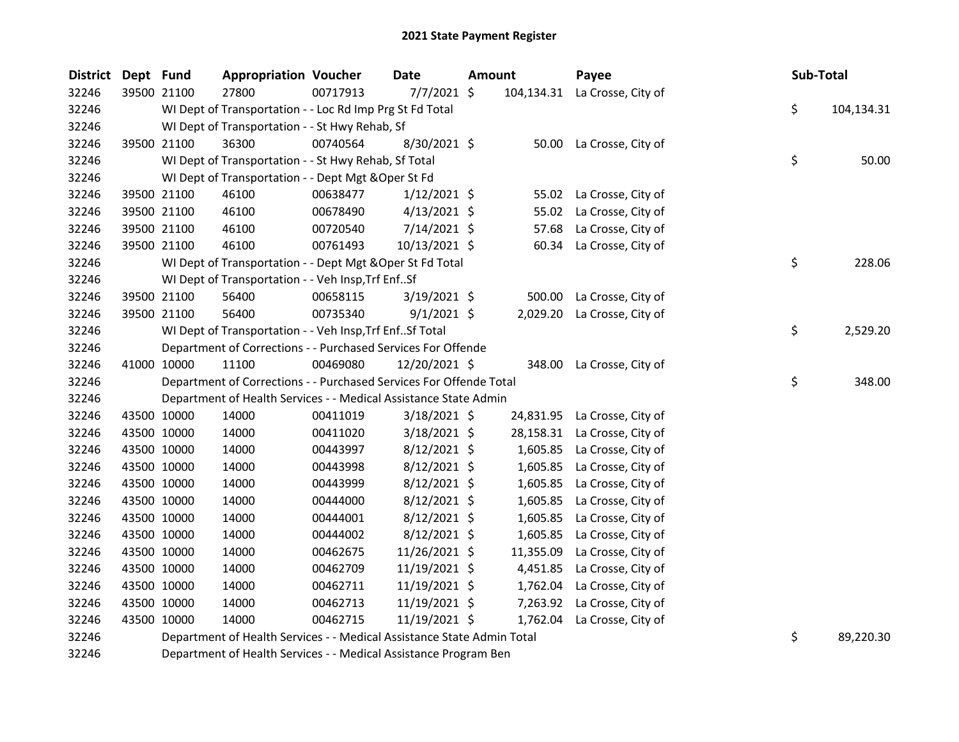| <b>District</b> | Dept Fund   |             | <b>Appropriation Voucher</b>                                           |          | Date           | <b>Amount</b> |            | Payee                       | Sub-Total        |
|-----------------|-------------|-------------|------------------------------------------------------------------------|----------|----------------|---------------|------------|-----------------------------|------------------|
| 32246           |             | 39500 21100 | 27800                                                                  | 00717913 | $7/7/2021$ \$  |               | 104,134.31 | La Crosse, City of          |                  |
| 32246           |             |             | WI Dept of Transportation - - Loc Rd Imp Prg St Fd Total               |          |                |               |            |                             | \$<br>104,134.31 |
| 32246           |             |             | WI Dept of Transportation - - St Hwy Rehab, Sf                         |          |                |               |            |                             |                  |
| 32246           |             | 39500 21100 | 36300                                                                  | 00740564 | 8/30/2021 \$   |               |            | 50.00 La Crosse, City of    |                  |
| 32246           |             |             | WI Dept of Transportation - - St Hwy Rehab, Sf Total                   |          |                |               |            |                             | \$<br>50.00      |
| 32246           |             |             | WI Dept of Transportation - - Dept Mgt & Oper St Fd                    |          |                |               |            |                             |                  |
| 32246           |             | 39500 21100 | 46100                                                                  | 00638477 | $1/12/2021$ \$ |               | 55.02      | La Crosse, City of          |                  |
| 32246           |             | 39500 21100 | 46100                                                                  | 00678490 | $4/13/2021$ \$ |               | 55.02      | La Crosse, City of          |                  |
| 32246           |             | 39500 21100 | 46100                                                                  | 00720540 | 7/14/2021 \$   |               | 57.68      | La Crosse, City of          |                  |
| 32246           |             | 39500 21100 | 46100                                                                  | 00761493 | 10/13/2021 \$  |               | 60.34      | La Crosse, City of          |                  |
| 32246           |             |             | WI Dept of Transportation - - Dept Mgt & Oper St Fd Total              |          |                |               |            |                             | \$<br>228.06     |
| 32246           |             |             | WI Dept of Transportation - - Veh Insp, Trf EnfSf                      |          |                |               |            |                             |                  |
| 32246           |             | 39500 21100 | 56400                                                                  | 00658115 | $3/19/2021$ \$ |               | 500.00     | La Crosse, City of          |                  |
| 32246           |             | 39500 21100 | 56400                                                                  | 00735340 | $9/1/2021$ \$  |               |            | 2,029.20 La Crosse, City of |                  |
| 32246           |             |             | WI Dept of Transportation - - Veh Insp, Trf EnfSf Total                |          |                |               |            |                             | \$<br>2,529.20   |
| 32246           |             |             | Department of Corrections - - Purchased Services For Offende           |          |                |               |            |                             |                  |
| 32246           |             | 41000 10000 | 11100                                                                  | 00469080 | 12/20/2021 \$  |               | 348.00     | La Crosse, City of          |                  |
| 32246           |             |             | Department of Corrections - - Purchased Services For Offende Total     |          |                |               |            |                             | \$<br>348.00     |
| 32246           |             |             | Department of Health Services - - Medical Assistance State Admin       |          |                |               |            |                             |                  |
| 32246           |             | 43500 10000 | 14000                                                                  | 00411019 | $3/18/2021$ \$ |               | 24,831.95  | La Crosse, City of          |                  |
| 32246           |             | 43500 10000 | 14000                                                                  | 00411020 | $3/18/2021$ \$ |               | 28,158.31  | La Crosse, City of          |                  |
| 32246           |             | 43500 10000 | 14000                                                                  | 00443997 | $8/12/2021$ \$ |               | 1,605.85   | La Crosse, City of          |                  |
| 32246           | 43500 10000 |             | 14000                                                                  | 00443998 | $8/12/2021$ \$ |               | 1,605.85   | La Crosse, City of          |                  |
| 32246           | 43500 10000 |             | 14000                                                                  | 00443999 | $8/12/2021$ \$ |               | 1,605.85   | La Crosse, City of          |                  |
| 32246           | 43500 10000 |             | 14000                                                                  | 00444000 | $8/12/2021$ \$ |               | 1,605.85   | La Crosse, City of          |                  |
| 32246           |             | 43500 10000 | 14000                                                                  | 00444001 | $8/12/2021$ \$ |               | 1,605.85   | La Crosse, City of          |                  |
| 32246           |             | 43500 10000 | 14000                                                                  | 00444002 | $8/12/2021$ \$ |               | 1,605.85   | La Crosse, City of          |                  |
| 32246           |             | 43500 10000 | 14000                                                                  | 00462675 | 11/26/2021 \$  |               | 11,355.09  | La Crosse, City of          |                  |
| 32246           | 43500 10000 |             | 14000                                                                  | 00462709 | 11/19/2021 \$  |               | 4,451.85   | La Crosse, City of          |                  |
| 32246           | 43500 10000 |             | 14000                                                                  | 00462711 | 11/19/2021 \$  |               | 1,762.04   | La Crosse, City of          |                  |
| 32246           | 43500 10000 |             | 14000                                                                  | 00462713 | 11/19/2021 \$  |               | 7,263.92   | La Crosse, City of          |                  |
| 32246           | 43500 10000 |             | 14000                                                                  | 00462715 | 11/19/2021 \$  |               | 1,762.04   | La Crosse, City of          |                  |
| 32246           |             |             | Department of Health Services - - Medical Assistance State Admin Total |          |                |               |            |                             | \$<br>89,220.30  |

Department of Health Services - - Medical Assistance Program Ben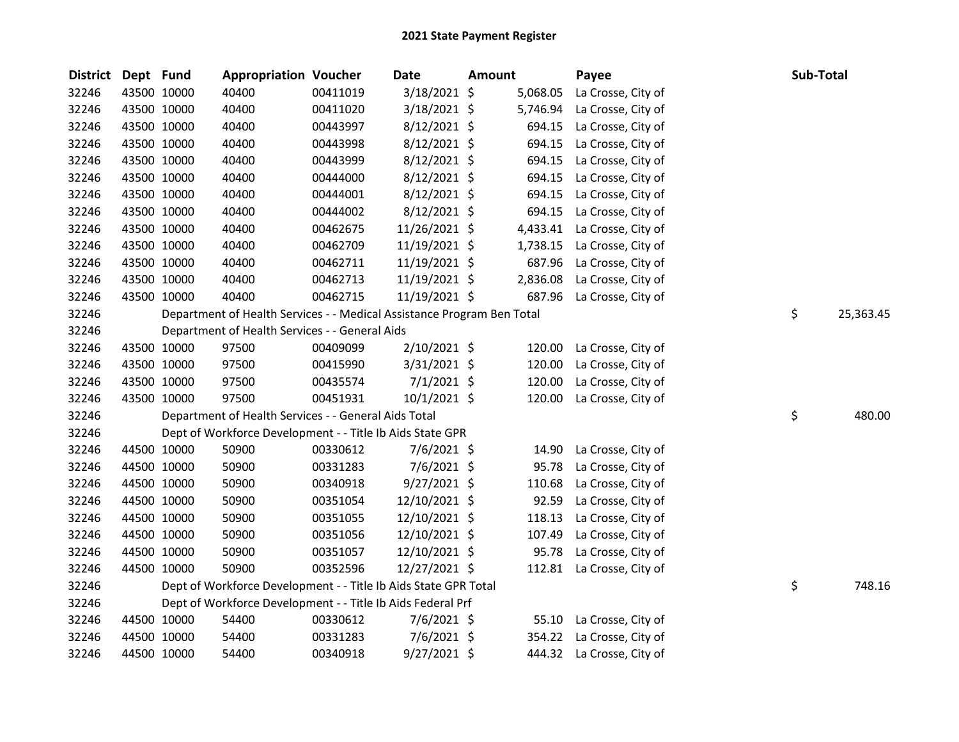| <b>District</b> | Dept Fund |             | <b>Appropriation Voucher</b>                                           |          | Date           | <b>Amount</b> |          | Payee                     | Sub-Total |           |
|-----------------|-----------|-------------|------------------------------------------------------------------------|----------|----------------|---------------|----------|---------------------------|-----------|-----------|
| 32246           |           | 43500 10000 | 40400                                                                  | 00411019 | 3/18/2021 \$   |               | 5,068.05 | La Crosse, City of        |           |           |
| 32246           |           | 43500 10000 | 40400                                                                  | 00411020 | 3/18/2021 \$   |               | 5,746.94 | La Crosse, City of        |           |           |
| 32246           |           | 43500 10000 | 40400                                                                  | 00443997 | 8/12/2021 \$   |               | 694.15   | La Crosse, City of        |           |           |
| 32246           |           | 43500 10000 | 40400                                                                  | 00443998 | 8/12/2021 \$   |               | 694.15   | La Crosse, City of        |           |           |
| 32246           |           | 43500 10000 | 40400                                                                  | 00443999 | $8/12/2021$ \$ |               | 694.15   | La Crosse, City of        |           |           |
| 32246           |           | 43500 10000 | 40400                                                                  | 00444000 | 8/12/2021 \$   |               | 694.15   | La Crosse, City of        |           |           |
| 32246           |           | 43500 10000 | 40400                                                                  | 00444001 | $8/12/2021$ \$ |               | 694.15   | La Crosse, City of        |           |           |
| 32246           |           | 43500 10000 | 40400                                                                  | 00444002 | $8/12/2021$ \$ |               | 694.15   | La Crosse, City of        |           |           |
| 32246           |           | 43500 10000 | 40400                                                                  | 00462675 | 11/26/2021 \$  |               | 4,433.41 | La Crosse, City of        |           |           |
| 32246           |           | 43500 10000 | 40400                                                                  | 00462709 | 11/19/2021 \$  |               | 1,738.15 | La Crosse, City of        |           |           |
| 32246           |           | 43500 10000 | 40400                                                                  | 00462711 | 11/19/2021 \$  |               | 687.96   | La Crosse, City of        |           |           |
| 32246           |           | 43500 10000 | 40400                                                                  | 00462713 | 11/19/2021 \$  |               | 2,836.08 | La Crosse, City of        |           |           |
| 32246           |           | 43500 10000 | 40400                                                                  | 00462715 | 11/19/2021 \$  |               | 687.96   | La Crosse, City of        |           |           |
| 32246           |           |             | Department of Health Services - - Medical Assistance Program Ben Total |          |                |               |          |                           | \$        | 25,363.45 |
| 32246           |           |             | Department of Health Services - - General Aids                         |          |                |               |          |                           |           |           |
| 32246           |           | 43500 10000 | 97500                                                                  | 00409099 | 2/10/2021 \$   |               | 120.00   | La Crosse, City of        |           |           |
| 32246           |           | 43500 10000 | 97500                                                                  | 00415990 | 3/31/2021 \$   |               | 120.00   | La Crosse, City of        |           |           |
| 32246           |           | 43500 10000 | 97500                                                                  | 00435574 | $7/1/2021$ \$  |               | 120.00   | La Crosse, City of        |           |           |
| 32246           |           | 43500 10000 | 97500                                                                  | 00451931 | $10/1/2021$ \$ |               | 120.00   | La Crosse, City of        |           |           |
| 32246           |           |             | Department of Health Services - - General Aids Total                   |          |                |               |          |                           | \$        | 480.00    |
| 32246           |           |             | Dept of Workforce Development - - Title Ib Aids State GPR              |          |                |               |          |                           |           |           |
| 32246           |           | 44500 10000 | 50900                                                                  | 00330612 | $7/6/2021$ \$  |               | 14.90    | La Crosse, City of        |           |           |
| 32246           |           | 44500 10000 | 50900                                                                  | 00331283 | 7/6/2021 \$    |               | 95.78    | La Crosse, City of        |           |           |
| 32246           |           | 44500 10000 | 50900                                                                  | 00340918 | $9/27/2021$ \$ |               | 110.68   | La Crosse, City of        |           |           |
| 32246           |           | 44500 10000 | 50900                                                                  | 00351054 | 12/10/2021 \$  |               | 92.59    | La Crosse, City of        |           |           |
| 32246           |           | 44500 10000 | 50900                                                                  | 00351055 | 12/10/2021 \$  |               | 118.13   | La Crosse, City of        |           |           |
| 32246           |           | 44500 10000 | 50900                                                                  | 00351056 | 12/10/2021 \$  |               | 107.49   | La Crosse, City of        |           |           |
| 32246           |           | 44500 10000 | 50900                                                                  | 00351057 | 12/10/2021 \$  |               | 95.78    | La Crosse, City of        |           |           |
| 32246           |           | 44500 10000 | 50900                                                                  | 00352596 | 12/27/2021 \$  |               | 112.81   | La Crosse, City of        |           |           |
| 32246           |           |             | Dept of Workforce Development - - Title Ib Aids State GPR Total        |          |                |               |          |                           | \$        | 748.16    |
| 32246           |           |             | Dept of Workforce Development - - Title Ib Aids Federal Prf            |          |                |               |          |                           |           |           |
| 32246           |           | 44500 10000 | 54400                                                                  | 00330612 | $7/6/2021$ \$  |               | 55.10    | La Crosse, City of        |           |           |
| 32246           |           | 44500 10000 | 54400                                                                  | 00331283 | $7/6/2021$ \$  |               |          | 354.22 La Crosse, City of |           |           |
| 32246           |           | 44500 10000 | 54400                                                                  | 00340918 | 9/27/2021 \$   |               |          | 444.32 La Crosse, City of |           |           |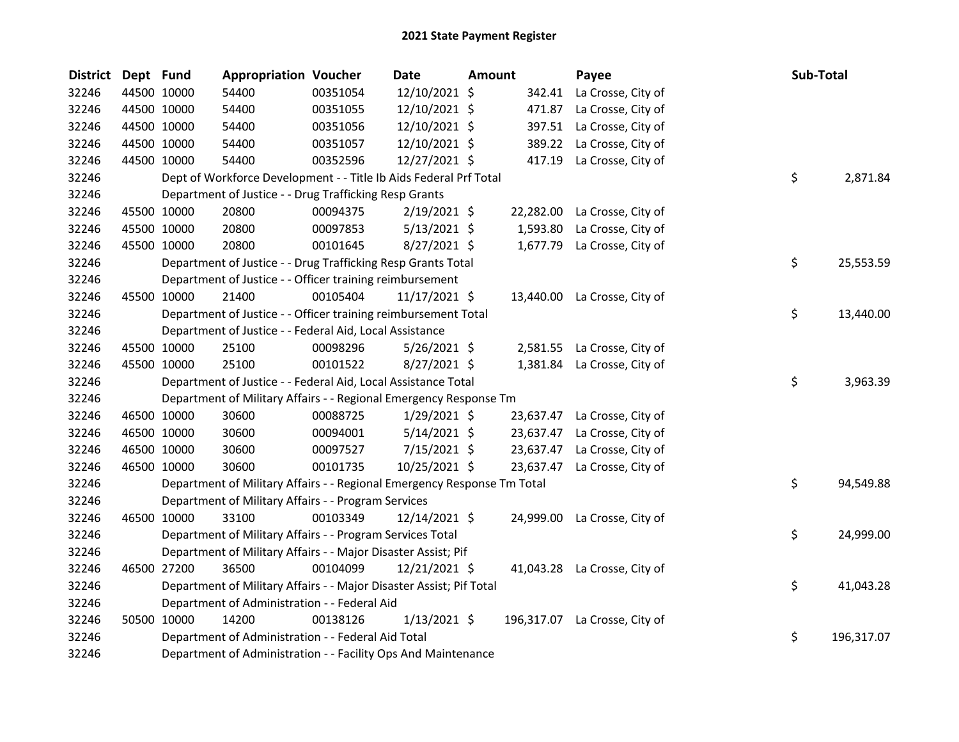| <b>District</b> | Dept Fund   |             | <b>Appropriation Voucher</b>                                            |          | <b>Date</b>    | <b>Amount</b> |        | Payee                         |     | Sub-Total |            |
|-----------------|-------------|-------------|-------------------------------------------------------------------------|----------|----------------|---------------|--------|-------------------------------|-----|-----------|------------|
| 32246           |             | 44500 10000 | 54400                                                                   | 00351054 | 12/10/2021 \$  |               | 342.41 | La Crosse, City of            |     |           |            |
| 32246           |             | 44500 10000 | 54400                                                                   | 00351055 | 12/10/2021 \$  |               | 471.87 | La Crosse, City of            |     |           |            |
| 32246           |             | 44500 10000 | 54400                                                                   | 00351056 | 12/10/2021 \$  |               | 397.51 | La Crosse, City of            |     |           |            |
| 32246           | 44500 10000 |             | 54400                                                                   | 00351057 | 12/10/2021 \$  |               | 389.22 | La Crosse, City of            |     |           |            |
| 32246           | 44500 10000 |             | 54400                                                                   | 00352596 | 12/27/2021 \$  |               | 417.19 | La Crosse, City of            |     |           |            |
| 32246           |             |             | Dept of Workforce Development - - Title Ib Aids Federal Prf Total       |          |                |               |        |                               | \$  |           | 2,871.84   |
| 32246           |             |             | Department of Justice - - Drug Trafficking Resp Grants                  |          |                |               |        |                               |     |           |            |
| 32246           |             | 45500 10000 | 20800                                                                   | 00094375 | $2/19/2021$ \$ |               |        | 22,282.00 La Crosse, City of  |     |           |            |
| 32246           |             | 45500 10000 | 20800                                                                   | 00097853 | $5/13/2021$ \$ |               |        | 1,593.80 La Crosse, City of   |     |           |            |
| 32246           |             | 45500 10000 | 20800                                                                   | 00101645 | 8/27/2021 \$   |               |        | 1,677.79 La Crosse, City of   |     |           |            |
| 32246           |             |             | Department of Justice - - Drug Trafficking Resp Grants Total            |          |                |               |        |                               | \$  |           | 25,553.59  |
| 32246           |             |             | Department of Justice - - Officer training reimbursement                |          |                |               |        |                               |     |           |            |
| 32246           |             | 45500 10000 | 21400                                                                   | 00105404 | 11/17/2021 \$  |               |        | 13,440.00 La Crosse, City of  |     |           |            |
| 32246           |             |             | Department of Justice - - Officer training reimbursement Total          |          |                |               |        |                               | \$  |           | 13,440.00  |
| 32246           |             |             | Department of Justice - - Federal Aid, Local Assistance                 |          |                |               |        |                               |     |           |            |
| 32246           |             | 45500 10000 | 25100                                                                   | 00098296 | $5/26/2021$ \$ |               |        | 2,581.55 La Crosse, City of   |     |           |            |
| 32246           |             | 45500 10000 | 25100                                                                   | 00101522 | 8/27/2021 \$   |               |        | 1,381.84 La Crosse, City of   |     |           |            |
| 32246           |             |             | Department of Justice - - Federal Aid, Local Assistance Total           |          |                |               |        |                               | \$  |           | 3,963.39   |
| 32246           |             |             | Department of Military Affairs - - Regional Emergency Response Tm       |          |                |               |        |                               |     |           |            |
| 32246           |             | 46500 10000 | 30600                                                                   | 00088725 | $1/29/2021$ \$ |               |        | 23,637.47 La Crosse, City of  |     |           |            |
| 32246           |             | 46500 10000 | 30600                                                                   | 00094001 | $5/14/2021$ \$ |               |        | 23,637.47 La Crosse, City of  |     |           |            |
| 32246           |             | 46500 10000 | 30600                                                                   | 00097527 | 7/15/2021 \$   |               |        | 23,637.47 La Crosse, City of  |     |           |            |
| 32246           |             | 46500 10000 | 30600                                                                   | 00101735 | 10/25/2021 \$  |               |        | 23,637.47 La Crosse, City of  |     |           |            |
| 32246           |             |             | Department of Military Affairs - - Regional Emergency Response Tm Total |          |                |               |        |                               | \$  |           | 94,549.88  |
| 32246           |             |             | Department of Military Affairs - - Program Services                     |          |                |               |        |                               |     |           |            |
| 32246           |             | 46500 10000 | 33100                                                                   | 00103349 | 12/14/2021 \$  |               |        | 24,999.00 La Crosse, City of  |     |           |            |
| 32246           |             |             | Department of Military Affairs - - Program Services Total               |          |                |               |        |                               | \$. |           | 24,999.00  |
| 32246           |             |             | Department of Military Affairs - - Major Disaster Assist; Pif           |          |                |               |        |                               |     |           |            |
| 32246           |             | 46500 27200 | 36500                                                                   | 00104099 | 12/21/2021 \$  |               |        | 41,043.28 La Crosse, City of  |     |           |            |
| 32246           |             |             | Department of Military Affairs - - Major Disaster Assist; Pif Total     |          |                |               |        |                               | \$  |           | 41,043.28  |
| 32246           |             |             | Department of Administration - - Federal Aid                            |          |                |               |        |                               |     |           |            |
| 32246           |             | 50500 10000 | 14200                                                                   | 00138126 | $1/13/2021$ \$ |               |        | 196,317.07 La Crosse, City of |     |           |            |
| 32246           |             |             | Department of Administration - - Federal Aid Total                      |          |                |               |        |                               | \$  |           | 196,317.07 |
| 32246           |             |             | Department of Administration - - Facility Ops And Maintenance           |          |                |               |        |                               |     |           |            |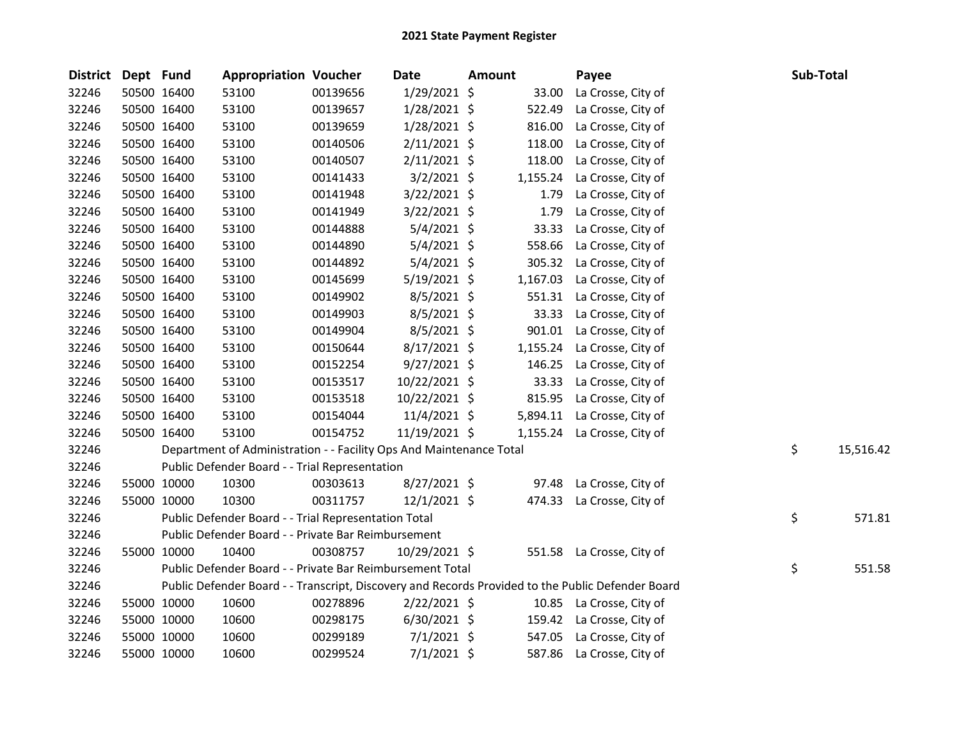| <b>District</b> | Dept Fund |             | <b>Appropriation Voucher</b>                                        |          | Date           | <b>Amount</b> |          | Payee                                                                                             | Sub-Total |           |
|-----------------|-----------|-------------|---------------------------------------------------------------------|----------|----------------|---------------|----------|---------------------------------------------------------------------------------------------------|-----------|-----------|
| 32246           |           | 50500 16400 | 53100                                                               | 00139656 | 1/29/2021 \$   |               | 33.00    | La Crosse, City of                                                                                |           |           |
| 32246           |           | 50500 16400 | 53100                                                               | 00139657 | 1/28/2021 \$   |               | 522.49   | La Crosse, City of                                                                                |           |           |
| 32246           |           | 50500 16400 | 53100                                                               | 00139659 | 1/28/2021 \$   |               | 816.00   | La Crosse, City of                                                                                |           |           |
| 32246           |           | 50500 16400 | 53100                                                               | 00140506 | $2/11/2021$ \$ |               | 118.00   | La Crosse, City of                                                                                |           |           |
| 32246           |           | 50500 16400 | 53100                                                               | 00140507 | $2/11/2021$ \$ |               | 118.00   | La Crosse, City of                                                                                |           |           |
| 32246           |           | 50500 16400 | 53100                                                               | 00141433 | 3/2/2021 \$    |               | 1,155.24 | La Crosse, City of                                                                                |           |           |
| 32246           |           | 50500 16400 | 53100                                                               | 00141948 | $3/22/2021$ \$ |               | 1.79     | La Crosse, City of                                                                                |           |           |
| 32246           |           | 50500 16400 | 53100                                                               | 00141949 | $3/22/2021$ \$ |               | 1.79     | La Crosse, City of                                                                                |           |           |
| 32246           |           | 50500 16400 | 53100                                                               | 00144888 | $5/4/2021$ \$  |               | 33.33    | La Crosse, City of                                                                                |           |           |
| 32246           |           | 50500 16400 | 53100                                                               | 00144890 | $5/4/2021$ \$  |               | 558.66   | La Crosse, City of                                                                                |           |           |
| 32246           |           | 50500 16400 | 53100                                                               | 00144892 | $5/4/2021$ \$  |               | 305.32   | La Crosse, City of                                                                                |           |           |
| 32246           |           | 50500 16400 | 53100                                                               | 00145699 | $5/19/2021$ \$ |               | 1,167.03 | La Crosse, City of                                                                                |           |           |
| 32246           |           | 50500 16400 | 53100                                                               | 00149902 | 8/5/2021 \$    |               | 551.31   | La Crosse, City of                                                                                |           |           |
| 32246           |           | 50500 16400 | 53100                                                               | 00149903 | $8/5/2021$ \$  |               | 33.33    | La Crosse, City of                                                                                |           |           |
| 32246           |           | 50500 16400 | 53100                                                               | 00149904 | $8/5/2021$ \$  |               | 901.01   | La Crosse, City of                                                                                |           |           |
| 32246           |           | 50500 16400 | 53100                                                               | 00150644 | $8/17/2021$ \$ |               | 1,155.24 | La Crosse, City of                                                                                |           |           |
| 32246           |           | 50500 16400 | 53100                                                               | 00152254 | $9/27/2021$ \$ |               | 146.25   | La Crosse, City of                                                                                |           |           |
| 32246           |           | 50500 16400 | 53100                                                               | 00153517 | 10/22/2021 \$  |               | 33.33    | La Crosse, City of                                                                                |           |           |
| 32246           |           | 50500 16400 | 53100                                                               | 00153518 | 10/22/2021 \$  |               | 815.95   | La Crosse, City of                                                                                |           |           |
| 32246           |           | 50500 16400 | 53100                                                               | 00154044 | 11/4/2021 \$   |               |          | 5,894.11 La Crosse, City of                                                                       |           |           |
| 32246           |           | 50500 16400 | 53100                                                               | 00154752 | 11/19/2021 \$  |               |          | 1,155.24 La Crosse, City of                                                                       |           |           |
| 32246           |           |             | Department of Administration - - Facility Ops And Maintenance Total |          |                |               |          |                                                                                                   | \$        | 15,516.42 |
| 32246           |           |             | Public Defender Board - - Trial Representation                      |          |                |               |          |                                                                                                   |           |           |
| 32246           |           | 55000 10000 | 10300                                                               | 00303613 | 8/27/2021 \$   |               |          | 97.48 La Crosse, City of                                                                          |           |           |
| 32246           |           | 55000 10000 | 10300                                                               | 00311757 | 12/1/2021 \$   |               |          | 474.33 La Crosse, City of                                                                         |           |           |
| 32246           |           |             | Public Defender Board - - Trial Representation Total                |          |                |               |          |                                                                                                   | \$        | 571.81    |
| 32246           |           |             | Public Defender Board - - Private Bar Reimbursement                 |          |                |               |          |                                                                                                   |           |           |
| 32246           |           | 55000 10000 | 10400                                                               | 00308757 | 10/29/2021 \$  |               |          | 551.58 La Crosse, City of                                                                         |           |           |
| 32246           |           |             | Public Defender Board - - Private Bar Reimbursement Total           |          |                |               |          |                                                                                                   | \$        | 551.58    |
| 32246           |           |             |                                                                     |          |                |               |          | Public Defender Board - - Transcript, Discovery and Records Provided to the Public Defender Board |           |           |
| 32246           |           | 55000 10000 | 10600                                                               | 00278896 | $2/22/2021$ \$ |               |          | 10.85 La Crosse, City of                                                                          |           |           |
| 32246           |           | 55000 10000 | 10600                                                               | 00298175 | $6/30/2021$ \$ |               |          | 159.42 La Crosse, City of                                                                         |           |           |
| 32246           |           | 55000 10000 | 10600                                                               | 00299189 | $7/1/2021$ \$  |               | 547.05   | La Crosse, City of                                                                                |           |           |
| 32246           |           | 55000 10000 | 10600                                                               | 00299524 | $7/1/2021$ \$  |               | 587.86   | La Crosse, City of                                                                                |           |           |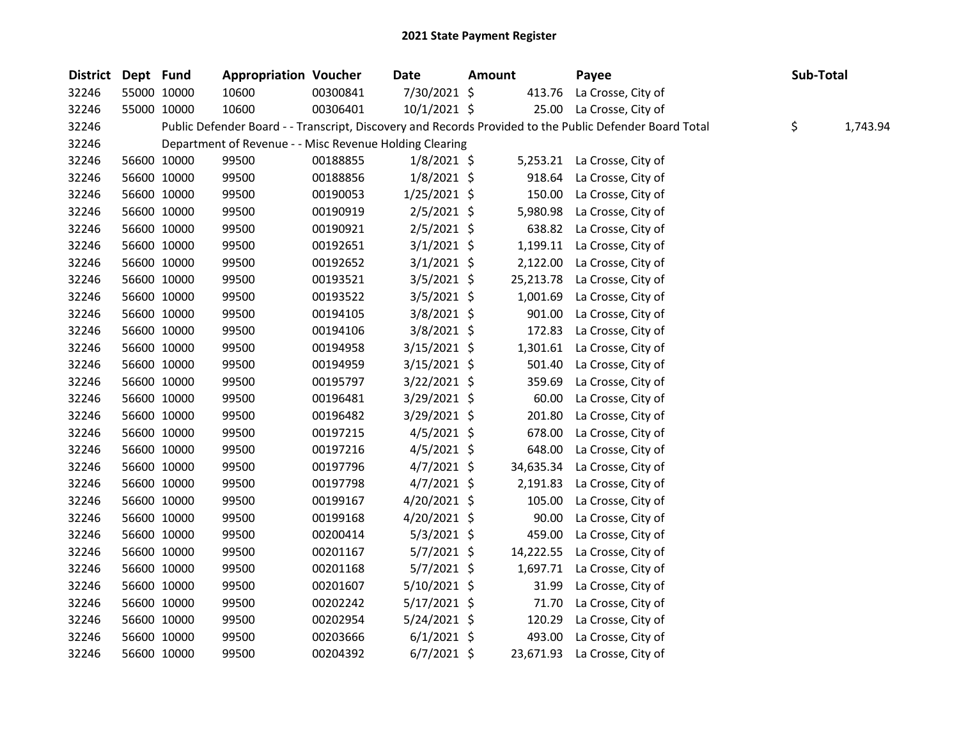| District Dept Fund |             | <b>Appropriation Voucher</b>                            |          | Date           | <b>Amount</b> |           | Payee                                                                                                   | Sub-Total |          |
|--------------------|-------------|---------------------------------------------------------|----------|----------------|---------------|-----------|---------------------------------------------------------------------------------------------------------|-----------|----------|
| 32246              | 55000 10000 | 10600                                                   | 00300841 | 7/30/2021 \$   |               |           | 413.76 La Crosse, City of                                                                               |           |          |
| 32246              | 55000 10000 | 10600                                                   | 00306401 | 10/1/2021 \$   |               |           | 25.00 La Crosse, City of                                                                                |           |          |
| 32246              |             |                                                         |          |                |               |           | Public Defender Board - - Transcript, Discovery and Records Provided to the Public Defender Board Total | \$        | 1,743.94 |
| 32246              |             | Department of Revenue - - Misc Revenue Holding Clearing |          |                |               |           |                                                                                                         |           |          |
| 32246              | 56600 10000 | 99500                                                   | 00188855 | $1/8/2021$ \$  |               |           | 5,253.21 La Crosse, City of                                                                             |           |          |
| 32246              | 56600 10000 | 99500                                                   | 00188856 | $1/8/2021$ \$  |               |           | 918.64 La Crosse, City of                                                                               |           |          |
| 32246              | 56600 10000 | 99500                                                   | 00190053 | $1/25/2021$ \$ |               | 150.00    | La Crosse, City of                                                                                      |           |          |
| 32246              | 56600 10000 | 99500                                                   | 00190919 | $2/5/2021$ \$  |               | 5,980.98  | La Crosse, City of                                                                                      |           |          |
| 32246              | 56600 10000 | 99500                                                   | 00190921 | $2/5/2021$ \$  |               | 638.82    | La Crosse, City of                                                                                      |           |          |
| 32246              | 56600 10000 | 99500                                                   | 00192651 | $3/1/2021$ \$  |               | 1,199.11  | La Crosse, City of                                                                                      |           |          |
| 32246              | 56600 10000 | 99500                                                   | 00192652 | $3/1/2021$ \$  |               | 2,122.00  | La Crosse, City of                                                                                      |           |          |
| 32246              | 56600 10000 | 99500                                                   | 00193521 | $3/5/2021$ \$  |               | 25,213.78 | La Crosse, City of                                                                                      |           |          |
| 32246              | 56600 10000 | 99500                                                   | 00193522 | $3/5/2021$ \$  |               |           | 1,001.69 La Crosse, City of                                                                             |           |          |
| 32246              | 56600 10000 | 99500                                                   | 00194105 | 3/8/2021 \$    |               | 901.00    | La Crosse, City of                                                                                      |           |          |
| 32246              | 56600 10000 | 99500                                                   | 00194106 | 3/8/2021 \$    |               | 172.83    | La Crosse, City of                                                                                      |           |          |
| 32246              | 56600 10000 | 99500                                                   | 00194958 | $3/15/2021$ \$ |               | 1,301.61  | La Crosse, City of                                                                                      |           |          |
| 32246              | 56600 10000 | 99500                                                   | 00194959 | $3/15/2021$ \$ |               | 501.40    | La Crosse, City of                                                                                      |           |          |
| 32246              | 56600 10000 | 99500                                                   | 00195797 | $3/22/2021$ \$ |               | 359.69    | La Crosse, City of                                                                                      |           |          |
| 32246              | 56600 10000 | 99500                                                   | 00196481 | $3/29/2021$ \$ |               | 60.00     | La Crosse, City of                                                                                      |           |          |
| 32246              | 56600 10000 | 99500                                                   | 00196482 | 3/29/2021 \$   |               | 201.80    | La Crosse, City of                                                                                      |           |          |
| 32246              | 56600 10000 | 99500                                                   | 00197215 | $4/5/2021$ \$  |               | 678.00    | La Crosse, City of                                                                                      |           |          |
| 32246              | 56600 10000 | 99500                                                   | 00197216 | $4/5/2021$ \$  |               | 648.00    | La Crosse, City of                                                                                      |           |          |
| 32246              | 56600 10000 | 99500                                                   | 00197796 | $4/7/2021$ \$  |               | 34,635.34 | La Crosse, City of                                                                                      |           |          |
| 32246              | 56600 10000 | 99500                                                   | 00197798 | $4/7/2021$ \$  |               | 2,191.83  | La Crosse, City of                                                                                      |           |          |
| 32246              | 56600 10000 | 99500                                                   | 00199167 | $4/20/2021$ \$ |               | 105.00    | La Crosse, City of                                                                                      |           |          |
| 32246              | 56600 10000 | 99500                                                   | 00199168 | $4/20/2021$ \$ |               | 90.00     | La Crosse, City of                                                                                      |           |          |
| 32246              | 56600 10000 | 99500                                                   | 00200414 | $5/3/2021$ \$  |               | 459.00    | La Crosse, City of                                                                                      |           |          |
| 32246              | 56600 10000 | 99500                                                   | 00201167 | $5/7/2021$ \$  |               | 14,222.55 | La Crosse, City of                                                                                      |           |          |
| 32246              | 56600 10000 | 99500                                                   | 00201168 | $5/7/2021$ \$  |               | 1,697.71  | La Crosse, City of                                                                                      |           |          |
| 32246              | 56600 10000 | 99500                                                   | 00201607 | $5/10/2021$ \$ |               | 31.99     | La Crosse, City of                                                                                      |           |          |
| 32246              | 56600 10000 | 99500                                                   | 00202242 | $5/17/2021$ \$ |               | 71.70     | La Crosse, City of                                                                                      |           |          |
| 32246              | 56600 10000 | 99500                                                   | 00202954 | $5/24/2021$ \$ |               | 120.29    | La Crosse, City of                                                                                      |           |          |
| 32246              | 56600 10000 | 99500                                                   | 00203666 | $6/1/2021$ \$  |               |           | 493.00 La Crosse, City of                                                                               |           |          |
| 32246              | 56600 10000 | 99500                                                   | 00204392 | $6/7/2021$ \$  |               |           | 23,671.93 La Crosse, City of                                                                            |           |          |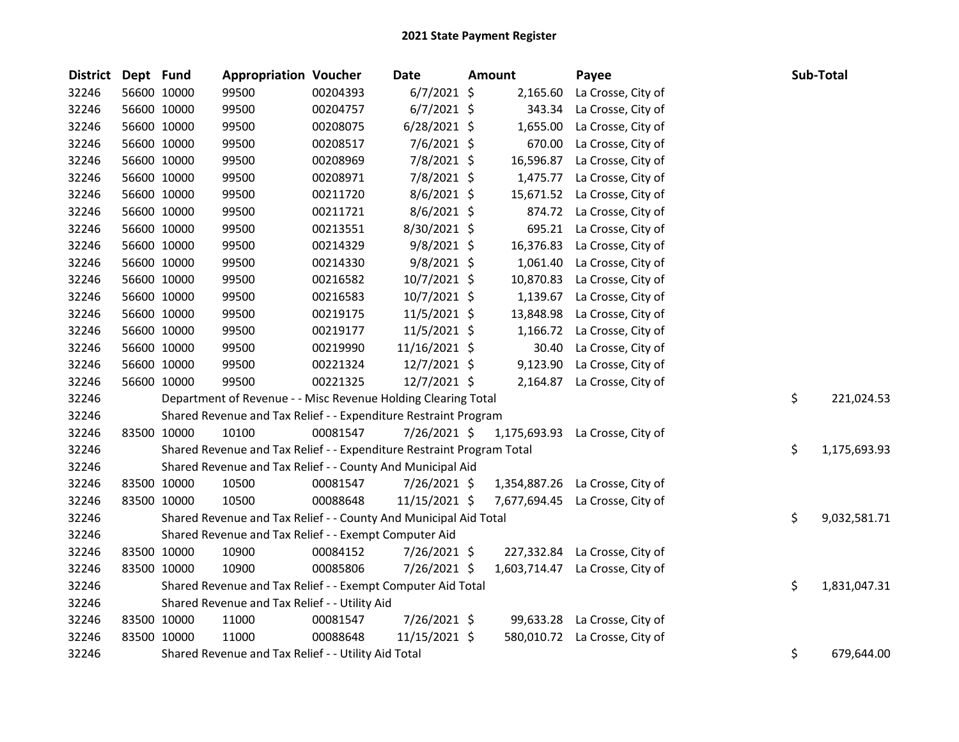| <b>District</b> | Dept Fund |             | <b>Appropriation Voucher</b>                                          |          | Date           | Amount       | Payee                           | Sub-Total          |
|-----------------|-----------|-------------|-----------------------------------------------------------------------|----------|----------------|--------------|---------------------------------|--------------------|
| 32246           |           | 56600 10000 | 99500                                                                 | 00204393 | $6/7/2021$ \$  | 2,165.60     | La Crosse, City of              |                    |
| 32246           |           | 56600 10000 | 99500                                                                 | 00204757 | $6/7/2021$ \$  | 343.34       | La Crosse, City of              |                    |
| 32246           |           | 56600 10000 | 99500                                                                 | 00208075 | $6/28/2021$ \$ | 1,655.00     | La Crosse, City of              |                    |
| 32246           |           | 56600 10000 | 99500                                                                 | 00208517 | 7/6/2021 \$    | 670.00       | La Crosse, City of              |                    |
| 32246           |           | 56600 10000 | 99500                                                                 | 00208969 | 7/8/2021 \$    | 16,596.87    | La Crosse, City of              |                    |
| 32246           |           | 56600 10000 | 99500                                                                 | 00208971 | 7/8/2021 \$    | 1,475.77     | La Crosse, City of              |                    |
| 32246           |           | 56600 10000 | 99500                                                                 | 00211720 | 8/6/2021 \$    | 15,671.52    | La Crosse, City of              |                    |
| 32246           |           | 56600 10000 | 99500                                                                 | 00211721 | 8/6/2021 \$    | 874.72       | La Crosse, City of              |                    |
| 32246           |           | 56600 10000 | 99500                                                                 | 00213551 | 8/30/2021 \$   | 695.21       | La Crosse, City of              |                    |
| 32246           |           | 56600 10000 | 99500                                                                 | 00214329 | $9/8/2021$ \$  | 16,376.83    | La Crosse, City of              |                    |
| 32246           |           | 56600 10000 | 99500                                                                 | 00214330 | $9/8/2021$ \$  | 1,061.40     | La Crosse, City of              |                    |
| 32246           |           | 56600 10000 | 99500                                                                 | 00216582 | 10/7/2021 \$   | 10,870.83    | La Crosse, City of              |                    |
| 32246           |           | 56600 10000 | 99500                                                                 | 00216583 | 10/7/2021 \$   | 1,139.67     | La Crosse, City of              |                    |
| 32246           |           | 56600 10000 | 99500                                                                 | 00219175 | 11/5/2021 \$   | 13,848.98    | La Crosse, City of              |                    |
| 32246           |           | 56600 10000 | 99500                                                                 | 00219177 | 11/5/2021 \$   | 1,166.72     | La Crosse, City of              |                    |
| 32246           |           | 56600 10000 | 99500                                                                 | 00219990 | 11/16/2021 \$  | 30.40        | La Crosse, City of              |                    |
| 32246           |           | 56600 10000 | 99500                                                                 | 00221324 | 12/7/2021 \$   | 9,123.90     | La Crosse, City of              |                    |
| 32246           |           | 56600 10000 | 99500                                                                 | 00221325 | 12/7/2021 \$   | 2,164.87     | La Crosse, City of              |                    |
| 32246           |           |             | Department of Revenue - - Misc Revenue Holding Clearing Total         |          |                |              |                                 | \$<br>221,024.53   |
| 32246           |           |             | Shared Revenue and Tax Relief - - Expenditure Restraint Program       |          |                |              |                                 |                    |
| 32246           |           | 83500 10000 | 10100                                                                 | 00081547 | $7/26/2021$ \$ | 1,175,693.93 | La Crosse, City of              |                    |
| 32246           |           |             | Shared Revenue and Tax Relief - - Expenditure Restraint Program Total |          |                |              |                                 | \$<br>1,175,693.93 |
| 32246           |           |             | Shared Revenue and Tax Relief - - County And Municipal Aid            |          |                |              |                                 |                    |
| 32246           |           | 83500 10000 | 10500                                                                 | 00081547 | 7/26/2021 \$   |              | 1,354,887.26 La Crosse, City of |                    |
| 32246           |           | 83500 10000 | 10500                                                                 | 00088648 | 11/15/2021 \$  | 7,677,694.45 | La Crosse, City of              |                    |
| 32246           |           |             | Shared Revenue and Tax Relief - - County And Municipal Aid Total      |          |                |              |                                 | \$<br>9,032,581.71 |
| 32246           |           |             | Shared Revenue and Tax Relief - - Exempt Computer Aid                 |          |                |              |                                 |                    |
| 32246           |           | 83500 10000 | 10900                                                                 | 00084152 | 7/26/2021 \$   | 227,332.84   | La Crosse, City of              |                    |
| 32246           |           | 83500 10000 | 10900                                                                 | 00085806 | 7/26/2021 \$   | 1,603,714.47 | La Crosse, City of              |                    |
| 32246           |           |             | Shared Revenue and Tax Relief - - Exempt Computer Aid Total           |          |                |              |                                 | \$<br>1,831,047.31 |
| 32246           |           |             | Shared Revenue and Tax Relief - - Utility Aid                         |          |                |              |                                 |                    |
| 32246           |           | 83500 10000 | 11000                                                                 | 00081547 | 7/26/2021 \$   | 99,633.28    | La Crosse, City of              |                    |
| 32246           |           | 83500 10000 | 11000                                                                 | 00088648 | 11/15/2021 \$  | 580,010.72   | La Crosse, City of              |                    |
| 32246           |           |             | Shared Revenue and Tax Relief - - Utility Aid Total                   |          |                |              |                                 | \$<br>679,644.00   |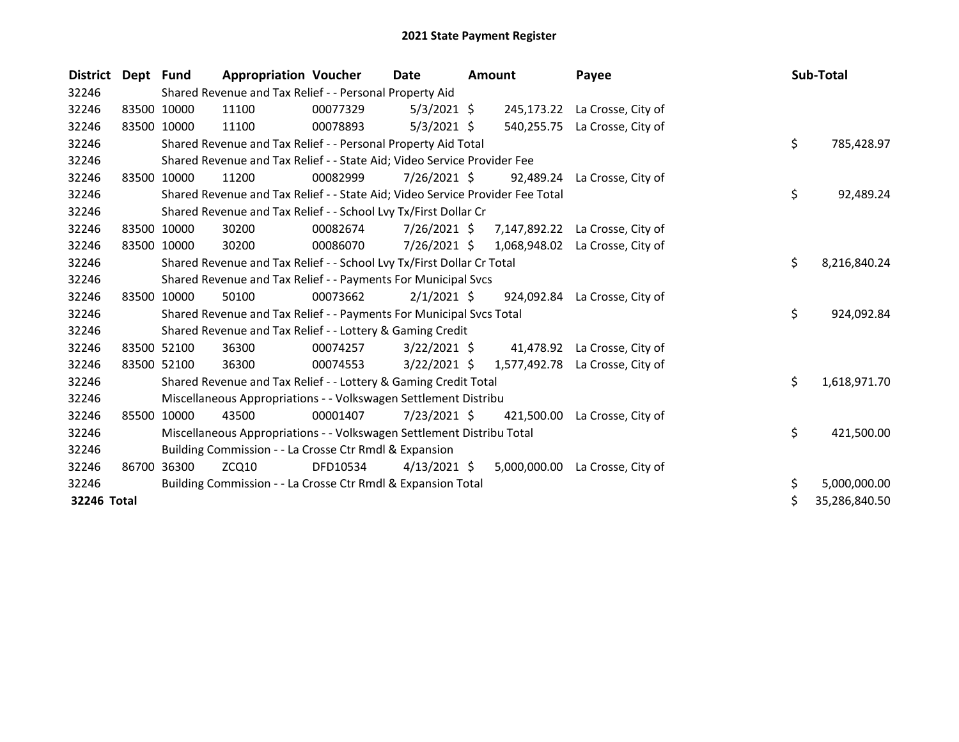| <b>District</b> | Dept Fund |             | <b>Appropriation Voucher</b>                                                        |          | Date           | <b>Amount</b> |              | Payee                           |    | Sub-Total |               |
|-----------------|-----------|-------------|-------------------------------------------------------------------------------------|----------|----------------|---------------|--------------|---------------------------------|----|-----------|---------------|
| 32246           |           |             | Shared Revenue and Tax Relief - - Personal Property Aid                             |          |                |               |              |                                 |    |           |               |
| 32246           |           | 83500 10000 | 11100                                                                               | 00077329 | $5/3/2021$ \$  |               |              | 245,173.22 La Crosse, City of   |    |           |               |
| 32246           |           | 83500 10000 | 11100                                                                               | 00078893 | $5/3/2021$ \$  |               | 540,255.75   | La Crosse, City of              |    |           |               |
| 32246           |           |             | Shared Revenue and Tax Relief - - Personal Property Aid Total                       |          |                |               |              |                                 | \$ |           | 785,428.97    |
| 32246           |           |             | Shared Revenue and Tax Relief - - State Aid; Video Service Provider Fee             |          |                |               |              |                                 |    |           |               |
| 32246           | 83500     | 10000       | 11200                                                                               | 00082999 | 7/26/2021 \$   |               | 92,489.24    | La Crosse, City of              |    |           |               |
| 32246           |           |             | \$<br>Shared Revenue and Tax Relief - - State Aid; Video Service Provider Fee Total |          |                |               |              |                                 |    |           |               |
| 32246           |           |             | Shared Revenue and Tax Relief - - School Lvy Tx/First Dollar Cr                     |          |                |               |              |                                 |    |           |               |
| 32246           |           | 83500 10000 | 30200                                                                               | 00082674 | 7/26/2021 \$   |               |              | 7,147,892.22 La Crosse, City of |    |           |               |
| 32246           |           | 83500 10000 | 30200                                                                               | 00086070 | $7/26/2021$ \$ |               | 1,068,948.02 | La Crosse, City of              |    |           |               |
| 32246           |           |             | Shared Revenue and Tax Relief - - School Lvy Tx/First Dollar Cr Total               |          | \$             | 8,216,840.24  |              |                                 |    |           |               |
| 32246           |           |             | Shared Revenue and Tax Relief - - Payments For Municipal Svcs                       |          |                |               |              |                                 |    |           |               |
| 32246           |           | 83500 10000 | 50100                                                                               | 00073662 | $2/1/2021$ \$  |               |              | 924,092.84 La Crosse, City of   |    |           |               |
| 32246           |           |             | Shared Revenue and Tax Relief - - Payments For Municipal Svcs Total                 |          |                |               |              |                                 | \$ |           | 924,092.84    |
| 32246           |           |             | Shared Revenue and Tax Relief - - Lottery & Gaming Credit                           |          |                |               |              |                                 |    |           |               |
| 32246           |           | 83500 52100 | 36300                                                                               | 00074257 | $3/22/2021$ \$ |               |              | 41,478.92 La Crosse, City of    |    |           |               |
| 32246           |           | 83500 52100 | 36300                                                                               | 00074553 | $3/22/2021$ \$ |               | 1,577,492.78 | La Crosse, City of              |    |           |               |
| 32246           |           |             | Shared Revenue and Tax Relief - - Lottery & Gaming Credit Total                     |          |                |               |              |                                 | \$ |           | 1,618,971.70  |
| 32246           |           |             | Miscellaneous Appropriations - - Volkswagen Settlement Distribu                     |          |                |               |              |                                 |    |           |               |
| 32246           | 85500     | 10000       | 43500                                                                               | 00001407 | $7/23/2021$ \$ |               | 421,500.00   | La Crosse, City of              |    |           |               |
| 32246           |           |             | Miscellaneous Appropriations - - Volkswagen Settlement Distribu Total               |          |                |               |              |                                 | \$ |           | 421,500.00    |
| 32246           |           |             | Building Commission - - La Crosse Ctr Rmdl & Expansion                              |          |                |               |              |                                 |    |           |               |
| 32246           | 86700     | 36300       | ZCQ10                                                                               | DFD10534 | $4/13/2021$ \$ |               | 5,000,000.00 | La Crosse, City of              |    |           |               |
| 32246           |           |             | Building Commission - - La Crosse Ctr Rmdl & Expansion Total                        |          |                |               |              |                                 | \$ |           | 5,000,000.00  |
| 32246 Total     |           |             |                                                                                     |          |                |               |              |                                 |    |           | 35,286,840.50 |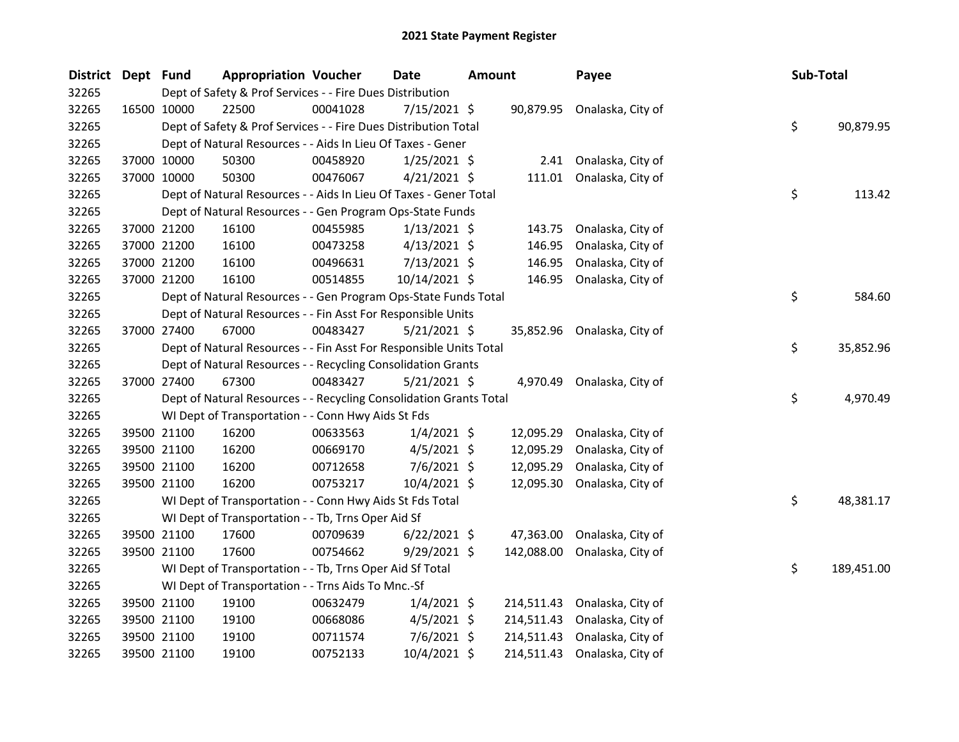| District Dept Fund |             | <b>Appropriation Voucher</b>                                       |          | Date           | <b>Amount</b> |            | Payee                        | Sub-Total |            |
|--------------------|-------------|--------------------------------------------------------------------|----------|----------------|---------------|------------|------------------------------|-----------|------------|
| 32265              |             | Dept of Safety & Prof Services - - Fire Dues Distribution          |          |                |               |            |                              |           |            |
| 32265              | 16500 10000 | 22500                                                              | 00041028 | $7/15/2021$ \$ |               |            | 90,879.95 Onalaska, City of  |           |            |
| 32265              |             | Dept of Safety & Prof Services - - Fire Dues Distribution Total    |          |                |               |            |                              | \$        | 90,879.95  |
| 32265              |             | Dept of Natural Resources - - Aids In Lieu Of Taxes - Gener        |          |                |               |            |                              |           |            |
| 32265              | 37000 10000 | 50300                                                              | 00458920 | 1/25/2021 \$   |               |            | 2.41 Onalaska, City of       |           |            |
| 32265              | 37000 10000 | 50300                                                              | 00476067 | $4/21/2021$ \$ |               | 111.01     | Onalaska, City of            |           |            |
| 32265              |             | Dept of Natural Resources - - Aids In Lieu Of Taxes - Gener Total  |          |                |               |            |                              | \$        | 113.42     |
| 32265              |             | Dept of Natural Resources - - Gen Program Ops-State Funds          |          |                |               |            |                              |           |            |
| 32265              | 37000 21200 | 16100                                                              | 00455985 | $1/13/2021$ \$ |               | 143.75     | Onalaska, City of            |           |            |
| 32265              | 37000 21200 | 16100                                                              | 00473258 | $4/13/2021$ \$ |               | 146.95     | Onalaska, City of            |           |            |
| 32265              | 37000 21200 | 16100                                                              | 00496631 | $7/13/2021$ \$ |               | 146.95     | Onalaska, City of            |           |            |
| 32265              | 37000 21200 | 16100                                                              | 00514855 | 10/14/2021 \$  |               |            | 146.95 Onalaska, City of     |           |            |
| 32265              |             | Dept of Natural Resources - - Gen Program Ops-State Funds Total    |          |                |               |            |                              | \$        | 584.60     |
| 32265              |             | Dept of Natural Resources - - Fin Asst For Responsible Units       |          |                |               |            |                              |           |            |
| 32265              | 37000 27400 | 67000                                                              | 00483427 | $5/21/2021$ \$ |               |            | 35,852.96 Onalaska, City of  |           |            |
| 32265              |             | Dept of Natural Resources - - Fin Asst For Responsible Units Total |          |                |               |            |                              | \$        | 35,852.96  |
| 32265              |             | Dept of Natural Resources - - Recycling Consolidation Grants       |          |                |               |            |                              |           |            |
| 32265              | 37000 27400 | 67300                                                              | 00483427 | $5/21/2021$ \$ |               |            | 4,970.49 Onalaska, City of   |           |            |
| 32265              |             | Dept of Natural Resources - - Recycling Consolidation Grants Total |          |                |               |            |                              | \$        | 4,970.49   |
| 32265              |             | WI Dept of Transportation - - Conn Hwy Aids St Fds                 |          |                |               |            |                              |           |            |
| 32265              | 39500 21100 | 16200                                                              | 00633563 | $1/4/2021$ \$  |               | 12,095.29  | Onalaska, City of            |           |            |
| 32265              | 39500 21100 | 16200                                                              | 00669170 | $4/5/2021$ \$  |               | 12,095.29  | Onalaska, City of            |           |            |
| 32265              | 39500 21100 | 16200                                                              | 00712658 | $7/6/2021$ \$  |               | 12,095.29  | Onalaska, City of            |           |            |
| 32265              | 39500 21100 | 16200                                                              | 00753217 | 10/4/2021 \$   |               | 12,095.30  | Onalaska, City of            |           |            |
| 32265              |             | WI Dept of Transportation - - Conn Hwy Aids St Fds Total           |          |                |               |            |                              | \$        | 48,381.17  |
| 32265              |             | WI Dept of Transportation - - Tb, Trns Oper Aid Sf                 |          |                |               |            |                              |           |            |
| 32265              | 39500 21100 | 17600                                                              | 00709639 | $6/22/2021$ \$ |               | 47,363.00  | Onalaska, City of            |           |            |
| 32265              | 39500 21100 | 17600                                                              | 00754662 | 9/29/2021 \$   |               | 142,088.00 | Onalaska, City of            |           |            |
| 32265              |             | WI Dept of Transportation - - Tb, Trns Oper Aid Sf Total           |          |                |               |            |                              | \$        | 189,451.00 |
| 32265              |             | WI Dept of Transportation - - Trns Aids To Mnc.-Sf                 |          |                |               |            |                              |           |            |
| 32265              | 39500 21100 | 19100                                                              | 00632479 | $1/4/2021$ \$  |               |            | 214,511.43 Onalaska, City of |           |            |
| 32265              | 39500 21100 | 19100                                                              | 00668086 | $4/5/2021$ \$  |               | 214,511.43 | Onalaska, City of            |           |            |
| 32265              | 39500 21100 | 19100                                                              | 00711574 | $7/6/2021$ \$  |               | 214,511.43 | Onalaska, City of            |           |            |
| 32265              | 39500 21100 | 19100                                                              | 00752133 | 10/4/2021 \$   |               | 214,511.43 | Onalaska, City of            |           |            |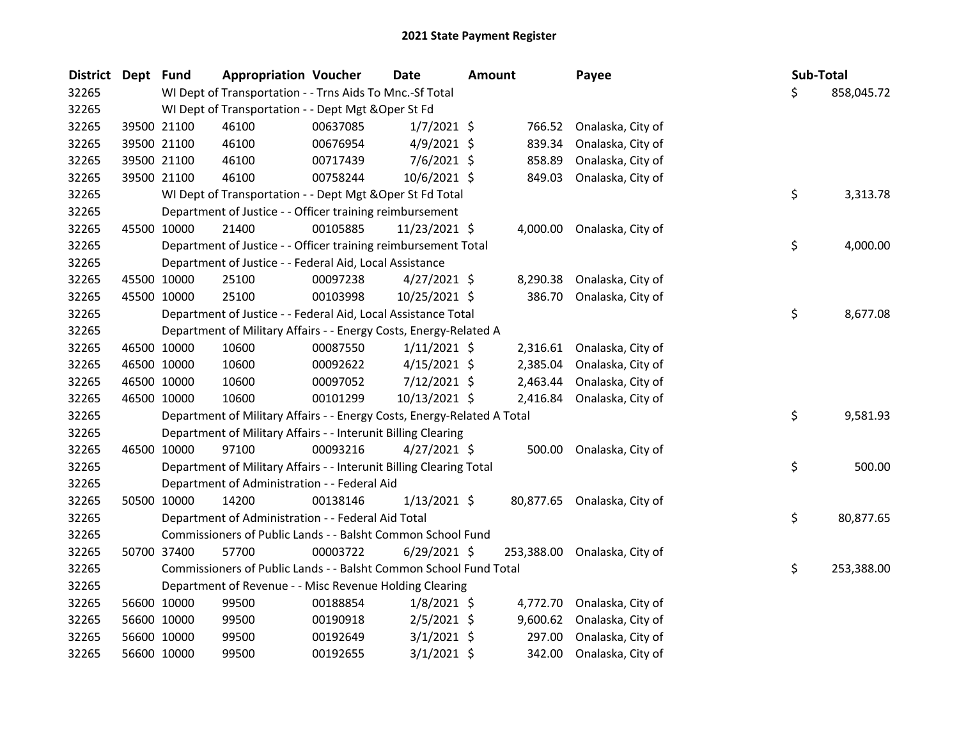| <b>District</b> | Dept Fund |                                                         | <b>Appropriation Voucher</b>                                            |          | Date           | <b>Amount</b> |            | Payee                       |  |     | Sub-Total  |
|-----------------|-----------|---------------------------------------------------------|-------------------------------------------------------------------------|----------|----------------|---------------|------------|-----------------------------|--|-----|------------|
| 32265           |           |                                                         | WI Dept of Transportation - - Trns Aids To Mnc.-Sf Total                |          |                |               |            |                             |  | \$. | 858,045.72 |
| 32265           |           |                                                         | WI Dept of Transportation - - Dept Mgt & Oper St Fd                     |          |                |               |            |                             |  |     |            |
| 32265           |           | 39500 21100                                             | 46100                                                                   | 00637085 | $1/7/2021$ \$  |               | 766.52     | Onalaska, City of           |  |     |            |
| 32265           |           | 39500 21100                                             | 46100                                                                   | 00676954 | $4/9/2021$ \$  |               | 839.34     | Onalaska, City of           |  |     |            |
| 32265           |           | 39500 21100                                             | 46100                                                                   | 00717439 | $7/6/2021$ \$  |               | 858.89     | Onalaska, City of           |  |     |            |
| 32265           |           | 39500 21100                                             | 46100                                                                   | 00758244 | 10/6/2021 \$   |               | 849.03     | Onalaska, City of           |  |     |            |
| 32265           |           |                                                         | WI Dept of Transportation - - Dept Mgt & Oper St Fd Total               |          |                |               |            |                             |  | \$  | 3,313.78   |
| 32265           |           |                                                         | Department of Justice - - Officer training reimbursement                |          |                |               |            |                             |  |     |            |
| 32265           |           | 45500 10000                                             | 21400                                                                   | 00105885 | 11/23/2021 \$  |               |            | 4,000.00 Onalaska, City of  |  |     |            |
| 32265           |           |                                                         | Department of Justice - - Officer training reimbursement Total          |          |                |               |            |                             |  | \$  | 4,000.00   |
| 32265           |           |                                                         | Department of Justice - - Federal Aid, Local Assistance                 |          |                |               |            |                             |  |     |            |
| 32265           |           | 45500 10000                                             | 25100                                                                   | 00097238 | $4/27/2021$ \$ |               | 8,290.38   | Onalaska, City of           |  |     |            |
| 32265           |           | 45500 10000                                             | 25100                                                                   | 00103998 | 10/25/2021 \$  |               | 386.70     | Onalaska, City of           |  |     |            |
| 32265           |           |                                                         | Department of Justice - - Federal Aid, Local Assistance Total           |          |                |               |            |                             |  | \$  | 8,677.08   |
| 32265           |           |                                                         | Department of Military Affairs - - Energy Costs, Energy-Related A       |          |                |               |            |                             |  |     |            |
| 32265           |           | 46500 10000                                             | 10600                                                                   | 00087550 | $1/11/2021$ \$ |               |            | 2,316.61 Onalaska, City of  |  |     |            |
| 32265           |           | 46500 10000                                             | 10600                                                                   | 00092622 | $4/15/2021$ \$ |               | 2,385.04   | Onalaska, City of           |  |     |            |
| 32265           |           | 46500 10000                                             | 10600                                                                   | 00097052 | 7/12/2021 \$   |               | 2,463.44   | Onalaska, City of           |  |     |            |
| 32265           |           | 46500 10000                                             | 10600                                                                   | 00101299 | 10/13/2021 \$  |               | 2,416.84   | Onalaska, City of           |  |     |            |
| 32265           |           |                                                         | Department of Military Affairs - - Energy Costs, Energy-Related A Total |          |                |               |            |                             |  | \$  | 9,581.93   |
| 32265           |           |                                                         | Department of Military Affairs - - Interunit Billing Clearing           |          |                |               |            |                             |  |     |            |
| 32265           |           | 46500 10000                                             | 97100                                                                   | 00093216 | $4/27/2021$ \$ |               | 500.00     | Onalaska, City of           |  |     |            |
| 32265           |           |                                                         | Department of Military Affairs - - Interunit Billing Clearing Total     |          |                |               |            |                             |  | \$  | 500.00     |
| 32265           |           |                                                         | Department of Administration - - Federal Aid                            |          |                |               |            |                             |  |     |            |
| 32265           |           | 50500 10000                                             | 14200                                                                   | 00138146 | $1/13/2021$ \$ |               |            | 80,877.65 Onalaska, City of |  |     |            |
| 32265           |           |                                                         | Department of Administration - - Federal Aid Total                      |          |                |               |            |                             |  | \$  | 80,877.65  |
| 32265           |           |                                                         | Commissioners of Public Lands - - Balsht Common School Fund             |          |                |               |            |                             |  |     |            |
| 32265           |           | 50700 37400                                             | 57700                                                                   | 00003722 | $6/29/2021$ \$ |               | 253,388.00 | Onalaska, City of           |  |     |            |
| 32265           |           |                                                         | Commissioners of Public Lands - - Balsht Common School Fund Total       |          |                |               |            |                             |  | \$  | 253,388.00 |
| 32265           |           | Department of Revenue - - Misc Revenue Holding Clearing |                                                                         |          |                |               |            |                             |  |     |            |
| 32265           |           | 56600 10000                                             | 99500                                                                   | 00188854 | $1/8/2021$ \$  |               |            | 4,772.70 Onalaska, City of  |  |     |            |
| 32265           |           | 56600 10000                                             | 99500                                                                   | 00190918 | $2/5/2021$ \$  |               | 9,600.62   | Onalaska, City of           |  |     |            |
| 32265           |           | 56600 10000                                             | 99500                                                                   | 00192649 | $3/1/2021$ \$  |               | 297.00     | Onalaska, City of           |  |     |            |
| 32265           |           | 56600 10000                                             | 99500                                                                   | 00192655 | $3/1/2021$ \$  |               | 342.00     | Onalaska, City of           |  |     |            |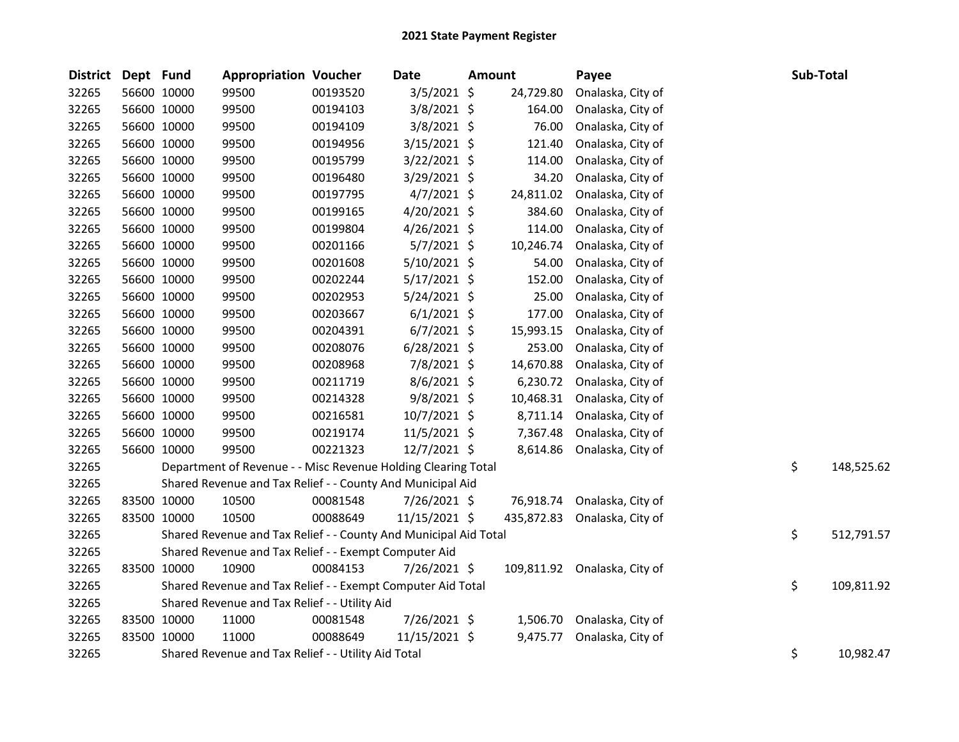| <b>District</b> | Dept Fund   |             | <b>Appropriation Voucher</b>                                     |          | Date           | Amount |            | Payee             | Sub-Total |            |
|-----------------|-------------|-------------|------------------------------------------------------------------|----------|----------------|--------|------------|-------------------|-----------|------------|
| 32265           |             | 56600 10000 | 99500                                                            | 00193520 | 3/5/2021 \$    |        | 24,729.80  | Onalaska, City of |           |            |
| 32265           |             | 56600 10000 | 99500                                                            | 00194103 | 3/8/2021 \$    |        | 164.00     | Onalaska, City of |           |            |
| 32265           | 56600 10000 |             | 99500                                                            | 00194109 | 3/8/2021 \$    |        | 76.00      | Onalaska, City of |           |            |
| 32265           | 56600 10000 |             | 99500                                                            | 00194956 | $3/15/2021$ \$ |        | 121.40     | Onalaska, City of |           |            |
| 32265           | 56600 10000 |             | 99500                                                            | 00195799 | 3/22/2021 \$   |        | 114.00     | Onalaska, City of |           |            |
| 32265           |             | 56600 10000 | 99500                                                            | 00196480 | 3/29/2021 \$   |        | 34.20      | Onalaska, City of |           |            |
| 32265           | 56600 10000 |             | 99500                                                            | 00197795 | $4/7/2021$ \$  |        | 24,811.02  | Onalaska, City of |           |            |
| 32265           | 56600 10000 |             | 99500                                                            | 00199165 | $4/20/2021$ \$ |        | 384.60     | Onalaska, City of |           |            |
| 32265           |             | 56600 10000 | 99500                                                            | 00199804 | $4/26/2021$ \$ |        | 114.00     | Onalaska, City of |           |            |
| 32265           | 56600 10000 |             | 99500                                                            | 00201166 | $5/7/2021$ \$  |        | 10,246.74  | Onalaska, City of |           |            |
| 32265           | 56600 10000 |             | 99500                                                            | 00201608 | 5/10/2021 \$   |        | 54.00      | Onalaska, City of |           |            |
| 32265           | 56600 10000 |             | 99500                                                            | 00202244 | $5/17/2021$ \$ |        | 152.00     | Onalaska, City of |           |            |
| 32265           | 56600 10000 |             | 99500                                                            | 00202953 | $5/24/2021$ \$ |        | 25.00      | Onalaska, City of |           |            |
| 32265           | 56600 10000 |             | 99500                                                            | 00203667 | $6/1/2021$ \$  |        | 177.00     | Onalaska, City of |           |            |
| 32265           | 56600 10000 |             | 99500                                                            | 00204391 | $6/7/2021$ \$  |        | 15,993.15  | Onalaska, City of |           |            |
| 32265           | 56600 10000 |             | 99500                                                            | 00208076 | $6/28/2021$ \$ |        | 253.00     | Onalaska, City of |           |            |
| 32265           | 56600 10000 |             | 99500                                                            | 00208968 | 7/8/2021 \$    |        | 14,670.88  | Onalaska, City of |           |            |
| 32265           | 56600 10000 |             | 99500                                                            | 00211719 | 8/6/2021 \$    |        | 6,230.72   | Onalaska, City of |           |            |
| 32265           | 56600 10000 |             | 99500                                                            | 00214328 | $9/8/2021$ \$  |        | 10,468.31  | Onalaska, City of |           |            |
| 32265           | 56600 10000 |             | 99500                                                            | 00216581 | $10/7/2021$ \$ |        | 8,711.14   | Onalaska, City of |           |            |
| 32265           | 56600 10000 |             | 99500                                                            | 00219174 | $11/5/2021$ \$ |        | 7,367.48   | Onalaska, City of |           |            |
| 32265           |             | 56600 10000 | 99500                                                            | 00221323 | 12/7/2021 \$   |        | 8,614.86   | Onalaska, City of |           |            |
| 32265           |             |             | Department of Revenue - - Misc Revenue Holding Clearing Total    |          |                |        |            |                   | \$        | 148,525.62 |
| 32265           |             |             | Shared Revenue and Tax Relief - - County And Municipal Aid       |          |                |        |            |                   |           |            |
| 32265           | 83500 10000 |             | 10500                                                            | 00081548 | 7/26/2021 \$   |        | 76,918.74  | Onalaska, City of |           |            |
| 32265           | 83500 10000 |             | 10500                                                            | 00088649 | 11/15/2021 \$  |        | 435,872.83 | Onalaska, City of |           |            |
| 32265           |             |             | Shared Revenue and Tax Relief - - County And Municipal Aid Total |          |                |        |            |                   | \$        | 512,791.57 |
| 32265           |             |             | Shared Revenue and Tax Relief - - Exempt Computer Aid            |          |                |        |            |                   |           |            |
| 32265           | 83500 10000 |             | 10900                                                            | 00084153 | 7/26/2021 \$   |        | 109,811.92 | Onalaska, City of |           |            |
| 32265           |             |             | Shared Revenue and Tax Relief - - Exempt Computer Aid Total      |          |                |        |            |                   | \$        | 109,811.92 |
| 32265           |             |             | Shared Revenue and Tax Relief - - Utility Aid                    |          |                |        |            |                   |           |            |
| 32265           | 83500 10000 |             | 11000                                                            | 00081548 | 7/26/2021 \$   |        | 1,506.70   | Onalaska, City of |           |            |
| 32265           | 83500 10000 |             | 11000                                                            | 00088649 | 11/15/2021 \$  |        | 9,475.77   | Onalaska, City of |           |            |
| 32265           |             |             | Shared Revenue and Tax Relief - - Utility Aid Total              |          |                |        |            |                   | \$        | 10,982.47  |